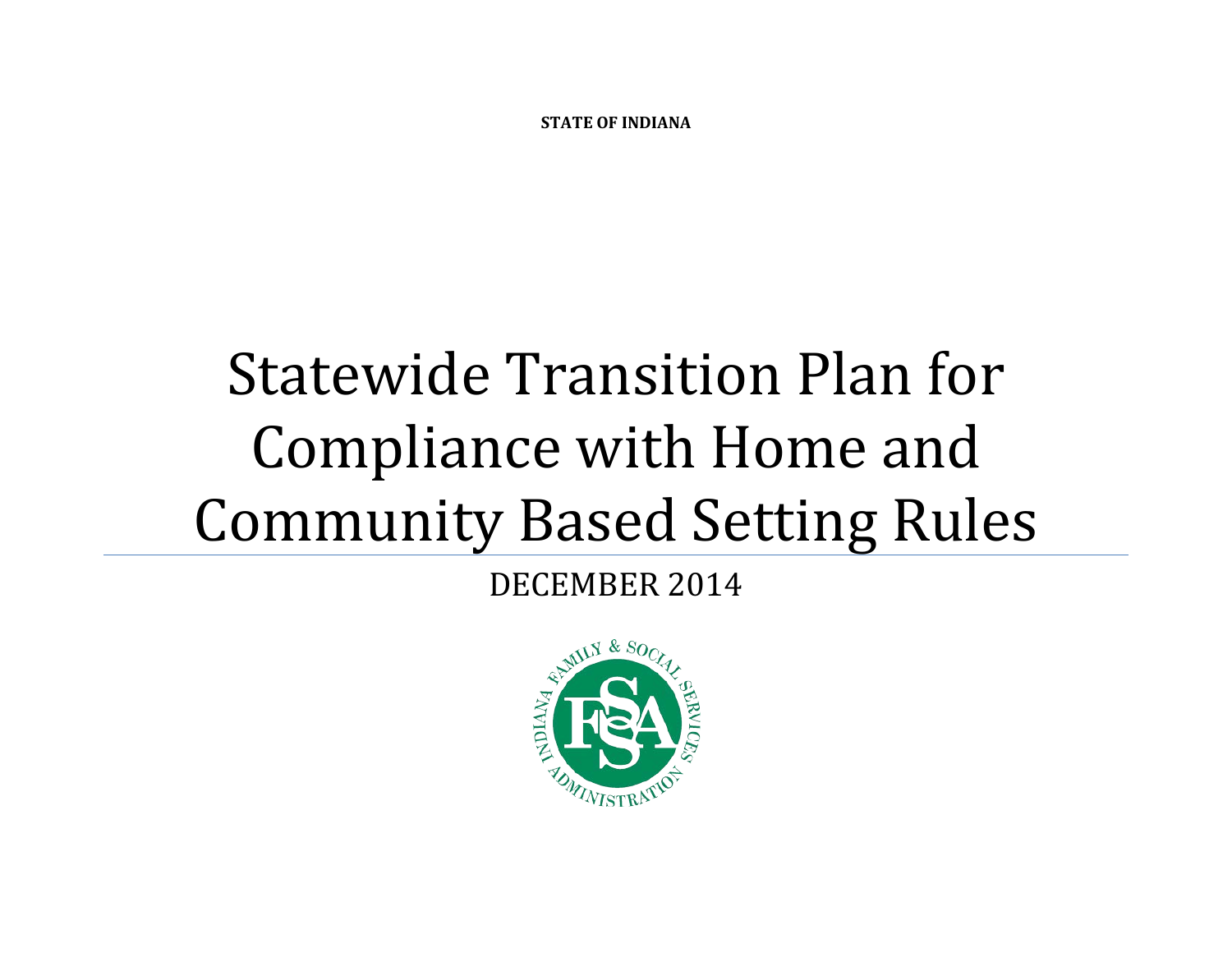**STATE OF INDIANA**

# Statewide Transition Plan for Compliance with Home and Community Based Setting Rules

DECEMBER 2014

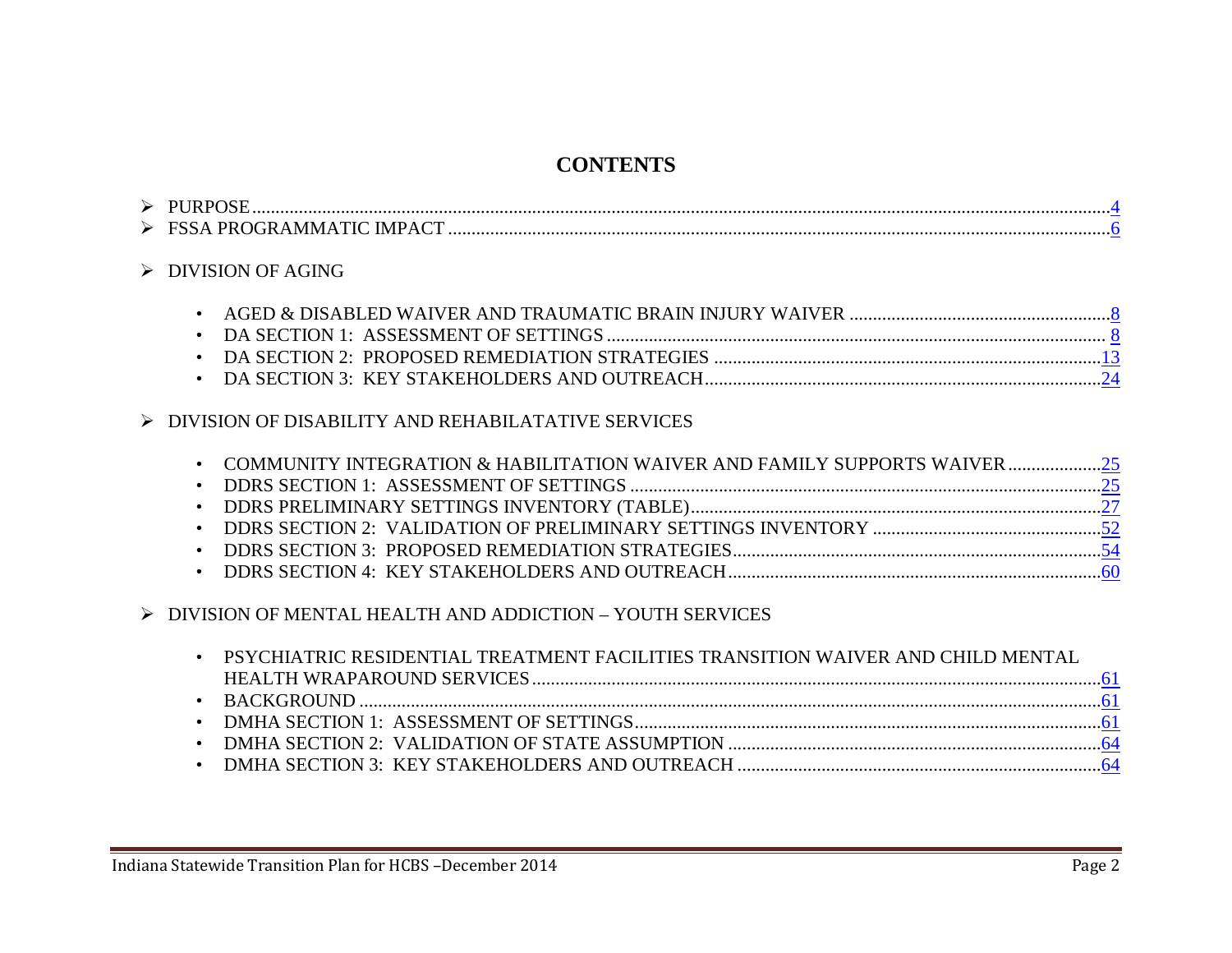# **CONTENTS**

| ◡ |  |
|---|--|
| ∽ |  |

> DIVISION OF AGING

#### $\triangleright$  DIVISION OF DISABILITY AND REHABILATATIVE SERVICES

| • COMMUNITY INTEGRATION & HABILITATION WAIVER AND FAMILY SUPPORTS WAIVER |  |
|--------------------------------------------------------------------------|--|
|                                                                          |  |
|                                                                          |  |
|                                                                          |  |
|                                                                          |  |
|                                                                          |  |
|                                                                          |  |

 $\triangleright$  DIVISION OF MENTAL HEALTH AND ADDICTION – YOUTH SERVICES

| PSYCHIATRIC RESIDENTIAL TREATMENT FACILITIES TRANSITION WAIVER AND CHILD MENTAL |  |
|---------------------------------------------------------------------------------|--|
|                                                                                 |  |
|                                                                                 |  |
|                                                                                 |  |
|                                                                                 |  |
|                                                                                 |  |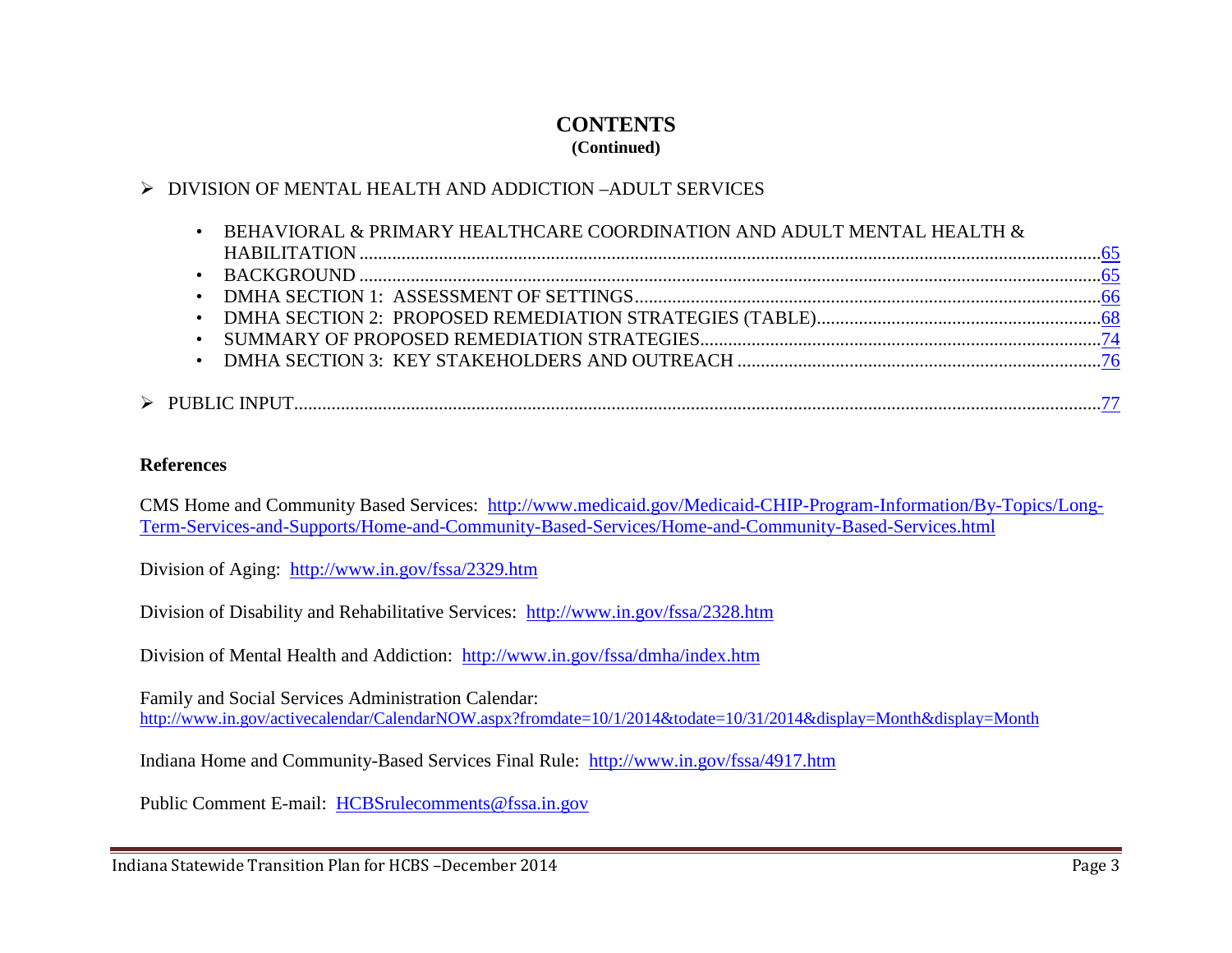# **CONTENTS**

#### **(Continued)**

#### DIVISION OF MENTAL HEALTH AND ADDICTION –ADULT SERVICES

|  | - BEHAVIORAL & PRIMARY HEALTHCARE COORDINATION AND ADULT MENTAL HEALTH $\&$ |  |
|--|-----------------------------------------------------------------------------|--|
|  |                                                                             |  |
|  |                                                                             |  |
|  |                                                                             |  |
|  |                                                                             |  |
|  |                                                                             |  |
|  |                                                                             |  |
|  |                                                                             |  |
|  |                                                                             |  |
|  |                                                                             |  |

#### **References**

CMS Home and Community Based Services: [http://www.medicaid.gov/Medicaid-CHIP-Program-Information/By-Topics/Long-](http://www.medicaid.gov/Medicaid-CHIP-Program-Information/By-Topics/Long-Term-Services-and-Supports/Home-and-Community-Based-Services/Home-and-Community-Based-Services.html)[Term-Services-and-Supports/Home-and-Community-Based-Services/Home-and-Community-Based-Services.html](http://www.medicaid.gov/Medicaid-CHIP-Program-Information/By-Topics/Long-Term-Services-and-Supports/Home-and-Community-Based-Services/Home-and-Community-Based-Services.html)

Division of Aging:<http://www.in.gov/fssa/2329.htm>

Division of Disability and Rehabilitative Services:<http://www.in.gov/fssa/2328.htm>

Division of Mental Health and Addiction:<http://www.in.gov/fssa/dmha/index.htm>

Family and Social Services Administration Calendar: <http://www.in.gov/activecalendar/CalendarNOW.aspx?fromdate=10/1/2014&todate=10/31/2014&display=Month&display=Month>

Indiana Home and Community-Based Services Final Rule: <http://www.in.gov/fssa/4917.htm>

Public Comment E-mail: [HCBSrulecomments@fssa.in.gov](mailto:HCBSrulecomments@fssa.in.gov)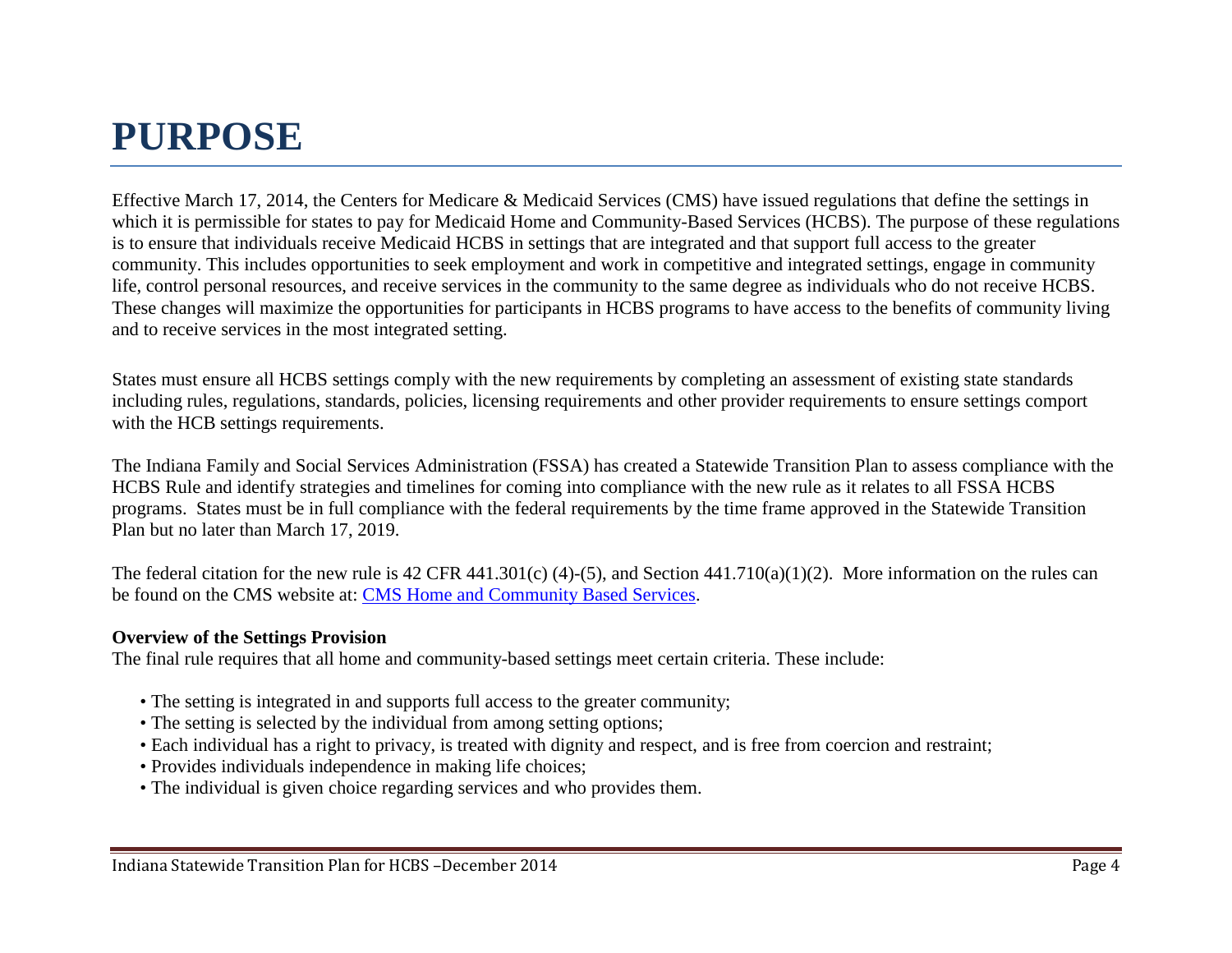# <span id="page-3-0"></span>**PURPOSE**

Effective March 17, 2014, the Centers for Medicare & Medicaid Services (CMS) have issued regulations that define the settings in which it is permissible for states to pay for Medicaid Home and Community-Based Services (HCBS). The purpose of these regulations is to ensure that individuals receive Medicaid HCBS in settings that are integrated and that support full access to the greater community. This includes opportunities to seek employment and work in competitive and integrated settings, engage in community life, control personal resources, and receive services in the community to the same degree as individuals who do not receive HCBS. These changes will maximize the opportunities for participants in HCBS programs to have access to the benefits of community living and to receive services in the most integrated setting.

States must ensure all HCBS settings comply with the new requirements by completing an assessment of existing state standards including rules, regulations, standards, policies, licensing requirements and other provider requirements to ensure settings comport with the HCB settings requirements.

The Indiana Family and Social Services Administration (FSSA) has created a Statewide Transition Plan to assess compliance with the HCBS Rule and identify strategies and timelines for coming into compliance with the new rule as it relates to all FSSA HCBS programs. States must be in full compliance with the federal requirements by the time frame approved in the Statewide Transition Plan but no later than March 17, 2019.

The federal citation for the new rule is 42 CFR 441.301(c) (4)-(5), and Section 441.710(a)(1)(2). More information on the rules can be found on the CMS website at: [CMS Home and Community Based Services.](http://www.medicaid.gov/Medicaid-CHIP-Program-Information/By-Topics/Long-Term-Services-and-Supports/Home-and-Community-Based-Services/Home-and-Community-Based-Services.html)

#### **Overview of the Settings Provision**

The final rule requires that all home and community-based settings meet certain criteria. These include:

- The setting is integrated in and supports full access to the greater community;
- The setting is selected by the individual from among setting options;
- Each individual has a right to privacy, is treated with dignity and respect, and is free from coercion and restraint;
- Provides individuals independence in making life choices;
- The individual is given choice regarding services and who provides them.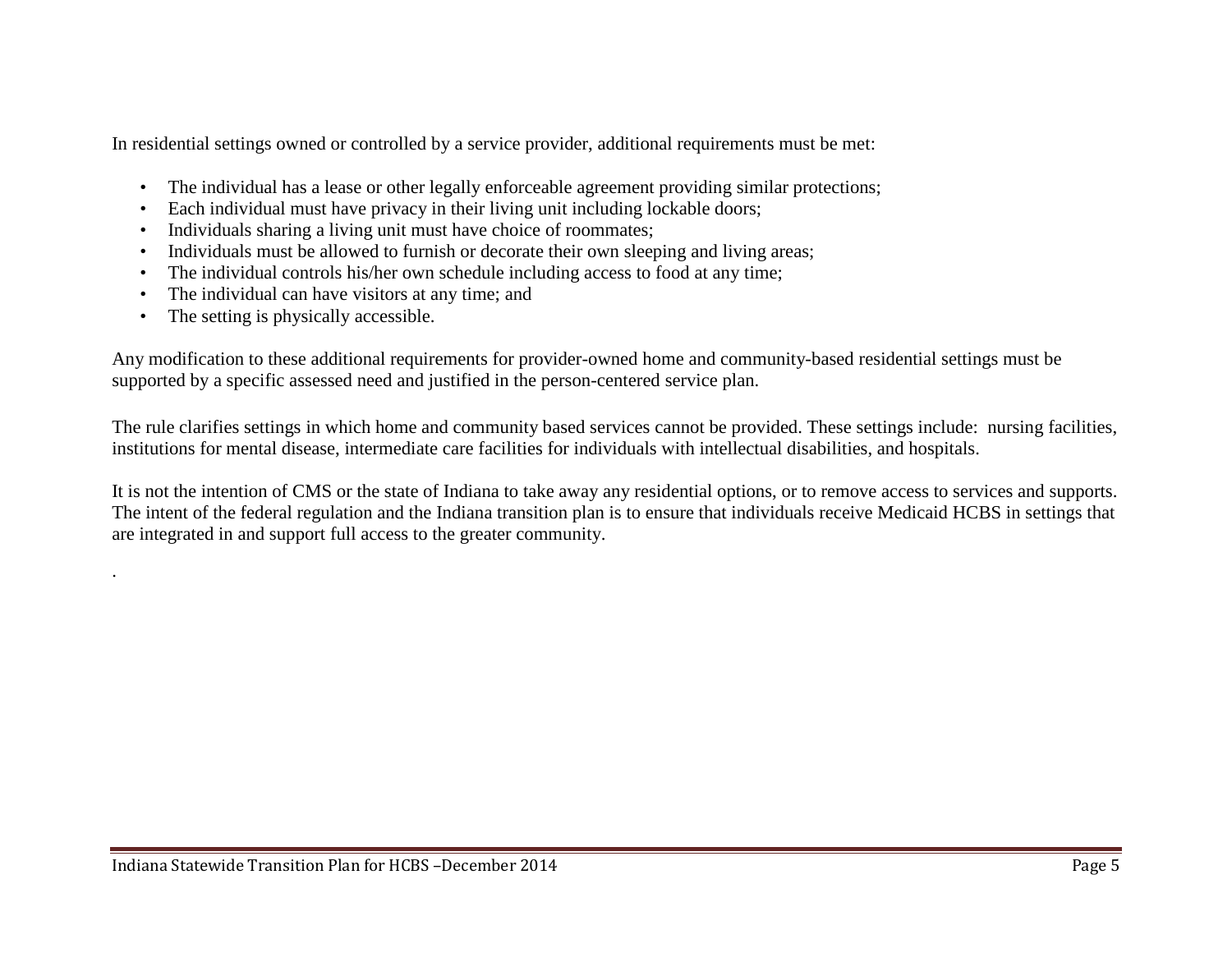In residential settings owned or controlled by a service provider, additional requirements must be met:

- The individual has a lease or other legally enforceable agreement providing similar protections;
- Each individual must have privacy in their living unit including lockable doors;
- Individuals sharing a living unit must have choice of roommates;
- Individuals must be allowed to furnish or decorate their own sleeping and living areas;
- The individual controls his/her own schedule including access to food at any time;
- The individual can have visitors at any time; and
- The setting is physically accessible.

.

Any modification to these additional requirements for provider-owned home and community-based residential settings must be supported by a specific assessed need and justified in the person-centered service plan.

The rule clarifies settings in which home and community based services cannot be provided. These settings include: nursing facilities, institutions for mental disease, intermediate care facilities for individuals with intellectual disabilities, and hospitals.

It is not the intention of CMS or the state of Indiana to take away any residential options, or to remove access to services and supports. The intent of the federal regulation and the Indiana transition plan is to ensure that individuals receive Medicaid HCBS in settings that are integrated in and support full access to the greater community.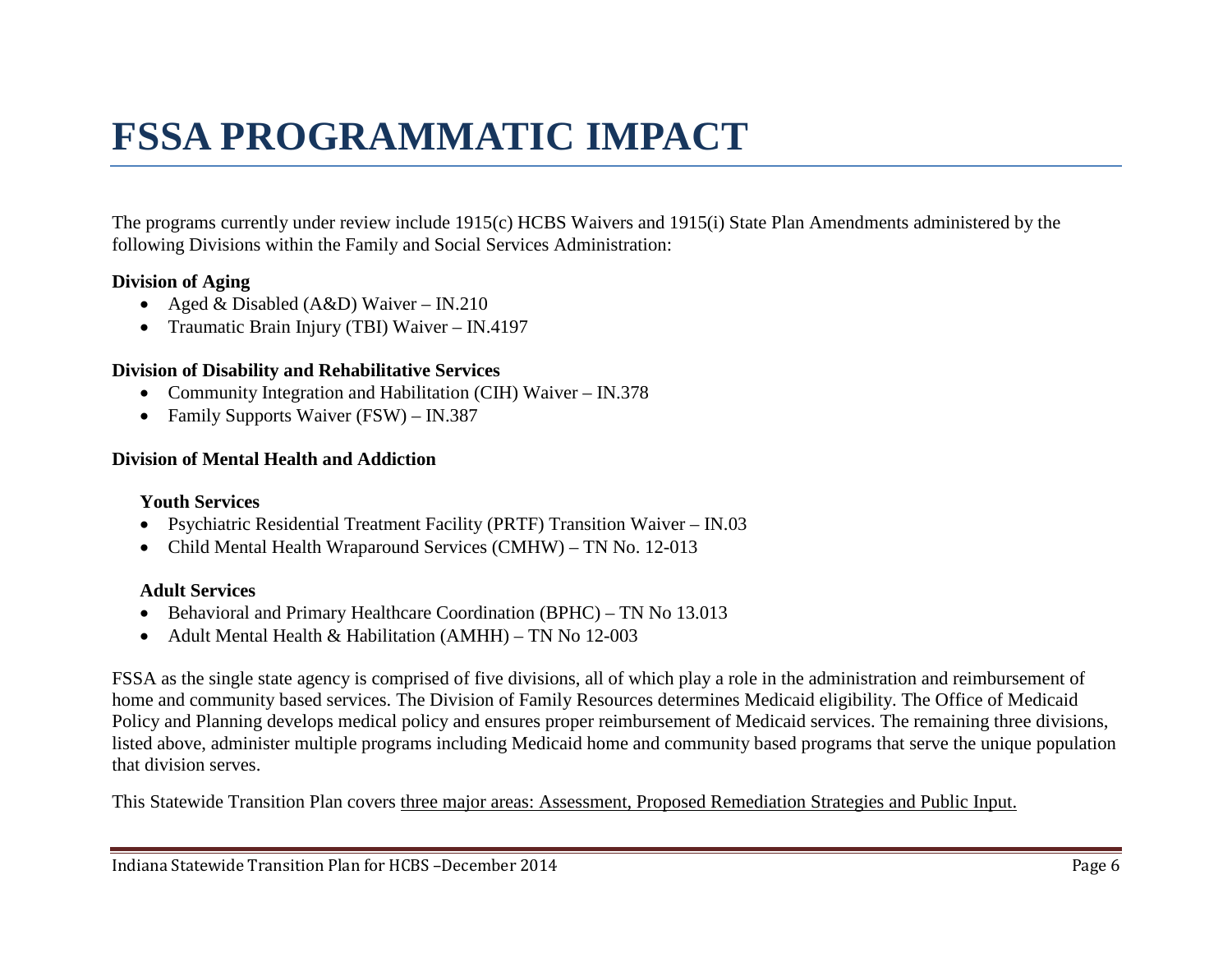# <span id="page-5-0"></span>**FSSA PROGRAMMATIC IMPACT**

The programs currently under review include 1915(c) HCBS Waivers and 1915(i) State Plan Amendments administered by the following Divisions within the Family and Social Services Administration:

#### **Division of Aging**

- Aged & Disabled (A&D) Waiver IN.210
- Traumatic Brain Injury (TBI) Waiver IN.4197

#### **Division of Disability and Rehabilitative Services**

- Community Integration and Habilitation (CIH) Waiver IN.378
- Family Supports Waiver (FSW) IN.387

#### **Division of Mental Health and Addiction**

#### **Youth Services**

- Psychiatric Residential Treatment Facility (PRTF) Transition Waiver IN.03
- Child Mental Health Wraparound Services (CMHW) TN No. 12-013

#### **Adult Services**

- Behavioral and Primary Healthcare Coordination (BPHC) TN No 13.013
- Adult Mental Health & Habilitation (AMHH) TN No 12-003

FSSA as the single state agency is comprised of five divisions, all of which play a role in the administration and reimbursement of home and community based services. The Division of Family Resources determines Medicaid eligibility. The Office of Medicaid Policy and Planning develops medical policy and ensures proper reimbursement of Medicaid services. The remaining three divisions, listed above, administer multiple programs including Medicaid home and community based programs that serve the unique population that division serves.

This Statewide Transition Plan covers three major areas: Assessment, Proposed Remediation Strategies and Public Input.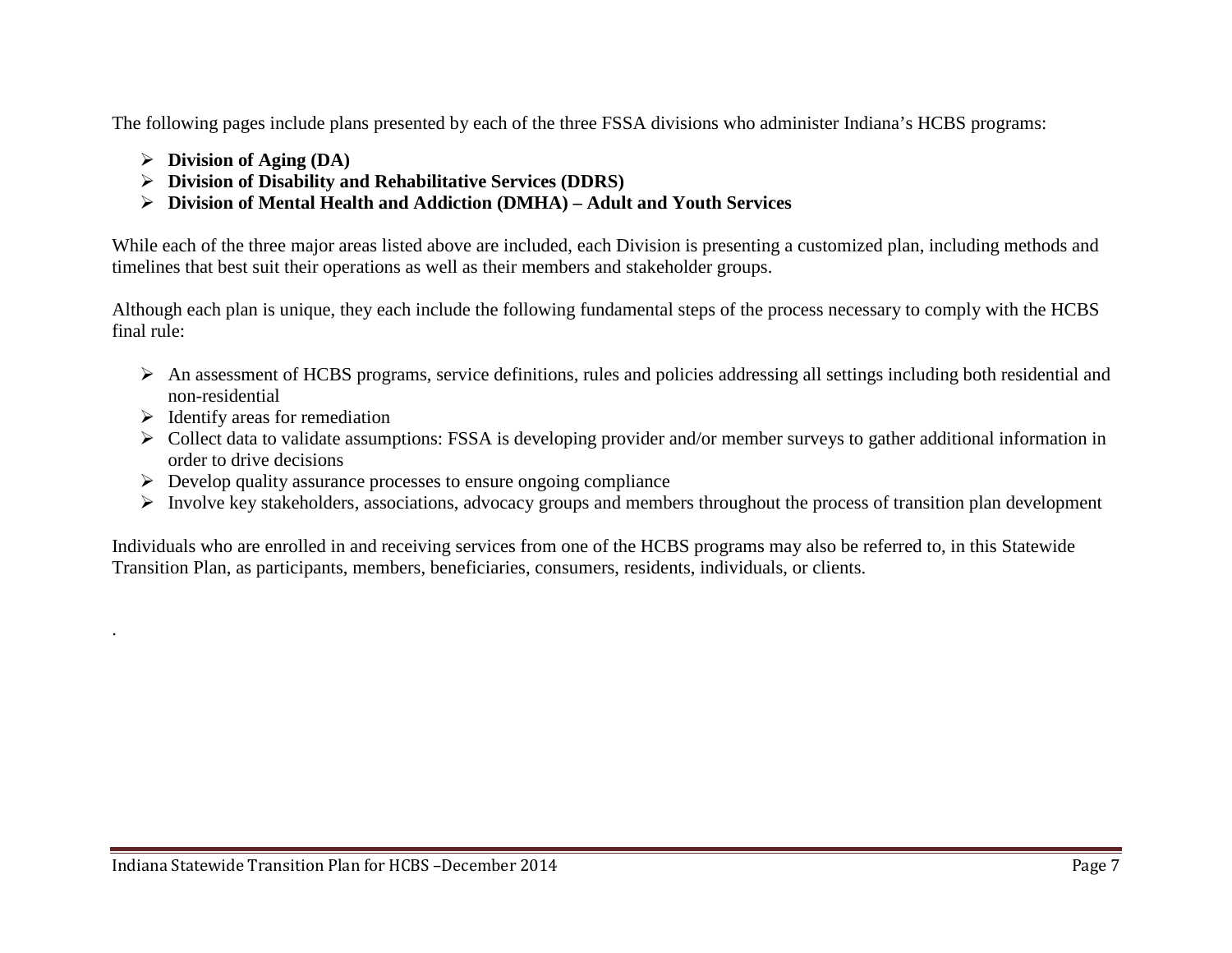The following pages include plans presented by each of the three FSSA divisions who administer Indiana's HCBS programs:

- **Division of Aging (DA)**
- **Division of Disability and Rehabilitative Services (DDRS)**
- **Division of Mental Health and Addiction (DMHA) – Adult and Youth Services**

While each of the three major areas listed above are included, each Division is presenting a customized plan, including methods and timelines that best suit their operations as well as their members and stakeholder groups.

Although each plan is unique, they each include the following fundamental steps of the process necessary to comply with the HCBS final rule:

- An assessment of HCBS programs, service definitions, rules and policies addressing all settings including both residential and non-residential
- $\triangleright$  Identify areas for remediation

.

- $\triangleright$  Collect data to validate assumptions: FSSA is developing provider and/or member surveys to gather additional information in order to drive decisions
- $\triangleright$  Develop quality assurance processes to ensure ongoing compliance
- $\triangleright$  Involve key stakeholders, associations, advocacy groups and members throughout the process of transition plan development

Individuals who are enrolled in and receiving services from one of the HCBS programs may also be referred to, in this Statewide Transition Plan, as participants, members, beneficiaries, consumers, residents, individuals, or clients.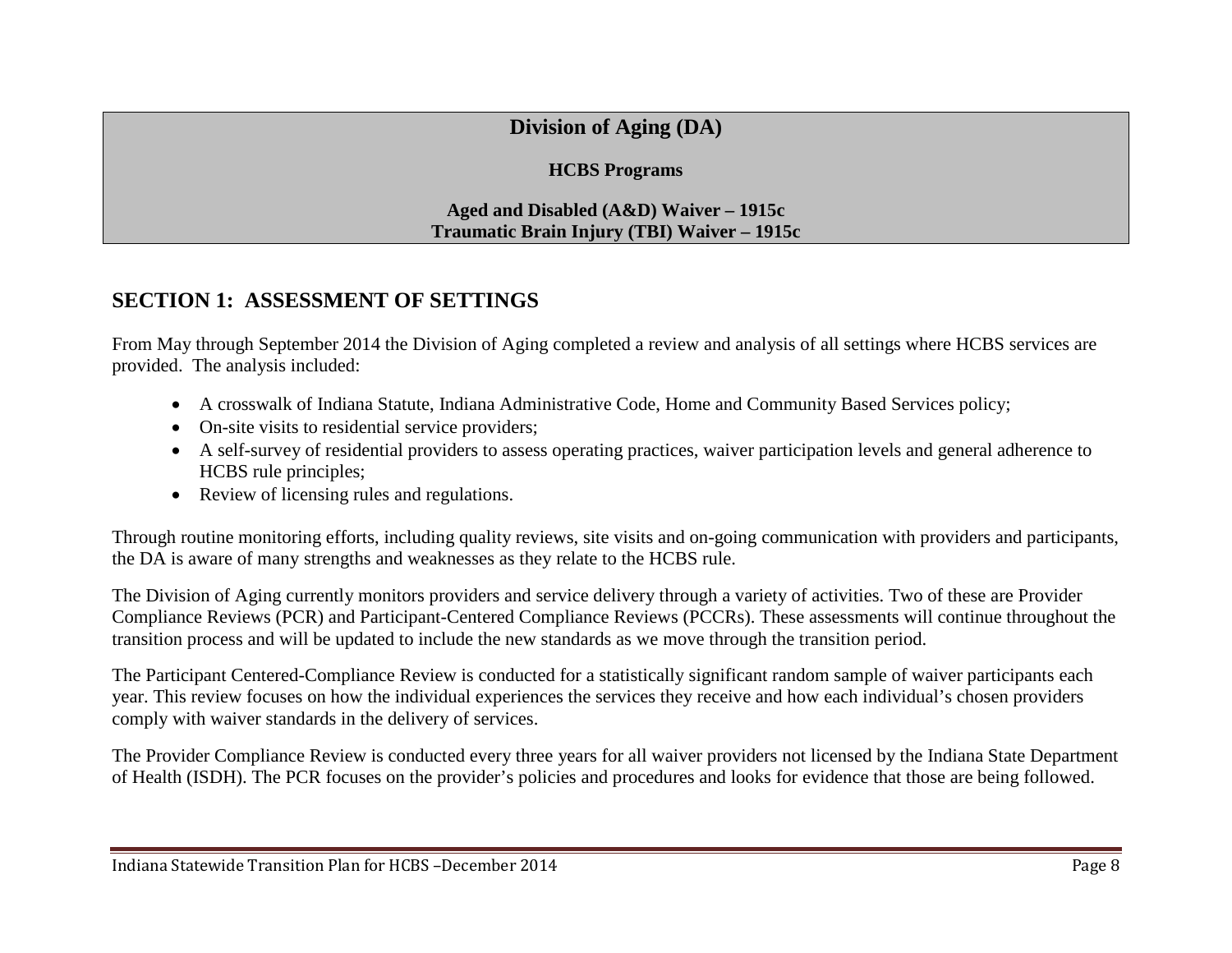# **Division of Aging (DA)**

#### **HCBS Programs**

#### <span id="page-7-0"></span>**Aged and Disabled (A&D) Waiver – 1915c Traumatic Brain Injury (TBI) Waiver – 1915c**

## <span id="page-7-1"></span>**SECTION 1: ASSESSMENT OF SETTINGS**

From May through September 2014 the Division of Aging completed a review and analysis of all settings where HCBS services are provided. The analysis included:

- A crosswalk of Indiana Statute, Indiana Administrative Code, Home and Community Based Services policy;
- On-site visits to residential service providers;
- A self-survey of residential providers to assess operating practices, waiver participation levels and general adherence to HCBS rule principles;
- Review of licensing rules and regulations.

Through routine monitoring efforts, including quality reviews, site visits and on-going communication with providers and participants, the DA is aware of many strengths and weaknesses as they relate to the HCBS rule.

The Division of Aging currently monitors providers and service delivery through a variety of activities. Two of these are Provider Compliance Reviews (PCR) and Participant-Centered Compliance Reviews (PCCRs). These assessments will continue throughout the transition process and will be updated to include the new standards as we move through the transition period.

The Participant Centered-Compliance Review is conducted for a statistically significant random sample of waiver participants each year. This review focuses on how the individual experiences the services they receive and how each individual's chosen providers comply with waiver standards in the delivery of services.

The Provider Compliance Review is conducted every three years for all waiver providers not licensed by the Indiana State Department of Health (ISDH). The PCR focuses on the provider's policies and procedures and looks for evidence that those are being followed.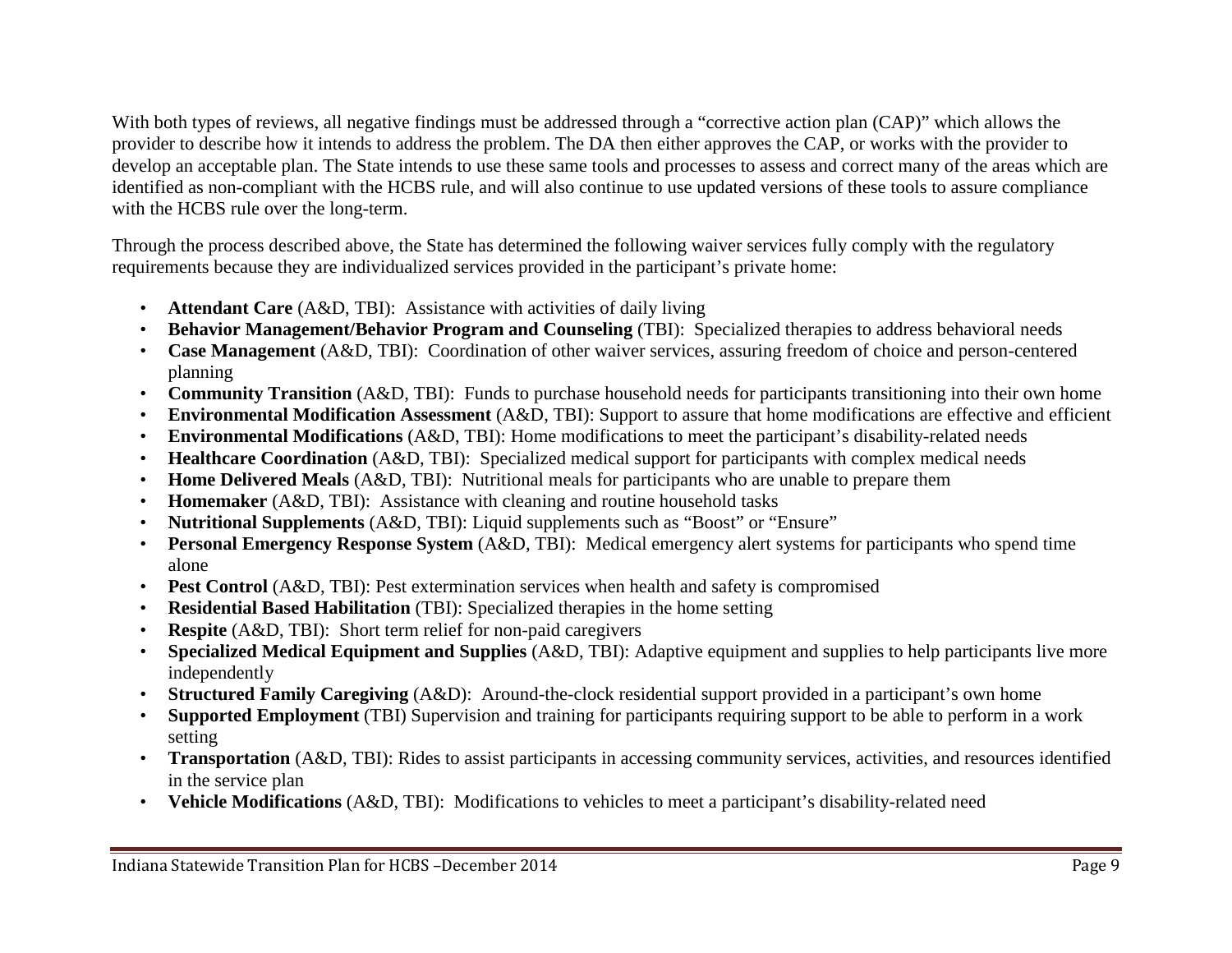With both types of reviews, all negative findings must be addressed through a "corrective action plan (CAP)" which allows the provider to describe how it intends to address the problem. The DA then either approves the CAP, or works with the provider to develop an acceptable plan. The State intends to use these same tools and processes to assess and correct many of the areas which are identified as non-compliant with the HCBS rule, and will also continue to use updated versions of these tools to assure compliance with the HCBS rule over the long-term.

Through the process described above, the State has determined the following waiver services fully comply with the regulatory requirements because they are individualized services provided in the participant's private home:

- **Attendant Care** (A&D, TBI): Assistance with activities of daily living
- **Behavior Management/Behavior Program and Counseling** (TBI): Specialized therapies to address behavioral needs
- **Case Management** (A&D, TBI): Coordination of other waiver services, assuring freedom of choice and person-centered planning
- **Community Transition** (A&D, TBI): Funds to purchase household needs for participants transitioning into their own home
- **Environmental Modification Assessment** (A&D, TBI): Support to assure that home modifications are effective and efficient
- **Environmental Modifications** (A&D, TBI): Home modifications to meet the participant's disability-related needs
- **Healthcare Coordination** (A&D, TBI): Specialized medical support for participants with complex medical needs
- **Home Delivered Meals** (A&D, TBI): Nutritional meals for participants who are unable to prepare them
- **Homemaker** (A&D, TBI): Assistance with cleaning and routine household tasks
- **Nutritional Supplements** (A&D, TBI): Liquid supplements such as "Boost" or "Ensure"
- **Personal Emergency Response System** (A&D, TBI): Medical emergency alert systems for participants who spend time alone
- **Pest Control** (A&D, TBI): Pest extermination services when health and safety is compromised
- **Residential Based Habilitation** (TBI): Specialized therapies in the home setting
- **Respite** (A&D, TBI): Short term relief for non-paid caregivers
- **Specialized Medical Equipment and Supplies** (A&D, TBI): Adaptive equipment and supplies to help participants live more independently
- **Structured Family Caregiving** (A&D): Around-the-clock residential support provided in a participant's own home
- **Supported Employment** (TBI) Supervision and training for participants requiring support to be able to perform in a work setting
- **Transportation** (A&D, TBI): Rides to assist participants in accessing community services, activities, and resources identified in the service plan
- **Vehicle Modifications** (A&D, TBI): Modifications to vehicles to meet a participant's disability-related need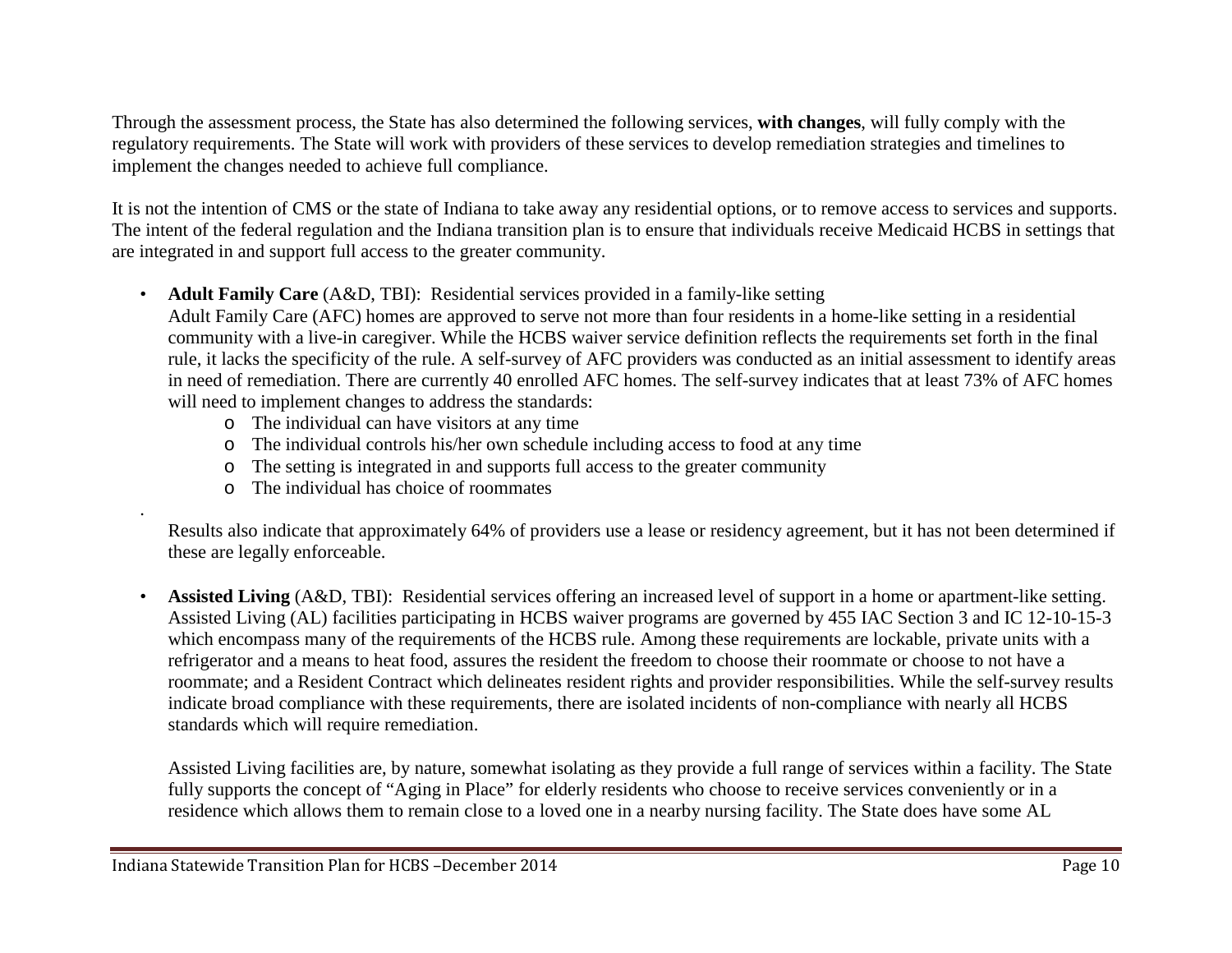Through the assessment process, the State has also determined the following services, **with changes**, will fully comply with the regulatory requirements. The State will work with providers of these services to develop remediation strategies and timelines to implement the changes needed to achieve full compliance.

It is not the intention of CMS or the state of Indiana to take away any residential options, or to remove access to services and supports. The intent of the federal regulation and the Indiana transition plan is to ensure that individuals receive Medicaid HCBS in settings that are integrated in and support full access to the greater community.

• **Adult Family Care** (A&D, TBI): Residential services provided in a family-like setting

Adult Family Care (AFC) homes are approved to serve not more than four residents in a home-like setting in a residential community with a live-in caregiver. While the HCBS waiver service definition reflects the requirements set forth in the final rule, it lacks the specificity of the rule. A self-survey of AFC providers was conducted as an initial assessment to identify areas in need of remediation. There are currently 40 enrolled AFC homes. The self-survey indicates that at least 73% of AFC homes will need to implement changes to address the standards:

- o The individual can have visitors at any time
- o The individual controls his/her own schedule including access to food at any time
- o The setting is integrated in and supports full access to the greater community
- o The individual has choice of roommates

.

Results also indicate that approximately 64% of providers use a lease or residency agreement, but it has not been determined if these are legally enforceable.

• **Assisted Living** (A&D, TBI): Residential services offering an increased level of support in a home or apartment-like setting. Assisted Living (AL) facilities participating in HCBS waiver programs are governed by 455 IAC Section 3 and IC 12-10-15-3 which encompass many of the requirements of the HCBS rule. Among these requirements are lockable, private units with a refrigerator and a means to heat food, assures the resident the freedom to choose their roommate or choose to not have a roommate; and a Resident Contract which delineates resident rights and provider responsibilities. While the self-survey results indicate broad compliance with these requirements, there are isolated incidents of non-compliance with nearly all HCBS standards which will require remediation.

Assisted Living facilities are, by nature, somewhat isolating as they provide a full range of services within a facility. The State fully supports the concept of "Aging in Place" for elderly residents who choose to receive services conveniently or in a residence which allows them to remain close to a loved one in a nearby nursing facility. The State does have some AL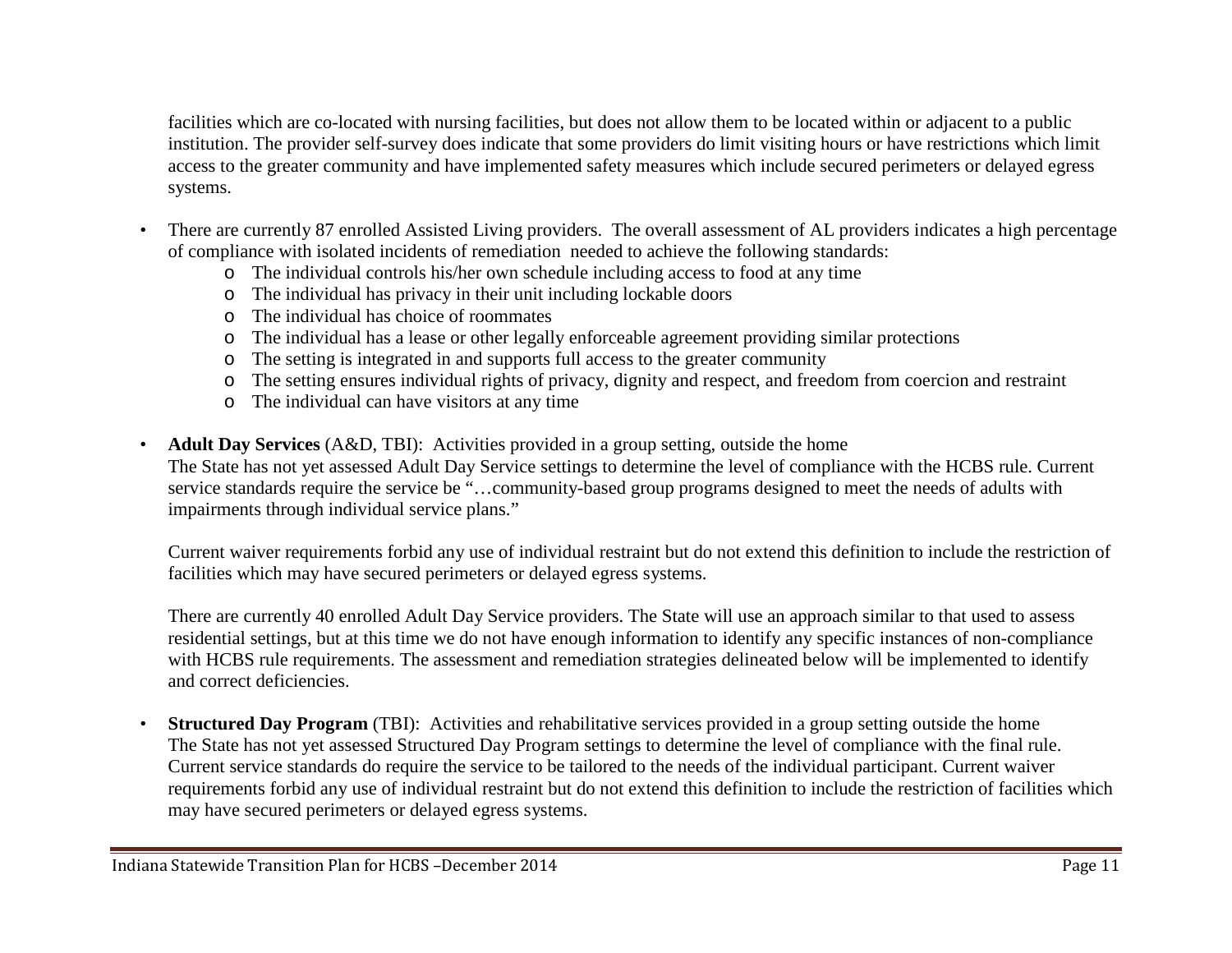facilities which are co-located with nursing facilities, but does not allow them to be located within or adjacent to a public institution. The provider self-survey does indicate that some providers do limit visiting hours or have restrictions which limit access to the greater community and have implemented safety measures which include secured perimeters or delayed egress systems.

- There are currently 87 enrolled Assisted Living providers. The overall assessment of AL providers indicates a high percentage of compliance with isolated incidents of remediation needed to achieve the following standards:
	- o The individual controls his/her own schedule including access to food at any time
	- o The individual has privacy in their unit including lockable doors
	- o The individual has choice of roommates
	- o The individual has a lease or other legally enforceable agreement providing similar protections
	- o The setting is integrated in and supports full access to the greater community
	- o The setting ensures individual rights of privacy, dignity and respect, and freedom from coercion and restraint
	- o The individual can have visitors at any time
- **Adult Day Services** (A&D, TBI): Activities provided in a group setting, outside the home The State has not yet assessed Adult Day Service settings to determine the level of compliance with the HCBS rule. Current service standards require the service be "…community-based group programs designed to meet the needs of adults with impairments through individual service plans."

Current waiver requirements forbid any use of individual restraint but do not extend this definition to include the restriction of facilities which may have secured perimeters or delayed egress systems.

There are currently 40 enrolled Adult Day Service providers. The State will use an approach similar to that used to assess residential settings, but at this time we do not have enough information to identify any specific instances of non-compliance with HCBS rule requirements. The assessment and remediation strategies delineated below will be implemented to identify and correct deficiencies.

• **Structured Day Program** (TBI): Activities and rehabilitative services provided in a group setting outside the home The State has not yet assessed Structured Day Program settings to determine the level of compliance with the final rule. Current service standards do require the service to be tailored to the needs of the individual participant. Current waiver requirements forbid any use of individual restraint but do not extend this definition to include the restriction of facilities which may have secured perimeters or delayed egress systems.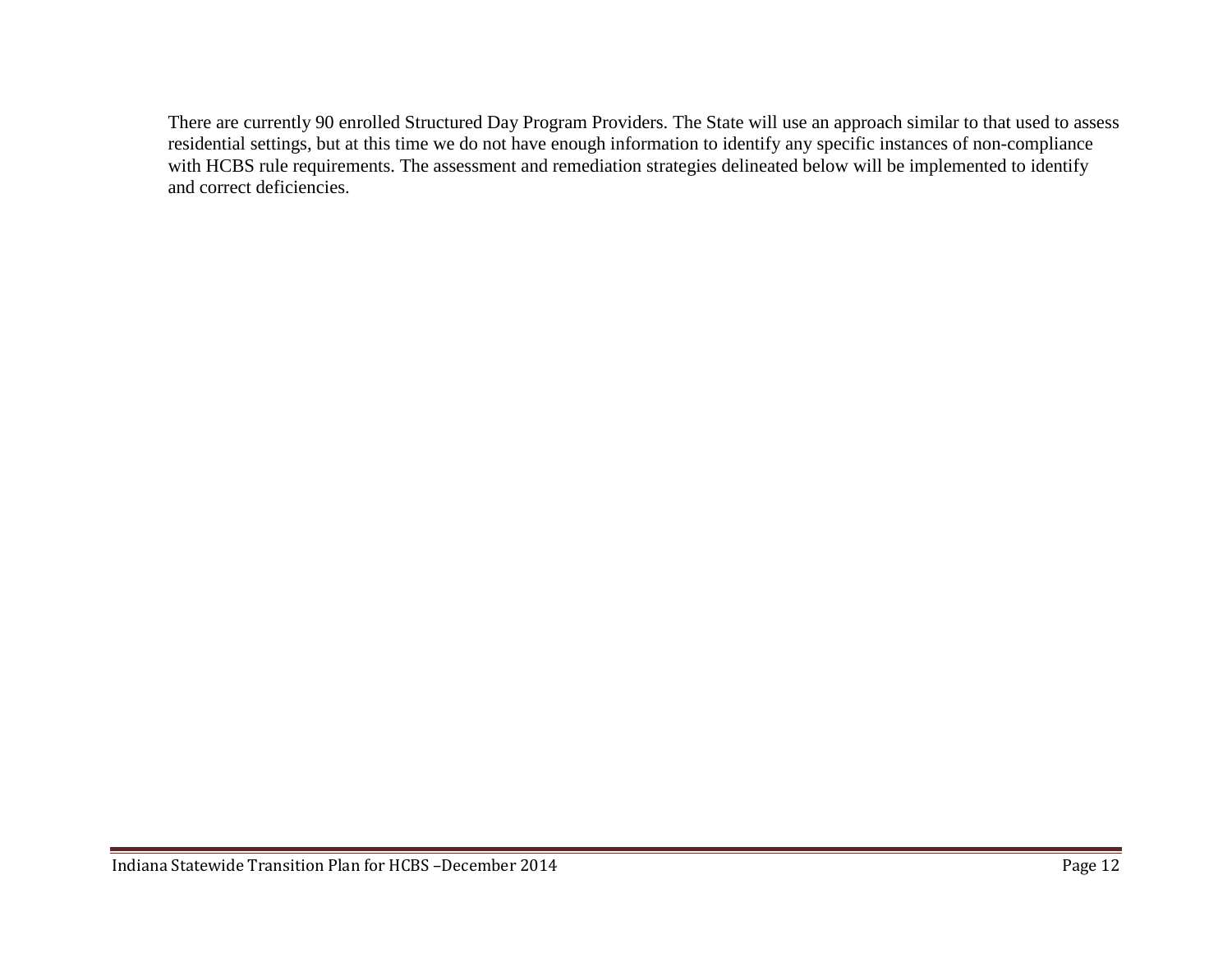There are currently 90 enrolled Structured Day Program Providers. The State will use an approach similar to that used to assess residential settings, but at this time we do not have enough information to identify any specific instances of non-compliance with HCBS rule requirements. The assessment and remediation strategies delineated below will be implemented to identify and correct deficiencies.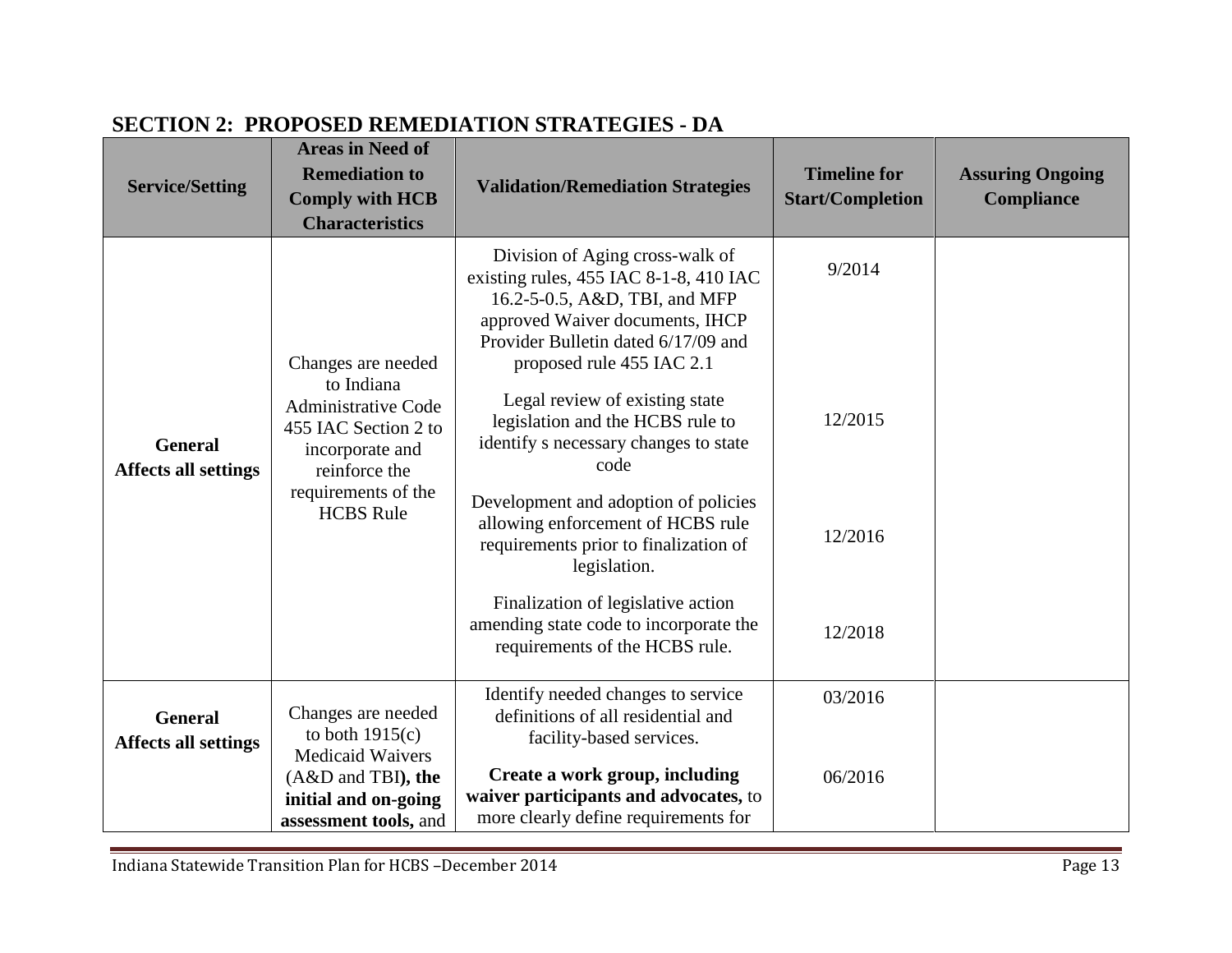| <b>Service/Setting</b>                        | <b>Areas in Need of</b><br><b>Remediation to</b><br><b>Comply with HCB</b><br><b>Characteristics</b>                                                                  | SECTION 2. I NOI OSED NEMEDIMING STRITEGIES<br><b>Validation/Remediation Strategies</b>                                                                                                                                                                                                                                                                                                                                                                                                                                                                                                          | <b>Timeline for</b><br><b>Start/Completion</b> | <b>Assuring Ongoing</b><br><b>Compliance</b> |
|-----------------------------------------------|-----------------------------------------------------------------------------------------------------------------------------------------------------------------------|--------------------------------------------------------------------------------------------------------------------------------------------------------------------------------------------------------------------------------------------------------------------------------------------------------------------------------------------------------------------------------------------------------------------------------------------------------------------------------------------------------------------------------------------------------------------------------------------------|------------------------------------------------|----------------------------------------------|
| <b>General</b><br><b>Affects all settings</b> | Changes are needed<br>to Indiana<br><b>Administrative Code</b><br>455 IAC Section 2 to<br>incorporate and<br>reinforce the<br>requirements of the<br><b>HCBS</b> Rule | Division of Aging cross-walk of<br>existing rules, 455 IAC 8-1-8, 410 IAC<br>16.2-5-0.5, A&D, TBI, and MFP<br>approved Waiver documents, IHCP<br>Provider Bulletin dated 6/17/09 and<br>proposed rule 455 IAC 2.1<br>Legal review of existing state<br>legislation and the HCBS rule to<br>identify s necessary changes to state<br>code<br>Development and adoption of policies<br>allowing enforcement of HCBS rule<br>requirements prior to finalization of<br>legislation.<br>Finalization of legislative action<br>amending state code to incorporate the<br>requirements of the HCBS rule. | 9/2014<br>12/2015<br>12/2016<br>12/2018        |                                              |
| <b>General</b><br><b>Affects all settings</b> | Changes are needed<br>to both $1915(c)$<br><b>Medicaid Waivers</b>                                                                                                    | Identify needed changes to service<br>definitions of all residential and<br>facility-based services.                                                                                                                                                                                                                                                                                                                                                                                                                                                                                             | 03/2016                                        |                                              |
|                                               | (A&D and TBI), the<br>initial and on-going<br>assessment tools, and                                                                                                   | Create a work group, including<br>waiver participants and advocates, to<br>more clearly define requirements for                                                                                                                                                                                                                                                                                                                                                                                                                                                                                  | 06/2016                                        |                                              |

# <span id="page-12-0"></span>**SECTION 2: PROPOSED REMEDIATION STRATEGIES - DA**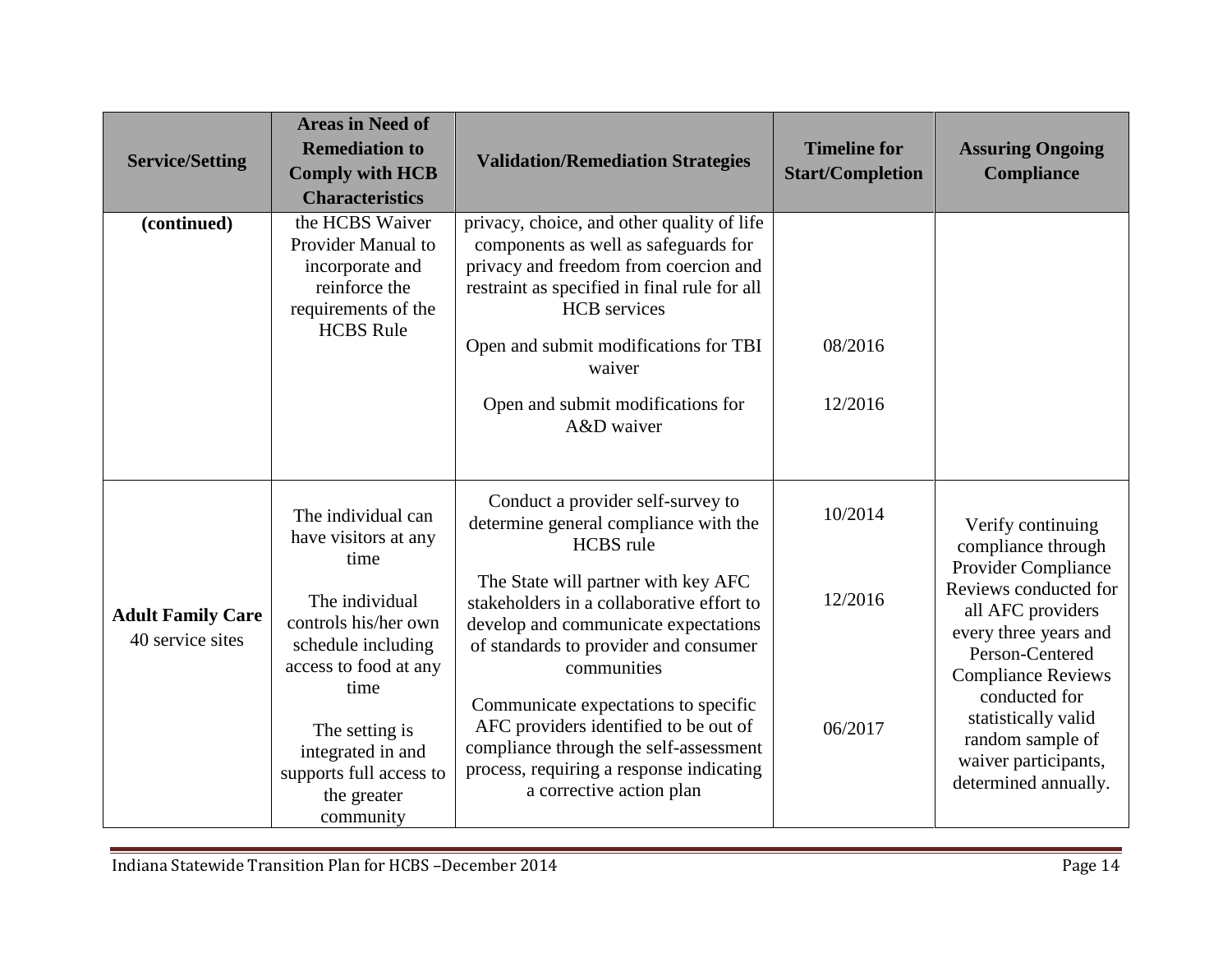| <b>Service/Setting</b>                       | <b>Areas in Need of</b><br><b>Remediation to</b><br><b>Comply with HCB</b><br><b>Characteristics</b>                 | <b>Validation/Remediation Strategies</b>                                                                                                                                                                                                              | <b>Timeline for</b><br><b>Start/Completion</b> | <b>Assuring Ongoing</b><br><b>Compliance</b>                                                                                                                |
|----------------------------------------------|----------------------------------------------------------------------------------------------------------------------|-------------------------------------------------------------------------------------------------------------------------------------------------------------------------------------------------------------------------------------------------------|------------------------------------------------|-------------------------------------------------------------------------------------------------------------------------------------------------------------|
| (continued)                                  | the HCBS Waiver<br>Provider Manual to<br>incorporate and<br>reinforce the<br>requirements of the<br><b>HCBS</b> Rule | privacy, choice, and other quality of life<br>components as well as safeguards for<br>privacy and freedom from coercion and<br>restraint as specified in final rule for all<br><b>HCB</b> services<br>Open and submit modifications for TBI<br>waiver | 08/2016                                        |                                                                                                                                                             |
|                                              |                                                                                                                      | Open and submit modifications for<br>A&D waiver                                                                                                                                                                                                       | 12/2016                                        |                                                                                                                                                             |
|                                              | The individual can<br>have visitors at any<br>time                                                                   | Conduct a provider self-survey to<br>determine general compliance with the<br><b>HCBS</b> rule                                                                                                                                                        | 10/2014                                        | Verify continuing<br>compliance through                                                                                                                     |
| <b>Adult Family Care</b><br>40 service sites | The individual<br>controls his/her own<br>schedule including<br>access to food at any<br>time                        | The State will partner with key AFC<br>stakeholders in a collaborative effort to<br>develop and communicate expectations<br>of standards to provider and consumer<br>communities                                                                      | 12/2016                                        | Provider Compliance<br>Reviews conducted for<br>all AFC providers<br>every three years and<br>Person-Centered<br><b>Compliance Reviews</b><br>conducted for |
|                                              | The setting is<br>integrated in and<br>supports full access to<br>the greater<br>community                           | Communicate expectations to specific<br>AFC providers identified to be out of<br>compliance through the self-assessment<br>process, requiring a response indicating<br>a corrective action plan                                                       | 06/2017                                        | statistically valid<br>random sample of<br>waiver participants,<br>determined annually.                                                                     |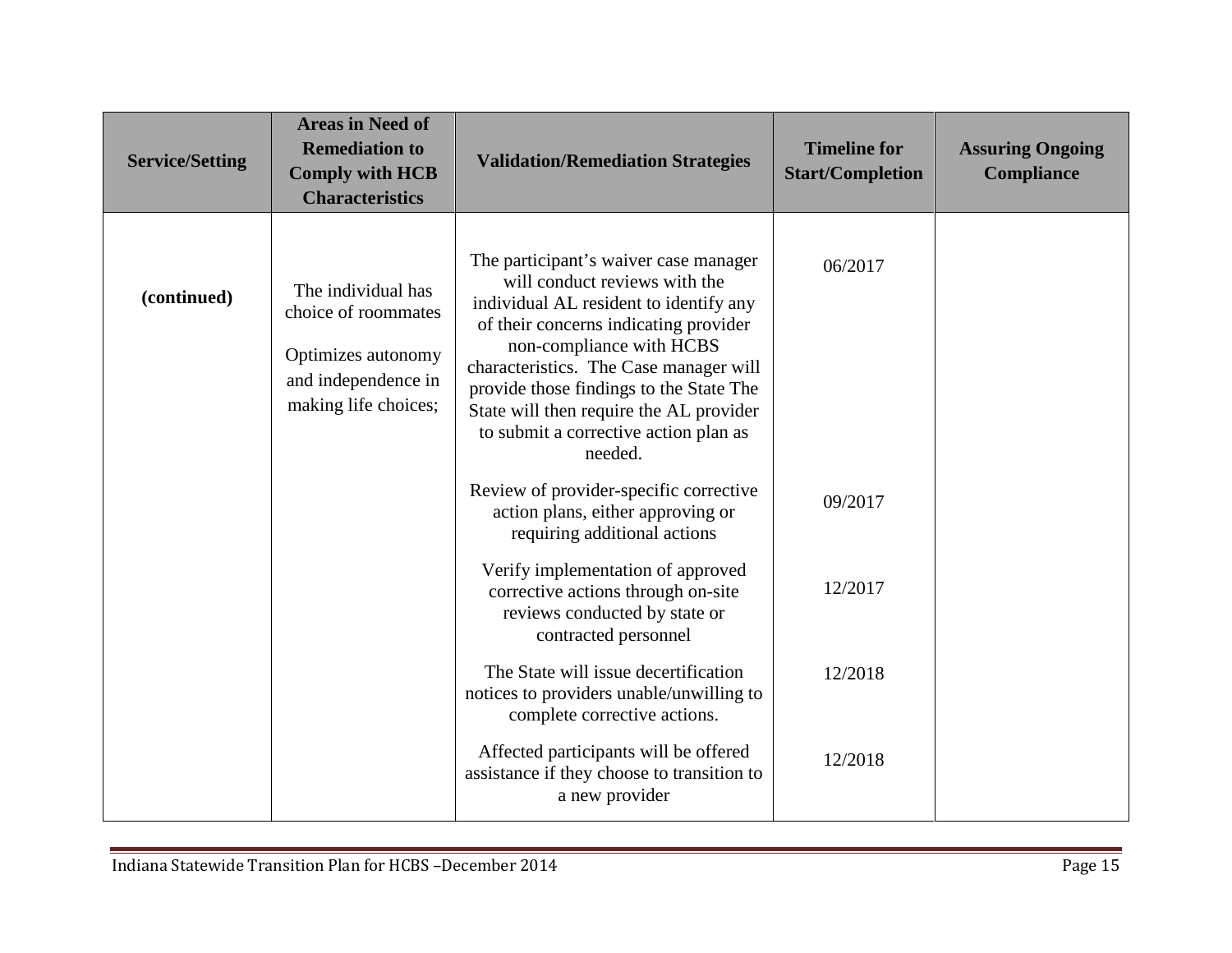| <b>Service/Setting</b> | <b>Areas in Need of</b><br><b>Remediation to</b><br><b>Comply with HCB</b><br><b>Characteristics</b>           | <b>Validation/Remediation Strategies</b>                                                                                                                                                                                                                                                                                                                                  | <b>Timeline for</b><br><b>Start/Completion</b> | <b>Assuring Ongoing</b><br>Compliance |
|------------------------|----------------------------------------------------------------------------------------------------------------|---------------------------------------------------------------------------------------------------------------------------------------------------------------------------------------------------------------------------------------------------------------------------------------------------------------------------------------------------------------------------|------------------------------------------------|---------------------------------------|
| (continued)            | The individual has<br>choice of roommates<br>Optimizes autonomy<br>and independence in<br>making life choices; | The participant's waiver case manager<br>will conduct reviews with the<br>individual AL resident to identify any<br>of their concerns indicating provider<br>non-compliance with HCBS<br>characteristics. The Case manager will<br>provide those findings to the State The<br>State will then require the AL provider<br>to submit a corrective action plan as<br>needed. | 06/2017                                        |                                       |
|                        |                                                                                                                | Review of provider-specific corrective<br>action plans, either approving or<br>requiring additional actions                                                                                                                                                                                                                                                               | 09/2017                                        |                                       |
|                        |                                                                                                                | Verify implementation of approved<br>corrective actions through on-site<br>reviews conducted by state or<br>contracted personnel                                                                                                                                                                                                                                          | 12/2017                                        |                                       |
|                        |                                                                                                                | The State will issue decertification<br>notices to providers unable/unwilling to<br>complete corrective actions.                                                                                                                                                                                                                                                          | 12/2018                                        |                                       |
|                        |                                                                                                                | Affected participants will be offered<br>assistance if they choose to transition to<br>a new provider                                                                                                                                                                                                                                                                     | 12/2018                                        |                                       |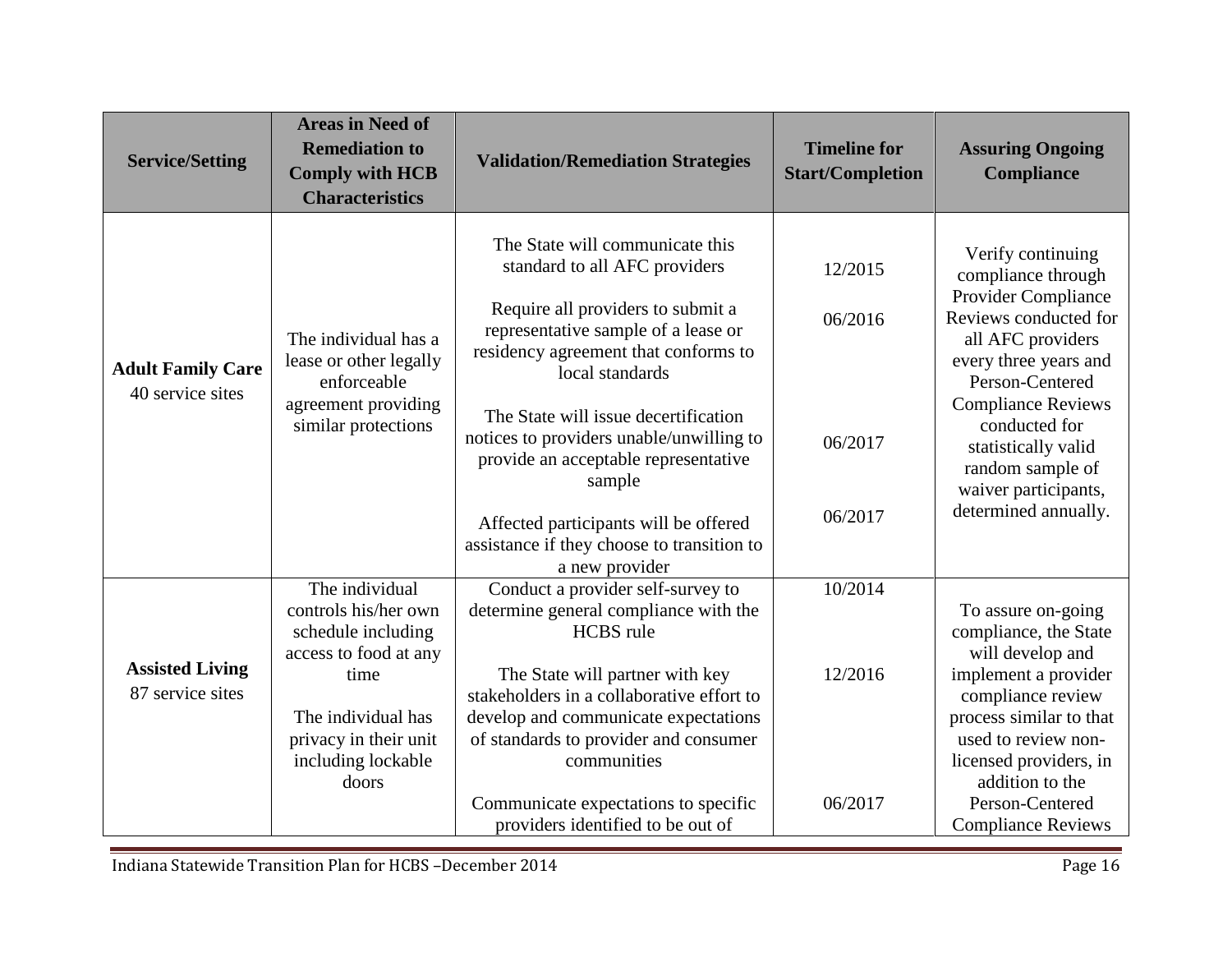| <b>Service/Setting</b>                       | <b>Areas in Need of</b><br><b>Remediation to</b><br><b>Comply with HCB</b><br><b>Characteristics</b>                                                                        | <b>Validation/Remediation Strategies</b>                                                                                                                                                                                                                                                                                                                                                                                                               | <b>Timeline for</b><br><b>Start/Completion</b> | <b>Assuring Ongoing</b><br><b>Compliance</b>                                                                                                                                                                                                                                                             |
|----------------------------------------------|-----------------------------------------------------------------------------------------------------------------------------------------------------------------------------|--------------------------------------------------------------------------------------------------------------------------------------------------------------------------------------------------------------------------------------------------------------------------------------------------------------------------------------------------------------------------------------------------------------------------------------------------------|------------------------------------------------|----------------------------------------------------------------------------------------------------------------------------------------------------------------------------------------------------------------------------------------------------------------------------------------------------------|
| <b>Adult Family Care</b><br>40 service sites | The individual has a<br>lease or other legally<br>enforceable<br>agreement providing<br>similar protections                                                                 | The State will communicate this<br>standard to all AFC providers<br>Require all providers to submit a<br>representative sample of a lease or<br>residency agreement that conforms to<br>local standards<br>The State will issue decertification<br>notices to providers unable/unwilling to<br>provide an acceptable representative<br>sample<br>Affected participants will be offered<br>assistance if they choose to transition to<br>a new provider | 12/2015<br>06/2016<br>06/2017<br>06/2017       | Verify continuing<br>compliance through<br><b>Provider Compliance</b><br>Reviews conducted for<br>all AFC providers<br>every three years and<br>Person-Centered<br><b>Compliance Reviews</b><br>conducted for<br>statistically valid<br>random sample of<br>waiver participants,<br>determined annually. |
| <b>Assisted Living</b><br>87 service sites   | The individual<br>controls his/her own<br>schedule including<br>access to food at any<br>time<br>The individual has<br>privacy in their unit<br>including lockable<br>doors | Conduct a provider self-survey to<br>determine general compliance with the<br><b>HCBS</b> rule<br>The State will partner with key<br>stakeholders in a collaborative effort to<br>develop and communicate expectations<br>of standards to provider and consumer<br>communities<br>Communicate expectations to specific<br>providers identified to be out of                                                                                            | 10/2014<br>12/2016<br>06/2017                  | To assure on-going<br>compliance, the State<br>will develop and<br>implement a provider<br>compliance review<br>process similar to that<br>used to review non-<br>licensed providers, in<br>addition to the<br>Person-Centered<br><b>Compliance Reviews</b>                                              |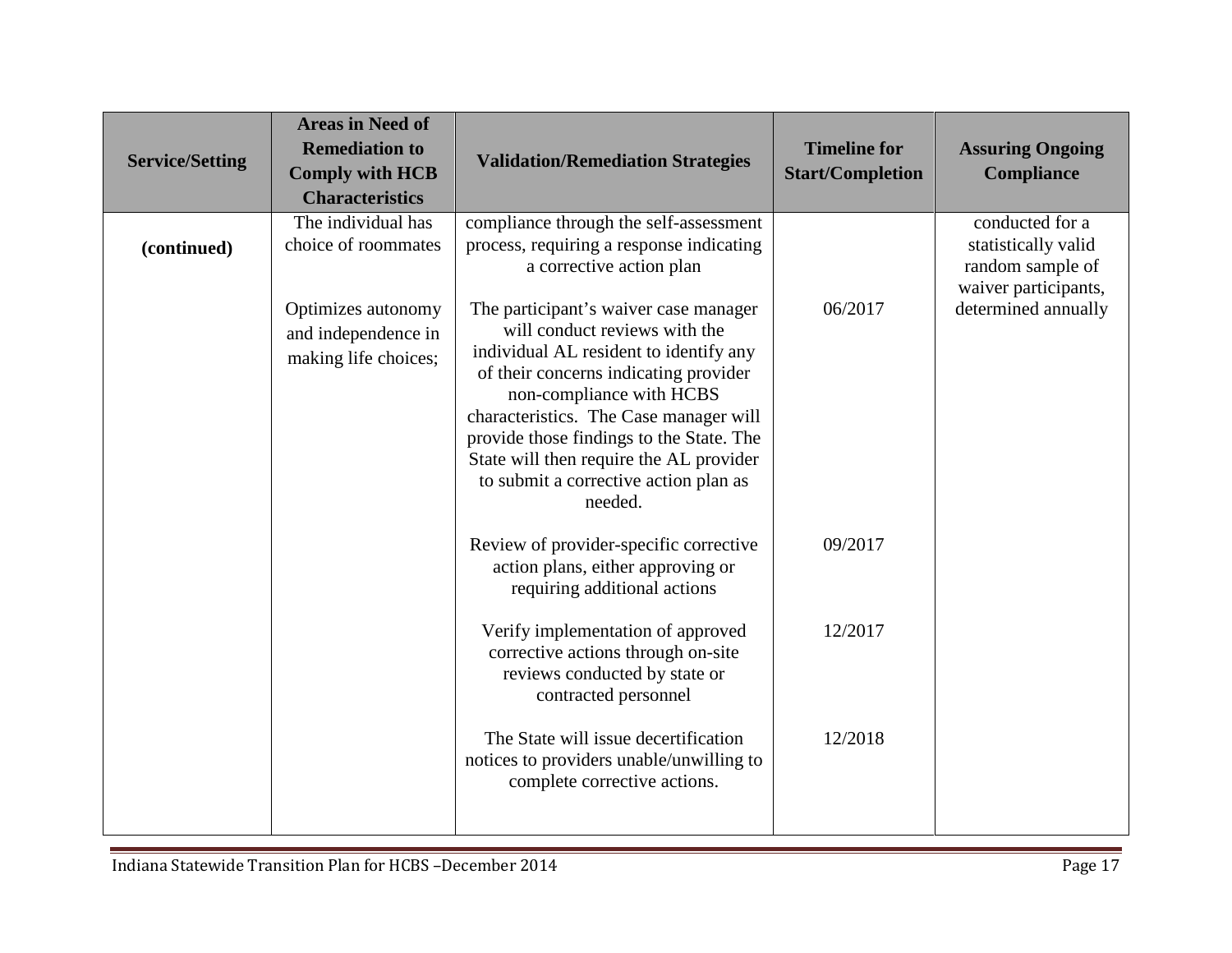| <b>Service/Setting</b> | <b>Areas in Need of</b><br><b>Remediation to</b><br><b>Comply with HCB</b><br><b>Characteristics</b>           | <b>Validation/Remediation Strategies</b>                                                                                                                                                                                                                                                                                                                                                                                                                                                     | <b>Timeline for</b><br><b>Start/Completion</b> | <b>Assuring Ongoing</b><br><b>Compliance</b>                                                              |
|------------------------|----------------------------------------------------------------------------------------------------------------|----------------------------------------------------------------------------------------------------------------------------------------------------------------------------------------------------------------------------------------------------------------------------------------------------------------------------------------------------------------------------------------------------------------------------------------------------------------------------------------------|------------------------------------------------|-----------------------------------------------------------------------------------------------------------|
| (continued)            | The individual has<br>choice of roommates<br>Optimizes autonomy<br>and independence in<br>making life choices; | compliance through the self-assessment<br>process, requiring a response indicating<br>a corrective action plan<br>The participant's waiver case manager<br>will conduct reviews with the<br>individual AL resident to identify any<br>of their concerns indicating provider<br>non-compliance with HCBS<br>characteristics. The Case manager will<br>provide those findings to the State. The<br>State will then require the AL provider<br>to submit a corrective action plan as<br>needed. | 06/2017                                        | conducted for a<br>statistically valid<br>random sample of<br>waiver participants,<br>determined annually |
|                        |                                                                                                                | Review of provider-specific corrective<br>action plans, either approving or<br>requiring additional actions                                                                                                                                                                                                                                                                                                                                                                                  | 09/2017                                        |                                                                                                           |
|                        |                                                                                                                | Verify implementation of approved<br>corrective actions through on-site<br>reviews conducted by state or<br>contracted personnel                                                                                                                                                                                                                                                                                                                                                             | 12/2017                                        |                                                                                                           |
|                        |                                                                                                                | The State will issue decertification<br>notices to providers unable/unwilling to<br>complete corrective actions.                                                                                                                                                                                                                                                                                                                                                                             | 12/2018                                        |                                                                                                           |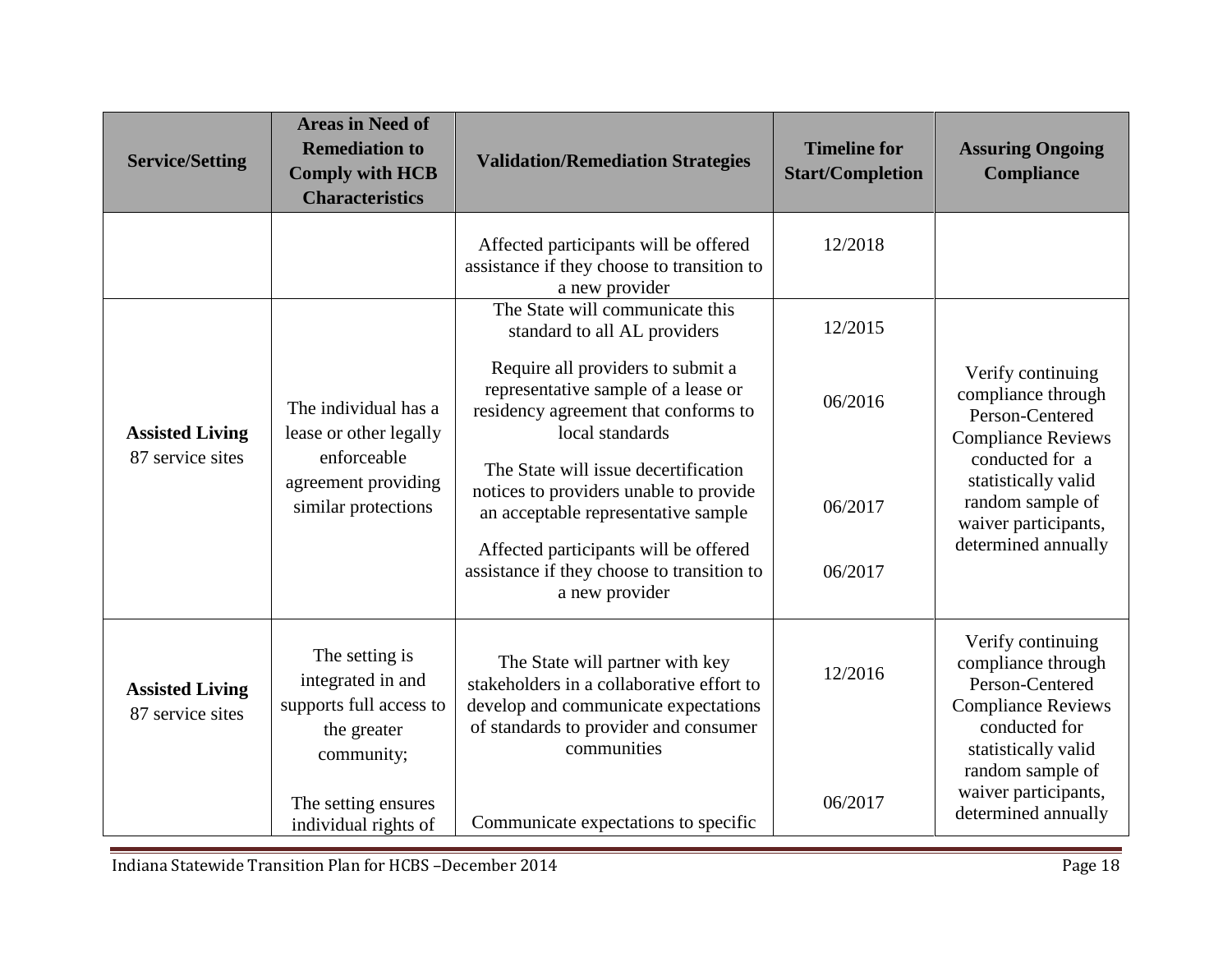| <b>Service/Setting</b>                     | <b>Areas in Need of</b><br><b>Remediation to</b><br><b>Comply with HCB</b><br><b>Characteristics</b>        | <b>Validation/Remediation Strategies</b>                                                                                                                                     | <b>Timeline for</b><br><b>Start/Completion</b> | <b>Assuring Ongoing</b><br>Compliance                                                                                                                                         |
|--------------------------------------------|-------------------------------------------------------------------------------------------------------------|------------------------------------------------------------------------------------------------------------------------------------------------------------------------------|------------------------------------------------|-------------------------------------------------------------------------------------------------------------------------------------------------------------------------------|
|                                            |                                                                                                             | Affected participants will be offered<br>assistance if they choose to transition to<br>a new provider                                                                        | 12/2018                                        |                                                                                                                                                                               |
|                                            |                                                                                                             | The State will communicate this<br>standard to all AL providers                                                                                                              | 12/2015                                        |                                                                                                                                                                               |
| <b>Assisted Living</b>                     | The individual has a<br>lease or other legally<br>enforceable<br>agreement providing<br>similar protections | Require all providers to submit a<br>representative sample of a lease or<br>residency agreement that conforms to<br>local standards                                          | 06/2016                                        | Verify continuing<br>compliance through<br>Person-Centered<br><b>Compliance Reviews</b><br>conducted for a<br>statistically valid<br>random sample of<br>waiver participants, |
| 87 service sites                           |                                                                                                             | The State will issue decertification<br>notices to providers unable to provide<br>an acceptable representative sample                                                        | 06/2017                                        |                                                                                                                                                                               |
|                                            |                                                                                                             | Affected participants will be offered<br>assistance if they choose to transition to<br>a new provider                                                                        | 06/2017                                        | determined annually                                                                                                                                                           |
| <b>Assisted Living</b><br>87 service sites | The setting is<br>integrated in and<br>supports full access to<br>the greater<br>community;                 | The State will partner with key<br>stakeholders in a collaborative effort to<br>develop and communicate expectations<br>of standards to provider and consumer<br>communities | 12/2016                                        | Verify continuing<br>compliance through<br>Person-Centered<br><b>Compliance Reviews</b><br>conducted for<br>statistically valid<br>random sample of                           |
|                                            | The setting ensures<br>individual rights of                                                                 | Communicate expectations to specific                                                                                                                                         | 06/2017                                        | waiver participants,<br>determined annually                                                                                                                                   |

Indiana Statewide Transition Plan for HCBS –December 2014 Page 18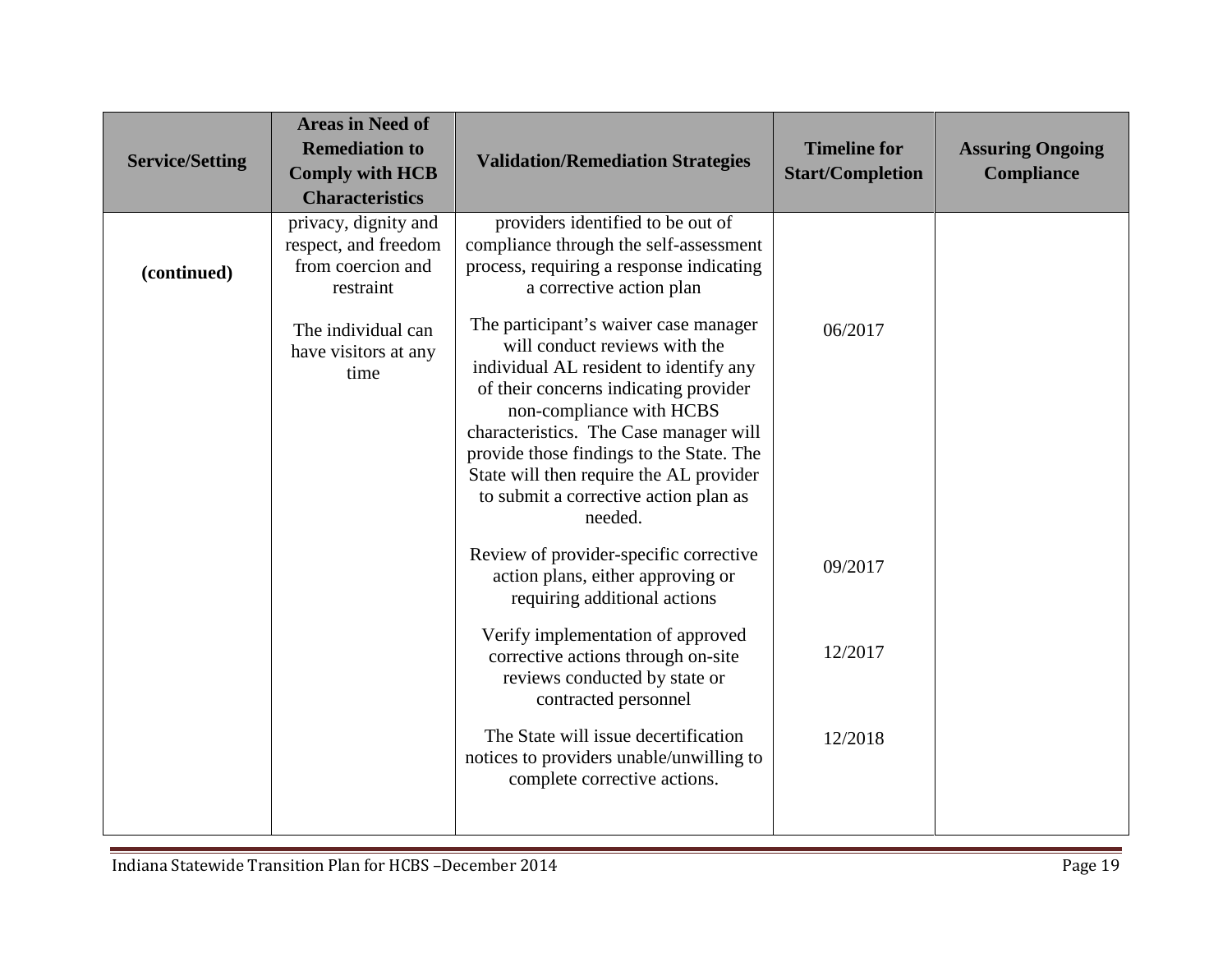| <b>Service/Setting</b> | <b>Areas in Need of</b><br><b>Remediation to</b><br><b>Comply with HCB</b><br><b>Characteristics</b> | <b>Validation/Remediation Strategies</b>                                                                                                                                                                                                                                                                                                                                   | <b>Timeline for</b><br><b>Start/Completion</b> | <b>Assuring Ongoing</b><br>Compliance |
|------------------------|------------------------------------------------------------------------------------------------------|----------------------------------------------------------------------------------------------------------------------------------------------------------------------------------------------------------------------------------------------------------------------------------------------------------------------------------------------------------------------------|------------------------------------------------|---------------------------------------|
| (continued)            | privacy, dignity and<br>respect, and freedom<br>from coercion and<br>restraint                       | providers identified to be out of<br>compliance through the self-assessment<br>process, requiring a response indicating<br>a corrective action plan                                                                                                                                                                                                                        |                                                |                                       |
|                        | The individual can<br>have visitors at any<br>time                                                   | The participant's waiver case manager<br>will conduct reviews with the<br>individual AL resident to identify any<br>of their concerns indicating provider<br>non-compliance with HCBS<br>characteristics. The Case manager will<br>provide those findings to the State. The<br>State will then require the AL provider<br>to submit a corrective action plan as<br>needed. | 06/2017                                        |                                       |
|                        |                                                                                                      | Review of provider-specific corrective<br>action plans, either approving or<br>requiring additional actions                                                                                                                                                                                                                                                                | 09/2017                                        |                                       |
|                        |                                                                                                      | Verify implementation of approved<br>corrective actions through on-site<br>reviews conducted by state or<br>contracted personnel                                                                                                                                                                                                                                           | 12/2017                                        |                                       |
|                        |                                                                                                      | The State will issue decertification<br>notices to providers unable/unwilling to<br>complete corrective actions.                                                                                                                                                                                                                                                           | 12/2018                                        |                                       |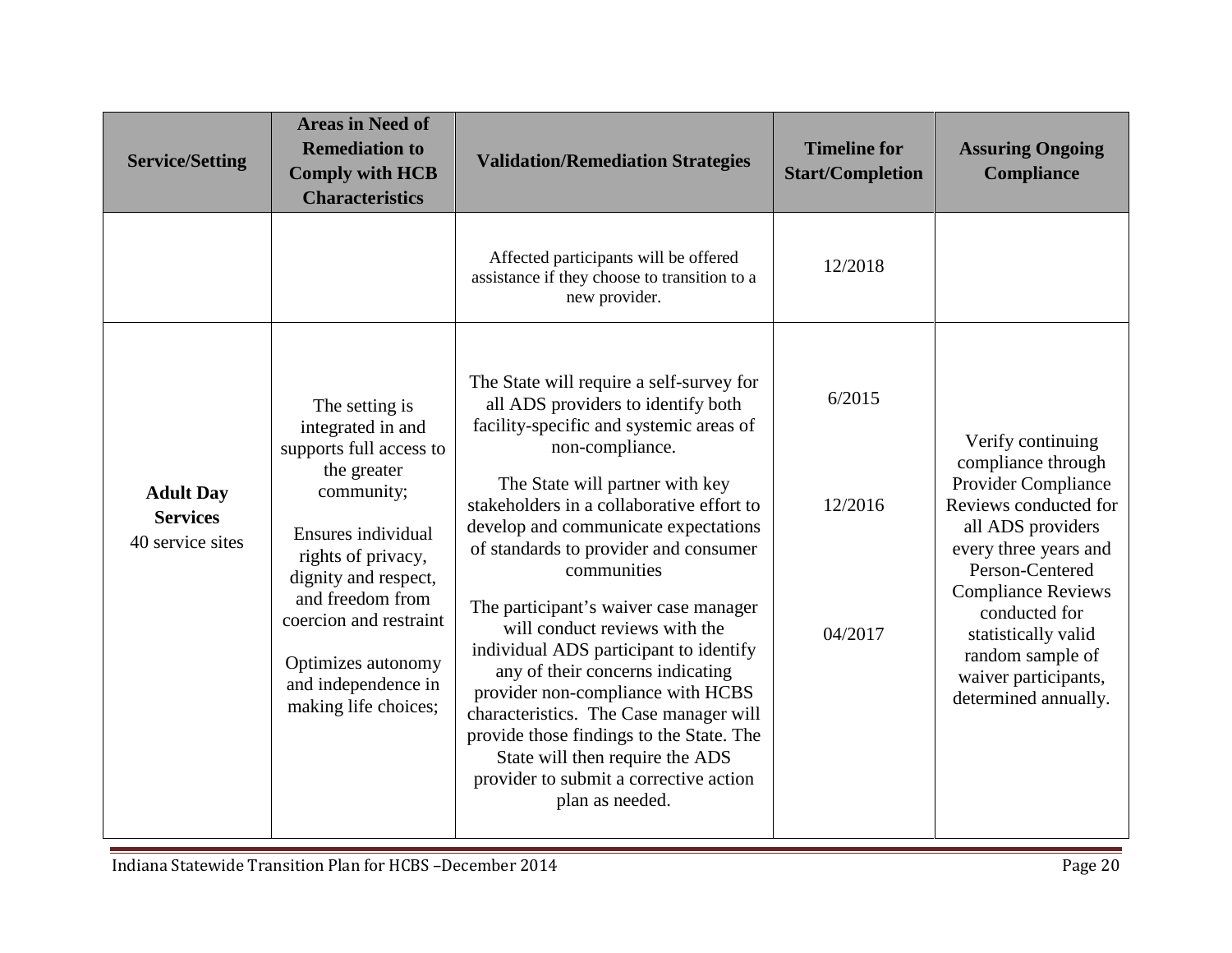| <b>Service/Setting</b>                                  | <b>Areas in Need of</b><br><b>Remediation to</b><br><b>Comply with HCB</b><br><b>Characteristics</b>                                                                                                                                                                               | <b>Validation/Remediation Strategies</b>                                                                                                                                                                                                                                                                                                                                                                                                                                                                                                                                                                                                                                                                        | <b>Timeline for</b><br><b>Start/Completion</b> | <b>Assuring Ongoing</b><br><b>Compliance</b>                                                                                                                                                                                                                                                             |
|---------------------------------------------------------|------------------------------------------------------------------------------------------------------------------------------------------------------------------------------------------------------------------------------------------------------------------------------------|-----------------------------------------------------------------------------------------------------------------------------------------------------------------------------------------------------------------------------------------------------------------------------------------------------------------------------------------------------------------------------------------------------------------------------------------------------------------------------------------------------------------------------------------------------------------------------------------------------------------------------------------------------------------------------------------------------------------|------------------------------------------------|----------------------------------------------------------------------------------------------------------------------------------------------------------------------------------------------------------------------------------------------------------------------------------------------------------|
|                                                         |                                                                                                                                                                                                                                                                                    | Affected participants will be offered<br>assistance if they choose to transition to a<br>new provider.                                                                                                                                                                                                                                                                                                                                                                                                                                                                                                                                                                                                          | 12/2018                                        |                                                                                                                                                                                                                                                                                                          |
| <b>Adult Day</b><br><b>Services</b><br>40 service sites | The setting is<br>integrated in and<br>supports full access to<br>the greater<br>community;<br>Ensures individual<br>rights of privacy,<br>dignity and respect,<br>and freedom from<br>coercion and restraint<br>Optimizes autonomy<br>and independence in<br>making life choices; | The State will require a self-survey for<br>all ADS providers to identify both<br>facility-specific and systemic areas of<br>non-compliance.<br>The State will partner with key<br>stakeholders in a collaborative effort to<br>develop and communicate expectations<br>of standards to provider and consumer<br>communities<br>The participant's waiver case manager<br>will conduct reviews with the<br>individual ADS participant to identify<br>any of their concerns indicating<br>provider non-compliance with HCBS<br>characteristics. The Case manager will<br>provide those findings to the State. The<br>State will then require the ADS<br>provider to submit a corrective action<br>plan as needed. | 6/2015<br>12/2016<br>04/2017                   | Verify continuing<br>compliance through<br><b>Provider Compliance</b><br>Reviews conducted for<br>all ADS providers<br>every three years and<br>Person-Centered<br><b>Compliance Reviews</b><br>conducted for<br>statistically valid<br>random sample of<br>waiver participants,<br>determined annually. |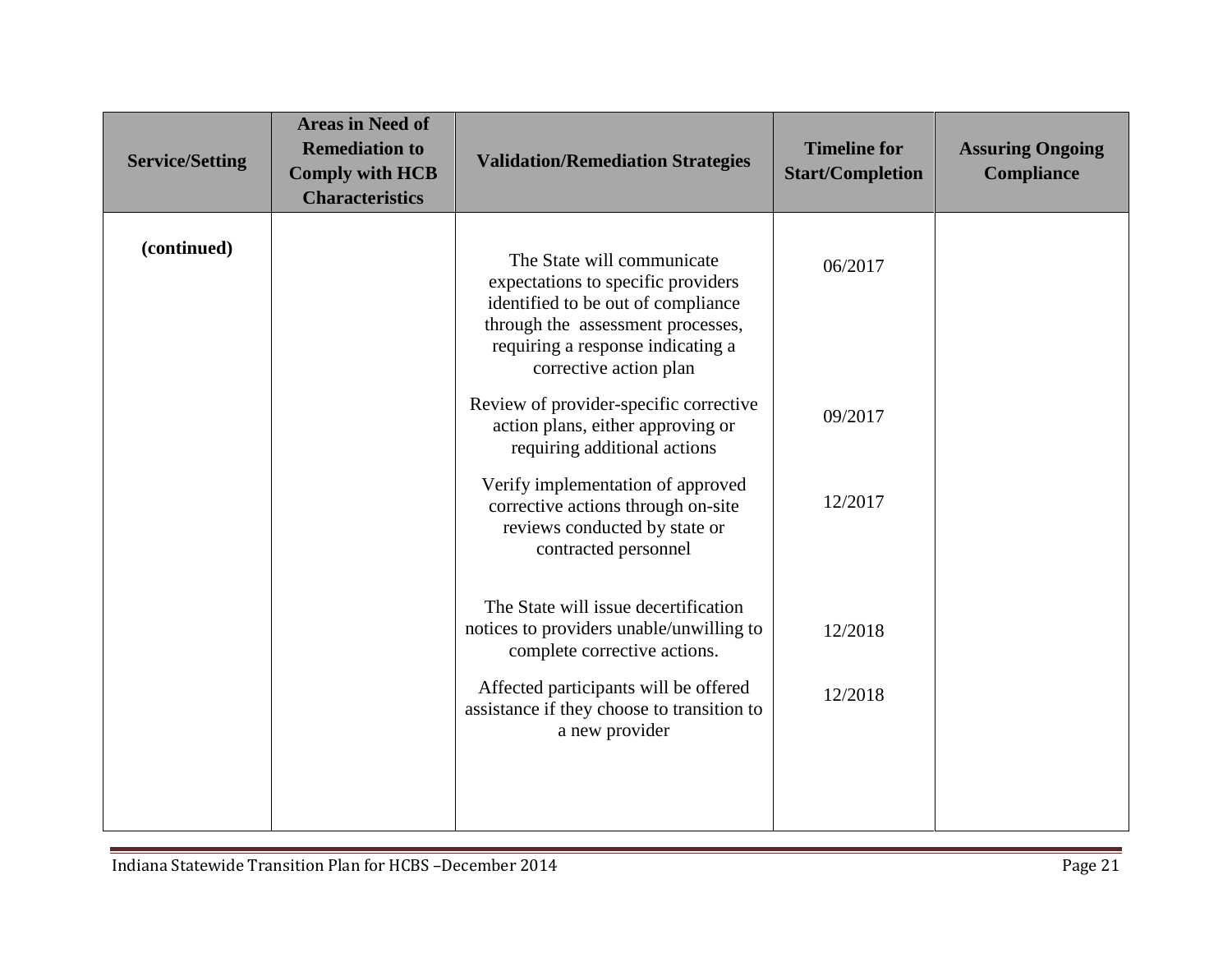| <b>Service/Setting</b> | <b>Areas in Need of</b><br><b>Remediation to</b><br><b>Comply with HCB</b><br><b>Characteristics</b> | <b>Validation/Remediation Strategies</b>                                                                                                                                                                                                                                                  | <b>Timeline for</b><br><b>Start/Completion</b> | <b>Assuring Ongoing</b><br><b>Compliance</b> |
|------------------------|------------------------------------------------------------------------------------------------------|-------------------------------------------------------------------------------------------------------------------------------------------------------------------------------------------------------------------------------------------------------------------------------------------|------------------------------------------------|----------------------------------------------|
| (continued)            |                                                                                                      | The State will communicate<br>expectations to specific providers<br>identified to be out of compliance<br>through the assessment processes,<br>requiring a response indicating a<br>corrective action plan<br>Review of provider-specific corrective<br>action plans, either approving or | 06/2017<br>09/2017                             |                                              |
|                        |                                                                                                      | requiring additional actions<br>Verify implementation of approved<br>corrective actions through on-site<br>reviews conducted by state or<br>contracted personnel                                                                                                                          | 12/2017                                        |                                              |
|                        |                                                                                                      | The State will issue decertification<br>notices to providers unable/unwilling to<br>complete corrective actions.<br>Affected participants will be offered<br>assistance if they choose to transition to<br>a new provider                                                                 | 12/2018<br>12/2018                             |                                              |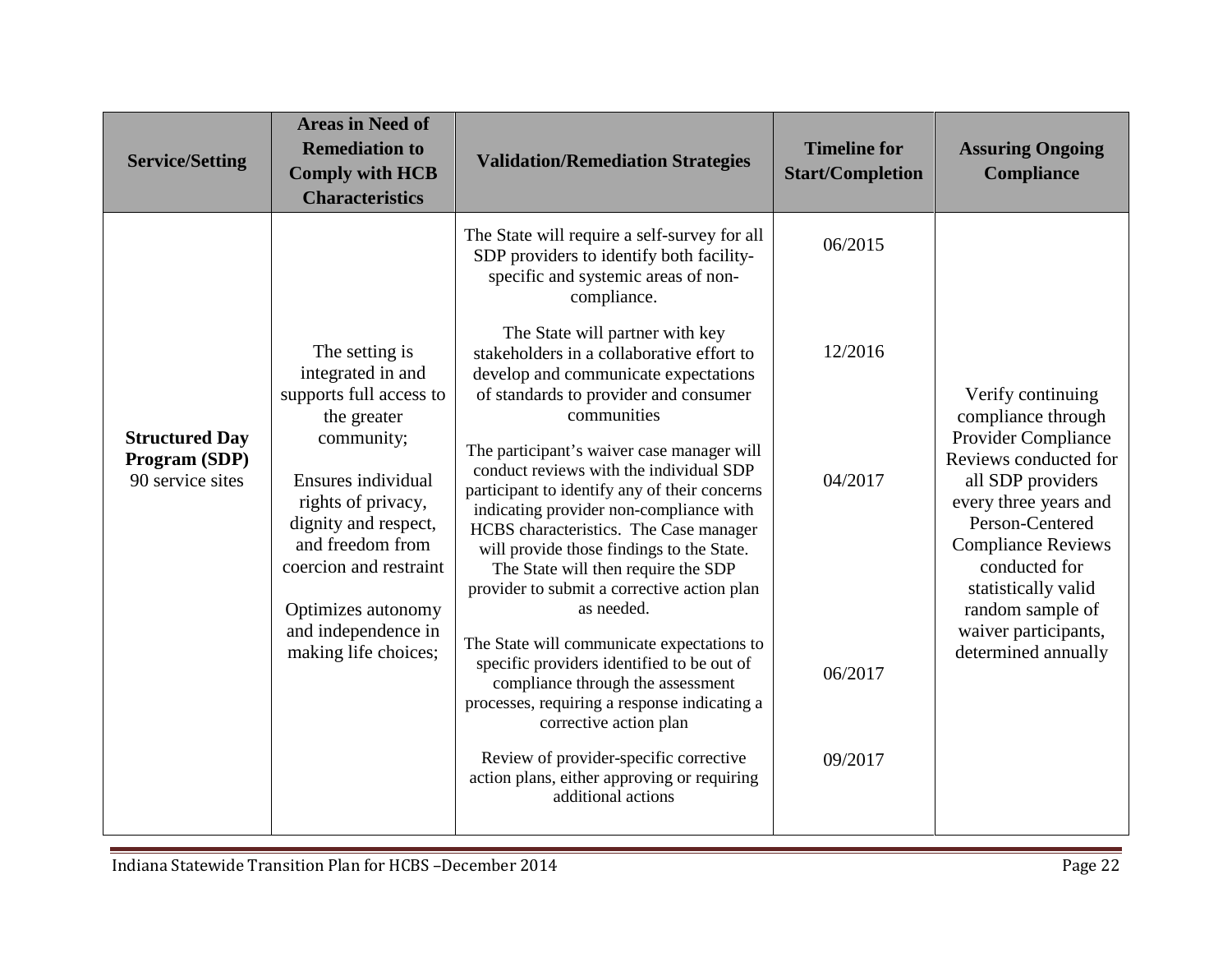| <b>Service/Setting</b>                                     | <b>Areas in Need of</b><br><b>Remediation to</b><br><b>Comply with HCB</b><br><b>Characteristics</b>                                                                                                                                                                               | <b>Validation/Remediation Strategies</b>                                                                                                                                                                                                                                                                                                                                                                                                                                                                                                                                                                                                                                                                                                                                                                                                                                                                                                                                                                                                 | <b>Timeline for</b><br><b>Start/Completion</b>      | <b>Assuring Ongoing</b><br><b>Compliance</b>                                                                                                                                                                                                                                                            |
|------------------------------------------------------------|------------------------------------------------------------------------------------------------------------------------------------------------------------------------------------------------------------------------------------------------------------------------------------|------------------------------------------------------------------------------------------------------------------------------------------------------------------------------------------------------------------------------------------------------------------------------------------------------------------------------------------------------------------------------------------------------------------------------------------------------------------------------------------------------------------------------------------------------------------------------------------------------------------------------------------------------------------------------------------------------------------------------------------------------------------------------------------------------------------------------------------------------------------------------------------------------------------------------------------------------------------------------------------------------------------------------------------|-----------------------------------------------------|---------------------------------------------------------------------------------------------------------------------------------------------------------------------------------------------------------------------------------------------------------------------------------------------------------|
| <b>Structured Day</b><br>Program (SDP)<br>90 service sites | The setting is<br>integrated in and<br>supports full access to<br>the greater<br>community;<br>Ensures individual<br>rights of privacy,<br>dignity and respect,<br>and freedom from<br>coercion and restraint<br>Optimizes autonomy<br>and independence in<br>making life choices; | The State will require a self-survey for all<br>SDP providers to identify both facility-<br>specific and systemic areas of non-<br>compliance.<br>The State will partner with key<br>stakeholders in a collaborative effort to<br>develop and communicate expectations<br>of standards to provider and consumer<br>communities<br>The participant's waiver case manager will<br>conduct reviews with the individual SDP<br>participant to identify any of their concerns<br>indicating provider non-compliance with<br>HCBS characteristics. The Case manager<br>will provide those findings to the State.<br>The State will then require the SDP<br>provider to submit a corrective action plan<br>as needed.<br>The State will communicate expectations to<br>specific providers identified to be out of<br>compliance through the assessment<br>processes, requiring a response indicating a<br>corrective action plan<br>Review of provider-specific corrective<br>action plans, either approving or requiring<br>additional actions | 06/2015<br>12/2016<br>04/2017<br>06/2017<br>09/2017 | Verify continuing<br>compliance through<br><b>Provider Compliance</b><br>Reviews conducted for<br>all SDP providers<br>every three years and<br>Person-Centered<br><b>Compliance Reviews</b><br>conducted for<br>statistically valid<br>random sample of<br>waiver participants,<br>determined annually |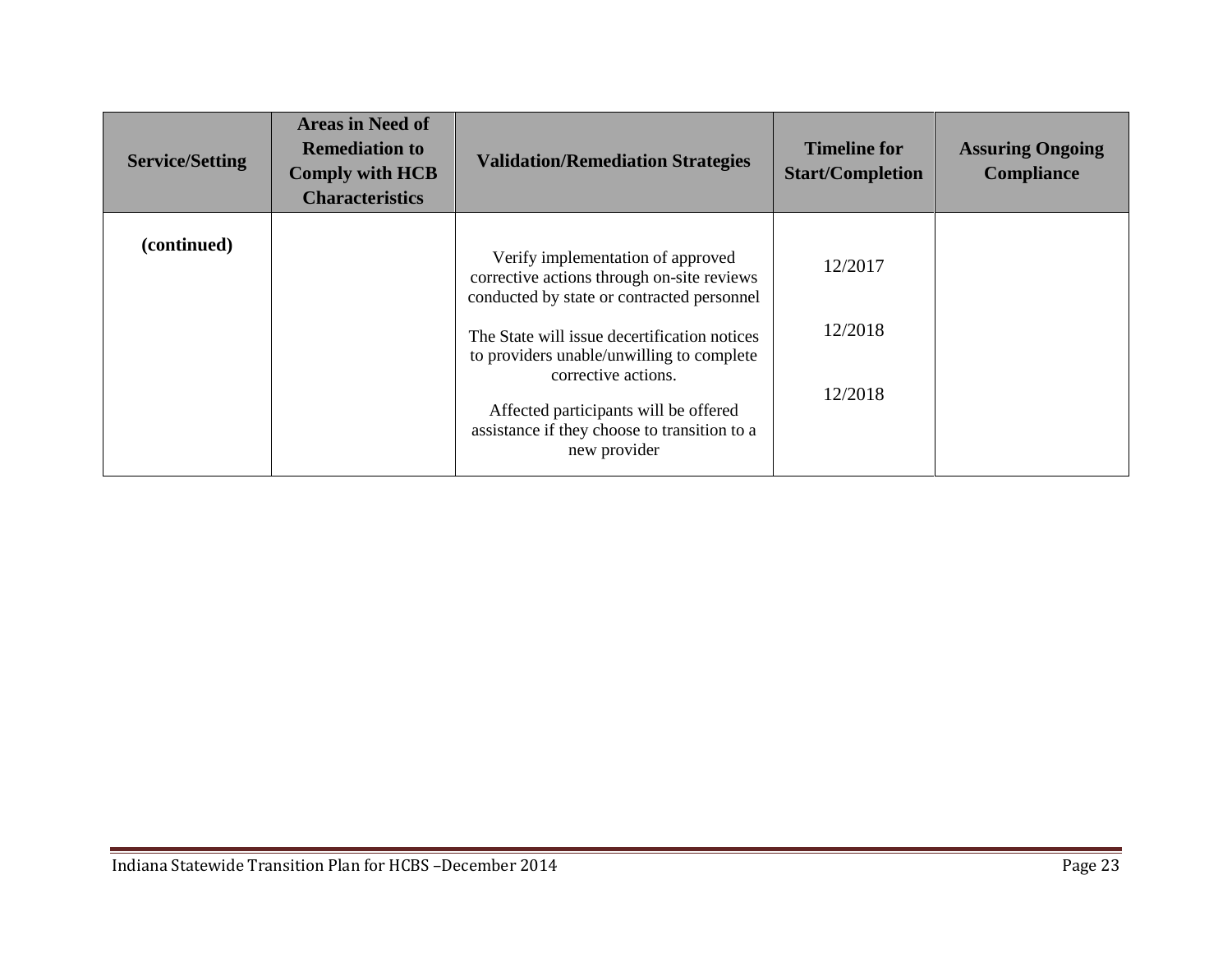| <b>Service/Setting</b> | <b>Areas in Need of</b><br><b>Remediation to</b><br><b>Comply with HCB</b><br><b>Characteristics</b> | <b>Validation/Remediation Strategies</b>                                                                                                                                                                                                                                                                                                                   | <b>Timeline for</b><br><b>Start/Completion</b> | <b>Assuring Ongoing</b><br>Compliance |
|------------------------|------------------------------------------------------------------------------------------------------|------------------------------------------------------------------------------------------------------------------------------------------------------------------------------------------------------------------------------------------------------------------------------------------------------------------------------------------------------------|------------------------------------------------|---------------------------------------|
| (continued)            |                                                                                                      | Verify implementation of approved<br>corrective actions through on-site reviews<br>conducted by state or contracted personnel<br>The State will issue decertification notices<br>to providers unable/unwilling to complete<br>corrective actions.<br>Affected participants will be offered<br>assistance if they choose to transition to a<br>new provider | 12/2017<br>12/2018<br>12/2018                  |                                       |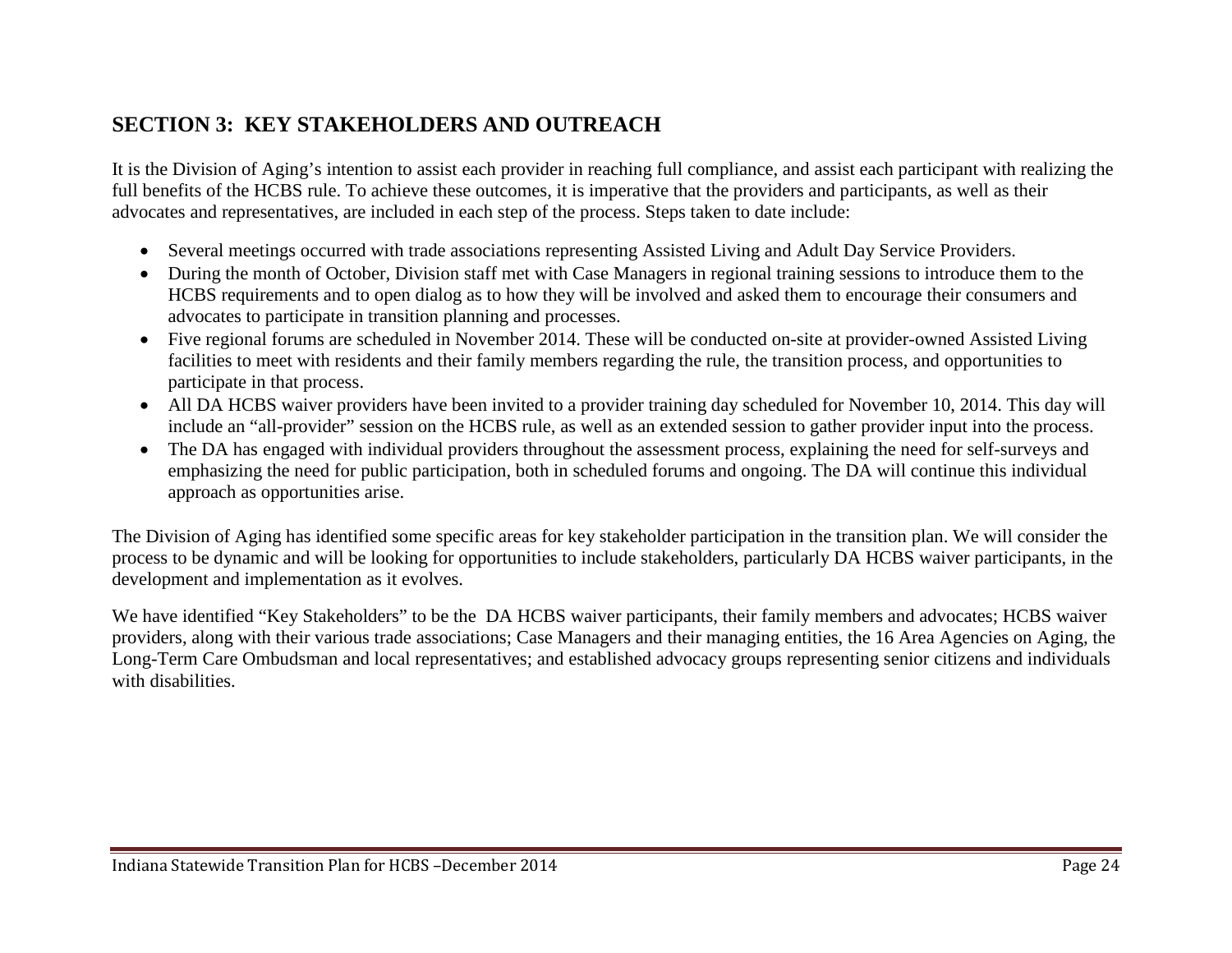# <span id="page-23-0"></span>**SECTION 3: KEY STAKEHOLDERS AND OUTREACH**

It is the Division of Aging's intention to assist each provider in reaching full compliance, and assist each participant with realizing the full benefits of the HCBS rule. To achieve these outcomes, it is imperative that the providers and participants, as well as their advocates and representatives, are included in each step of the process. Steps taken to date include:

- Several meetings occurred with trade associations representing Assisted Living and Adult Day Service Providers.
- During the month of October, Division staff met with Case Managers in regional training sessions to introduce them to the HCBS requirements and to open dialog as to how they will be involved and asked them to encourage their consumers and advocates to participate in transition planning and processes.
- Five regional forums are scheduled in November 2014. These will be conducted on-site at provider-owned Assisted Living facilities to meet with residents and their family members regarding the rule, the transition process, and opportunities to participate in that process.
- All DA HCBS waiver providers have been invited to a provider training day scheduled for November 10, 2014. This day will include an "all-provider" session on the HCBS rule, as well as an extended session to gather provider input into the process.
- The DA has engaged with individual providers throughout the assessment process, explaining the need for self-surveys and emphasizing the need for public participation, both in scheduled forums and ongoing. The DA will continue this individual approach as opportunities arise.

The Division of Aging has identified some specific areas for key stakeholder participation in the transition plan. We will consider the process to be dynamic and will be looking for opportunities to include stakeholders, particularly DA HCBS waiver participants, in the development and implementation as it evolves.

We have identified "Key Stakeholders" to be the DA HCBS waiver participants, their family members and advocates; HCBS waiver providers, along with their various trade associations; Case Managers and their managing entities, the 16 Area Agencies on Aging, the Long-Term Care Ombudsman and local representatives; and established advocacy groups representing senior citizens and individuals with disabilities.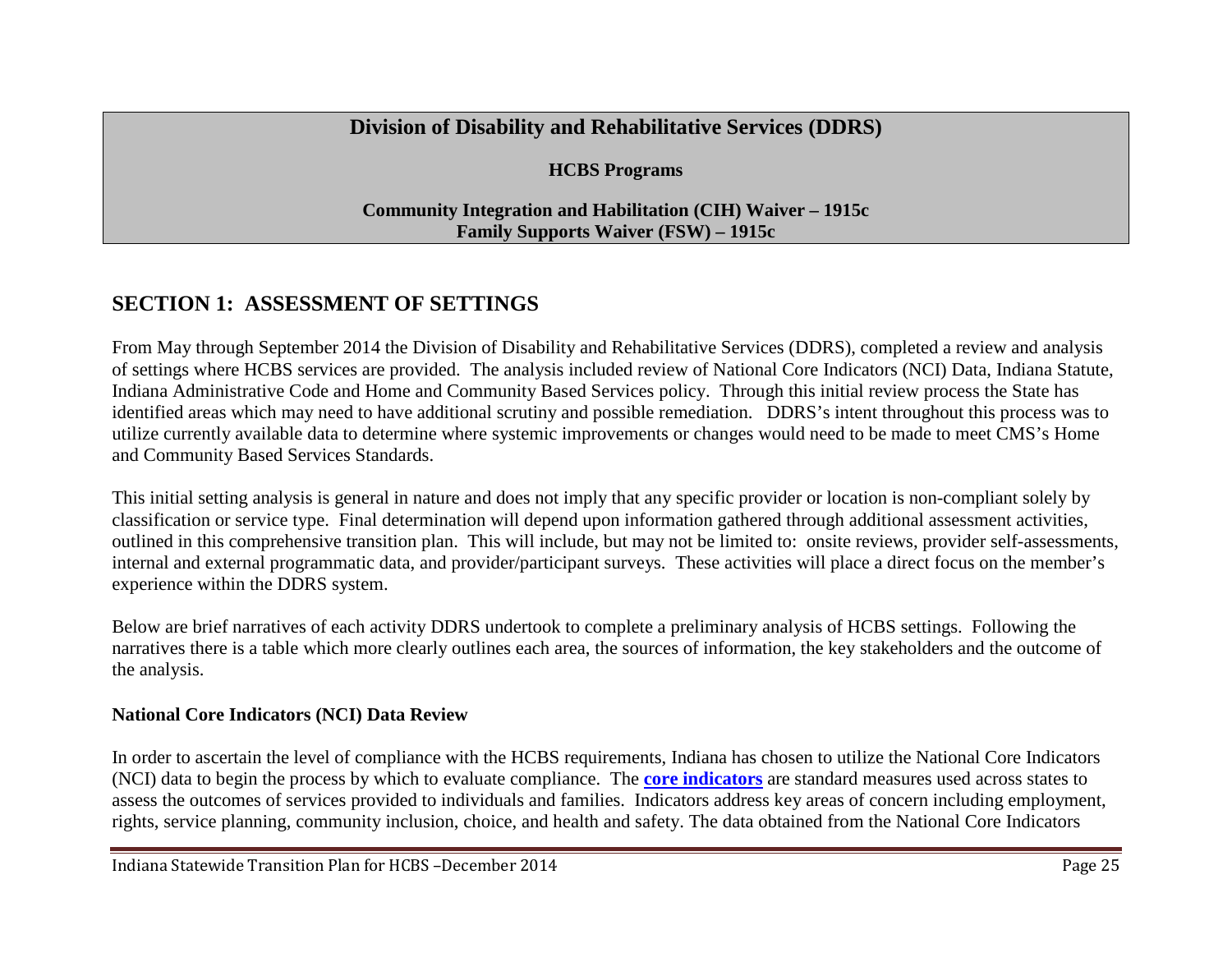# **Division of Disability and Rehabilitative Services (DDRS)**

#### **HCBS Programs**

#### <span id="page-24-0"></span>**Community Integration and Habilitation (CIH) Waiver – 1915c Family Supports Waiver (FSW) – 1915c**

# <span id="page-24-1"></span>**SECTION 1: ASSESSMENT OF SETTINGS**

From May through September 2014 the Division of Disability and Rehabilitative Services (DDRS), completed a review and analysis of settings where HCBS services are provided. The analysis included review of National Core Indicators (NCI) Data, Indiana Statute, Indiana Administrative Code and Home and Community Based Services policy. Through this initial review process the State has identified areas which may need to have additional scrutiny and possible remediation. DDRS's intent throughout this process was to utilize currently available data to determine where systemic improvements or changes would need to be made to meet CMS's Home and Community Based Services Standards.

This initial setting analysis is general in nature and does not imply that any specific provider or location is non-compliant solely by classification or service type. Final determination will depend upon information gathered through additional assessment activities, outlined in this comprehensive transition plan. This will include, but may not be limited to: onsite reviews, provider self-assessments, internal and external programmatic data, and provider/participant surveys. These activities will place a direct focus on the member's experience within the DDRS system.

Below are brief narratives of each activity DDRS undertook to complete a preliminary analysis of HCBS settings. Following the narratives there is a table which more clearly outlines each area, the sources of information, the key stakeholders and the outcome of the analysis.

#### **National Core Indicators (NCI) Data Review**

In order to ascertain the level of compliance with the HCBS requirements, Indiana has chosen to utilize the National Core Indicators (NCI) data to begin the process by which to evaluate compliance. The **[core indicators](http://www.nationalcoreindicators.org/indicators/)** are standard measures used across states to assess the outcomes of services provided to individuals and families. Indicators address key areas of concern including employment, rights, service planning, community inclusion, choice, and health and safety. The data obtained from the National Core Indicators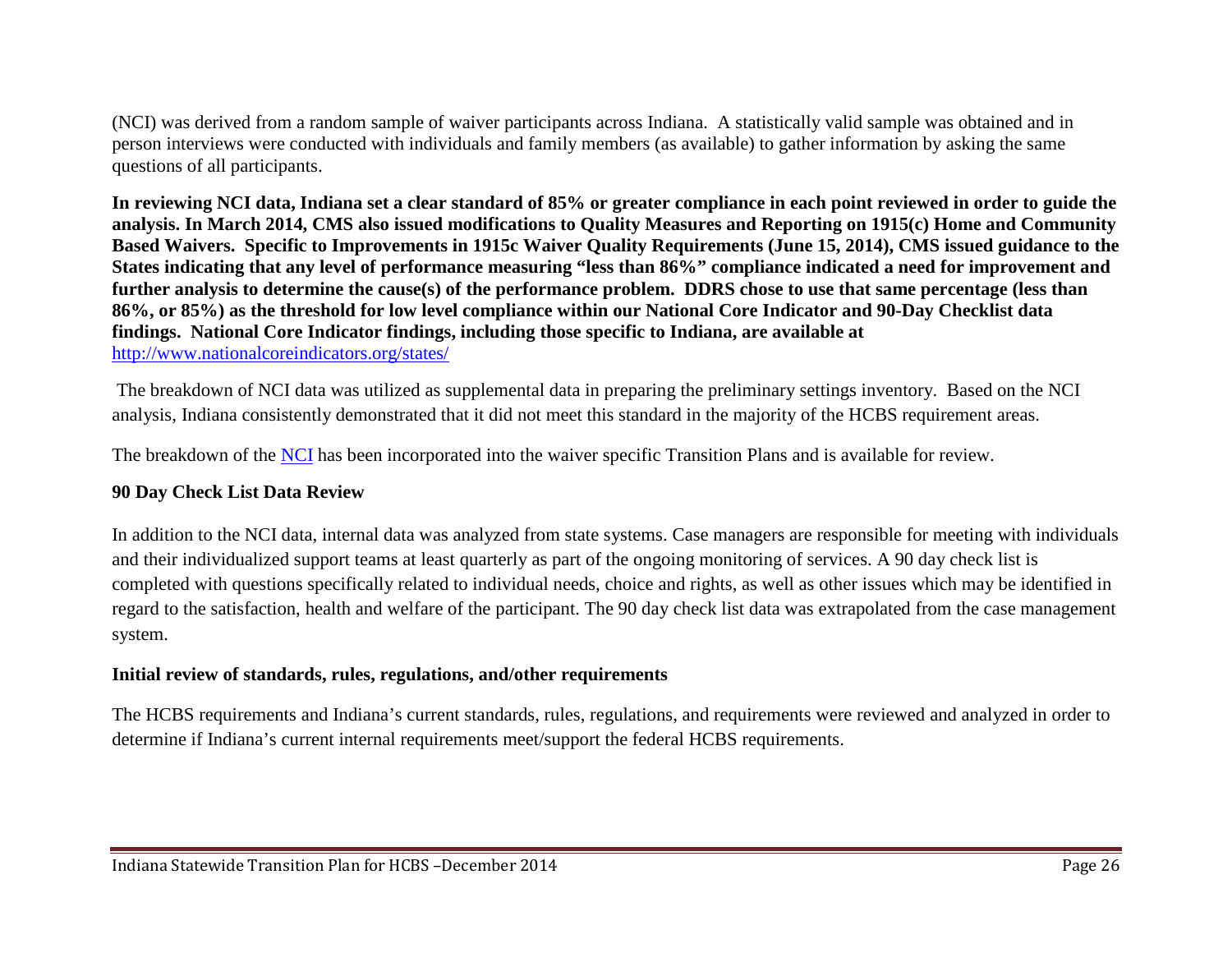(NCI) was derived from a random sample of waiver participants across Indiana. A statistically valid sample was obtained and in person interviews were conducted with individuals and family members (as available) to gather information by asking the same questions of all participants.

**In reviewing NCI data, Indiana set a clear standard of 85% or greater compliance in each point reviewed in order to guide the analysis. In March 2014, CMS also issued modifications to Quality Measures and Reporting on 1915(c) Home and Community Based Waivers. Specific to Improvements in 1915c Waiver Quality Requirements (June 15, 2014), CMS issued guidance to the States indicating that any level of performance measuring "less than 86%" compliance indicated a need for improvement and further analysis to determine the cause(s) of the performance problem. DDRS chose to use that same percentage (less than 86%, or 85%) as the threshold for low level compliance within our National Core Indicator and 90-Day Checklist data findings. National Core Indicator findings, including those specific to Indiana, are available at** <http://www.nationalcoreindicators.org/states/>

The breakdown of NCI data was utilized as supplemental data in preparing the preliminary settings inventory. Based on the NCI analysis, Indiana consistently demonstrated that it did not meet this standard in the majority of the HCBS requirement areas.

The breakdown of the [NCI](http://www.nationalcoreindicators.org/upload/core-indicators/FINAL2012-13_ACS_Final_Report_2.pdf) has been incorporated into the waiver specific Transition Plans and is available for review.

#### **90 Day Check List Data Review**

In addition to the NCI data, internal data was analyzed from state systems. Case managers are responsible for meeting with individuals and their individualized support teams at least quarterly as part of the ongoing monitoring of services. A 90 day check list is completed with questions specifically related to individual needs, choice and rights, as well as other issues which may be identified in regard to the satisfaction, health and welfare of the participant. The 90 day check list data was extrapolated from the case management system.

#### **Initial review of standards, rules, regulations, and/other requirements**

The HCBS requirements and Indiana's current standards, rules, regulations, and requirements were reviewed and analyzed in order to determine if Indiana's current internal requirements meet/support the federal HCBS requirements.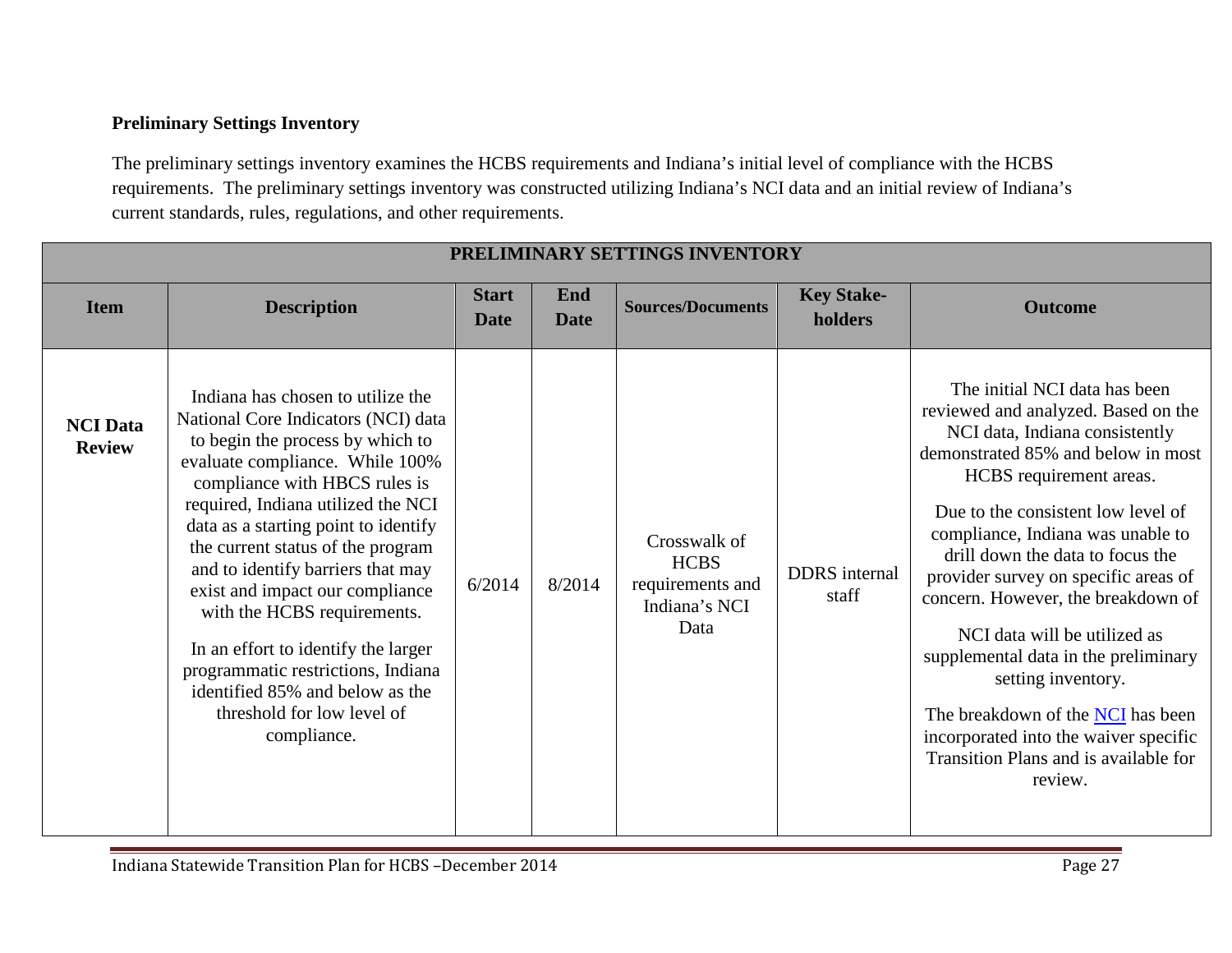#### <span id="page-26-0"></span>**Preliminary Settings Inventory**

The preliminary settings inventory examines the HCBS requirements and Indiana's initial level of compliance with the HCBS requirements. The preliminary settings inventory was constructed utilizing Indiana's NCI data and an initial review of Indiana's current standards, rules, regulations, and other requirements.

|                                  | PRELIMINARY SETTINGS INVENTORY                                                                                                                                                                                                                                                                                                                                                                                                                                                                                                                                          |                             |                    |                                                                          |                               |                                                                                                                                                                                                                                                                                                                                                                                                                                                                                                                                                                                                      |  |  |  |
|----------------------------------|-------------------------------------------------------------------------------------------------------------------------------------------------------------------------------------------------------------------------------------------------------------------------------------------------------------------------------------------------------------------------------------------------------------------------------------------------------------------------------------------------------------------------------------------------------------------------|-----------------------------|--------------------|--------------------------------------------------------------------------|-------------------------------|------------------------------------------------------------------------------------------------------------------------------------------------------------------------------------------------------------------------------------------------------------------------------------------------------------------------------------------------------------------------------------------------------------------------------------------------------------------------------------------------------------------------------------------------------------------------------------------------------|--|--|--|
| <b>Item</b>                      | <b>Description</b>                                                                                                                                                                                                                                                                                                                                                                                                                                                                                                                                                      | <b>Start</b><br><b>Date</b> | End<br><b>Date</b> | <b>Sources/Documents</b>                                                 | <b>Key Stake-</b><br>holders  | <b>Outcome</b>                                                                                                                                                                                                                                                                                                                                                                                                                                                                                                                                                                                       |  |  |  |
| <b>NCI</b> Data<br><b>Review</b> | Indiana has chosen to utilize the<br>National Core Indicators (NCI) data<br>to begin the process by which to<br>evaluate compliance. While 100%<br>compliance with HBCS rules is<br>required, Indiana utilized the NCI<br>data as a starting point to identify<br>the current status of the program<br>and to identify barriers that may<br>exist and impact our compliance<br>with the HCBS requirements.<br>In an effort to identify the larger<br>programmatic restrictions, Indiana<br>identified 85% and below as the<br>threshold for low level of<br>compliance. | 6/2014                      | 8/2014             | Crosswalk of<br><b>HCBS</b><br>requirements and<br>Indiana's NCI<br>Data | <b>DDRS</b> internal<br>staff | The initial NCI data has been<br>reviewed and analyzed. Based on the<br>NCI data, Indiana consistently<br>demonstrated 85% and below in most<br>HCBS requirement areas.<br>Due to the consistent low level of<br>compliance, Indiana was unable to<br>drill down the data to focus the<br>provider survey on specific areas of<br>concern. However, the breakdown of<br>NCI data will be utilized as<br>supplemental data in the preliminary<br>setting inventory.<br>The breakdown of the NCI has been<br>incorporated into the waiver specific<br>Transition Plans and is available for<br>review. |  |  |  |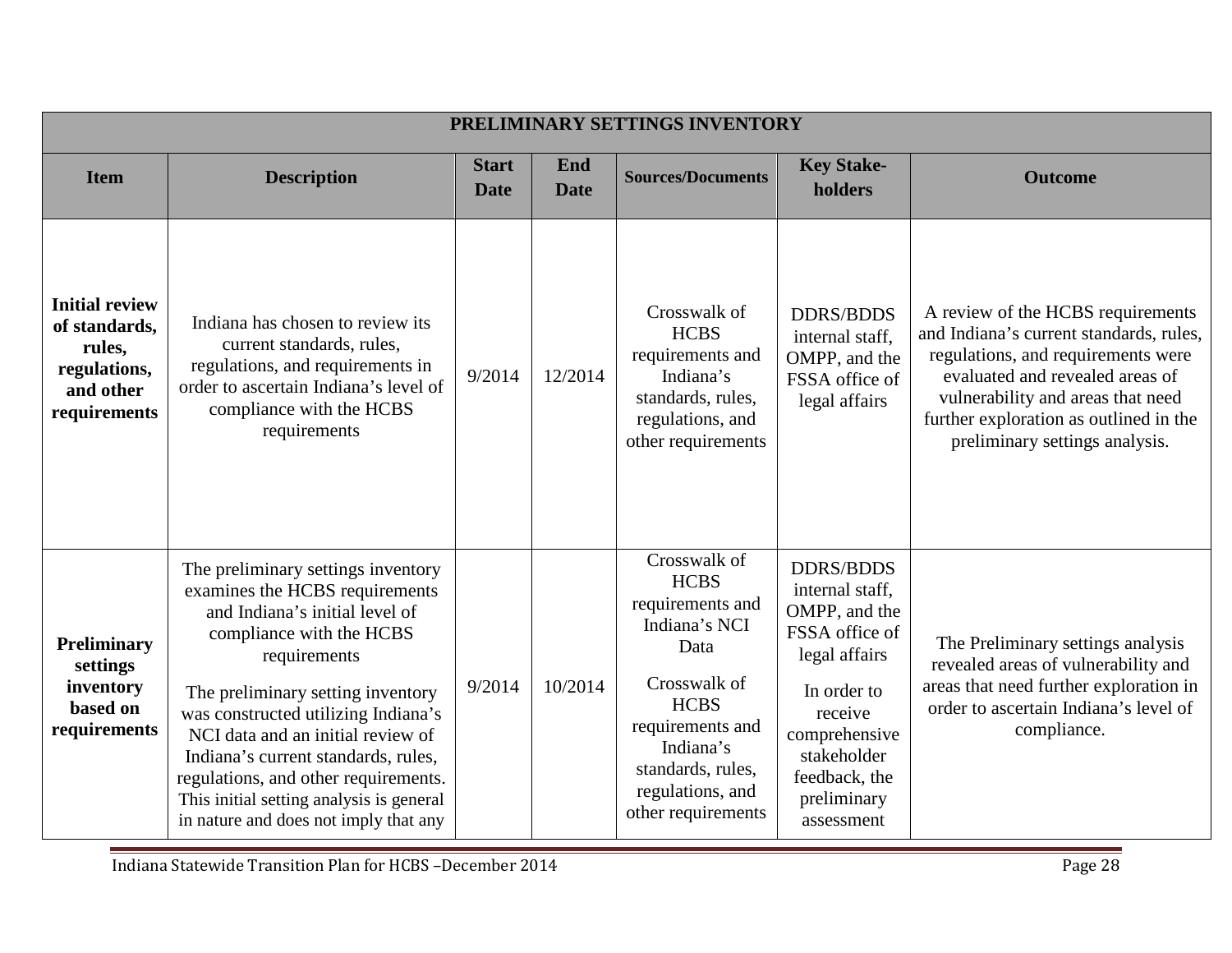|                                                                                               |                                                                                                                                                                                                                                                                                                                                                                                                                                         |                             |                    | PRELIMINARY SETTINGS INVENTORY                                                                                                                                                                          |                                                                                                                                                                                                 |                                                                                                                                                                                                                                                                        |
|-----------------------------------------------------------------------------------------------|-----------------------------------------------------------------------------------------------------------------------------------------------------------------------------------------------------------------------------------------------------------------------------------------------------------------------------------------------------------------------------------------------------------------------------------------|-----------------------------|--------------------|---------------------------------------------------------------------------------------------------------------------------------------------------------------------------------------------------------|-------------------------------------------------------------------------------------------------------------------------------------------------------------------------------------------------|------------------------------------------------------------------------------------------------------------------------------------------------------------------------------------------------------------------------------------------------------------------------|
| <b>Item</b>                                                                                   | <b>Description</b>                                                                                                                                                                                                                                                                                                                                                                                                                      | <b>Start</b><br><b>Date</b> | End<br><b>Date</b> | <b>Sources/Documents</b>                                                                                                                                                                                | <b>Key Stake-</b><br>holders                                                                                                                                                                    | <b>Outcome</b>                                                                                                                                                                                                                                                         |
| <b>Initial review</b><br>of standards.<br>rules,<br>regulations,<br>and other<br>requirements | Indiana has chosen to review its<br>current standards, rules,<br>regulations, and requirements in<br>order to ascertain Indiana's level of<br>compliance with the HCBS<br>requirements                                                                                                                                                                                                                                                  | 9/2014                      | 12/2014            | Crosswalk of<br><b>HCBS</b><br>requirements and<br>Indiana's<br>standards, rules,<br>regulations, and<br>other requirements                                                                             | <b>DDRS/BDDS</b><br>internal staff,<br>OMPP, and the<br>FSSA office of<br>legal affairs                                                                                                         | A review of the HCBS requirements<br>and Indiana's current standards, rules,<br>regulations, and requirements were<br>evaluated and revealed areas of<br>vulnerability and areas that need<br>further exploration as outlined in the<br>preliminary settings analysis. |
| Preliminary<br>settings<br>inventory<br>based on<br>requirements                              | The preliminary settings inventory<br>examines the HCBS requirements<br>and Indiana's initial level of<br>compliance with the HCBS<br>requirements<br>The preliminary setting inventory<br>was constructed utilizing Indiana's<br>NCI data and an initial review of<br>Indiana's current standards, rules,<br>regulations, and other requirements.<br>This initial setting analysis is general<br>in nature and does not imply that any | 9/2014                      | 10/2014            | Crosswalk of<br><b>HCBS</b><br>requirements and<br>Indiana's NCI<br>Data<br>Crosswalk of<br><b>HCBS</b><br>requirements and<br>Indiana's<br>standards, rules,<br>regulations, and<br>other requirements | <b>DDRS/BDDS</b><br>internal staff,<br>OMPP, and the<br>FSSA office of<br>legal affairs<br>In order to<br>receive<br>comprehensive<br>stakeholder<br>feedback, the<br>preliminary<br>assessment | The Preliminary settings analysis<br>revealed areas of vulnerability and<br>areas that need further exploration in<br>order to ascertain Indiana's level of<br>compliance.                                                                                             |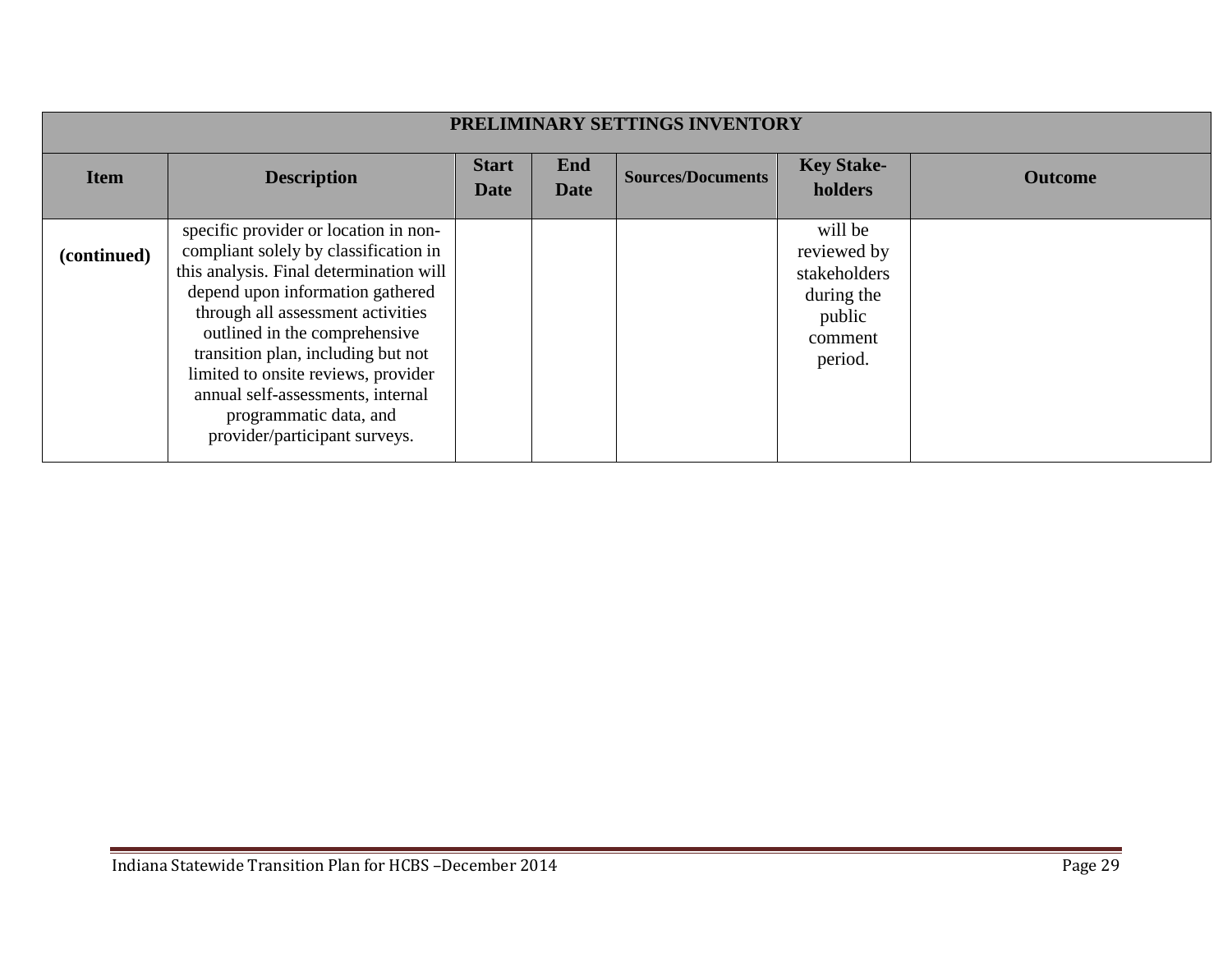|             | PRELIMINARY SETTINGS INVENTORY                                                                                                                                                                                                                                                                                                                                                                                   |                             |                    |                          |                                                                                      |                |  |  |  |
|-------------|------------------------------------------------------------------------------------------------------------------------------------------------------------------------------------------------------------------------------------------------------------------------------------------------------------------------------------------------------------------------------------------------------------------|-----------------------------|--------------------|--------------------------|--------------------------------------------------------------------------------------|----------------|--|--|--|
| <b>Item</b> | <b>Description</b>                                                                                                                                                                                                                                                                                                                                                                                               | <b>Start</b><br><b>Date</b> | End<br><b>Date</b> | <b>Sources/Documents</b> | <b>Key Stake-</b><br>holders                                                         | <b>Outcome</b> |  |  |  |
| (continued) | specific provider or location in non-<br>compliant solely by classification in<br>this analysis. Final determination will<br>depend upon information gathered<br>through all assessment activities<br>outlined in the comprehensive<br>transition plan, including but not<br>limited to onsite reviews, provider<br>annual self-assessments, internal<br>programmatic data, and<br>provider/participant surveys. |                             |                    |                          | will be<br>reviewed by<br>stakeholders<br>during the<br>public<br>comment<br>period. |                |  |  |  |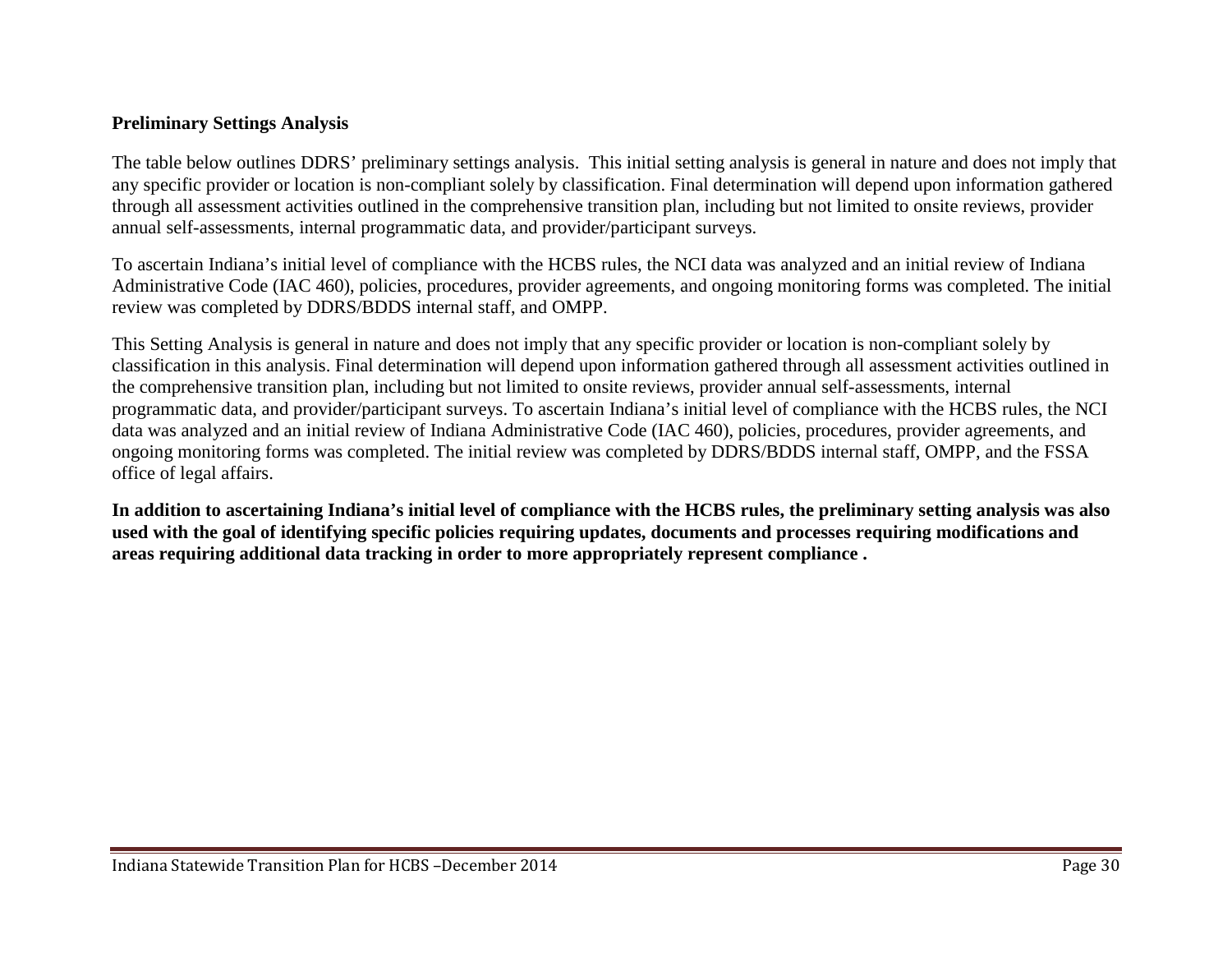#### **Preliminary Settings Analysis**

The table below outlines DDRS' preliminary settings analysis. This initial setting analysis is general in nature and does not imply that any specific provider or location is non-compliant solely by classification. Final determination will depend upon information gathered through all assessment activities outlined in the comprehensive transition plan, including but not limited to onsite reviews, provider annual self-assessments, internal programmatic data, and provider/participant surveys.

To ascertain Indiana's initial level of compliance with the HCBS rules, the NCI data was analyzed and an initial review of Indiana Administrative Code (IAC 460), policies, procedures, provider agreements, and ongoing monitoring forms was completed. The initial review was completed by DDRS/BDDS internal staff, and OMPP.

This Setting Analysis is general in nature and does not imply that any specific provider or location is non-compliant solely by classification in this analysis. Final determination will depend upon information gathered through all assessment activities outlined in the comprehensive transition plan, including but not limited to onsite reviews, provider annual self-assessments, internal programmatic data, and provider/participant surveys. To ascertain Indiana's initial level of compliance with the HCBS rules, the NCI data was analyzed and an initial review of Indiana Administrative Code (IAC 460), policies, procedures, provider agreements, and ongoing monitoring forms was completed. The initial review was completed by DDRS/BDDS internal staff, OMPP, and the FSSA office of legal affairs.

**In addition to ascertaining Indiana's initial level of compliance with the HCBS rules, the preliminary setting analysis was also used with the goal of identifying specific policies requiring updates, documents and processes requiring modifications and areas requiring additional data tracking in order to more appropriately represent compliance .**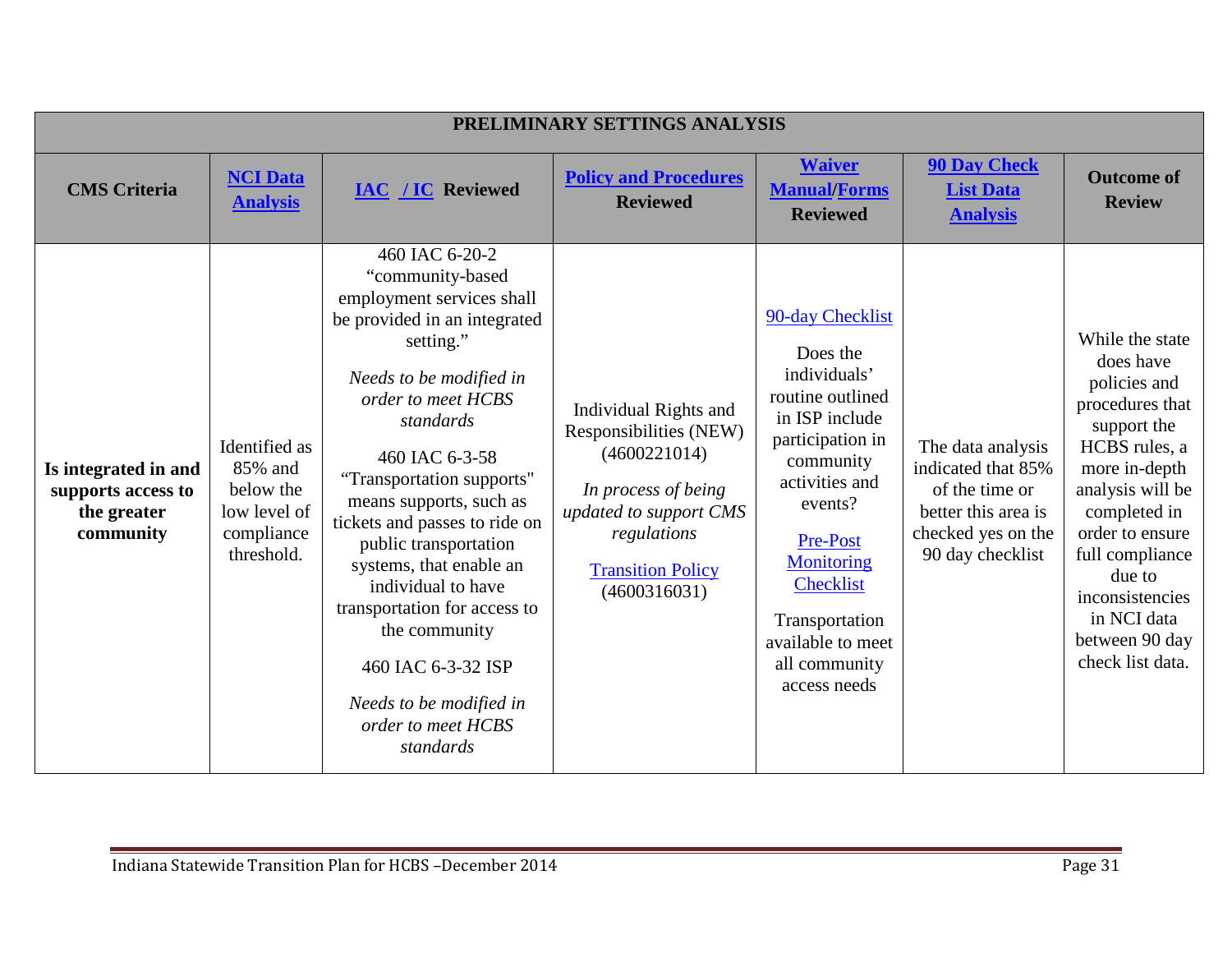|                                                                        |                                                                                   |                                                                                                                                                                                                                                                                                                                                                                                                                                                                                                      | PRELIMINARY SETTINGS ANALYSIS                                                                                                                                               |                                                                                                                                                                                                                                                                 |                                                                                                                            |                                                                                                                                                                                                                                                                              |
|------------------------------------------------------------------------|-----------------------------------------------------------------------------------|------------------------------------------------------------------------------------------------------------------------------------------------------------------------------------------------------------------------------------------------------------------------------------------------------------------------------------------------------------------------------------------------------------------------------------------------------------------------------------------------------|-----------------------------------------------------------------------------------------------------------------------------------------------------------------------------|-----------------------------------------------------------------------------------------------------------------------------------------------------------------------------------------------------------------------------------------------------------------|----------------------------------------------------------------------------------------------------------------------------|------------------------------------------------------------------------------------------------------------------------------------------------------------------------------------------------------------------------------------------------------------------------------|
| <b>CMS</b> Criteria                                                    | <b>NCI Data</b><br><b>Analysis</b>                                                | <b>IAC / IC Reviewed</b>                                                                                                                                                                                                                                                                                                                                                                                                                                                                             | <b>Policy and Procedures</b><br><b>Reviewed</b>                                                                                                                             | <b>Waiver</b><br><b>Manual/Forms</b><br><b>Reviewed</b>                                                                                                                                                                                                         | <b>90 Day Check</b><br><b>List Data</b><br><b>Analysis</b>                                                                 | <b>Outcome of</b><br><b>Review</b>                                                                                                                                                                                                                                           |
| Is integrated in and<br>supports access to<br>the greater<br>community | Identified as<br>85% and<br>below the<br>low level of<br>compliance<br>threshold. | 460 IAC 6-20-2<br>"community-based<br>employment services shall<br>be provided in an integrated<br>setting."<br>Needs to be modified in<br>order to meet HCBS<br>standards<br>460 IAC 6-3-58<br>"Transportation supports"<br>means supports, such as<br>tickets and passes to ride on<br>public transportation<br>systems, that enable an<br>individual to have<br>transportation for access to<br>the community<br>460 IAC 6-3-32 ISP<br>Needs to be modified in<br>order to meet HCBS<br>standards | Individual Rights and<br>Responsibilities (NEW)<br>(4600221014)<br>In process of being<br>updated to support CMS<br>regulations<br><b>Transition Policy</b><br>(4600316031) | 90-day Checklist<br>Does the<br>individuals'<br>routine outlined<br>in ISP include<br>participation in<br>community<br>activities and<br>events?<br>Pre-Post<br>Monitoring<br>Checklist<br>Transportation<br>available to meet<br>all community<br>access needs | The data analysis<br>indicated that 85%<br>of the time or<br>better this area is<br>checked yes on the<br>90 day checklist | While the state<br>does have<br>policies and<br>procedures that<br>support the<br>HCBS rules, a<br>more in-depth<br>analysis will be<br>completed in<br>order to ensure<br>full compliance<br>due to<br>inconsistencies<br>in NCI data<br>between 90 day<br>check list data. |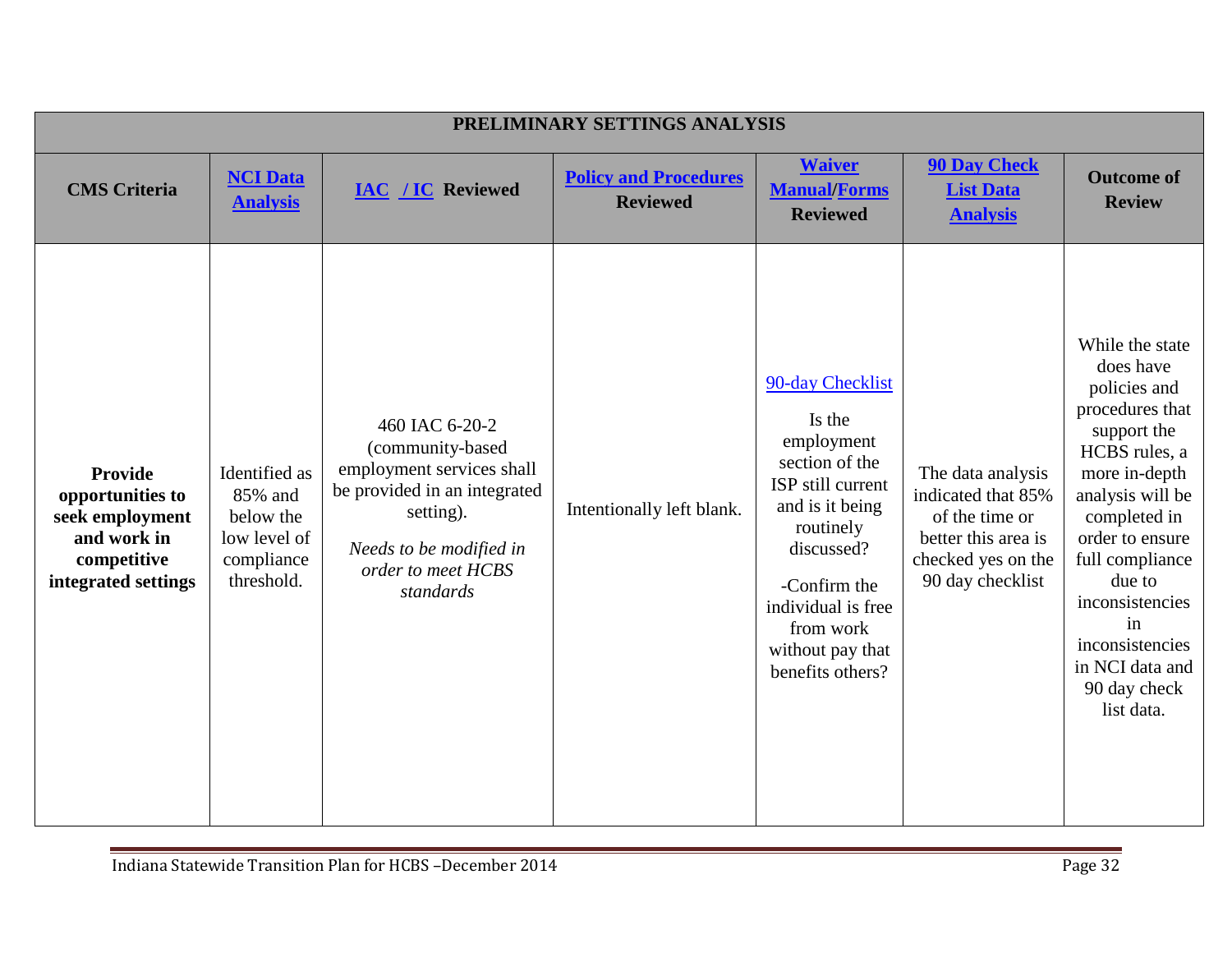|                                                                                                            |                                                                                   |                                                                                                                                                                            | PRELIMINARY SETTINGS ANALYSIS                   |                                                                                                                                                                                                                          |                                                                                                                            |                                                                                                                                                                                                                                                                                                   |
|------------------------------------------------------------------------------------------------------------|-----------------------------------------------------------------------------------|----------------------------------------------------------------------------------------------------------------------------------------------------------------------------|-------------------------------------------------|--------------------------------------------------------------------------------------------------------------------------------------------------------------------------------------------------------------------------|----------------------------------------------------------------------------------------------------------------------------|---------------------------------------------------------------------------------------------------------------------------------------------------------------------------------------------------------------------------------------------------------------------------------------------------|
| <b>CMS</b> Criteria                                                                                        | <b>NCI Data</b><br><b>Analysis</b>                                                | <b>IAC / IC Reviewed</b>                                                                                                                                                   | <b>Policy and Procedures</b><br><b>Reviewed</b> | <b>Waiver</b><br><b>Manual/Forms</b><br><b>Reviewed</b>                                                                                                                                                                  | <b>90 Day Check</b><br><b>List Data</b><br><b>Analysis</b>                                                                 | <b>Outcome of</b><br><b>Review</b>                                                                                                                                                                                                                                                                |
| <b>Provide</b><br>opportunities to<br>seek employment<br>and work in<br>competitive<br>integrated settings | Identified as<br>85% and<br>below the<br>low level of<br>compliance<br>threshold. | 460 IAC 6-20-2<br>(community-based<br>employment services shall<br>be provided in an integrated<br>setting).<br>Needs to be modified in<br>order to meet HCBS<br>standards | Intentionally left blank.                       | 90-day Checklist<br>Is the<br>employment<br>section of the<br>ISP still current<br>and is it being<br>routinely<br>discussed?<br>-Confirm the<br>individual is free<br>from work<br>without pay that<br>benefits others? | The data analysis<br>indicated that 85%<br>of the time or<br>better this area is<br>checked yes on the<br>90 day checklist | While the state<br>does have<br>policies and<br>procedures that<br>support the<br>HCBS rules, a<br>more in-depth<br>analysis will be<br>completed in<br>order to ensure<br>full compliance<br>due to<br>inconsistencies<br>in<br>inconsistencies<br>in NCI data and<br>90 day check<br>list data. |

÷.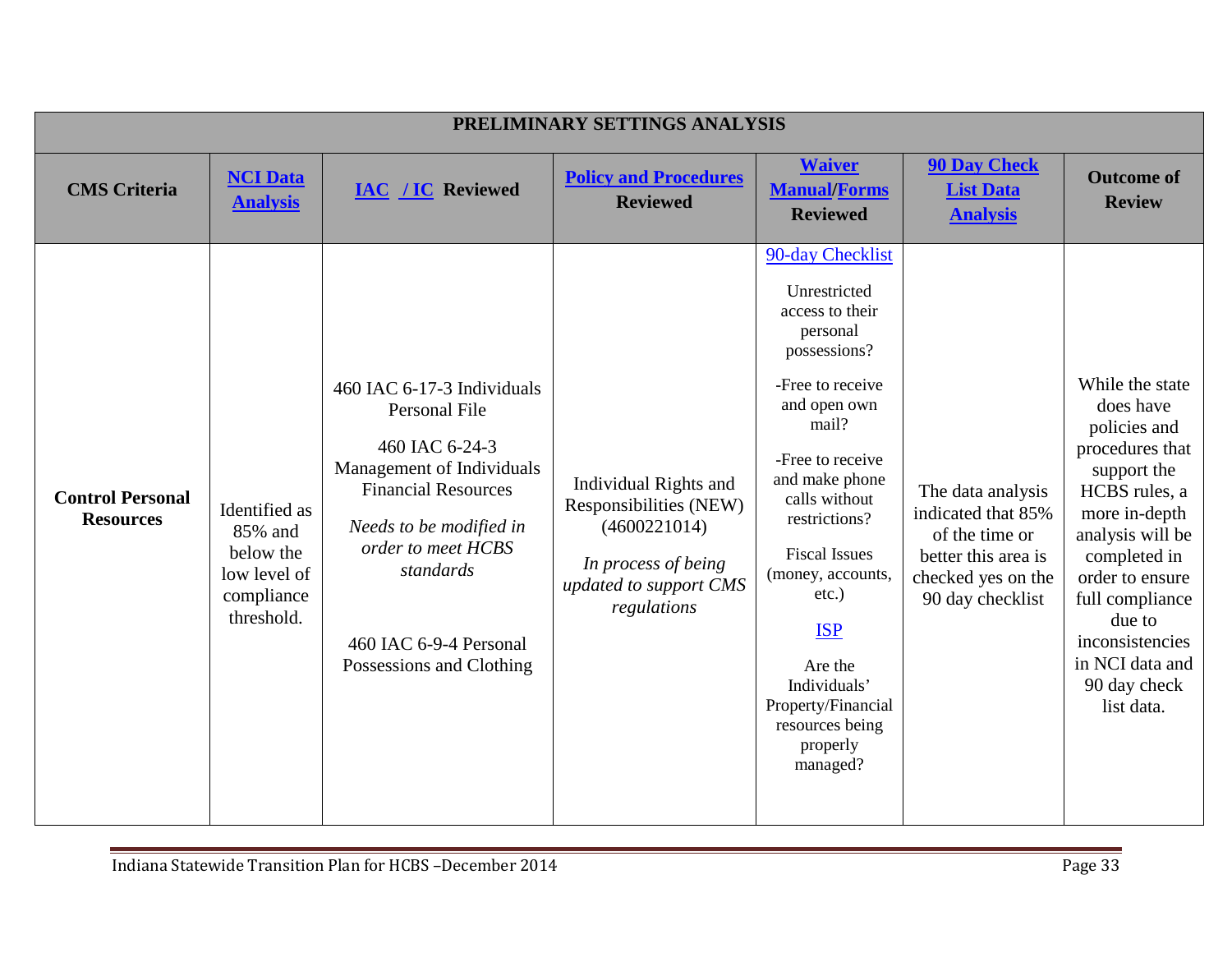|                                             |                                                                                   |                                                                                                                                                                                                                                              | PRELIMINARY SETTINGS ANALYSIS                                                                                                   |                                                                                                                                                                                                                                                                                                                                                                         |                                                                                                                            |                                                                                                                                                                                                                                                                          |
|---------------------------------------------|-----------------------------------------------------------------------------------|----------------------------------------------------------------------------------------------------------------------------------------------------------------------------------------------------------------------------------------------|---------------------------------------------------------------------------------------------------------------------------------|-------------------------------------------------------------------------------------------------------------------------------------------------------------------------------------------------------------------------------------------------------------------------------------------------------------------------------------------------------------------------|----------------------------------------------------------------------------------------------------------------------------|--------------------------------------------------------------------------------------------------------------------------------------------------------------------------------------------------------------------------------------------------------------------------|
| <b>CMS</b> Criteria                         | <b>NCI Data</b><br><b>Analysis</b>                                                | <b>IAC / IC Reviewed</b>                                                                                                                                                                                                                     | <b>Policy and Procedures</b><br><b>Reviewed</b>                                                                                 | <b>Waiver</b><br><b>Manual/Forms</b><br><b>Reviewed</b>                                                                                                                                                                                                                                                                                                                 | <b>90 Day Check</b><br><b>List Data</b><br><b>Analysis</b>                                                                 | <b>Outcome of</b><br><b>Review</b>                                                                                                                                                                                                                                       |
| <b>Control Personal</b><br><b>Resources</b> | Identified as<br>85% and<br>below the<br>low level of<br>compliance<br>threshold. | 460 IAC 6-17-3 Individuals<br>Personal File<br>460 IAC 6-24-3<br>Management of Individuals<br><b>Financial Resources</b><br>Needs to be modified in<br>order to meet HCBS<br>standards<br>460 IAC 6-9-4 Personal<br>Possessions and Clothing | Individual Rights and<br>Responsibilities (NEW)<br>(4600221014)<br>In process of being<br>updated to support CMS<br>regulations | 90-day Checklist<br>Unrestricted<br>access to their<br>personal<br>possessions?<br>-Free to receive<br>and open own<br>mail?<br>-Free to receive<br>and make phone<br>calls without<br>restrictions?<br><b>Fiscal Issues</b><br>(money, accounts,<br>$etc.$ )<br><b>ISP</b><br>Are the<br>Individuals'<br>Property/Financial<br>resources being<br>properly<br>managed? | The data analysis<br>indicated that 85%<br>of the time or<br>better this area is<br>checked yes on the<br>90 day checklist | While the state<br>does have<br>policies and<br>procedures that<br>support the<br>HCBS rules, a<br>more in-depth<br>analysis will be<br>completed in<br>order to ensure<br>full compliance<br>due to<br>inconsistencies<br>in NCI data and<br>90 day check<br>list data. |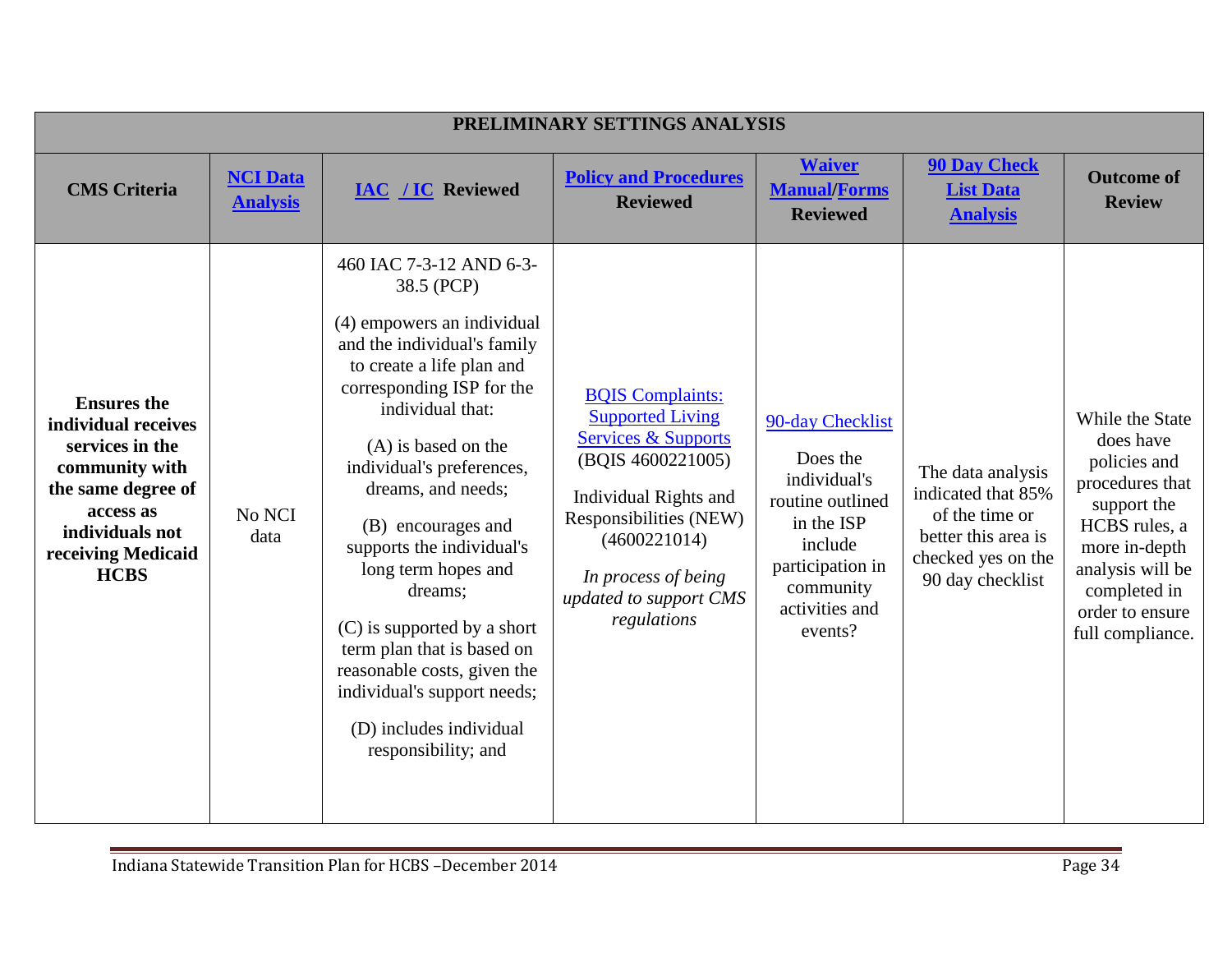|                                                                                                                                                                           |                                    |                                                                                                                                                                                                                                                                                                                                                                                                                                                                                                                                | PRELIMINARY SETTINGS ANALYSIS                                                                                                                                                                                                                |                                                                                                                                                         |                                                                                                                            |                                                                                                                                                                                             |
|---------------------------------------------------------------------------------------------------------------------------------------------------------------------------|------------------------------------|--------------------------------------------------------------------------------------------------------------------------------------------------------------------------------------------------------------------------------------------------------------------------------------------------------------------------------------------------------------------------------------------------------------------------------------------------------------------------------------------------------------------------------|----------------------------------------------------------------------------------------------------------------------------------------------------------------------------------------------------------------------------------------------|---------------------------------------------------------------------------------------------------------------------------------------------------------|----------------------------------------------------------------------------------------------------------------------------|---------------------------------------------------------------------------------------------------------------------------------------------------------------------------------------------|
| <b>CMS</b> Criteria                                                                                                                                                       | <b>NCI Data</b><br><b>Analysis</b> | <b>IAC / IC Reviewed</b>                                                                                                                                                                                                                                                                                                                                                                                                                                                                                                       | <b>Policy and Procedures</b><br><b>Reviewed</b>                                                                                                                                                                                              | <b>Waiver</b><br><b>Manual/Forms</b><br><b>Reviewed</b>                                                                                                 | <b>90 Day Check</b><br><b>List Data</b><br><b>Analysis</b>                                                                 | <b>Outcome of</b><br><b>Review</b>                                                                                                                                                          |
| <b>Ensures</b> the<br>individual receives<br>services in the<br>community with<br>the same degree of<br>access as<br>individuals not<br>receiving Medicaid<br><b>HCBS</b> | No NCI<br>data                     | 460 IAC 7-3-12 AND 6-3-<br>38.5 (PCP)<br>(4) empowers an individual<br>and the individual's family<br>to create a life plan and<br>corresponding ISP for the<br>individual that:<br>$(A)$ is based on the<br>individual's preferences,<br>dreams, and needs;<br>(B) encourages and<br>supports the individual's<br>long term hopes and<br>dreams;<br>(C) is supported by a short<br>term plan that is based on<br>reasonable costs, given the<br>individual's support needs;<br>(D) includes individual<br>responsibility; and | <b>BQIS Complaints:</b><br><b>Supported Living</b><br><b>Services &amp; Supports</b><br>(BQIS 4600221005)<br>Individual Rights and<br>Responsibilities (NEW)<br>(4600221014)<br>In process of being<br>updated to support CMS<br>regulations | 90-day Checklist<br>Does the<br>individual's<br>routine outlined<br>in the ISP<br>include<br>participation in<br>community<br>activities and<br>events? | The data analysis<br>indicated that 85%<br>of the time or<br>better this area is<br>checked yes on the<br>90 day checklist | While the State<br>does have<br>policies and<br>procedures that<br>support the<br>HCBS rules, a<br>more in-depth<br>analysis will be<br>completed in<br>order to ensure<br>full compliance. |

Ξ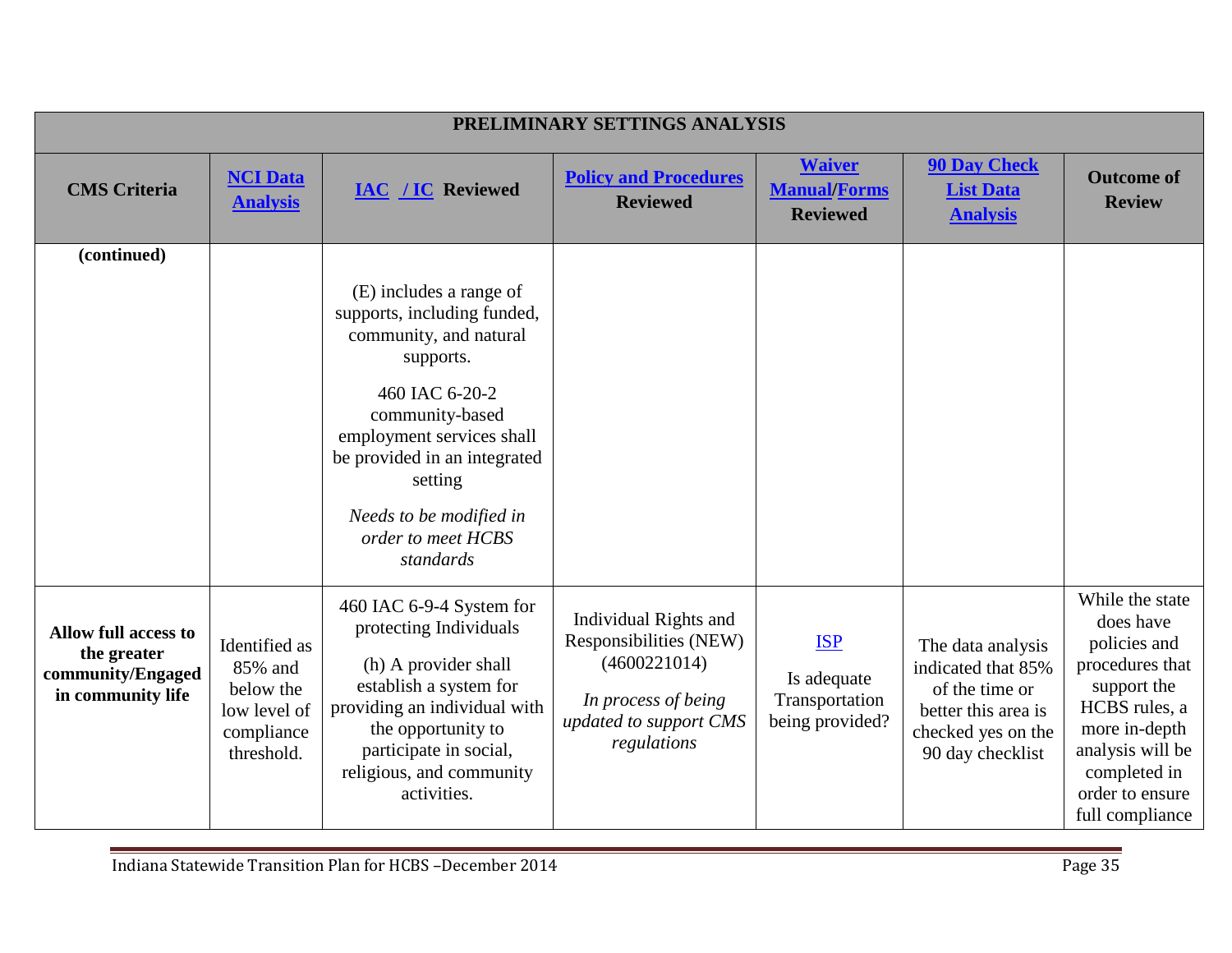|                                                                                      |                                                                                   |                                                                                                                                                                                                                                                                          | PRELIMINARY SETTINGS ANALYSIS                                                                                                   |                                                                |                                                                                                                            |                                                                                                                                                                                            |
|--------------------------------------------------------------------------------------|-----------------------------------------------------------------------------------|--------------------------------------------------------------------------------------------------------------------------------------------------------------------------------------------------------------------------------------------------------------------------|---------------------------------------------------------------------------------------------------------------------------------|----------------------------------------------------------------|----------------------------------------------------------------------------------------------------------------------------|--------------------------------------------------------------------------------------------------------------------------------------------------------------------------------------------|
| <b>CMS</b> Criteria                                                                  | <b>NCI Data</b><br><b>Analysis</b>                                                | <b>IAC / IC Reviewed</b>                                                                                                                                                                                                                                                 | <b>Policy and Procedures</b><br><b>Reviewed</b>                                                                                 | <b>Waiver</b><br><b>Manual/Forms</b><br><b>Reviewed</b>        | <b>90 Day Check</b><br><b>List Data</b><br><b>Analysis</b>                                                                 | <b>Outcome of</b><br><b>Review</b>                                                                                                                                                         |
| (continued)                                                                          |                                                                                   | (E) includes a range of<br>supports, including funded,<br>community, and natural<br>supports.<br>460 IAC 6-20-2<br>community-based<br>employment services shall<br>be provided in an integrated<br>setting<br>Needs to be modified in<br>order to meet HCBS<br>standards |                                                                                                                                 |                                                                |                                                                                                                            |                                                                                                                                                                                            |
| <b>Allow full access to</b><br>the greater<br>community/Engaged<br>in community life | Identified as<br>85% and<br>below the<br>low level of<br>compliance<br>threshold. | 460 IAC 6-9-4 System for<br>protecting Individuals<br>(h) A provider shall<br>establish a system for<br>providing an individual with<br>the opportunity to<br>participate in social,<br>religious, and community<br>activities.                                          | Individual Rights and<br>Responsibilities (NEW)<br>(4600221014)<br>In process of being<br>updated to support CMS<br>regulations | <b>ISP</b><br>Is adequate<br>Transportation<br>being provided? | The data analysis<br>indicated that 85%<br>of the time or<br>better this area is<br>checked yes on the<br>90 day checklist | While the state<br>does have<br>policies and<br>procedures that<br>support the<br>HCBS rules, a<br>more in-depth<br>analysis will be<br>completed in<br>order to ensure<br>full compliance |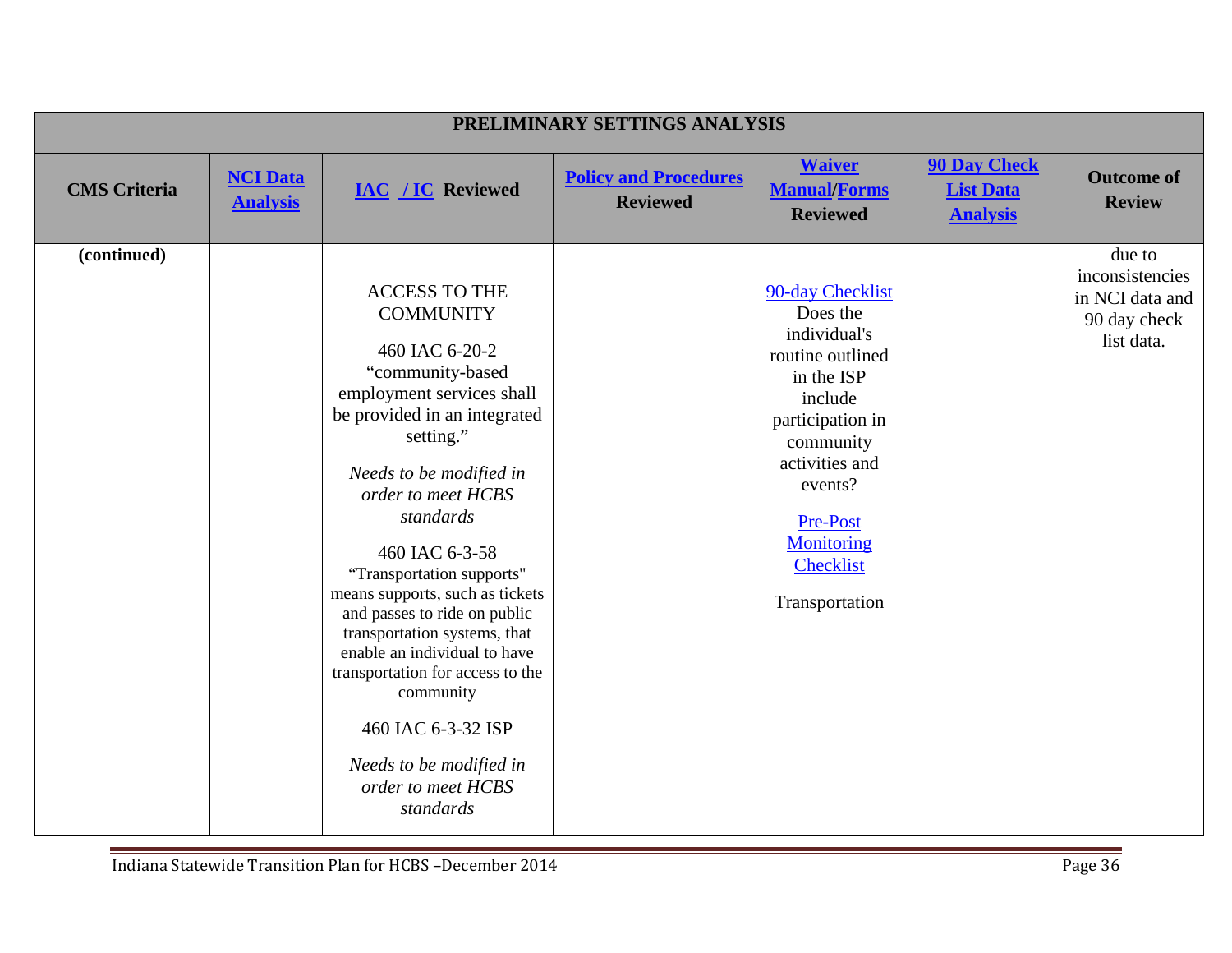| PRELIMINARY SETTINGS ANALYSIS |                                    |                                                                                                                                                                                                                                                                                                                                                                                                                                                                                                                                               |                                                 |                                                                                                                                                                                                                                |                                                            |                                                                            |
|-------------------------------|------------------------------------|-----------------------------------------------------------------------------------------------------------------------------------------------------------------------------------------------------------------------------------------------------------------------------------------------------------------------------------------------------------------------------------------------------------------------------------------------------------------------------------------------------------------------------------------------|-------------------------------------------------|--------------------------------------------------------------------------------------------------------------------------------------------------------------------------------------------------------------------------------|------------------------------------------------------------|----------------------------------------------------------------------------|
| <b>CMS</b> Criteria           | <b>NCI Data</b><br><b>Analysis</b> | <b>IAC / IC Reviewed</b>                                                                                                                                                                                                                                                                                                                                                                                                                                                                                                                      | <b>Policy and Procedures</b><br><b>Reviewed</b> | <b>Waiver</b><br><b>Manual/Forms</b><br><b>Reviewed</b>                                                                                                                                                                        | <b>90 Day Check</b><br><b>List Data</b><br><b>Analysis</b> | <b>Outcome of</b><br><b>Review</b>                                         |
| (continued)                   |                                    | <b>ACCESS TO THE</b><br><b>COMMUNITY</b><br>460 IAC 6-20-2<br>"community-based<br>employment services shall<br>be provided in an integrated<br>setting."<br>Needs to be modified in<br>order to meet HCBS<br>standards<br>460 IAC 6-3-58<br>"Transportation supports"<br>means supports, such as tickets<br>and passes to ride on public<br>transportation systems, that<br>enable an individual to have<br>transportation for access to the<br>community<br>460 IAC 6-3-32 ISP<br>Needs to be modified in<br>order to meet HCBS<br>standards |                                                 | 90-day Checklist<br>Does the<br>individual's<br>routine outlined<br>in the ISP<br>include<br>participation in<br>community<br>activities and<br>events?<br>Pre-Post<br><b>Monitoring</b><br><b>Checklist</b><br>Transportation |                                                            | due to<br>inconsistencies<br>in NCI data and<br>90 day check<br>list data. |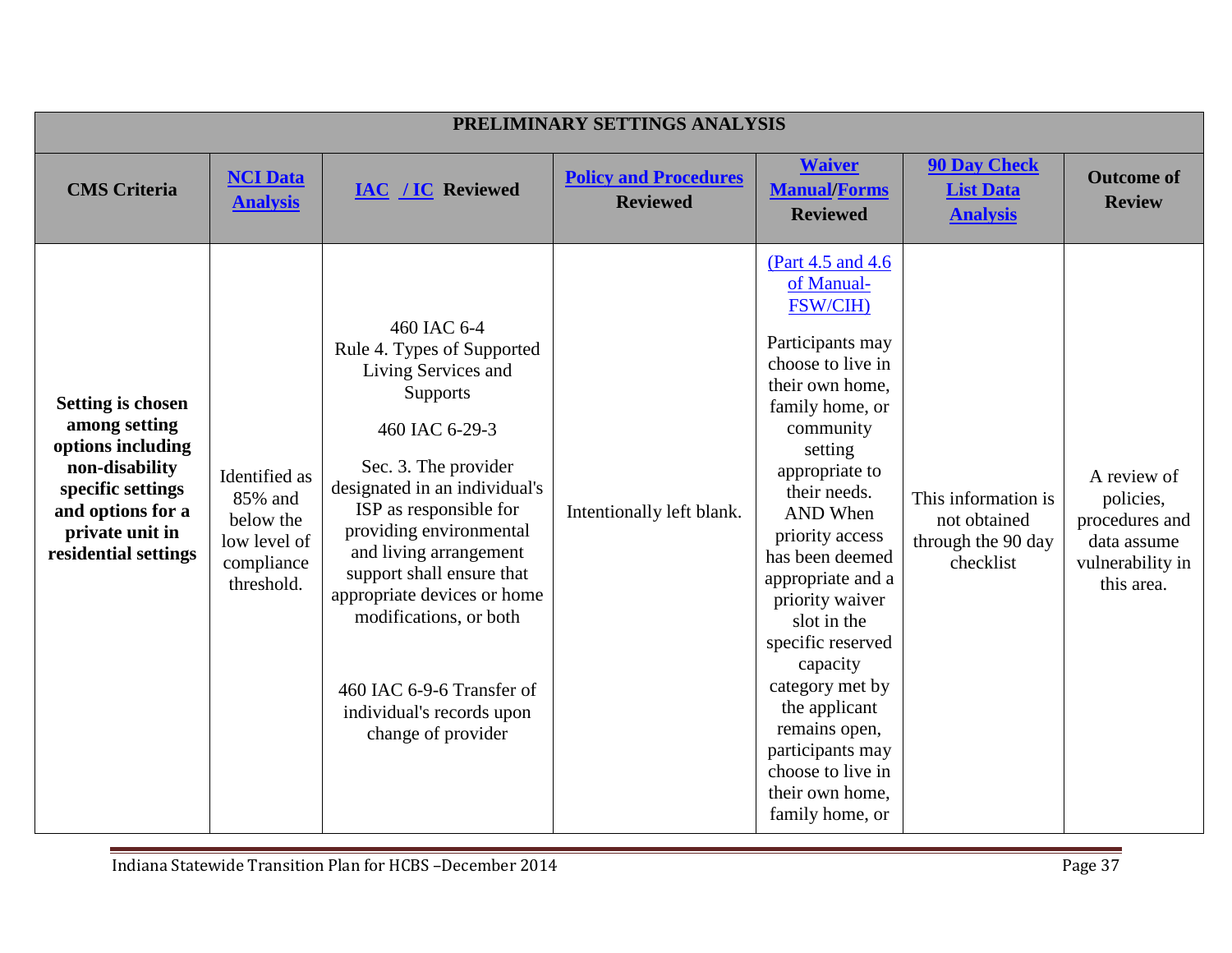| PRELIMINARY SETTINGS ANALYSIS                                                                                                                                         |                                                                                   |                                                                                                                                                                                                                                                                                                                                                                                                                     |                                                 |                                                                                                                                                                                                                                                                                                                                                                                                                                                                                   |                                                                        |                                                                                             |  |  |
|-----------------------------------------------------------------------------------------------------------------------------------------------------------------------|-----------------------------------------------------------------------------------|---------------------------------------------------------------------------------------------------------------------------------------------------------------------------------------------------------------------------------------------------------------------------------------------------------------------------------------------------------------------------------------------------------------------|-------------------------------------------------|-----------------------------------------------------------------------------------------------------------------------------------------------------------------------------------------------------------------------------------------------------------------------------------------------------------------------------------------------------------------------------------------------------------------------------------------------------------------------------------|------------------------------------------------------------------------|---------------------------------------------------------------------------------------------|--|--|
| <b>CMS</b> Criteria                                                                                                                                                   | <b>NCI Data</b><br><b>Analysis</b>                                                | <b>IAC /IC Reviewed</b>                                                                                                                                                                                                                                                                                                                                                                                             | <b>Policy and Procedures</b><br><b>Reviewed</b> | <b>Waiver</b><br><b>Manual/Forms</b><br><b>Reviewed</b>                                                                                                                                                                                                                                                                                                                                                                                                                           | <b>90 Day Check</b><br><b>List Data</b><br><b>Analysis</b>             | <b>Outcome of</b><br><b>Review</b>                                                          |  |  |
| <b>Setting is chosen</b><br>among setting<br>options including<br>non-disability<br>specific settings<br>and options for a<br>private unit in<br>residential settings | Identified as<br>85% and<br>below the<br>low level of<br>compliance<br>threshold. | 460 IAC 6-4<br>Rule 4. Types of Supported<br>Living Services and<br><b>Supports</b><br>460 IAC 6-29-3<br>Sec. 3. The provider<br>designated in an individual's<br>ISP as responsible for<br>providing environmental<br>and living arrangement<br>support shall ensure that<br>appropriate devices or home<br>modifications, or both<br>460 IAC 6-9-6 Transfer of<br>individual's records upon<br>change of provider | Intentionally left blank.                       | (Part 4.5 and 4.6)<br>of Manual-<br><b>FSW/CIH)</b><br>Participants may<br>choose to live in<br>their own home,<br>family home, or<br>community<br>setting<br>appropriate to<br>their needs.<br><b>AND</b> When<br>priority access<br>has been deemed<br>appropriate and a<br>priority waiver<br>slot in the<br>specific reserved<br>capacity<br>category met by<br>the applicant<br>remains open,<br>participants may<br>choose to live in<br>their own home,<br>family home, or | This information is<br>not obtained<br>through the 90 day<br>checklist | A review of<br>policies,<br>procedures and<br>data assume<br>vulnerability in<br>this area. |  |  |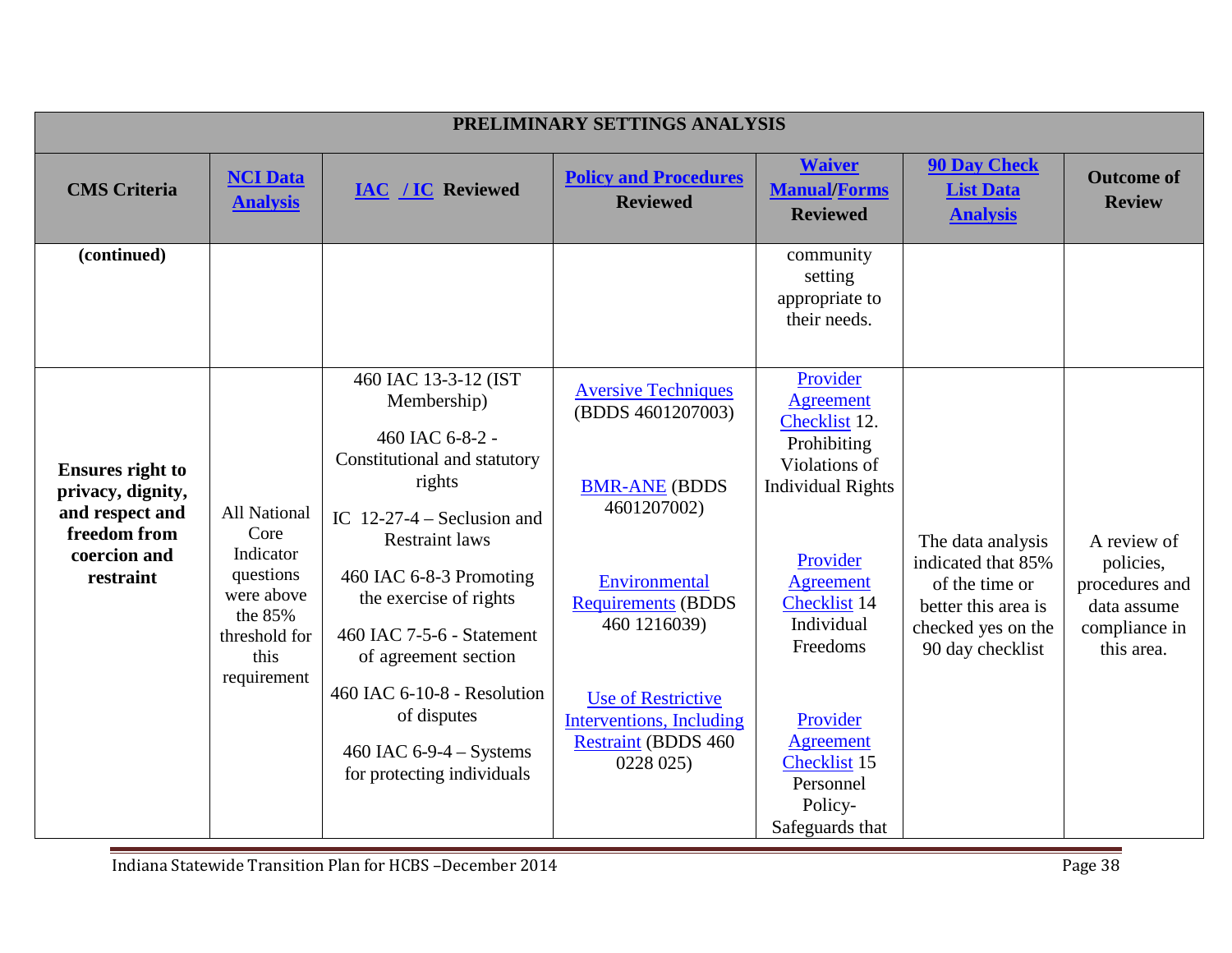| PRELIMINARY SETTINGS ANALYSIS                                                                                |                                                                                                                        |                                                                                                                                                                                                                                                                                                                                                                              |                                                                                                                                                                                                                                                           |                                                                                                                                                                                                                                                                                |                                                                                                                            |                                                                                          |  |
|--------------------------------------------------------------------------------------------------------------|------------------------------------------------------------------------------------------------------------------------|------------------------------------------------------------------------------------------------------------------------------------------------------------------------------------------------------------------------------------------------------------------------------------------------------------------------------------------------------------------------------|-----------------------------------------------------------------------------------------------------------------------------------------------------------------------------------------------------------------------------------------------------------|--------------------------------------------------------------------------------------------------------------------------------------------------------------------------------------------------------------------------------------------------------------------------------|----------------------------------------------------------------------------------------------------------------------------|------------------------------------------------------------------------------------------|--|
| <b>CMS</b> Criteria                                                                                          | <b>NCI Data</b><br><b>Analysis</b>                                                                                     | <b>IAC</b> / <b>IC</b> Reviewed                                                                                                                                                                                                                                                                                                                                              | <b>Policy and Procedures</b><br><b>Reviewed</b>                                                                                                                                                                                                           | <b>Waiver</b><br><b>Manual/Forms</b><br><b>Reviewed</b>                                                                                                                                                                                                                        | <b>90 Day Check</b><br><b>List Data</b><br><b>Analysis</b>                                                                 | <b>Outcome of</b><br><b>Review</b>                                                       |  |
| (continued)                                                                                                  |                                                                                                                        |                                                                                                                                                                                                                                                                                                                                                                              |                                                                                                                                                                                                                                                           | community<br>setting<br>appropriate to<br>their needs.                                                                                                                                                                                                                         |                                                                                                                            |                                                                                          |  |
| <b>Ensures right to</b><br>privacy, dignity,<br>and respect and<br>freedom from<br>coercion and<br>restraint | <b>All National</b><br>Core<br>Indicator<br>questions<br>were above<br>the 85%<br>threshold for<br>this<br>requirement | 460 IAC 13-3-12 (IST<br>Membership)<br>460 IAC 6-8-2 -<br>Constitutional and statutory<br>rights<br>IC $12-27-4$ – Seclusion and<br><b>Restraint laws</b><br>460 IAC 6-8-3 Promoting<br>the exercise of rights<br>460 IAC 7-5-6 - Statement<br>of agreement section<br>460 IAC 6-10-8 - Resolution<br>of disputes<br>460 IAC 6-9-4 $-$ Systems<br>for protecting individuals | <b>Aversive Techniques</b><br>(BDDS 4601207003)<br><b>BMR-ANE (BDDS</b><br>4601207002)<br>Environmental<br><b>Requirements (BDDS</b><br>460 1216039)<br><b>Use of Restrictive</b><br>Interventions, Including<br><b>Restraint (BDDS 460)</b><br>0228 025) | Provider<br><b>Agreement</b><br>Checklist 12.<br>Prohibiting<br>Violations of<br><b>Individual Rights</b><br>Provider<br>Agreement<br><b>Checklist 14</b><br>Individual<br>Freedoms<br>Provider<br><b>Agreement</b><br>Checklist 15<br>Personnel<br>Policy-<br>Safeguards that | The data analysis<br>indicated that 85%<br>of the time or<br>better this area is<br>checked yes on the<br>90 day checklist | A review of<br>policies,<br>procedures and<br>data assume<br>compliance in<br>this area. |  |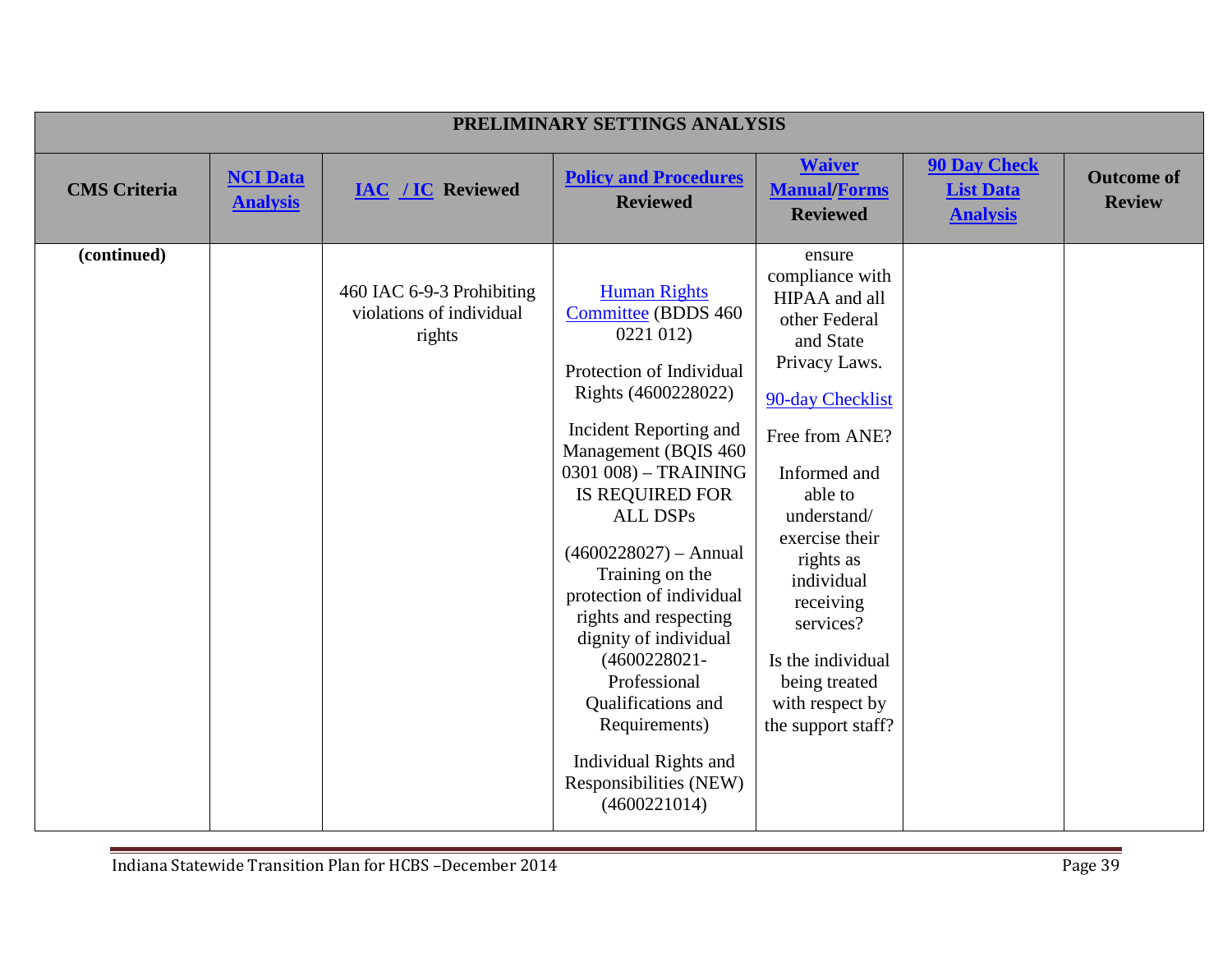|                     | PRELIMINARY SETTINGS ANALYSIS      |                                                                 |                                                                                                                                                                                                                                                                                                                                                                                                                                                                                                            |                                                                                                                                                                                                                                                                                                                                 |                                                            |                                    |  |  |
|---------------------|------------------------------------|-----------------------------------------------------------------|------------------------------------------------------------------------------------------------------------------------------------------------------------------------------------------------------------------------------------------------------------------------------------------------------------------------------------------------------------------------------------------------------------------------------------------------------------------------------------------------------------|---------------------------------------------------------------------------------------------------------------------------------------------------------------------------------------------------------------------------------------------------------------------------------------------------------------------------------|------------------------------------------------------------|------------------------------------|--|--|
| <b>CMS</b> Criteria | <b>NCI Data</b><br><b>Analysis</b> | <b>IAC / IC Reviewed</b>                                        | <b>Policy and Procedures</b><br><b>Reviewed</b>                                                                                                                                                                                                                                                                                                                                                                                                                                                            | <b>Waiver</b><br><b>Manual/Forms</b><br><b>Reviewed</b>                                                                                                                                                                                                                                                                         | <b>90 Day Check</b><br><b>List Data</b><br><b>Analysis</b> | <b>Outcome of</b><br><b>Review</b> |  |  |
| (continued)         |                                    | 460 IAC 6-9-3 Prohibiting<br>violations of individual<br>rights | <b>Human Rights</b><br><b>Committee</b> (BDDS 460<br>0221 012)<br>Protection of Individual<br>Rights (4600228022)<br>Incident Reporting and<br>Management (BQIS 460<br>0301 008) - TRAINING<br>IS REQUIRED FOR<br><b>ALL DSPs</b><br>$(4600228027)$ - Annual<br>Training on the<br>protection of individual<br>rights and respecting<br>dignity of individual<br>$(4600228021 -$<br>Professional<br>Qualifications and<br>Requirements)<br>Individual Rights and<br>Responsibilities (NEW)<br>(4600221014) | ensure<br>compliance with<br>HIPAA and all<br>other Federal<br>and State<br>Privacy Laws.<br>90-day Checklist<br>Free from ANE?<br>Informed and<br>able to<br>understand/<br>exercise their<br>rights as<br>individual<br>receiving<br>services?<br>Is the individual<br>being treated<br>with respect by<br>the support staff? |                                                            |                                    |  |  |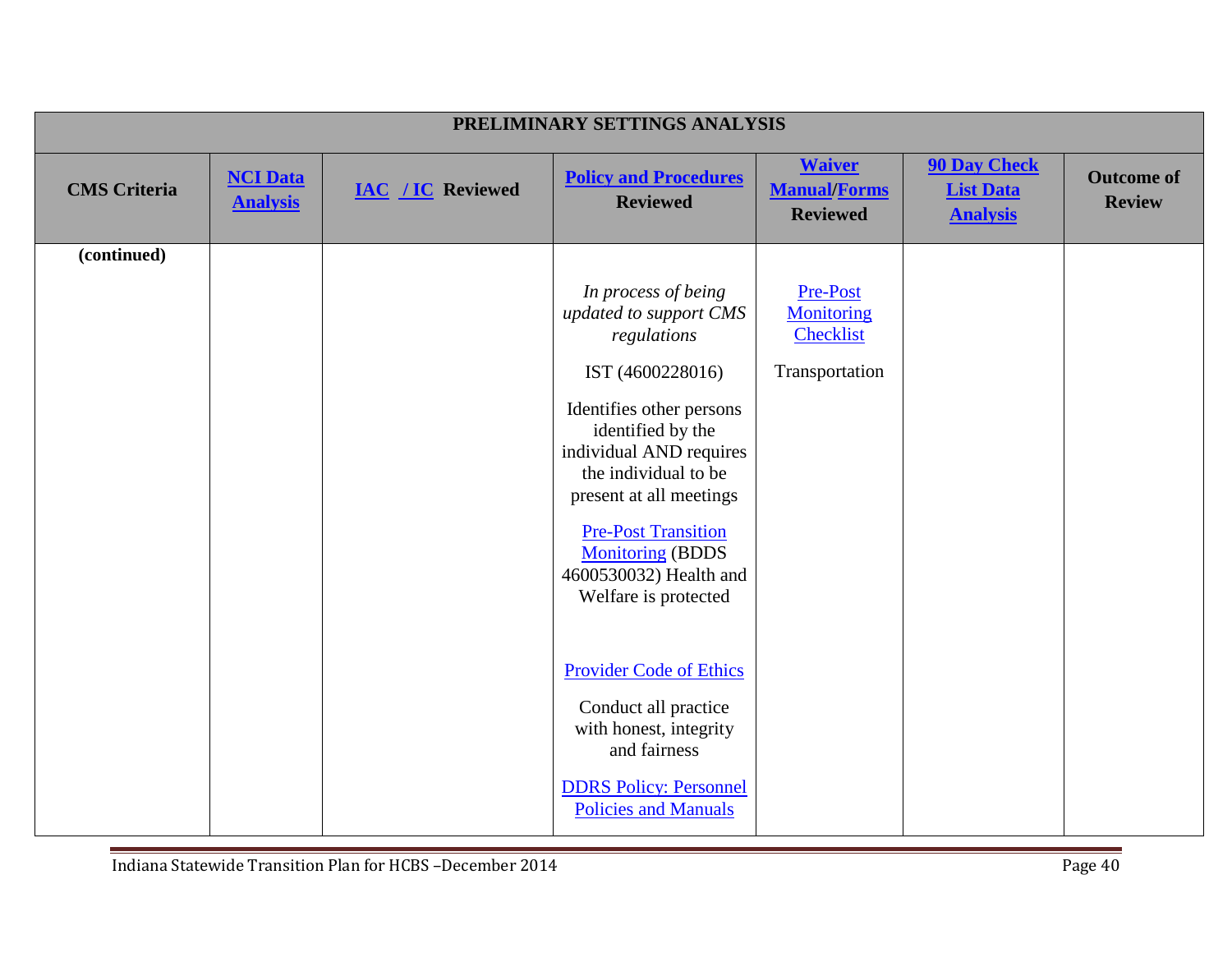|                     | PRELIMINARY SETTINGS ANALYSIS      |                          |                                                                                                                                                                                                                                                                                                                            |                                                              |                                                            |                                    |  |  |
|---------------------|------------------------------------|--------------------------|----------------------------------------------------------------------------------------------------------------------------------------------------------------------------------------------------------------------------------------------------------------------------------------------------------------------------|--------------------------------------------------------------|------------------------------------------------------------|------------------------------------|--|--|
| <b>CMS</b> Criteria | <b>NCI Data</b><br><b>Analysis</b> | <b>IAC / IC Reviewed</b> | <b>Policy and Procedures</b><br><b>Reviewed</b>                                                                                                                                                                                                                                                                            | <b>Waiver</b><br><b>Manual/Forms</b><br><b>Reviewed</b>      | <b>90 Day Check</b><br><b>List Data</b><br><b>Analysis</b> | <b>Outcome of</b><br><b>Review</b> |  |  |
| (continued)         |                                    |                          |                                                                                                                                                                                                                                                                                                                            |                                                              |                                                            |                                    |  |  |
|                     |                                    |                          | In process of being<br>updated to support CMS<br>regulations<br>IST (4600228016)<br>Identifies other persons<br>identified by the<br>individual AND requires<br>the individual to be<br>present at all meetings<br><b>Pre-Post Transition</b><br><b>Monitoring (BDDS</b><br>4600530032) Health and<br>Welfare is protected | Pre-Post<br><b>Monitoring</b><br>Checklist<br>Transportation |                                                            |                                    |  |  |
|                     |                                    |                          | <b>Provider Code of Ethics</b><br>Conduct all practice<br>with honest, integrity<br>and fairness<br><b>DDRS</b> Policy: Personnel<br><b>Policies and Manuals</b>                                                                                                                                                           |                                                              |                                                            |                                    |  |  |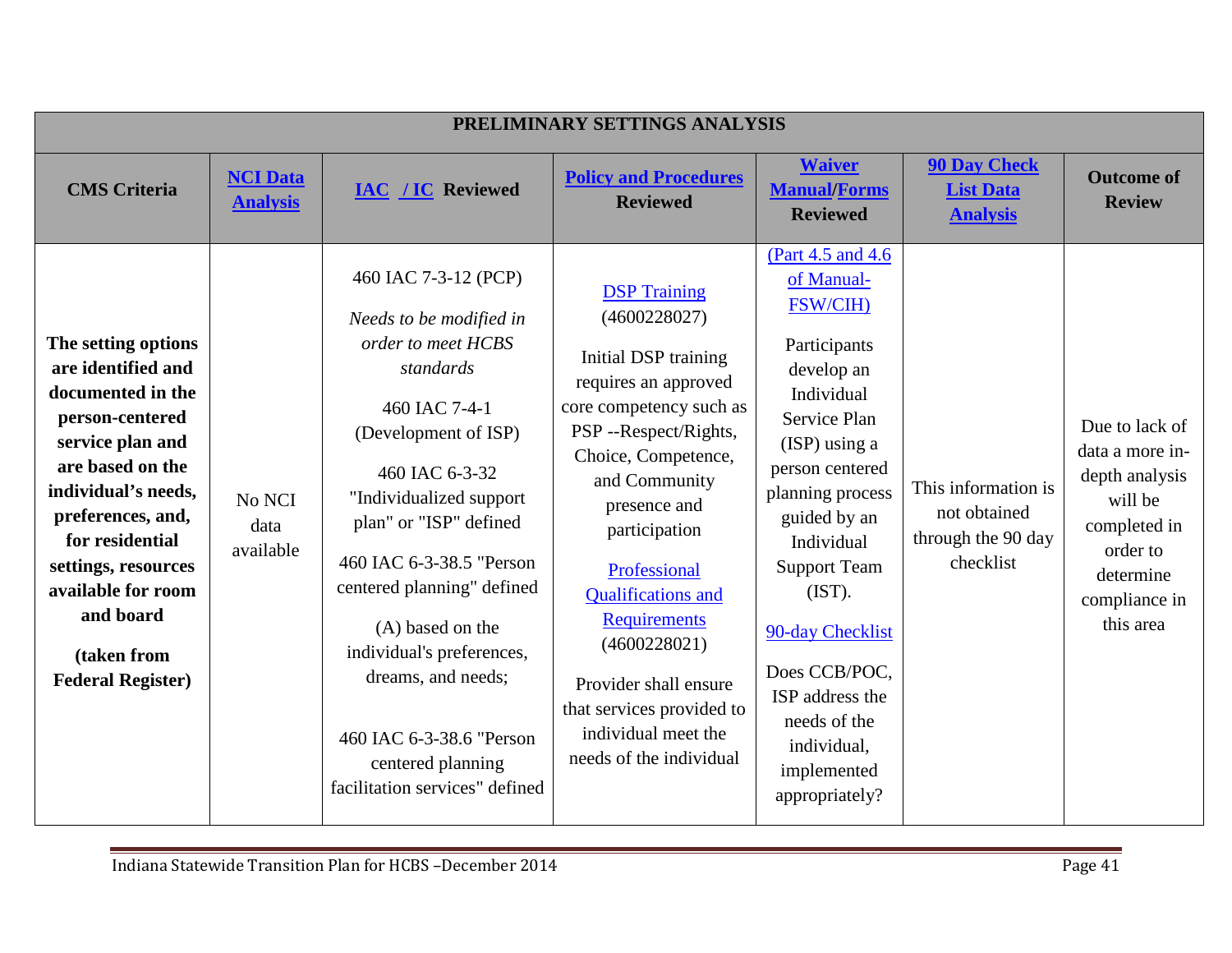| PRELIMINARY SETTINGS ANALYSIS                                                                                                                                                                                                                                                                 |                                    |                                                                                                                                                                                                                                                                                                                                                                                                                        |                                                                                                                                                                                                                                                                                                                                                                                                             |                                                                                                                                                                                                                                                                                                                                                                  |                                                                        |                                                                                                                                       |  |  |
|-----------------------------------------------------------------------------------------------------------------------------------------------------------------------------------------------------------------------------------------------------------------------------------------------|------------------------------------|------------------------------------------------------------------------------------------------------------------------------------------------------------------------------------------------------------------------------------------------------------------------------------------------------------------------------------------------------------------------------------------------------------------------|-------------------------------------------------------------------------------------------------------------------------------------------------------------------------------------------------------------------------------------------------------------------------------------------------------------------------------------------------------------------------------------------------------------|------------------------------------------------------------------------------------------------------------------------------------------------------------------------------------------------------------------------------------------------------------------------------------------------------------------------------------------------------------------|------------------------------------------------------------------------|---------------------------------------------------------------------------------------------------------------------------------------|--|--|
| <b>CMS</b> Criteria                                                                                                                                                                                                                                                                           | <b>NCI Data</b><br><b>Analysis</b> | <b>IAC</b> / <b>IC</b> Reviewed                                                                                                                                                                                                                                                                                                                                                                                        | <b>Policy and Procedures</b><br><b>Reviewed</b>                                                                                                                                                                                                                                                                                                                                                             | <b>Waiver</b><br><b>Manual/Forms</b><br><b>Reviewed</b>                                                                                                                                                                                                                                                                                                          | <b>90 Day Check</b><br><b>List Data</b><br><b>Analysis</b>             | <b>Outcome of</b><br><b>Review</b>                                                                                                    |  |  |
| The setting options<br>are identified and<br>documented in the<br>person-centered<br>service plan and<br>are based on the<br>individual's needs,<br>preferences, and,<br>for residential<br>settings, resources<br>available for room<br>and board<br>(taken from<br><b>Federal Register)</b> | No NCI<br>data<br>available        | 460 IAC 7-3-12 (PCP)<br>Needs to be modified in<br>order to meet HCBS<br>standards<br>460 IAC 7-4-1<br>(Development of ISP)<br>460 IAC 6-3-32<br>"Individualized support<br>plan" or "ISP" defined<br>460 IAC 6-3-38.5 "Person<br>centered planning" defined<br>(A) based on the<br>individual's preferences,<br>dreams, and needs;<br>460 IAC 6-3-38.6 "Person<br>centered planning<br>facilitation services" defined | <b>DSP</b> Training<br>(4600228027)<br>Initial DSP training<br>requires an approved<br>core competency such as<br>PSP--Respect/Rights,<br>Choice, Competence,<br>and Community<br>presence and<br>participation<br>Professional<br><b>Qualifications</b> and<br><b>Requirements</b><br>(4600228021)<br>Provider shall ensure<br>that services provided to<br>individual meet the<br>needs of the individual | (Part 4.5 and 4.6)<br>of Manual-<br><b>FSW/CIH)</b><br>Participants<br>develop an<br>Individual<br>Service Plan<br>$(ISP)$ using a<br>person centered<br>planning process<br>guided by an<br>Individual<br><b>Support Team</b><br>(IST).<br>90-day Checklist<br>Does CCB/POC,<br>ISP address the<br>needs of the<br>individual,<br>implemented<br>appropriately? | This information is<br>not obtained<br>through the 90 day<br>checklist | Due to lack of<br>data a more in-<br>depth analysis<br>will be<br>completed in<br>order to<br>determine<br>compliance in<br>this area |  |  |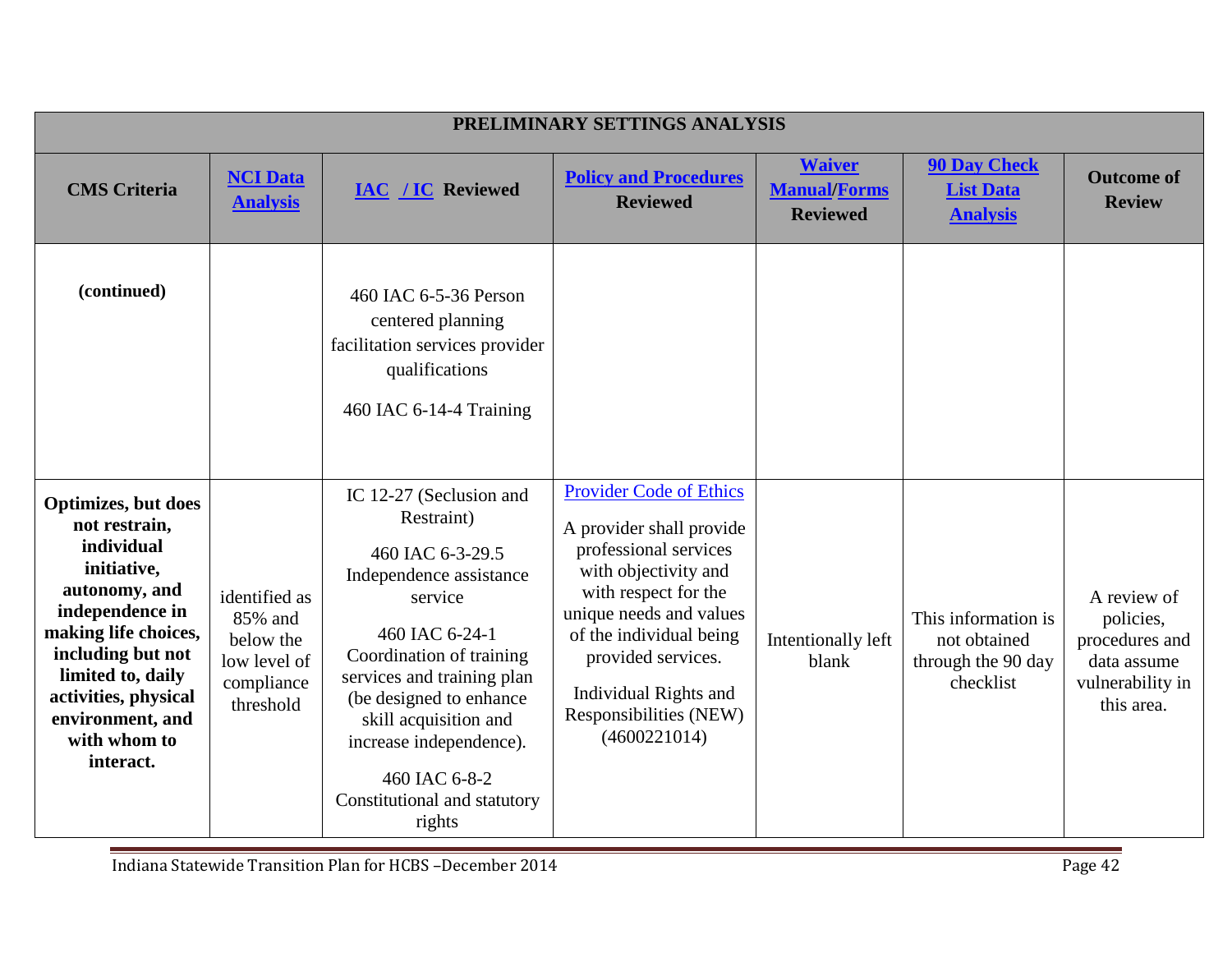|                                                                                                                                                                                                                                                  | PRELIMINARY SETTINGS ANALYSIS                                                    |                                                                                                                                                                                                                                                                                                                       |                                                                                                                                                                                                                                                                                    |                                                         |                                                                        |                                                                                             |  |  |
|--------------------------------------------------------------------------------------------------------------------------------------------------------------------------------------------------------------------------------------------------|----------------------------------------------------------------------------------|-----------------------------------------------------------------------------------------------------------------------------------------------------------------------------------------------------------------------------------------------------------------------------------------------------------------------|------------------------------------------------------------------------------------------------------------------------------------------------------------------------------------------------------------------------------------------------------------------------------------|---------------------------------------------------------|------------------------------------------------------------------------|---------------------------------------------------------------------------------------------|--|--|
| <b>CMS</b> Criteria                                                                                                                                                                                                                              | <b>NCI Data</b><br><b>Analysis</b>                                               | <b>IAC / IC Reviewed</b>                                                                                                                                                                                                                                                                                              | <b>Policy and Procedures</b><br><b>Reviewed</b>                                                                                                                                                                                                                                    | <b>Waiver</b><br><b>Manual/Forms</b><br><b>Reviewed</b> | <b>90 Day Check</b><br><b>List Data</b><br><b>Analysis</b>             | <b>Outcome of</b><br><b>Review</b>                                                          |  |  |
| (continued)                                                                                                                                                                                                                                      |                                                                                  | 460 IAC 6-5-36 Person<br>centered planning<br>facilitation services provider<br>qualifications<br>460 IAC 6-14-4 Training                                                                                                                                                                                             |                                                                                                                                                                                                                                                                                    |                                                         |                                                                        |                                                                                             |  |  |
| Optimizes, but does<br>not restrain,<br>individual<br>initiative,<br>autonomy, and<br>independence in<br>making life choices,<br>including but not<br>limited to, daily<br>activities, physical<br>environment, and<br>with whom to<br>interact. | identified as<br>85% and<br>below the<br>low level of<br>compliance<br>threshold | IC 12-27 (Seclusion and<br>Restraint)<br>460 IAC 6-3-29.5<br>Independence assistance<br>service<br>460 IAC 6-24-1<br>Coordination of training<br>services and training plan<br>(be designed to enhance<br>skill acquisition and<br>increase independence).<br>460 IAC 6-8-2<br>Constitutional and statutory<br>rights | <b>Provider Code of Ethics</b><br>A provider shall provide<br>professional services<br>with objectivity and<br>with respect for the<br>unique needs and values<br>of the individual being<br>provided services.<br>Individual Rights and<br>Responsibilities (NEW)<br>(4600221014) | Intentionally left<br>blank                             | This information is<br>not obtained<br>through the 90 day<br>checklist | A review of<br>policies,<br>procedures and<br>data assume<br>vulnerability in<br>this area. |  |  |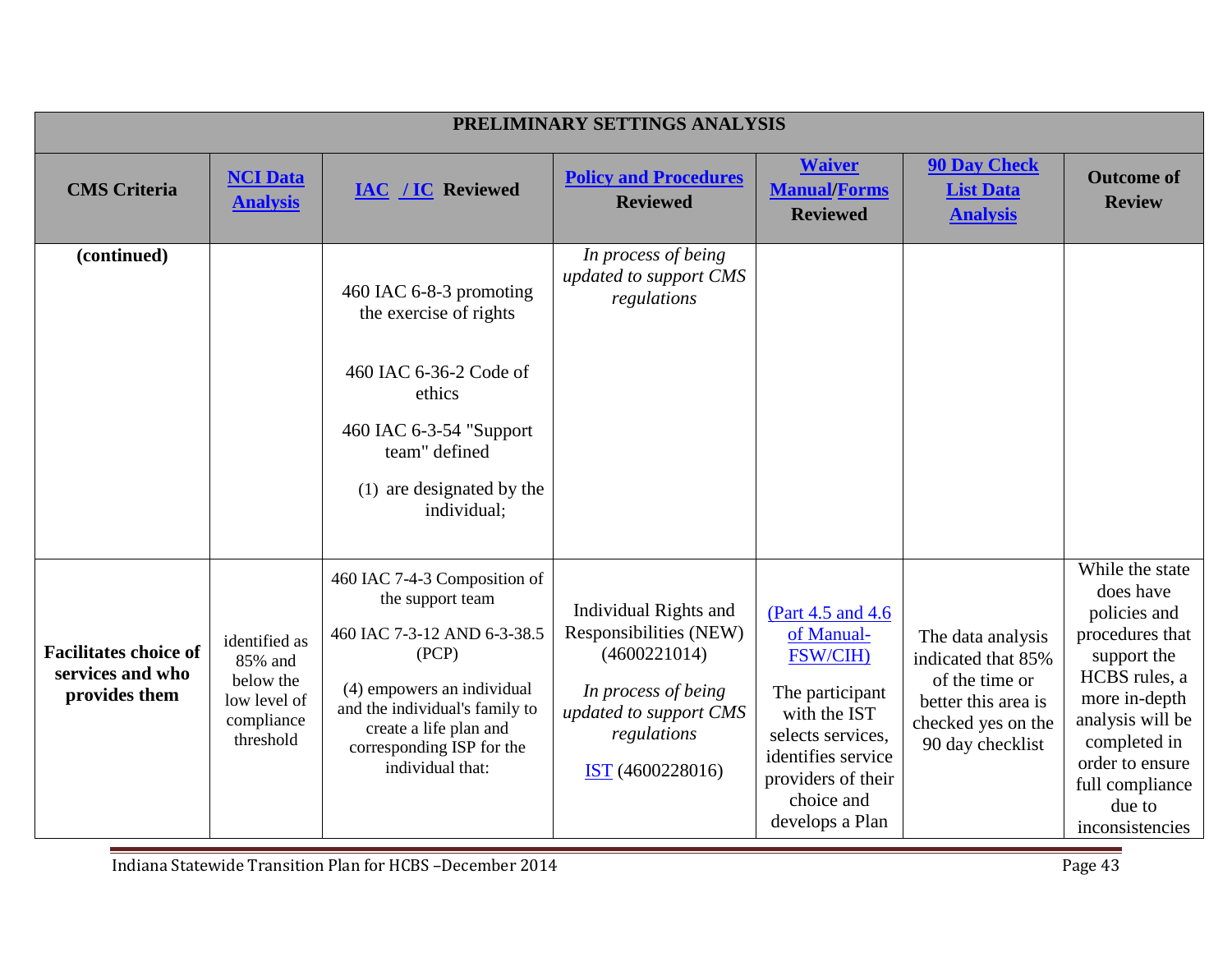|                                                                   |                                                                                  |                                                                                                                                                                                                                                     | PRELIMINARY SETTINGS ANALYSIS                                                                                                                              |                                                                                                                                                                                   |                                                                                                                            |                                                                                                                                                                                                                         |
|-------------------------------------------------------------------|----------------------------------------------------------------------------------|-------------------------------------------------------------------------------------------------------------------------------------------------------------------------------------------------------------------------------------|------------------------------------------------------------------------------------------------------------------------------------------------------------|-----------------------------------------------------------------------------------------------------------------------------------------------------------------------------------|----------------------------------------------------------------------------------------------------------------------------|-------------------------------------------------------------------------------------------------------------------------------------------------------------------------------------------------------------------------|
| <b>CMS</b> Criteria                                               | <b>NCI Data</b><br><b>Analysis</b>                                               | <b>IAC / IC Reviewed</b>                                                                                                                                                                                                            | <b>Policy and Procedures</b><br><b>Reviewed</b>                                                                                                            | <b>Waiver</b><br><b>Manual/Forms</b><br><b>Reviewed</b>                                                                                                                           | <b>90 Day Check</b><br><b>List Data</b><br><b>Analysis</b>                                                                 | <b>Outcome of</b><br><b>Review</b>                                                                                                                                                                                      |
| (continued)                                                       |                                                                                  | 460 IAC 6-8-3 promoting<br>the exercise of rights<br>460 IAC 6-36-2 Code of<br>ethics<br>460 IAC 6-3-54 "Support<br>team" defined<br>(1) are designated by the<br>individual;                                                       | In process of being<br>updated to support CMS<br>regulations                                                                                               |                                                                                                                                                                                   |                                                                                                                            |                                                                                                                                                                                                                         |
| <b>Facilitates choice of</b><br>services and who<br>provides them | identified as<br>85% and<br>below the<br>low level of<br>compliance<br>threshold | 460 IAC 7-4-3 Composition of<br>the support team<br>460 IAC 7-3-12 AND 6-3-38.5<br>(PCP)<br>(4) empowers an individual<br>and the individual's family to<br>create a life plan and<br>corresponding ISP for the<br>individual that: | Individual Rights and<br>Responsibilities (NEW)<br>(4600221014)<br>In process of being<br>updated to support CMS<br>regulations<br><b>IST</b> (4600228016) | (Part 4.5 and 4.6)<br>of Manual-<br>FSW/CIH)<br>The participant<br>with the IST<br>selects services,<br>identifies service<br>providers of their<br>choice and<br>develops a Plan | The data analysis<br>indicated that 85%<br>of the time or<br>better this area is<br>checked yes on the<br>90 day checklist | While the state<br>does have<br>policies and<br>procedures that<br>support the<br>HCBS rules, a<br>more in-depth<br>analysis will be<br>completed in<br>order to ensure<br>full compliance<br>due to<br>inconsistencies |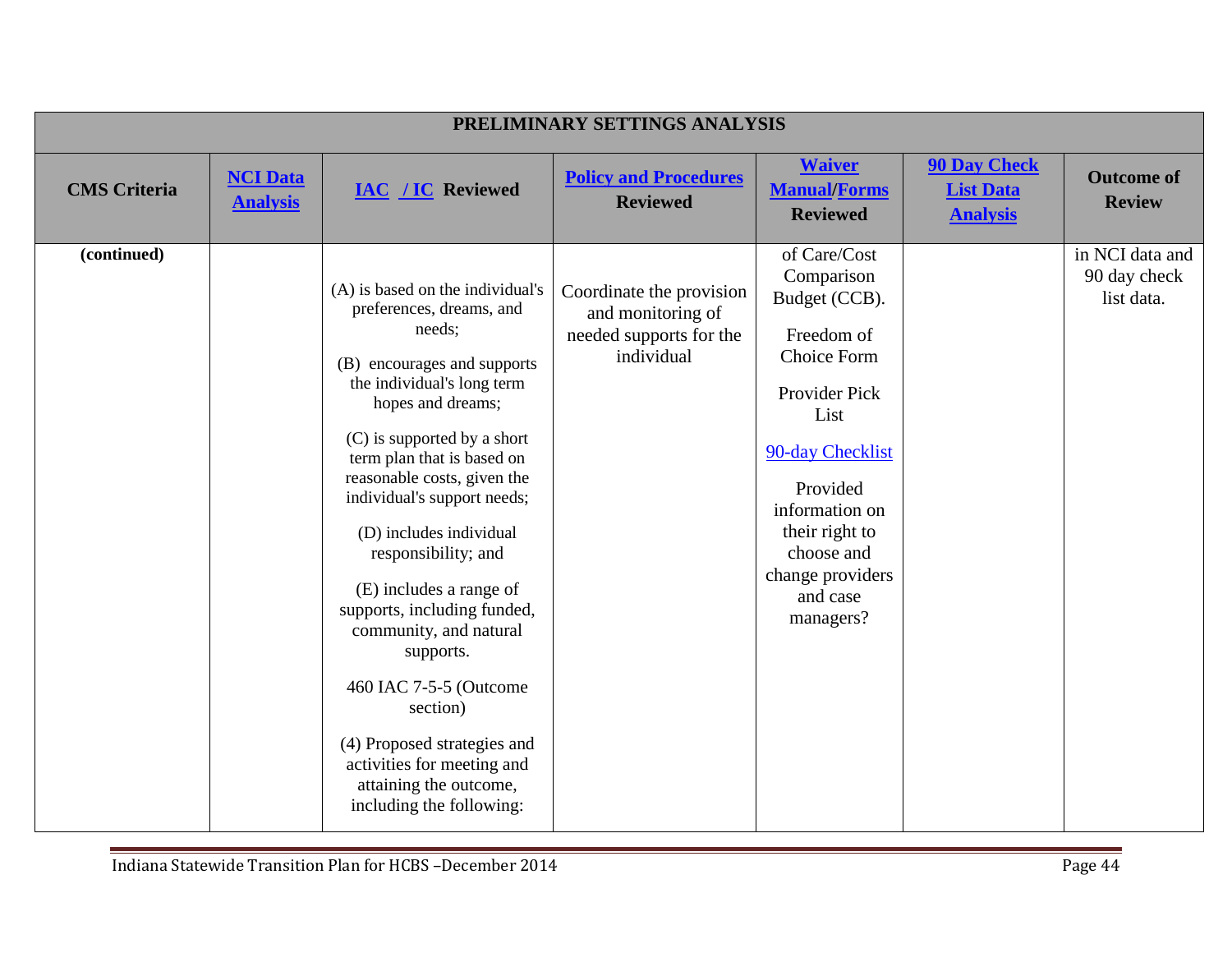|                     | PRELIMINARY SETTINGS ANALYSIS      |                                                                                                                                                                                                                                                                                                                                                                                                                                                                                                                                                                                                 |                                                                                        |                                                                                                                                                                                                                                         |                                                            |                                               |  |  |
|---------------------|------------------------------------|-------------------------------------------------------------------------------------------------------------------------------------------------------------------------------------------------------------------------------------------------------------------------------------------------------------------------------------------------------------------------------------------------------------------------------------------------------------------------------------------------------------------------------------------------------------------------------------------------|----------------------------------------------------------------------------------------|-----------------------------------------------------------------------------------------------------------------------------------------------------------------------------------------------------------------------------------------|------------------------------------------------------------|-----------------------------------------------|--|--|
| <b>CMS</b> Criteria | <b>NCI Data</b><br><b>Analysis</b> | <b>IAC / IC Reviewed</b>                                                                                                                                                                                                                                                                                                                                                                                                                                                                                                                                                                        | <b>Policy and Procedures</b><br><b>Reviewed</b>                                        | <b>Waiver</b><br><b>Manual/Forms</b><br><b>Reviewed</b>                                                                                                                                                                                 | <b>90 Day Check</b><br><b>List Data</b><br><b>Analysis</b> | <b>Outcome of</b><br><b>Review</b>            |  |  |
| (continued)         |                                    | (A) is based on the individual's<br>preferences, dreams, and<br>needs;<br>(B) encourages and supports<br>the individual's long term<br>hopes and dreams;<br>(C) is supported by a short<br>term plan that is based on<br>reasonable costs, given the<br>individual's support needs;<br>(D) includes individual<br>responsibility; and<br>(E) includes a range of<br>supports, including funded,<br>community, and natural<br>supports.<br>460 IAC 7-5-5 (Outcome<br>section)<br>(4) Proposed strategies and<br>activities for meeting and<br>attaining the outcome,<br>including the following: | Coordinate the provision<br>and monitoring of<br>needed supports for the<br>individual | of Care/Cost<br>Comparison<br>Budget (CCB).<br>Freedom of<br><b>Choice Form</b><br>Provider Pick<br>List<br>90-day Checklist<br>Provided<br>information on<br>their right to<br>choose and<br>change providers<br>and case<br>managers? |                                                            | in NCI data and<br>90 day check<br>list data. |  |  |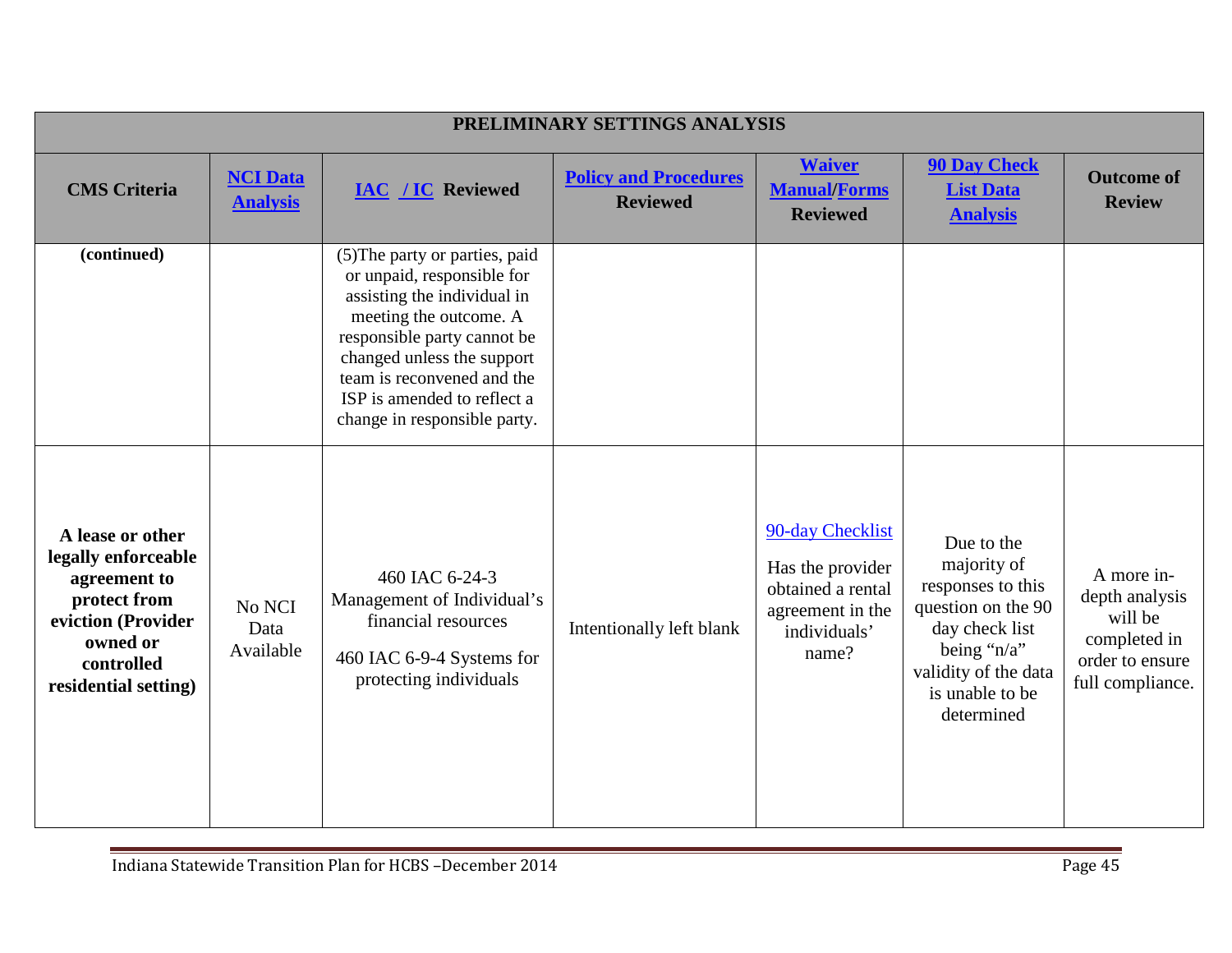| PRELIMINARY SETTINGS ANALYSIS                                                                                                                   |                                    |                                                                                                                                                                                                                                                                                 |                                                 |                                                                                                        |                                                                                                                                                                    |                                                                                                |  |
|-------------------------------------------------------------------------------------------------------------------------------------------------|------------------------------------|---------------------------------------------------------------------------------------------------------------------------------------------------------------------------------------------------------------------------------------------------------------------------------|-------------------------------------------------|--------------------------------------------------------------------------------------------------------|--------------------------------------------------------------------------------------------------------------------------------------------------------------------|------------------------------------------------------------------------------------------------|--|
| <b>CMS</b> Criteria                                                                                                                             | <b>NCI Data</b><br><b>Analysis</b> | <b>IAC / IC Reviewed</b>                                                                                                                                                                                                                                                        | <b>Policy and Procedures</b><br><b>Reviewed</b> | <b>Waiver</b><br><b>Manual/Forms</b><br><b>Reviewed</b>                                                | <b>90 Day Check</b><br><b>List Data</b><br><b>Analysis</b>                                                                                                         | <b>Outcome of</b><br><b>Review</b>                                                             |  |
| (continued)                                                                                                                                     |                                    | (5) The party or parties, paid<br>or unpaid, responsible for<br>assisting the individual in<br>meeting the outcome. A<br>responsible party cannot be<br>changed unless the support<br>team is reconvened and the<br>ISP is amended to reflect a<br>change in responsible party. |                                                 |                                                                                                        |                                                                                                                                                                    |                                                                                                |  |
| A lease or other<br>legally enforceable<br>agreement to<br>protect from<br>eviction (Provider<br>owned or<br>controlled<br>residential setting) | No NCI<br>Data<br>Available        | 460 IAC 6-24-3<br>Management of Individual's<br>financial resources<br>460 IAC 6-9-4 Systems for<br>protecting individuals                                                                                                                                                      | Intentionally left blank                        | 90-day Checklist<br>Has the provider<br>obtained a rental<br>agreement in the<br>individuals'<br>name? | Due to the<br>majority of<br>responses to this<br>question on the 90<br>day check list<br>being " $n/a$ "<br>validity of the data<br>is unable to be<br>determined | A more in-<br>depth analysis<br>will be<br>completed in<br>order to ensure<br>full compliance. |  |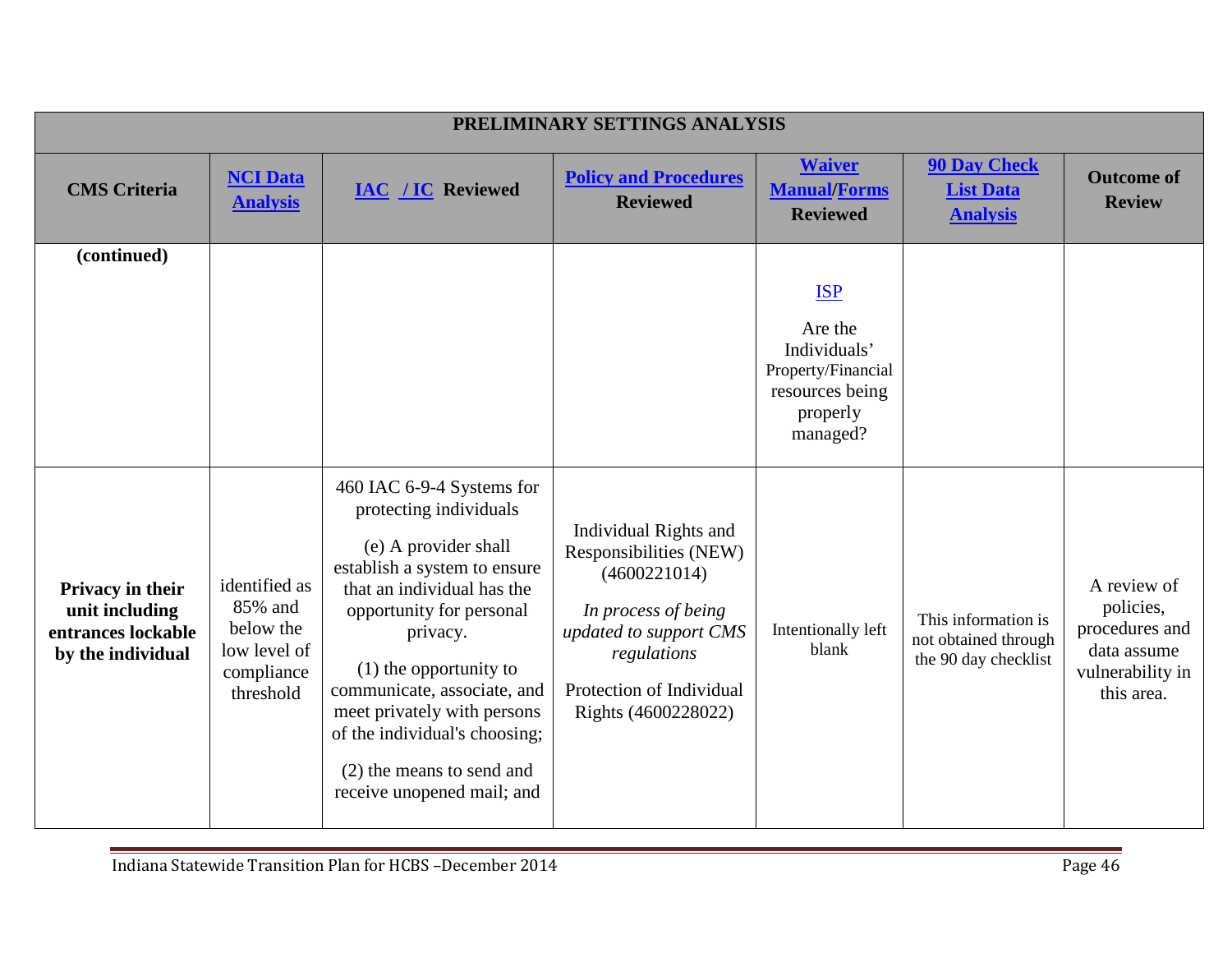| PRELIMINARY SETTINGS ANALYSIS                                                 |                                                                                  |                                                                                                                                                                                                                                                                                                                                                                         |                                                                                                                                                                                    |                                                                                                        |                                                                     |                                                                                             |  |
|-------------------------------------------------------------------------------|----------------------------------------------------------------------------------|-------------------------------------------------------------------------------------------------------------------------------------------------------------------------------------------------------------------------------------------------------------------------------------------------------------------------------------------------------------------------|------------------------------------------------------------------------------------------------------------------------------------------------------------------------------------|--------------------------------------------------------------------------------------------------------|---------------------------------------------------------------------|---------------------------------------------------------------------------------------------|--|
| <b>CMS</b> Criteria                                                           | <b>NCI Data</b><br><b>Analysis</b>                                               | <b>IAC / IC Reviewed</b>                                                                                                                                                                                                                                                                                                                                                | <b>Policy and Procedures</b><br><b>Reviewed</b>                                                                                                                                    | <b>Waiver</b><br><b>Manual/Forms</b><br><b>Reviewed</b>                                                | <b>90 Day Check</b><br><b>List Data</b><br><b>Analysis</b>          | <b>Outcome of</b><br><b>Review</b>                                                          |  |
| (continued)                                                                   |                                                                                  |                                                                                                                                                                                                                                                                                                                                                                         |                                                                                                                                                                                    | <b>ISP</b><br>Are the<br>Individuals'<br>Property/Financial<br>resources being<br>properly<br>managed? |                                                                     |                                                                                             |  |
| Privacy in their<br>unit including<br>entrances lockable<br>by the individual | identified as<br>85% and<br>below the<br>low level of<br>compliance<br>threshold | 460 IAC 6-9-4 Systems for<br>protecting individuals<br>(e) A provider shall<br>establish a system to ensure<br>that an individual has the<br>opportunity for personal<br>privacy.<br>$(1)$ the opportunity to<br>communicate, associate, and<br>meet privately with persons<br>of the individual's choosing;<br>(2) the means to send and<br>receive unopened mail; and | Individual Rights and<br>Responsibilities (NEW)<br>(4600221014)<br>In process of being<br>updated to support CMS<br>regulations<br>Protection of Individual<br>Rights (4600228022) | Intentionally left<br>blank                                                                            | This information is<br>not obtained through<br>the 90 day checklist | A review of<br>policies,<br>procedures and<br>data assume<br>vulnerability in<br>this area. |  |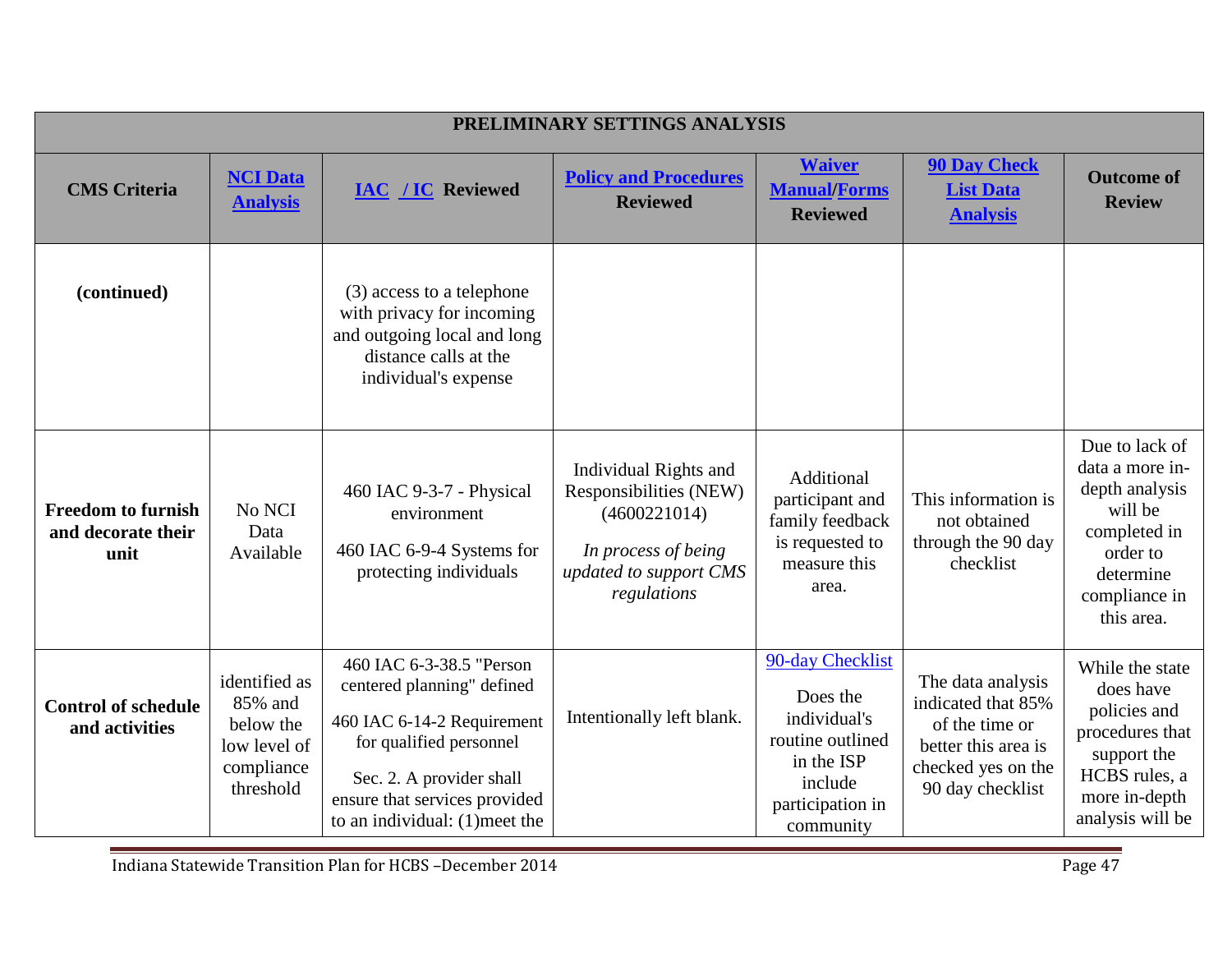|                                                         |                                                                                  |                                                                                                                                                                                                                | PRELIMINARY SETTINGS ANALYSIS                                                                                                   |                                                                                                                            |                                                                                                                            |                                                                                                                                        |
|---------------------------------------------------------|----------------------------------------------------------------------------------|----------------------------------------------------------------------------------------------------------------------------------------------------------------------------------------------------------------|---------------------------------------------------------------------------------------------------------------------------------|----------------------------------------------------------------------------------------------------------------------------|----------------------------------------------------------------------------------------------------------------------------|----------------------------------------------------------------------------------------------------------------------------------------|
| <b>CMS</b> Criteria                                     | <b>NCI Data</b><br><b>Analysis</b>                                               | <b>IAC / IC Reviewed</b>                                                                                                                                                                                       | <b>Policy and Procedures</b><br><b>Reviewed</b>                                                                                 | <b>Waiver</b><br><b>Manual/Forms</b><br><b>Reviewed</b>                                                                    | <b>90 Day Check</b><br><b>List Data</b><br><b>Analysis</b>                                                                 | <b>Outcome of</b><br><b>Review</b>                                                                                                     |
| (continued)                                             |                                                                                  | (3) access to a telephone<br>with privacy for incoming<br>and outgoing local and long<br>distance calls at the<br>individual's expense                                                                         |                                                                                                                                 |                                                                                                                            |                                                                                                                            |                                                                                                                                        |
| <b>Freedom to furnish</b><br>and decorate their<br>unit | No NCI<br>Data<br>Available                                                      | 460 IAC 9-3-7 - Physical<br>environment<br>460 IAC 6-9-4 Systems for<br>protecting individuals                                                                                                                 | Individual Rights and<br>Responsibilities (NEW)<br>(4600221014)<br>In process of being<br>updated to support CMS<br>regulations | Additional<br>participant and<br>family feedback<br>is requested to<br>measure this<br>area.                               | This information is<br>not obtained<br>through the 90 day<br>checklist                                                     | Due to lack of<br>data a more in-<br>depth analysis<br>will be<br>completed in<br>order to<br>determine<br>compliance in<br>this area. |
| <b>Control of schedule</b><br>and activities            | identified as<br>85% and<br>below the<br>low level of<br>compliance<br>threshold | 460 IAC 6-3-38.5 "Person<br>centered planning" defined<br>460 IAC 6-14-2 Requirement<br>for qualified personnel<br>Sec. 2. A provider shall<br>ensure that services provided<br>to an individual: (1) meet the | Intentionally left blank.                                                                                                       | 90-day Checklist<br>Does the<br>individual's<br>routine outlined<br>in the ISP<br>include<br>participation in<br>community | The data analysis<br>indicated that 85%<br>of the time or<br>better this area is<br>checked yes on the<br>90 day checklist | While the state<br>does have<br>policies and<br>procedures that<br>support the<br>HCBS rules, a<br>more in-depth<br>analysis will be   |

Indiana Statewide Transition Plan for HCBS –December 2014 Page 47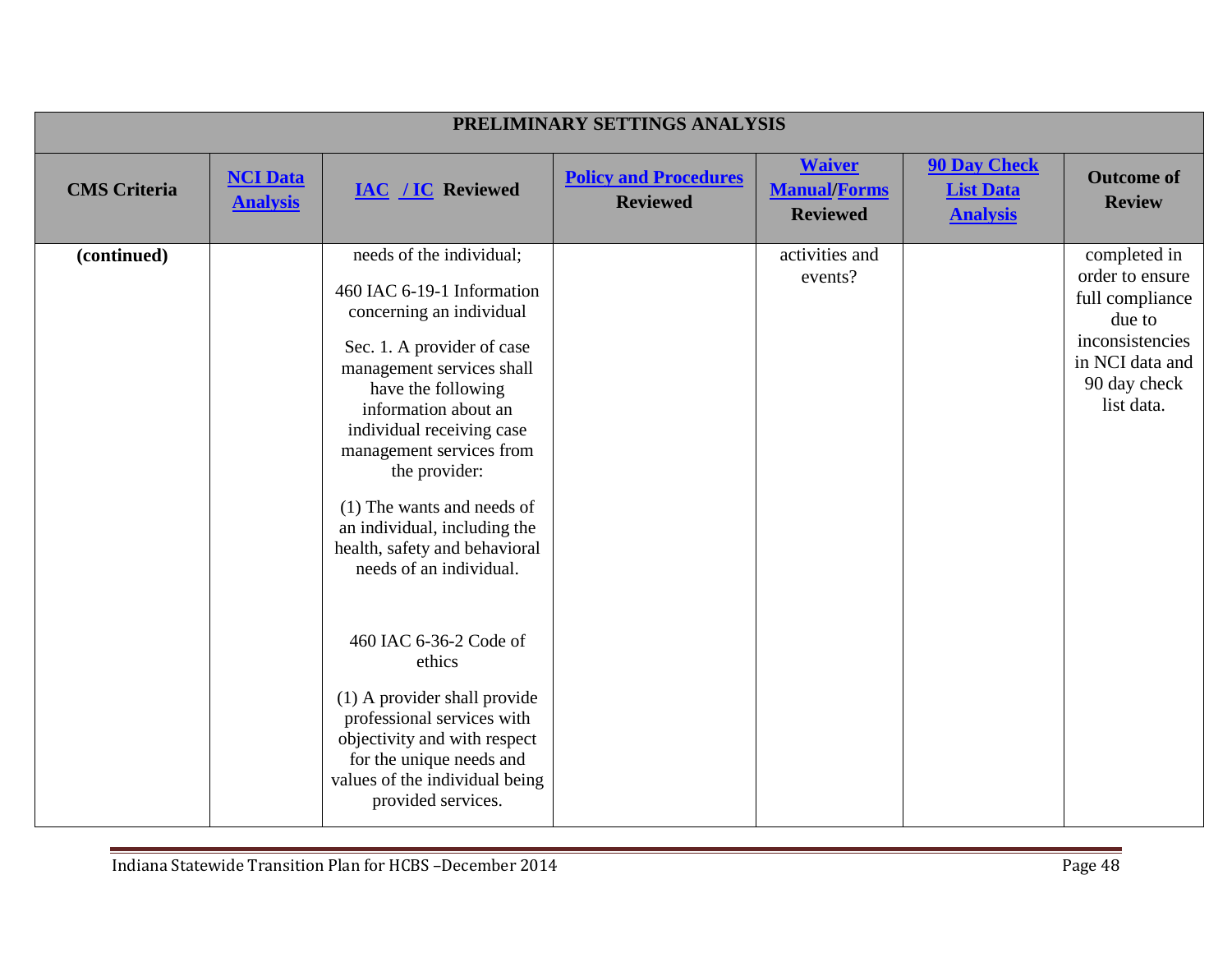|                     | PRELIMINARY SETTINGS ANALYSIS      |                                                                                                                                                                                                                                                                                                                                                                                                 |                                                 |                                                         |                                                            |                                                                                                                                  |  |  |  |
|---------------------|------------------------------------|-------------------------------------------------------------------------------------------------------------------------------------------------------------------------------------------------------------------------------------------------------------------------------------------------------------------------------------------------------------------------------------------------|-------------------------------------------------|---------------------------------------------------------|------------------------------------------------------------|----------------------------------------------------------------------------------------------------------------------------------|--|--|--|
| <b>CMS</b> Criteria | <b>NCI Data</b><br><b>Analysis</b> | <b>IAC / IC Reviewed</b>                                                                                                                                                                                                                                                                                                                                                                        | <b>Policy and Procedures</b><br><b>Reviewed</b> | <b>Waiver</b><br><b>Manual/Forms</b><br><b>Reviewed</b> | <b>90 Day Check</b><br><b>List Data</b><br><b>Analysis</b> | <b>Outcome of</b><br><b>Review</b>                                                                                               |  |  |  |
| (continued)         |                                    | needs of the individual;<br>460 IAC 6-19-1 Information<br>concerning an individual<br>Sec. 1. A provider of case<br>management services shall<br>have the following<br>information about an<br>individual receiving case<br>management services from<br>the provider:<br>(1) The wants and needs of<br>an individual, including the<br>health, safety and behavioral<br>needs of an individual. |                                                 | activities and<br>events?                               |                                                            | completed in<br>order to ensure<br>full compliance<br>due to<br>inconsistencies<br>in NCI data and<br>90 day check<br>list data. |  |  |  |
|                     |                                    | 460 IAC 6-36-2 Code of<br>ethics<br>(1) A provider shall provide<br>professional services with<br>objectivity and with respect<br>for the unique needs and<br>values of the individual being<br>provided services.                                                                                                                                                                              |                                                 |                                                         |                                                            |                                                                                                                                  |  |  |  |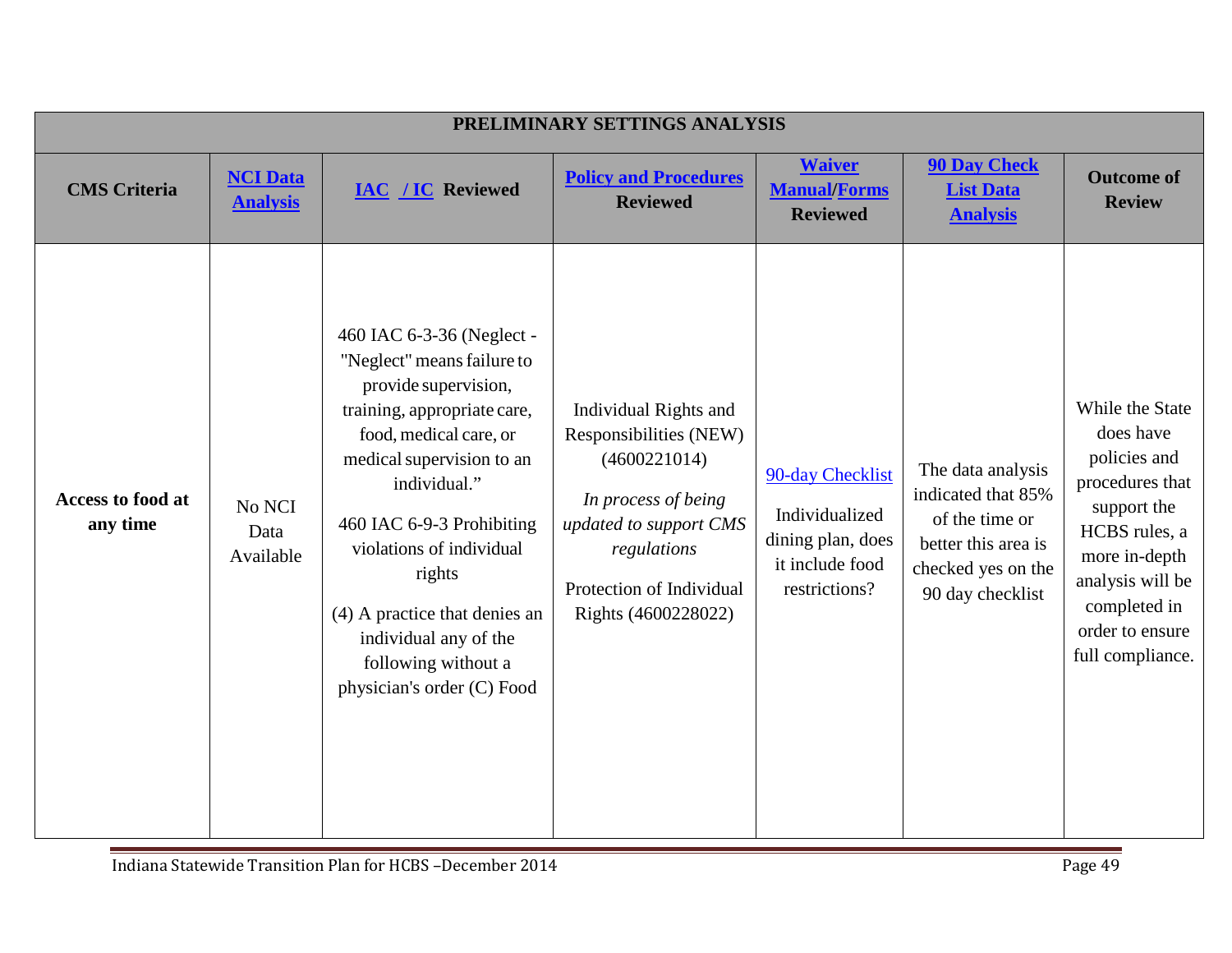|                               | PRELIMINARY SETTINGS ANALYSIS      |                                                                                                                                                                                                                                                                                                                                                                         |                                                                                                                                                                                    |                                                                                             |                                                                                                                            |                                                                                                                                                                                             |  |
|-------------------------------|------------------------------------|-------------------------------------------------------------------------------------------------------------------------------------------------------------------------------------------------------------------------------------------------------------------------------------------------------------------------------------------------------------------------|------------------------------------------------------------------------------------------------------------------------------------------------------------------------------------|---------------------------------------------------------------------------------------------|----------------------------------------------------------------------------------------------------------------------------|---------------------------------------------------------------------------------------------------------------------------------------------------------------------------------------------|--|
| <b>CMS</b> Criteria           | <b>NCI Data</b><br><b>Analysis</b> | <b>IAC / IC Reviewed</b>                                                                                                                                                                                                                                                                                                                                                | <b>Policy and Procedures</b><br><b>Reviewed</b>                                                                                                                                    | <b>Waiver</b><br><b>Manual/Forms</b><br><b>Reviewed</b>                                     | <b>90 Day Check</b><br><b>List Data</b><br><b>Analysis</b>                                                                 | <b>Outcome of</b><br><b>Review</b>                                                                                                                                                          |  |
| Access to food at<br>any time | No NCI<br>Data<br>Available        | 460 IAC 6-3-36 (Neglect -<br>"Neglect" means failure to<br>provide supervision,<br>training, appropriate care,<br>food, medical care, or<br>medical supervision to an<br>individual."<br>460 IAC 6-9-3 Prohibiting<br>violations of individual<br>rights<br>(4) A practice that denies an<br>individual any of the<br>following without a<br>physician's order (C) Food | Individual Rights and<br>Responsibilities (NEW)<br>(4600221014)<br>In process of being<br>updated to support CMS<br>regulations<br>Protection of Individual<br>Rights (4600228022) | 90-day Checklist<br>Individualized<br>dining plan, does<br>it include food<br>restrictions? | The data analysis<br>indicated that 85%<br>of the time or<br>better this area is<br>checked yes on the<br>90 day checklist | While the State<br>does have<br>policies and<br>procedures that<br>support the<br>HCBS rules, a<br>more in-depth<br>analysis will be<br>completed in<br>order to ensure<br>full compliance. |  |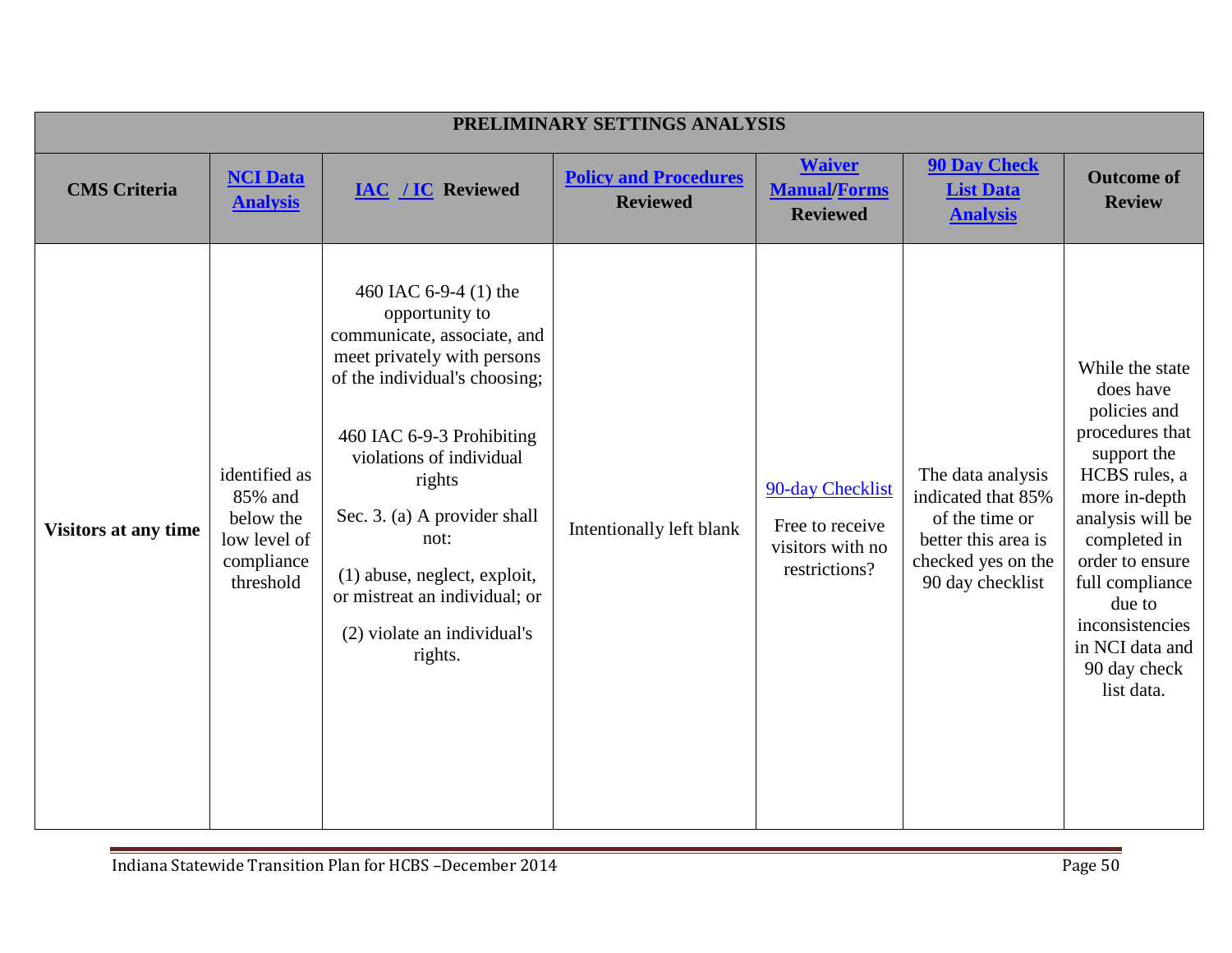|                             | PRELIMINARY SETTINGS ANALYSIS                                                    |                                                                                                                                                                                                                                                                                                                                                              |                                                 |                                                                          |                                                                                                                            |                                                                                                                                                                                                                                                                          |  |  |
|-----------------------------|----------------------------------------------------------------------------------|--------------------------------------------------------------------------------------------------------------------------------------------------------------------------------------------------------------------------------------------------------------------------------------------------------------------------------------------------------------|-------------------------------------------------|--------------------------------------------------------------------------|----------------------------------------------------------------------------------------------------------------------------|--------------------------------------------------------------------------------------------------------------------------------------------------------------------------------------------------------------------------------------------------------------------------|--|--|
| <b>CMS</b> Criteria         | <b>NCI Data</b><br><b>Analysis</b>                                               | <b>IAC / IC Reviewed</b>                                                                                                                                                                                                                                                                                                                                     | <b>Policy and Procedures</b><br><b>Reviewed</b> | <b>Waiver</b><br><b>Manual/Forms</b><br><b>Reviewed</b>                  | <b>90 Day Check</b><br><b>List Data</b><br><b>Analysis</b>                                                                 | <b>Outcome of</b><br><b>Review</b>                                                                                                                                                                                                                                       |  |  |
| <b>Visitors at any time</b> | identified as<br>85% and<br>below the<br>low level of<br>compliance<br>threshold | 460 IAC 6-9-4 (1) the<br>opportunity to<br>communicate, associate, and<br>meet privately with persons<br>of the individual's choosing;<br>460 IAC 6-9-3 Prohibiting<br>violations of individual<br>rights<br>Sec. 3. (a) A provider shall<br>not:<br>(1) abuse, neglect, exploit,<br>or mistreat an individual; or<br>(2) violate an individual's<br>rights. | Intentionally left blank                        | 90-day Checklist<br>Free to receive<br>visitors with no<br>restrictions? | The data analysis<br>indicated that 85%<br>of the time or<br>better this area is<br>checked yes on the<br>90 day checklist | While the state<br>does have<br>policies and<br>procedures that<br>support the<br>HCBS rules, a<br>more in-depth<br>analysis will be<br>completed in<br>order to ensure<br>full compliance<br>due to<br>inconsistencies<br>in NCI data and<br>90 day check<br>list data. |  |  |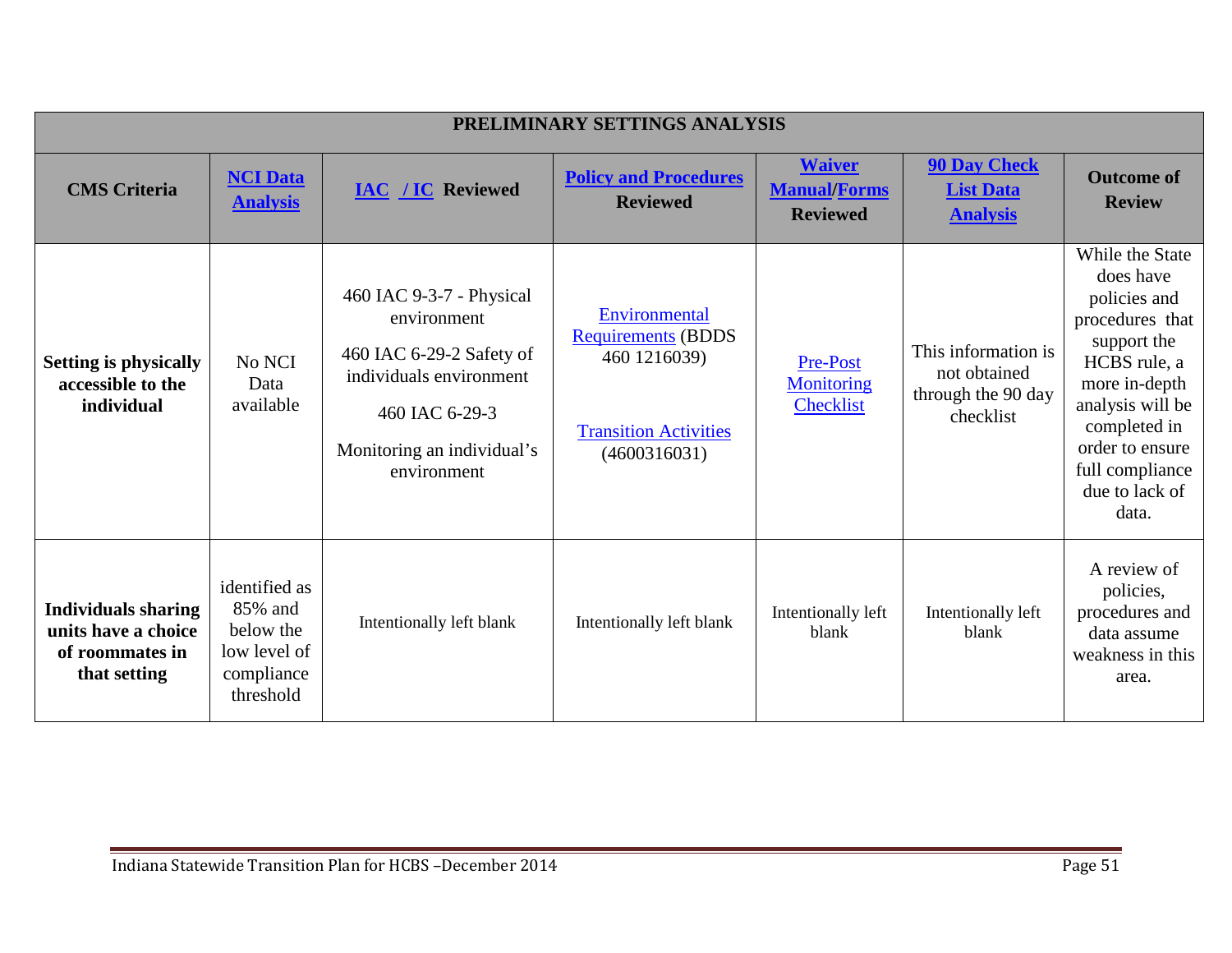|                                                                                      | PRELIMINARY SETTINGS ANALYSIS                                                    |                                                                                                                                                               |                                                                                                            |                                                         |                                                                        |                                                                                                                                                                                                                      |  |  |
|--------------------------------------------------------------------------------------|----------------------------------------------------------------------------------|---------------------------------------------------------------------------------------------------------------------------------------------------------------|------------------------------------------------------------------------------------------------------------|---------------------------------------------------------|------------------------------------------------------------------------|----------------------------------------------------------------------------------------------------------------------------------------------------------------------------------------------------------------------|--|--|
| <b>CMS</b> Criteria                                                                  | <b>NCI Data</b><br><b>Analysis</b>                                               | <b>IAC / IC Reviewed</b>                                                                                                                                      | <b>Policy and Procedures</b><br><b>Reviewed</b>                                                            | <b>Waiver</b><br><b>Manual/Forms</b><br><b>Reviewed</b> | <b>90 Day Check</b><br><b>List Data</b><br><b>Analysis</b>             | <b>Outcome of</b><br><b>Review</b>                                                                                                                                                                                   |  |  |
| <b>Setting is physically</b><br>accessible to the<br>individual                      | No NCI<br>Data<br>available                                                      | 460 IAC 9-3-7 - Physical<br>environment<br>460 IAC 6-29-2 Safety of<br>individuals environment<br>460 IAC 6-29-3<br>Monitoring an individual's<br>environment | Environmental<br><b>Requirements (BDDS</b><br>460 1216039)<br><b>Transition Activities</b><br>(4600316031) | Pre-Post<br><b>Monitoring</b><br><b>Checklist</b>       | This information is<br>not obtained<br>through the 90 day<br>checklist | While the State<br>does have<br>policies and<br>procedures that<br>support the<br>HCBS rule, a<br>more in-depth<br>analysis will be<br>completed in<br>order to ensure<br>full compliance<br>due to lack of<br>data. |  |  |
| <b>Individuals sharing</b><br>units have a choice<br>of roommates in<br>that setting | identified as<br>85% and<br>below the<br>low level of<br>compliance<br>threshold | Intentionally left blank                                                                                                                                      | Intentionally left blank                                                                                   | Intentionally left<br>blank                             | Intentionally left<br>blank                                            | A review of<br>policies,<br>procedures and<br>data assume<br>weakness in this<br>area.                                                                                                                               |  |  |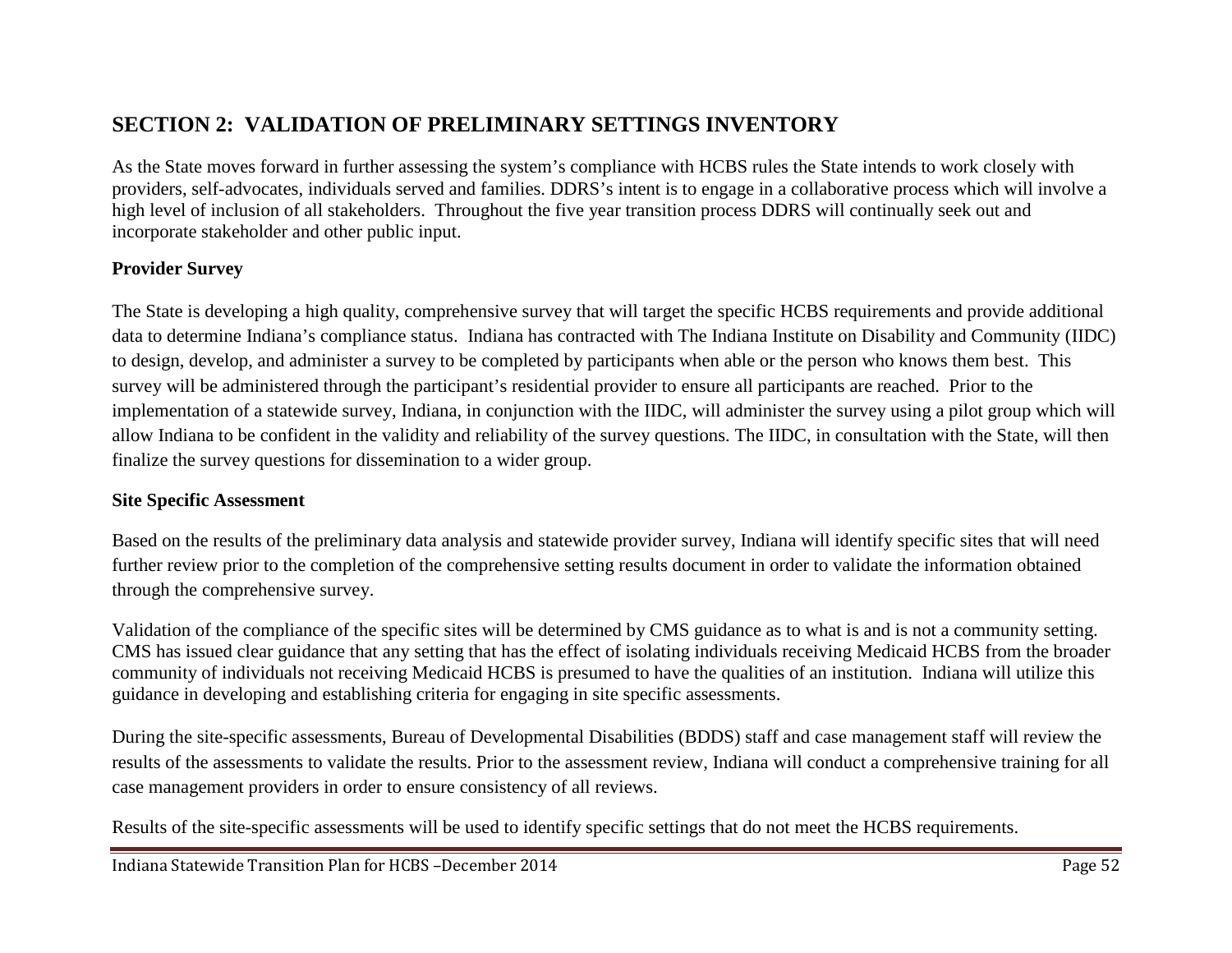# **SECTION 2: VALIDATION OF PRELIMINARY SETTINGS INVENTORY**

As the State moves forward in further assessing the system's compliance with HCBS rules the State intends to work closely with providers, self-advocates, individuals served and families. DDRS's intent is to engage in a collaborative process which will involve a high level of inclusion of all stakeholders. Throughout the five year transition process DDRS will continually seek out and incorporate stakeholder and other public input.

#### **Provider Survey**

The State is developing a high quality, comprehensive survey that will target the specific HCBS requirements and provide additional data to determine Indiana's compliance status. Indiana has contracted with The Indiana Institute on Disability and Community (IIDC) to design, develop, and administer a survey to be completed by participants when able or the person who knows them best. This survey will be administered through the participant's residential provider to ensure all participants are reached. Prior to the implementation of a statewide survey, Indiana, in conjunction with the IIDC, will administer the survey using a pilot group which will allow Indiana to be confident in the validity and reliability of the survey questions. The IIDC, in consultation with the State, will then finalize the survey questions for dissemination to a wider group.

#### **Site Specific Assessment**

Based on the results of the preliminary data analysis and statewide provider survey, Indiana will identify specific sites that will need further review prior to the completion of the comprehensive setting results document in order to validate the information obtained through the comprehensive survey.

Validation of the compliance of the specific sites will be determined by CMS guidance as to what is and is not a community setting. CMS has issued clear guidance that any setting that has the effect of isolating individuals receiving Medicaid HCBS from the broader community of individuals not receiving Medicaid HCBS is presumed to have the qualities of an institution. Indiana will utilize this guidance in developing and establishing criteria for engaging in site specific assessments.

During the site-specific assessments, Bureau of Developmental Disabilities (BDDS) staff and case management staff will review the results of the assessments to validate the results. Prior to the assessment review, Indiana will conduct a comprehensive training for all case management providers in order to ensure consistency of all reviews.

Results of the site-specific assessments will be used to identify specific settings that do not meet the HCBS requirements.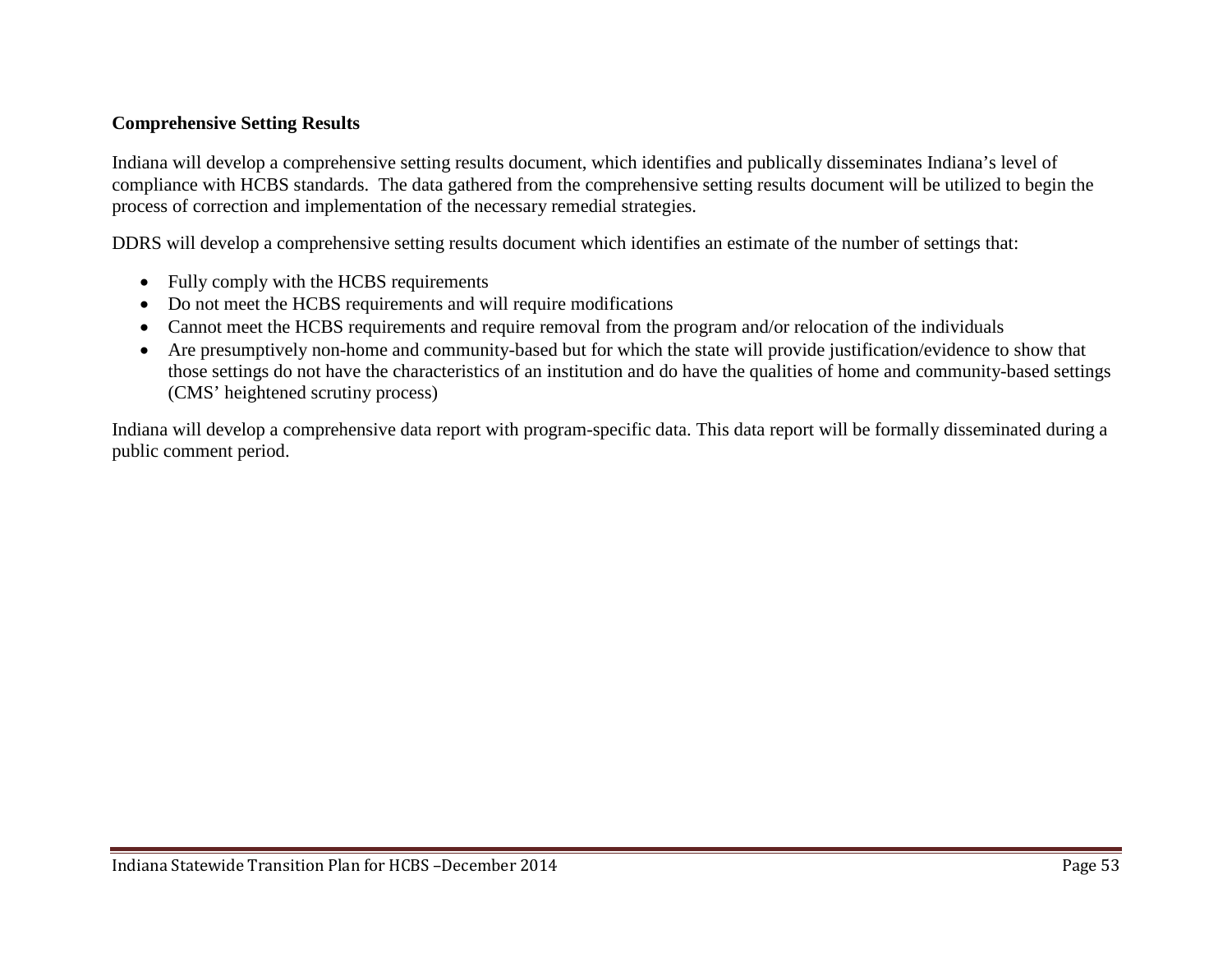#### **Comprehensive Setting Results**

Indiana will develop a comprehensive setting results document, which identifies and publically disseminates Indiana's level of compliance with HCBS standards. The data gathered from the comprehensive setting results document will be utilized to begin the process of correction and implementation of the necessary remedial strategies.

DDRS will develop a comprehensive setting results document which identifies an estimate of the number of settings that:

- Fully comply with the HCBS requirements
- Do not meet the HCBS requirements and will require modifications
- Cannot meet the HCBS requirements and require removal from the program and/or relocation of the individuals
- Are presumptively non-home and community-based but for which the state will provide justification/evidence to show that those settings do not have the characteristics of an institution and do have the qualities of home and community-based settings (CMS' heightened scrutiny process)

Indiana will develop a comprehensive data report with program-specific data. This data report will be formally disseminated during a public comment period.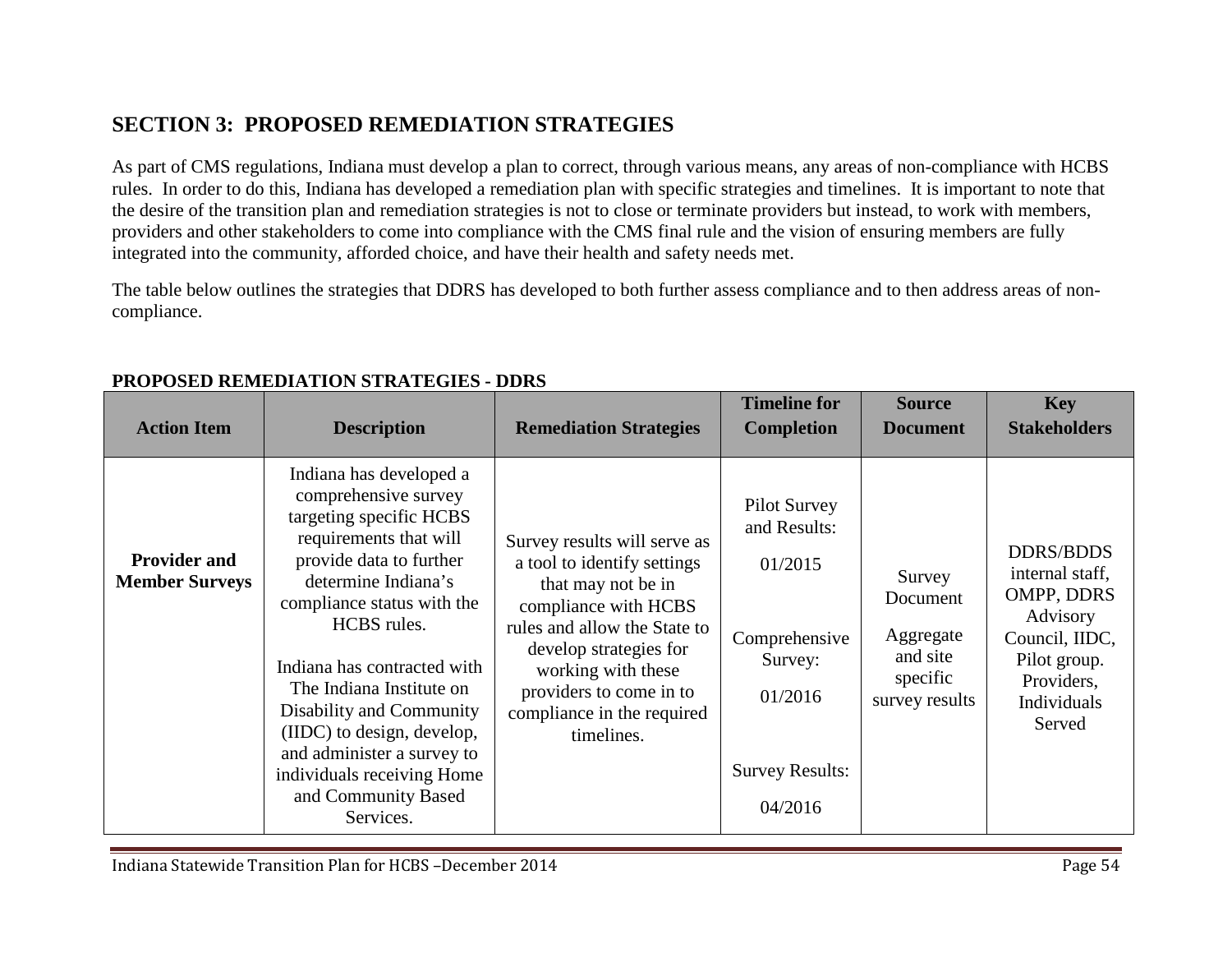# **SECTION 3: PROPOSED REMEDIATION STRATEGIES**

As part of CMS regulations, Indiana must develop a plan to correct, through various means, any areas of non-compliance with HCBS rules. In order to do this, Indiana has developed a remediation plan with specific strategies and timelines. It is important to note that the desire of the transition plan and remediation strategies is not to close or terminate providers but instead, to work with members, providers and other stakeholders to come into compliance with the CMS final rule and the vision of ensuring members are fully integrated into the community, afforded choice, and have their health and safety needs met.

The table below outlines the strategies that DDRS has developed to both further assess compliance and to then address areas of noncompliance.

| <b>Action Item</b>                           | <b>Description</b>                                                                                                                                                                                                                                                                                                                                                                                                       | <b>Remediation Strategies</b>                                                                                                                                                                                                                                    | <b>Timeline for</b><br><b>Completion</b>                                                                                   | <b>Source</b><br><b>Document</b>                                          | <b>Key</b><br><b>Stakeholders</b>                                                                                                      |
|----------------------------------------------|--------------------------------------------------------------------------------------------------------------------------------------------------------------------------------------------------------------------------------------------------------------------------------------------------------------------------------------------------------------------------------------------------------------------------|------------------------------------------------------------------------------------------------------------------------------------------------------------------------------------------------------------------------------------------------------------------|----------------------------------------------------------------------------------------------------------------------------|---------------------------------------------------------------------------|----------------------------------------------------------------------------------------------------------------------------------------|
| <b>Provider and</b><br><b>Member Surveys</b> | Indiana has developed a<br>comprehensive survey<br>targeting specific HCBS<br>requirements that will<br>provide data to further<br>determine Indiana's<br>compliance status with the<br>HCBS rules.<br>Indiana has contracted with<br>The Indiana Institute on<br>Disability and Community<br>(IIDC) to design, develop,<br>and administer a survey to<br>individuals receiving Home<br>and Community Based<br>Services. | Survey results will serve as<br>a tool to identify settings<br>that may not be in<br>compliance with HCBS<br>rules and allow the State to<br>develop strategies for<br>working with these<br>providers to come in to<br>compliance in the required<br>timelines. | <b>Pilot Survey</b><br>and Results:<br>01/2015<br>Comprehensive<br>Survey:<br>01/2016<br><b>Survey Results:</b><br>04/2016 | Survey<br>Document<br>Aggregate<br>and site<br>specific<br>survey results | <b>DDRS/BDDS</b><br>internal staff,<br>OMPP, DDRS<br>Advisory<br>Council, IIDC,<br>Pilot group.<br>Providers,<br>Individuals<br>Served |

### **PROPOSED REMEDIATION STRATEGIES - DDRS**

Indiana Statewide Transition Plan for HCBS –December 2014 Page 54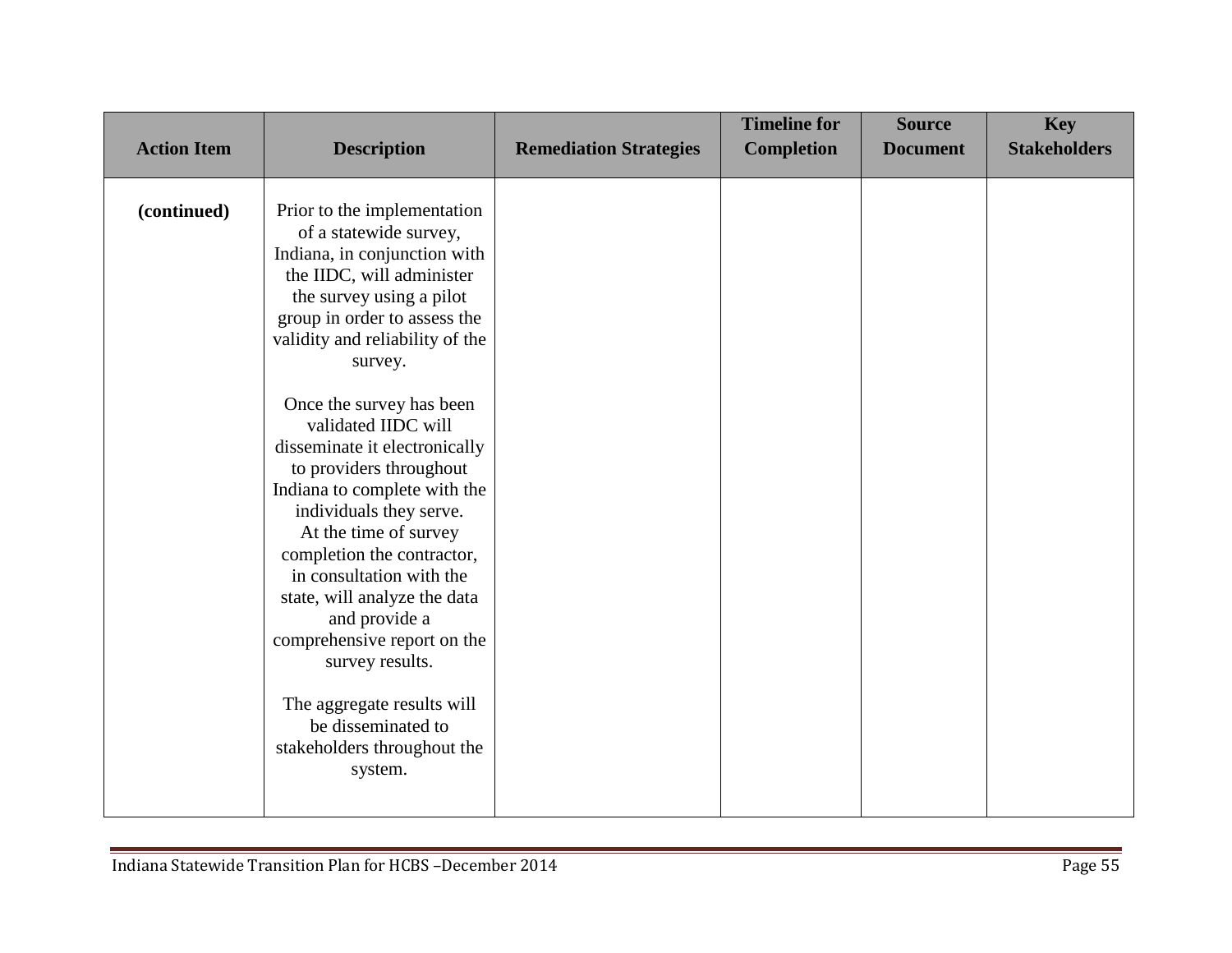| <b>Action Item</b> | <b>Description</b>                                                                                                                                                                                                                                                                                                                                                                                                                                                                                                                                                                                                                                                                         | <b>Remediation Strategies</b> | <b>Timeline for</b><br><b>Completion</b> | <b>Source</b><br><b>Document</b> | <b>Key</b><br><b>Stakeholders</b> |
|--------------------|--------------------------------------------------------------------------------------------------------------------------------------------------------------------------------------------------------------------------------------------------------------------------------------------------------------------------------------------------------------------------------------------------------------------------------------------------------------------------------------------------------------------------------------------------------------------------------------------------------------------------------------------------------------------------------------------|-------------------------------|------------------------------------------|----------------------------------|-----------------------------------|
| (continued)        | Prior to the implementation<br>of a statewide survey,<br>Indiana, in conjunction with<br>the IIDC, will administer<br>the survey using a pilot<br>group in order to assess the<br>validity and reliability of the<br>survey.<br>Once the survey has been<br>validated IIDC will<br>disseminate it electronically<br>to providers throughout<br>Indiana to complete with the<br>individuals they serve.<br>At the time of survey<br>completion the contractor,<br>in consultation with the<br>state, will analyze the data<br>and provide a<br>comprehensive report on the<br>survey results.<br>The aggregate results will<br>be disseminated to<br>stakeholders throughout the<br>system. |                               |                                          |                                  |                                   |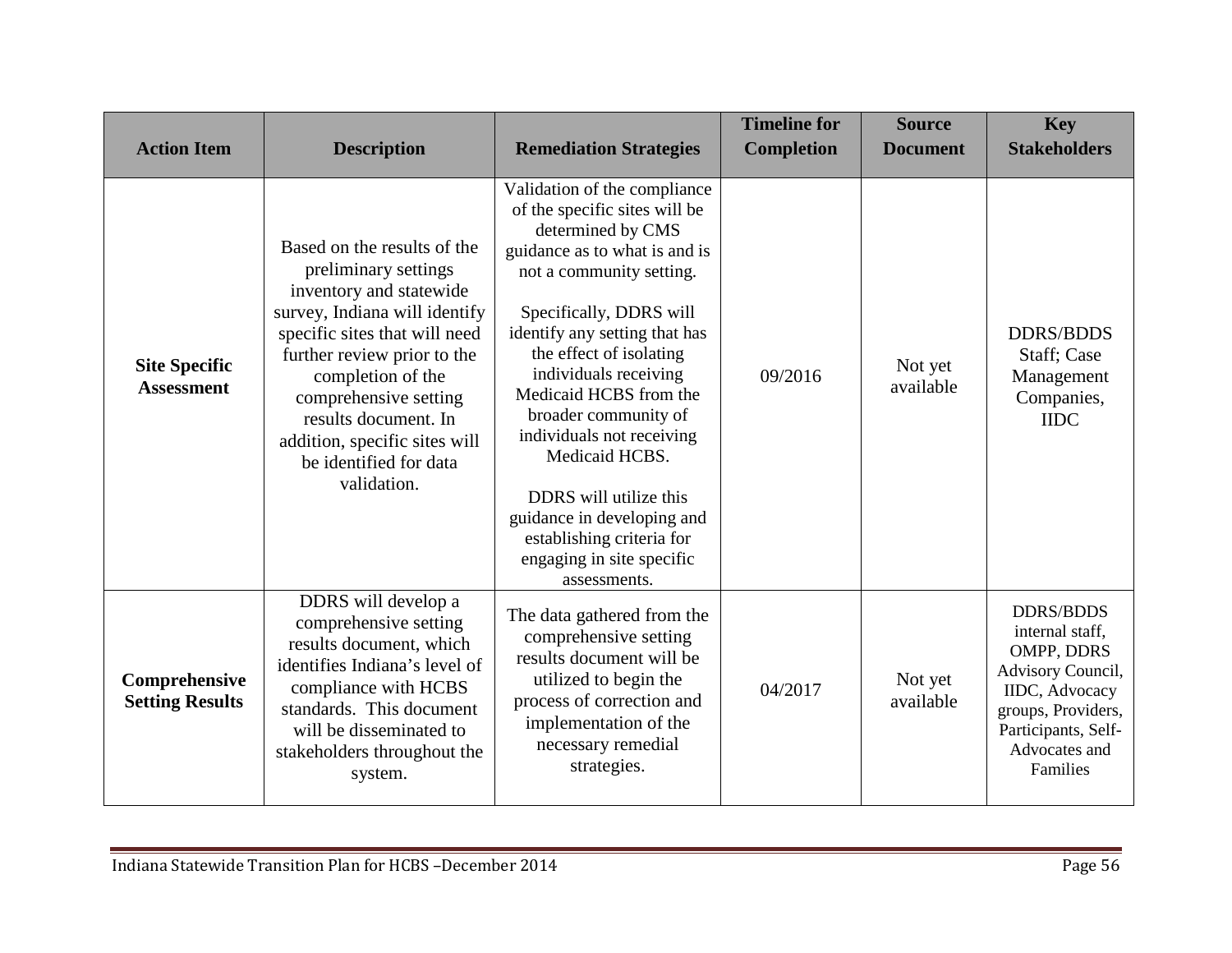| <b>Action Item</b>                        | <b>Description</b>                                                                                                                                                                                                                                                                                                              | <b>Remediation Strategies</b>                                                                                                                                                                                                                                                                                                                                                                                                                                                                      | <b>Timeline for</b><br><b>Completion</b> | <b>Source</b><br><b>Document</b> | <b>Key</b><br><b>Stakeholders</b>                                                                                                                                          |
|-------------------------------------------|---------------------------------------------------------------------------------------------------------------------------------------------------------------------------------------------------------------------------------------------------------------------------------------------------------------------------------|----------------------------------------------------------------------------------------------------------------------------------------------------------------------------------------------------------------------------------------------------------------------------------------------------------------------------------------------------------------------------------------------------------------------------------------------------------------------------------------------------|------------------------------------------|----------------------------------|----------------------------------------------------------------------------------------------------------------------------------------------------------------------------|
| <b>Site Specific</b><br><b>Assessment</b> | Based on the results of the<br>preliminary settings<br>inventory and statewide<br>survey, Indiana will identify<br>specific sites that will need<br>further review prior to the<br>completion of the<br>comprehensive setting<br>results document. In<br>addition, specific sites will<br>be identified for data<br>validation. | Validation of the compliance<br>of the specific sites will be<br>determined by CMS<br>guidance as to what is and is<br>not a community setting.<br>Specifically, DDRS will<br>identify any setting that has<br>the effect of isolating<br>individuals receiving<br>Medicaid HCBS from the<br>broader community of<br>individuals not receiving<br>Medicaid HCBS.<br>DDRS will utilize this<br>guidance in developing and<br>establishing criteria for<br>engaging in site specific<br>assessments. | 09/2016                                  | Not yet<br>available             | <b>DDRS/BDDS</b><br>Staff; Case<br>Management<br>Companies,<br><b>IIDC</b>                                                                                                 |
| Comprehensive<br><b>Setting Results</b>   | DDRS will develop a<br>comprehensive setting<br>results document, which<br>identifies Indiana's level of<br>compliance with HCBS<br>standards. This document<br>will be disseminated to<br>stakeholders throughout the<br>system.                                                                                               | The data gathered from the<br>comprehensive setting<br>results document will be<br>utilized to begin the<br>process of correction and<br>implementation of the<br>necessary remedial<br>strategies.                                                                                                                                                                                                                                                                                                | 04/2017                                  | Not yet<br>available             | <b>DDRS/BDDS</b><br>internal staff,<br>OMPP, DDRS<br>Advisory Council,<br><b>IIDC</b> , Advocacy<br>groups, Providers,<br>Participants, Self-<br>Advocates and<br>Families |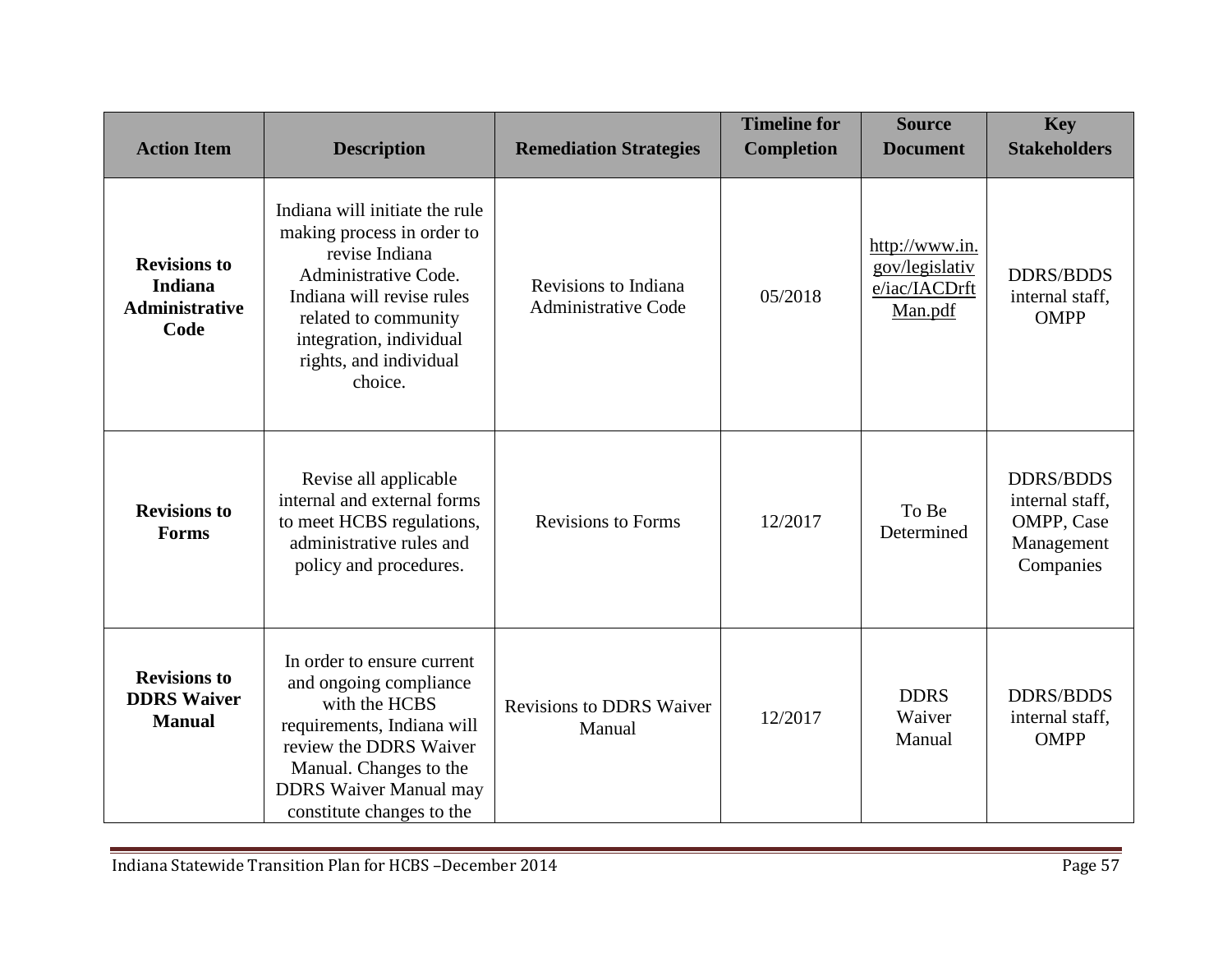| <b>Action Item</b>                                                     | <b>Description</b>                                                                                                                                                                                                          | <b>Remediation Strategies</b>                      | <b>Timeline for</b><br><b>Completion</b> | <b>Source</b><br><b>Document</b>                             | <b>Key</b><br><b>Stakeholders</b>                                            |
|------------------------------------------------------------------------|-----------------------------------------------------------------------------------------------------------------------------------------------------------------------------------------------------------------------------|----------------------------------------------------|------------------------------------------|--------------------------------------------------------------|------------------------------------------------------------------------------|
| <b>Revisions to</b><br><b>Indiana</b><br><b>Administrative</b><br>Code | Indiana will initiate the rule<br>making process in order to<br>revise Indiana<br>Administrative Code.<br>Indiana will revise rules<br>related to community<br>integration, individual<br>rights, and individual<br>choice. | Revisions to Indiana<br><b>Administrative Code</b> | 05/2018                                  | http://www.in.<br>gov/legislativ<br>e/iac/IACDrft<br>Man.pdf | <b>DDRS/BDDS</b><br>internal staff,<br><b>OMPP</b>                           |
| <b>Revisions to</b><br><b>Forms</b>                                    | Revise all applicable<br>internal and external forms<br>to meet HCBS regulations,<br>administrative rules and<br>policy and procedures.                                                                                     | <b>Revisions to Forms</b>                          | 12/2017                                  | To Be<br>Determined                                          | <b>DDRS/BDDS</b><br>internal staff,<br>OMPP, Case<br>Management<br>Companies |
| <b>Revisions to</b><br><b>DDRS</b> Waiver<br><b>Manual</b>             | In order to ensure current<br>and ongoing compliance<br>with the HCBS<br>requirements, Indiana will<br>review the DDRS Waiver<br>Manual. Changes to the<br><b>DDRS</b> Waiver Manual may<br>constitute changes to the       | <b>Revisions to DDRS Waiver</b><br>Manual          | 12/2017                                  | <b>DDRS</b><br>Waiver<br>Manual                              | <b>DDRS/BDDS</b><br>internal staff,<br><b>OMPP</b>                           |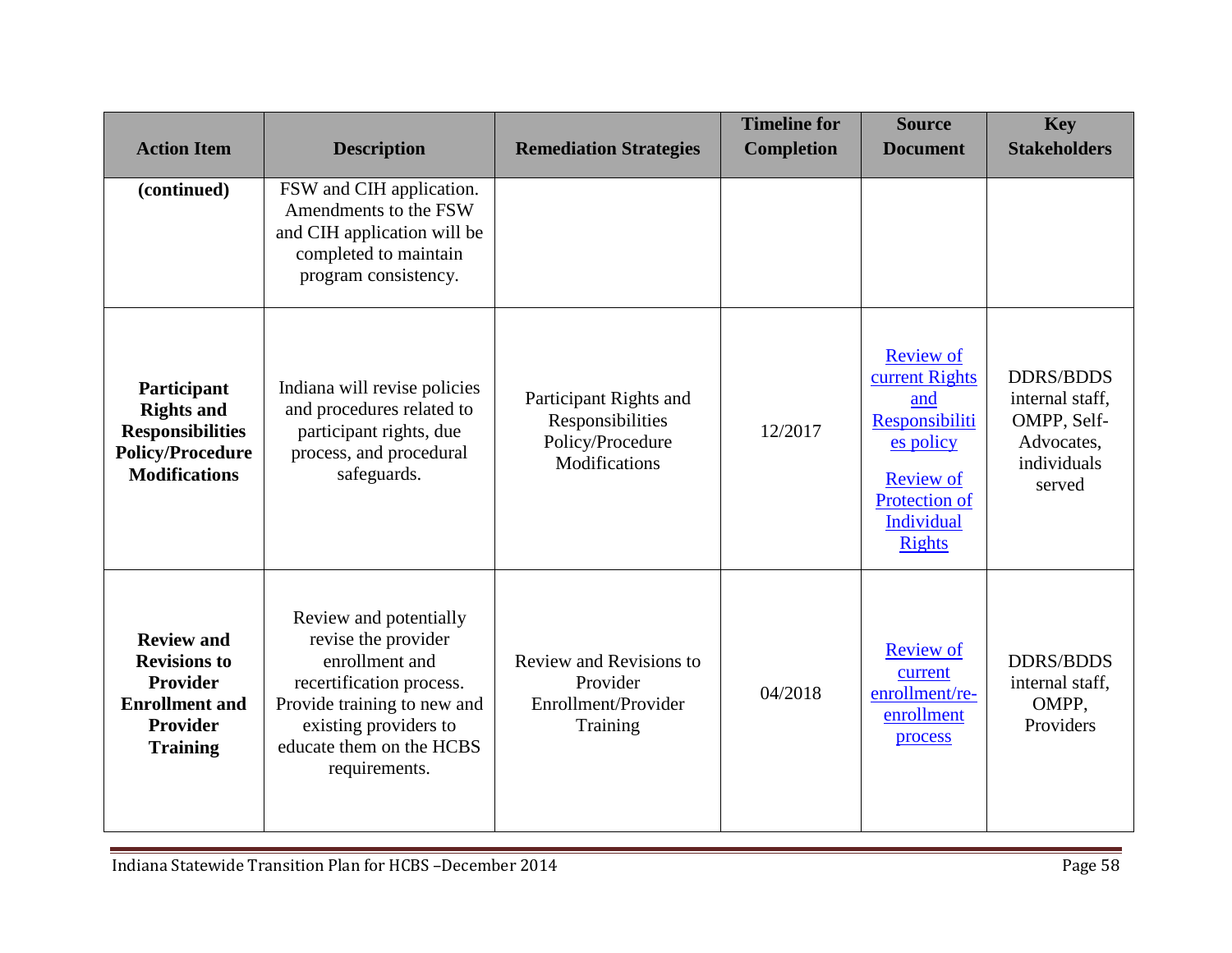| <b>Action Item</b>                                                                                             | <b>Description</b>                                                                                                                                                                               | <b>Remediation Strategies</b>                                                   | <b>Timeline for</b><br><b>Completion</b> | <b>Source</b><br><b>Document</b>                                                                                                             | <b>Key</b><br><b>Stakeholders</b>                                                         |
|----------------------------------------------------------------------------------------------------------------|--------------------------------------------------------------------------------------------------------------------------------------------------------------------------------------------------|---------------------------------------------------------------------------------|------------------------------------------|----------------------------------------------------------------------------------------------------------------------------------------------|-------------------------------------------------------------------------------------------|
| (continued)                                                                                                    | FSW and CIH application.<br>Amendments to the FSW<br>and CIH application will be<br>completed to maintain<br>program consistency.                                                                |                                                                                 |                                          |                                                                                                                                              |                                                                                           |
| Participant<br><b>Rights and</b><br><b>Responsibilities</b><br><b>Policy/Procedure</b><br><b>Modifications</b> | Indiana will revise policies<br>and procedures related to<br>participant rights, due<br>process, and procedural<br>safeguards.                                                                   | Participant Rights and<br>Responsibilities<br>Policy/Procedure<br>Modifications | 12/2017                                  | <b>Review of</b><br>current Rights<br>and<br>Responsibiliti<br>es policy<br><b>Review of</b><br>Protection of<br>Individual<br><b>Rights</b> | <b>DDRS/BDDS</b><br>internal staff,<br>OMPP, Self-<br>Advocates,<br>individuals<br>served |
| <b>Review and</b><br><b>Revisions to</b><br>Provider<br><b>Enrollment</b> and<br>Provider<br><b>Training</b>   | Review and potentially<br>revise the provider<br>enrollment and<br>recertification process.<br>Provide training to new and<br>existing providers to<br>educate them on the HCBS<br>requirements. | Review and Revisions to<br>Provider<br>Enrollment/Provider<br>Training          | 04/2018                                  | <b>Review of</b><br>current<br>enrollment/re-<br>enrollment<br>process                                                                       | <b>DDRS/BDDS</b><br>internal staff,<br>OMPP,<br>Providers                                 |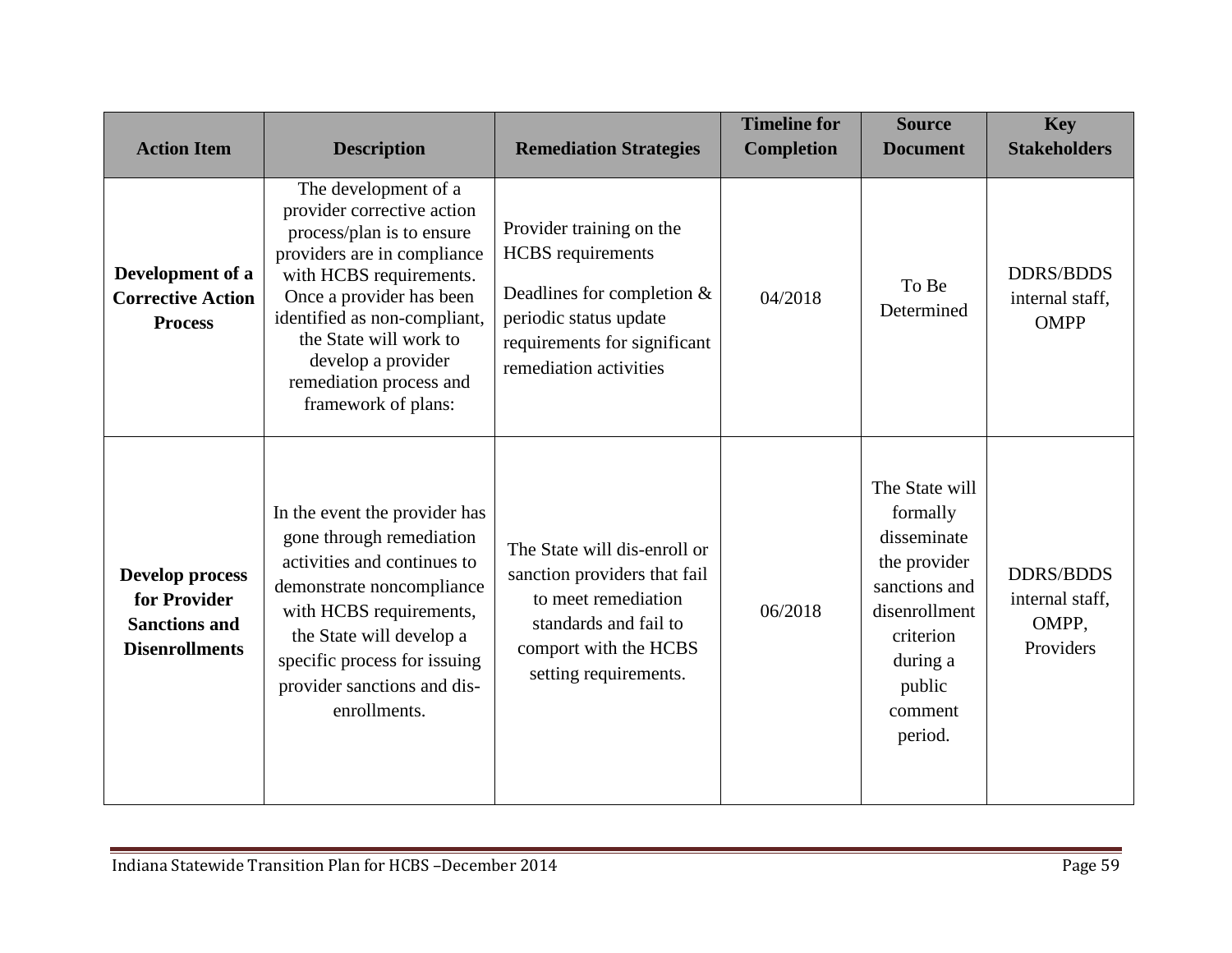| <b>Action Item</b>                                                                      | <b>Description</b>                                                                                                                                                                                                                                                                                      | <b>Remediation Strategies</b>                                                                                                                                            | <b>Timeline for</b><br><b>Completion</b> | <b>Source</b><br><b>Document</b>                                                                                                                     | <b>Key</b><br><b>Stakeholders</b>                         |
|-----------------------------------------------------------------------------------------|---------------------------------------------------------------------------------------------------------------------------------------------------------------------------------------------------------------------------------------------------------------------------------------------------------|--------------------------------------------------------------------------------------------------------------------------------------------------------------------------|------------------------------------------|------------------------------------------------------------------------------------------------------------------------------------------------------|-----------------------------------------------------------|
| Development of a<br><b>Corrective Action</b><br><b>Process</b>                          | The development of a<br>provider corrective action<br>process/plan is to ensure<br>providers are in compliance<br>with HCBS requirements.<br>Once a provider has been<br>identified as non-compliant,<br>the State will work to<br>develop a provider<br>remediation process and<br>framework of plans: | Provider training on the<br><b>HCBS</b> requirements<br>Deadlines for completion $&$<br>periodic status update<br>requirements for significant<br>remediation activities | 04/2018                                  | To Be<br>Determined                                                                                                                                  | <b>DDRS/BDDS</b><br>internal staff,<br><b>OMPP</b>        |
| <b>Develop process</b><br>for Provider<br><b>Sanctions and</b><br><b>Disenrollments</b> | In the event the provider has<br>gone through remediation<br>activities and continues to<br>demonstrate noncompliance<br>with HCBS requirements,<br>the State will develop a<br>specific process for issuing<br>provider sanctions and dis-<br>enrollments.                                             | The State will dis-enroll or<br>sanction providers that fail<br>to meet remediation<br>standards and fail to<br>comport with the HCBS<br>setting requirements.           | 06/2018                                  | The State will<br>formally<br>disseminate<br>the provider<br>sanctions and<br>disenrollment<br>criterion<br>during a<br>public<br>comment<br>period. | <b>DDRS/BDDS</b><br>internal staff,<br>OMPP,<br>Providers |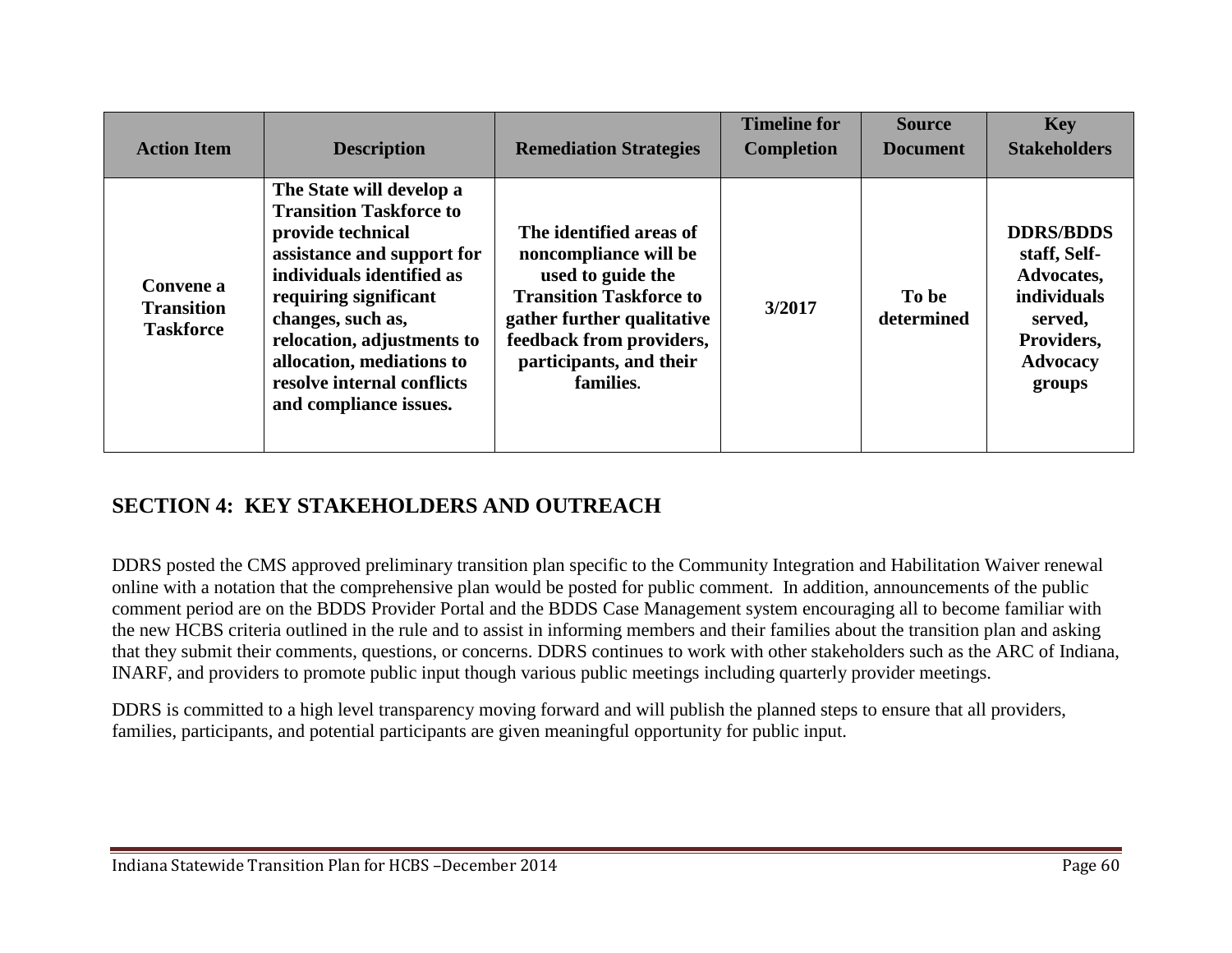| <b>Action Item</b>                                 | <b>Description</b>                                                                                                                                                                                                                                                                                          | <b>Remediation Strategies</b>                                                                                                                                                                             | <b>Timeline for</b><br><b>Completion</b> | <b>Source</b><br><b>Document</b> | <b>Key</b><br><b>Stakeholders</b>                                                                                          |
|----------------------------------------------------|-------------------------------------------------------------------------------------------------------------------------------------------------------------------------------------------------------------------------------------------------------------------------------------------------------------|-----------------------------------------------------------------------------------------------------------------------------------------------------------------------------------------------------------|------------------------------------------|----------------------------------|----------------------------------------------------------------------------------------------------------------------------|
| Convene a<br><b>Transition</b><br><b>Taskforce</b> | The State will develop a<br><b>Transition Taskforce to</b><br>provide technical<br>assistance and support for<br>individuals identified as<br>requiring significant<br>changes, such as,<br>relocation, adjustments to<br>allocation, mediations to<br>resolve internal conflicts<br>and compliance issues. | The identified areas of<br>noncompliance will be<br>used to guide the<br><b>Transition Taskforce to</b><br>gather further qualitative<br>feedback from providers,<br>participants, and their<br>families. | 3/2017                                   | To be<br>determined              | <b>DDRS/BDDS</b><br>staff, Self-<br>Advocates,<br><i>individuals</i><br>served,<br>Providers,<br><b>Advocacy</b><br>groups |

### **SECTION 4: KEY STAKEHOLDERS AND OUTREACH**

DDRS posted the CMS approved preliminary transition plan specific to the Community Integration and Habilitation Waiver renewal online with a notation that the comprehensive plan would be posted for public comment. In addition, announcements of the public comment period are on the BDDS Provider Portal and the BDDS Case Management system encouraging all to become familiar with the new HCBS criteria outlined in the rule and to assist in informing members and their families about the transition plan and asking that they submit their comments, questions, or concerns. DDRS continues to work with other stakeholders such as the ARC of Indiana, INARF, and providers to promote public input though various public meetings including quarterly provider meetings.

DDRS is committed to a high level transparency moving forward and will publish the planned steps to ensure that all providers, families, participants, and potential participants are given meaningful opportunity for public input.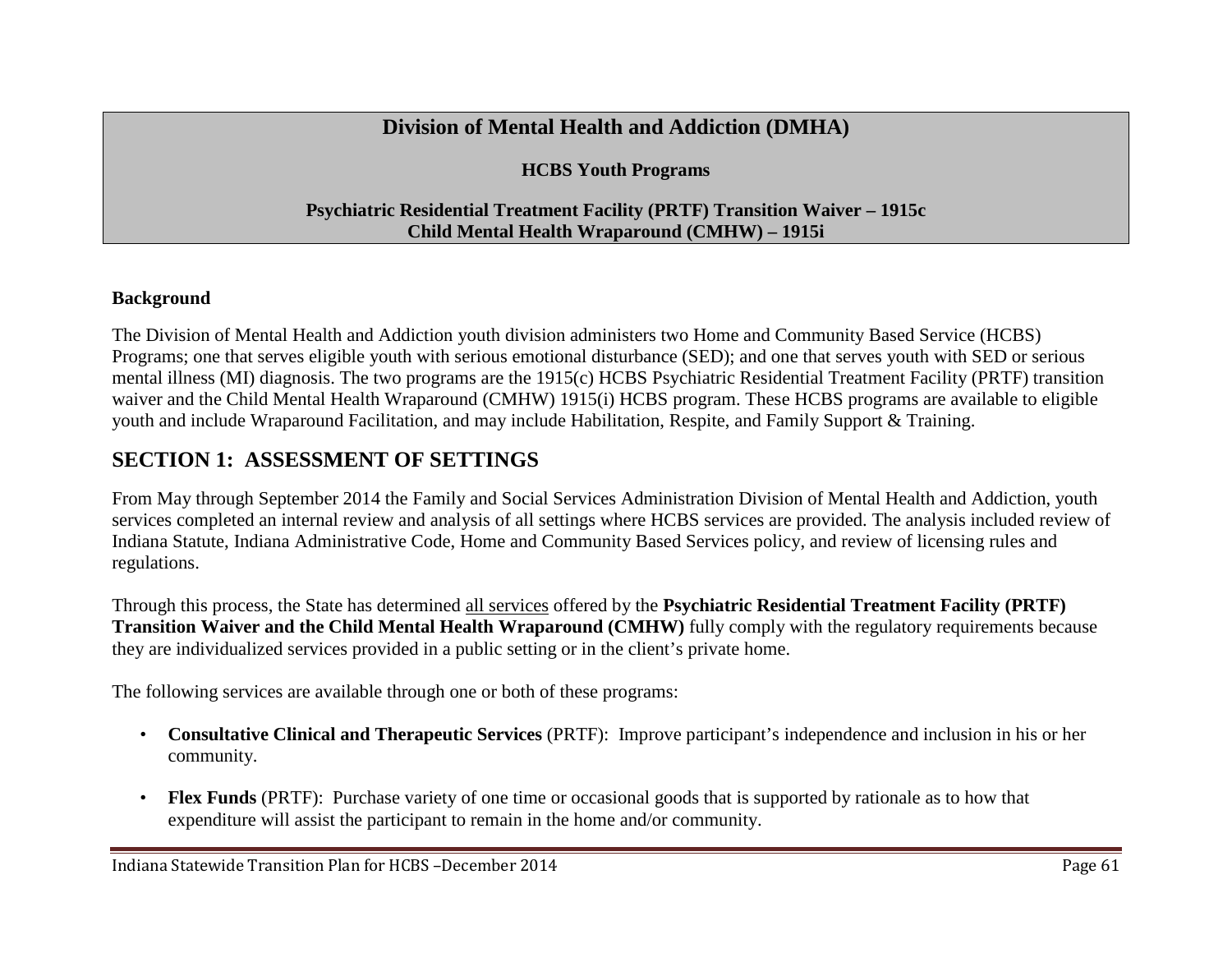## **Division of Mental Health and Addiction (DMHA)**

**HCBS Youth Programs**

### **Psychiatric Residential Treatment Facility (PRTF) Transition Waiver – 1915c Child Mental Health Wraparound (CMHW) – 1915i**

### **Background**

The Division of Mental Health and Addiction youth division administers two Home and Community Based Service (HCBS) Programs; one that serves eligible youth with serious emotional disturbance (SED); and one that serves youth with SED or serious mental illness (MI) diagnosis. The two programs are the 1915(c) HCBS Psychiatric Residential Treatment Facility (PRTF) transition waiver and the Child Mental Health Wraparound (CMHW) 1915(i) HCBS program. These HCBS programs are available to eligible youth and include Wraparound Facilitation, and may include Habilitation, Respite, and Family Support & Training.

# **SECTION 1: ASSESSMENT OF SETTINGS**

From May through September 2014 the Family and Social Services Administration Division of Mental Health and Addiction, youth services completed an internal review and analysis of all settings where HCBS services are provided. The analysis included review of Indiana Statute, Indiana Administrative Code, Home and Community Based Services policy, and review of licensing rules and regulations.

Through this process, the State has determined all services offered by the **Psychiatric Residential Treatment Facility (PRTF) Transition Waiver and the Child Mental Health Wraparound (CMHW)** fully comply with the regulatory requirements because they are individualized services provided in a public setting or in the client's private home.

The following services are available through one or both of these programs:

- **Consultative Clinical and Therapeutic Services** (PRTF): Improve participant's independence and inclusion in his or her community.
- **Flex Funds** (PRTF): Purchase variety of one time or occasional goods that is supported by rationale as to how that expenditure will assist the participant to remain in the home and/or community.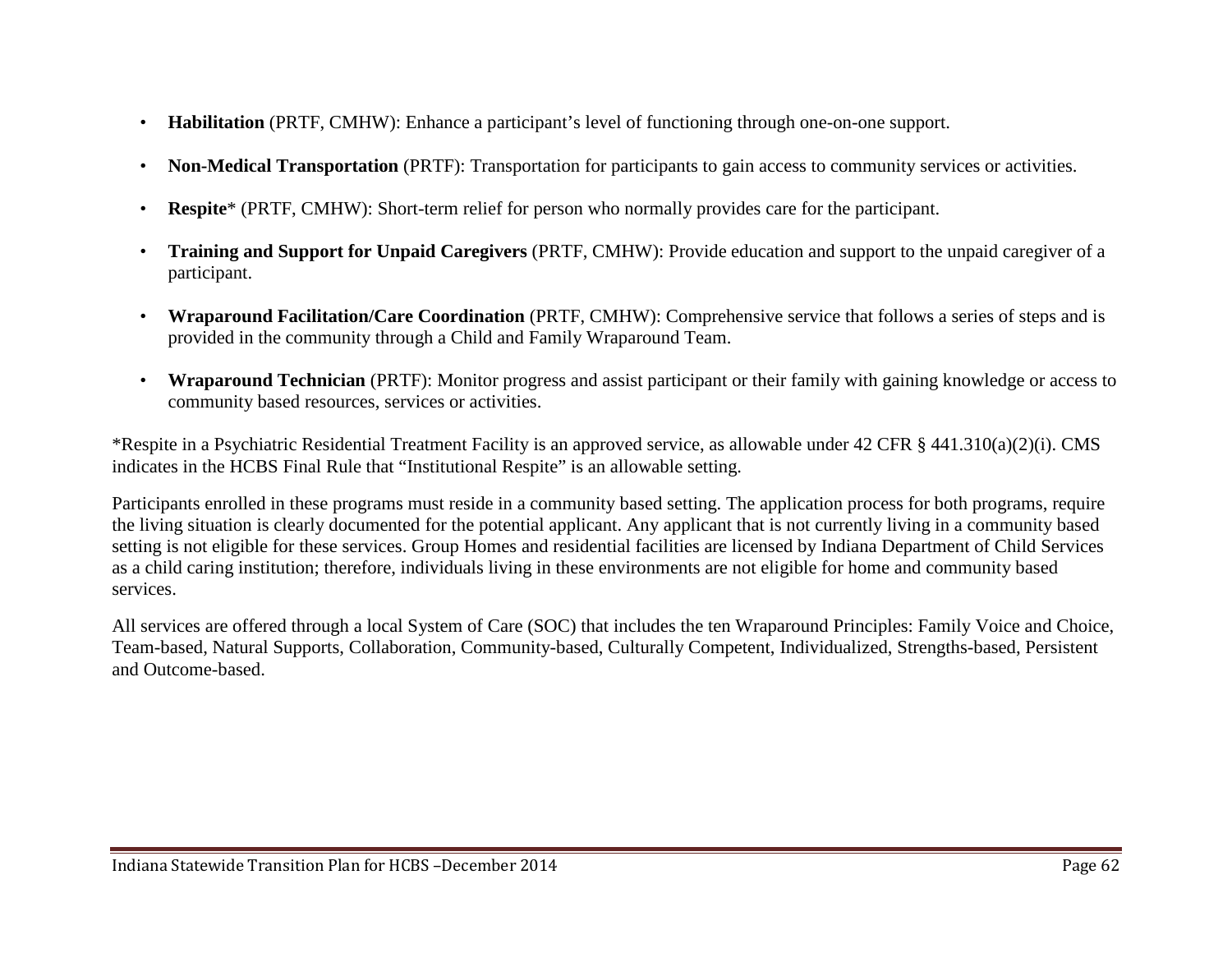- **Habilitation** (PRTF, CMHW): Enhance a participant's level of functioning through one-on-one support.
- **Non-Medical Transportation** (PRTF): Transportation for participants to gain access to community services or activities.
- **Respite**\* (PRTF, CMHW): Short-term relief for person who normally provides care for the participant.
- **Training and Support for Unpaid Caregivers** (PRTF, CMHW): Provide education and support to the unpaid caregiver of a participant.
- **Wraparound Facilitation/Care Coordination** (PRTF, CMHW): Comprehensive service that follows a series of steps and is provided in the community through a Child and Family Wraparound Team.
- **Wraparound Technician** (PRTF): Monitor progress and assist participant or their family with gaining knowledge or access to community based resources, services or activities.

\*Respite in a Psychiatric Residential Treatment Facility is an approved service, as allowable under 42 CFR § 441.310(a)(2)(i). CMS indicates in the HCBS Final Rule that "Institutional Respite" is an allowable setting.

Participants enrolled in these programs must reside in a community based setting. The application process for both programs, require the living situation is clearly documented for the potential applicant. Any applicant that is not currently living in a community based setting is not eligible for these services. Group Homes and residential facilities are licensed by Indiana Department of Child Services as a child caring institution; therefore, individuals living in these environments are not eligible for home and community based services.

All services are offered through a local System of Care (SOC) that includes the ten Wraparound Principles: Family Voice and Choice, Team-based, Natural Supports, Collaboration, Community-based, Culturally Competent, Individualized, Strengths-based, Persistent and Outcome-based.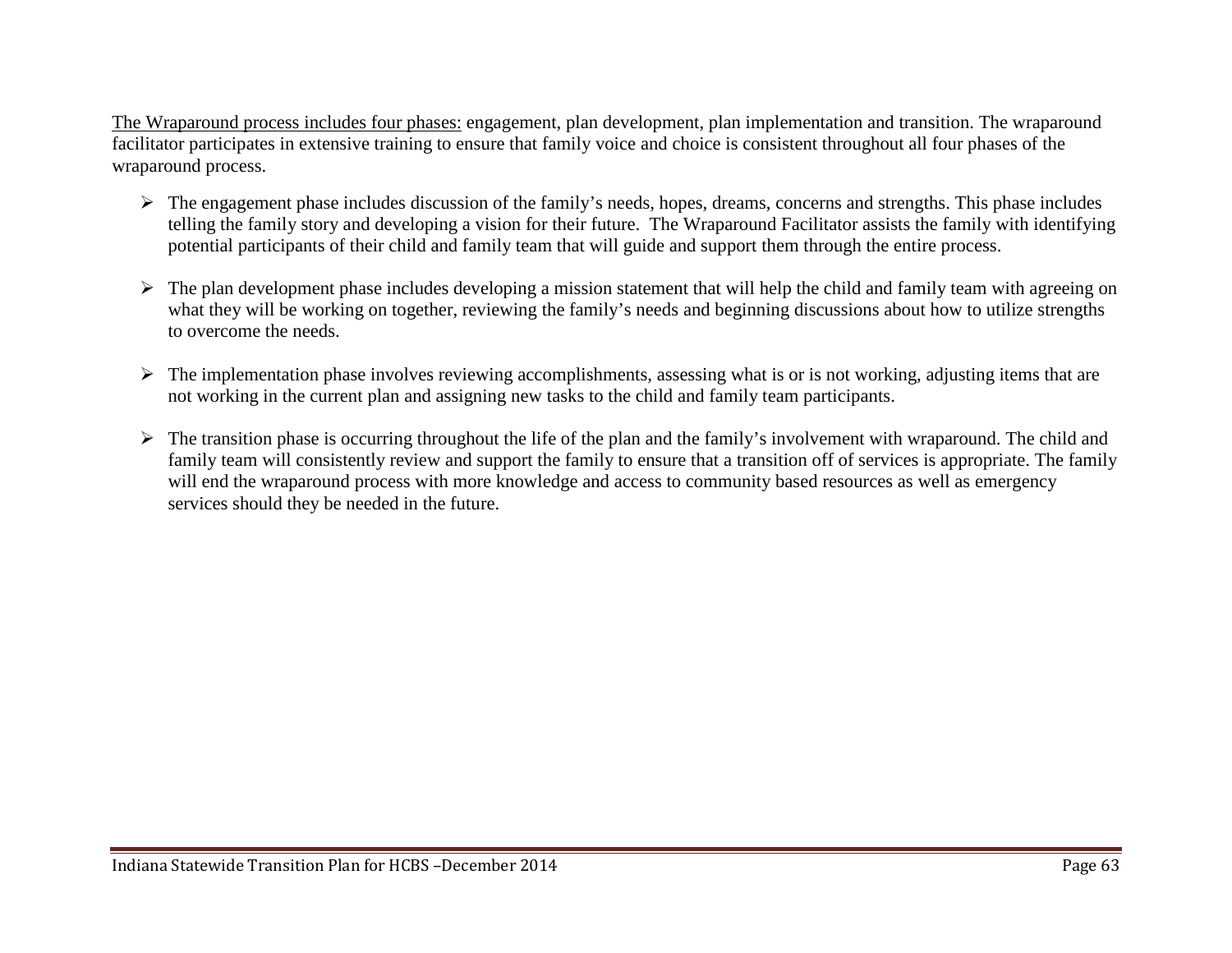The Wraparound process includes four phases: engagement, plan development, plan implementation and transition. The wraparound facilitator participates in extensive training to ensure that family voice and choice is consistent throughout all four phases of the wraparound process.

- $\triangleright$  The engagement phase includes discussion of the family's needs, hopes, dreams, concerns and strengths. This phase includes telling the family story and developing a vision for their future. The Wraparound Facilitator assists the family with identifying potential participants of their child and family team that will guide and support them through the entire process.
- $\triangleright$  The plan development phase includes developing a mission statement that will help the child and family team with agreeing on what they will be working on together, reviewing the family's needs and beginning discussions about how to utilize strengths to overcome the needs.
- $\triangleright$  The implementation phase involves reviewing accomplishments, assessing what is or is not working, adjusting items that are not working in the current plan and assigning new tasks to the child and family team participants.
- $\triangleright$  The transition phase is occurring throughout the life of the plan and the family's involvement with wraparound. The child and family team will consistently review and support the family to ensure that a transition off of services is appropriate. The family will end the wraparound process with more knowledge and access to community based resources as well as emergency services should they be needed in the future.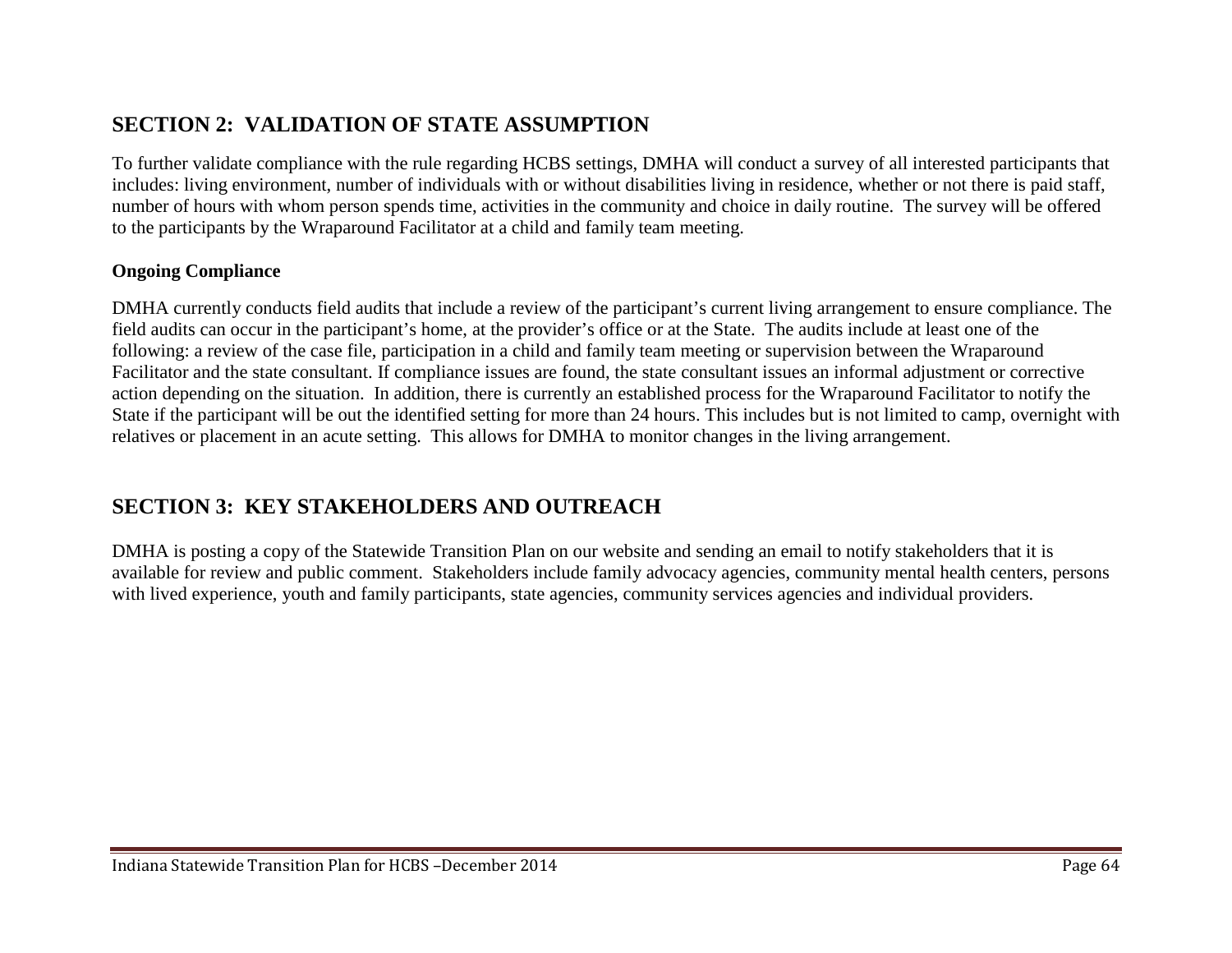# **SECTION 2: VALIDATION OF STATE ASSUMPTION**

To further validate compliance with the rule regarding HCBS settings, DMHA will conduct a survey of all interested participants that includes: living environment, number of individuals with or without disabilities living in residence, whether or not there is paid staff, number of hours with whom person spends time, activities in the community and choice in daily routine. The survey will be offered to the participants by the Wraparound Facilitator at a child and family team meeting.

#### **Ongoing Compliance**

DMHA currently conducts field audits that include a review of the participant's current living arrangement to ensure compliance. The field audits can occur in the participant's home, at the provider's office or at the State. The audits include at least one of the following: a review of the case file, participation in a child and family team meeting or supervision between the Wraparound Facilitator and the state consultant. If compliance issues are found, the state consultant issues an informal adjustment or corrective action depending on the situation. In addition, there is currently an established process for the Wraparound Facilitator to notify the State if the participant will be out the identified setting for more than 24 hours. This includes but is not limited to camp, overnight with relatives or placement in an acute setting. This allows for DMHA to monitor changes in the living arrangement.

### **SECTION 3: KEY STAKEHOLDERS AND OUTREACH**

DMHA is posting a copy of the Statewide Transition Plan on our website and sending an email to notify stakeholders that it is available for review and public comment. Stakeholders include family advocacy agencies, community mental health centers, persons with lived experience, youth and family participants, state agencies, community services agencies and individual providers.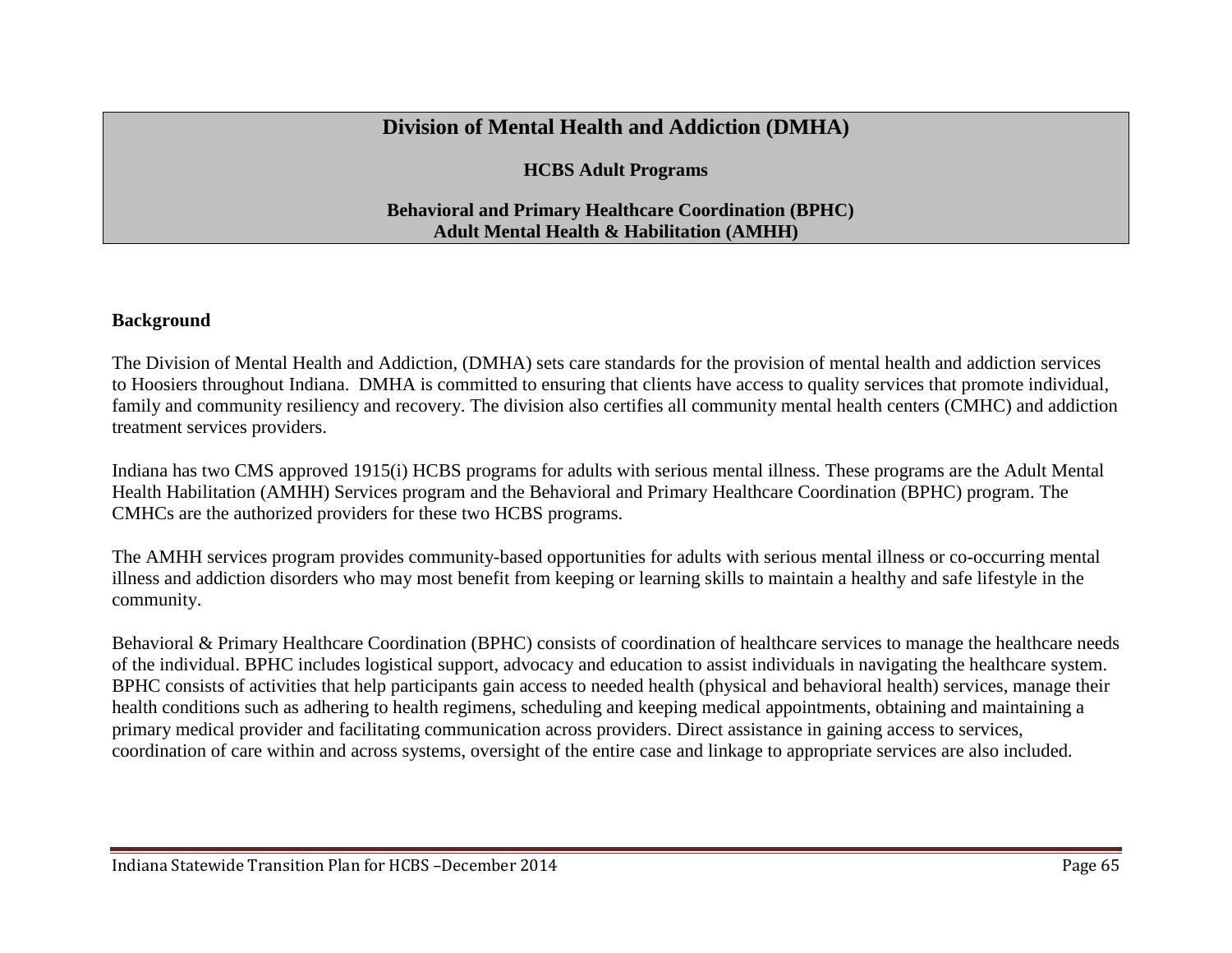### **Division of Mental Health and Addiction (DMHA)**

**HCBS Adult Programs**

#### **Behavioral and Primary Healthcare Coordination (BPHC) Adult Mental Health & Habilitation (AMHH)**

#### **Background**

The Division of Mental Health and Addiction, (DMHA) sets care standards for the provision of mental health and addiction services to Hoosiers throughout Indiana. DMHA is committed to ensuring that clients have access to quality services that promote individual, family and community resiliency and recovery. The division also certifies all community mental health centers (CMHC) and addiction treatment services providers.

Indiana has two CMS approved 1915(i) HCBS programs for adults with serious mental illness. These programs are the Adult Mental Health Habilitation (AMHH) Services program and the Behavioral and Primary Healthcare Coordination (BPHC) program. The CMHCs are the authorized providers for these two HCBS programs.

The AMHH services program provides community-based opportunities for adults with serious mental illness or co-occurring mental illness and addiction disorders who may most benefit from keeping or learning skills to maintain a healthy and safe lifestyle in the community.

Behavioral & Primary Healthcare Coordination (BPHC) consists of coordination of healthcare services to manage the healthcare needs of the individual. BPHC includes logistical support, advocacy and education to assist individuals in navigating the healthcare system. BPHC consists of activities that help participants gain access to needed health (physical and behavioral health) services, manage their health conditions such as adhering to health regimens, scheduling and keeping medical appointments, obtaining and maintaining a primary medical provider and facilitating communication across providers. Direct assistance in gaining access to services, coordination of care within and across systems, oversight of the entire case and linkage to appropriate services are also included.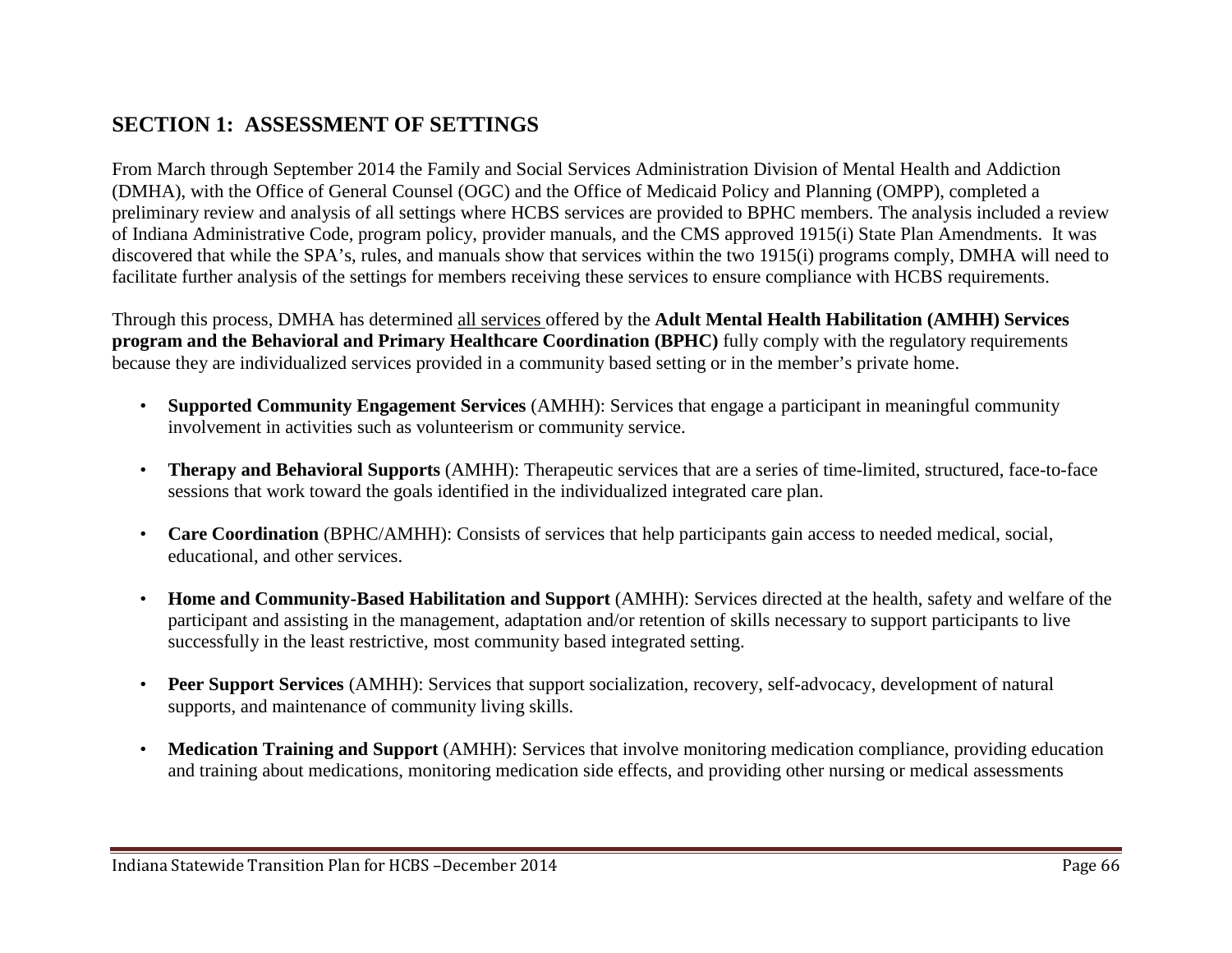# **SECTION 1: ASSESSMENT OF SETTINGS**

From March through September 2014 the Family and Social Services Administration Division of Mental Health and Addiction (DMHA), with the Office of General Counsel (OGC) and the Office of Medicaid Policy and Planning (OMPP), completed a preliminary review and analysis of all settings where HCBS services are provided to BPHC members. The analysis included a review of Indiana Administrative Code, program policy, provider manuals, and the CMS approved 1915(i) State Plan Amendments. It was discovered that while the SPA's, rules, and manuals show that services within the two 1915(i) programs comply, DMHA will need to facilitate further analysis of the settings for members receiving these services to ensure compliance with HCBS requirements.

Through this process, DMHA has determined all services offered by the **Adult Mental Health Habilitation (AMHH) Services program and the Behavioral and Primary Healthcare Coordination (BPHC)** fully comply with the regulatory requirements because they are individualized services provided in a community based setting or in the member's private home.

- **Supported Community Engagement Services** (AMHH): Services that engage a participant in meaningful community involvement in activities such as volunteerism or community service.
- **Therapy and Behavioral Supports** (AMHH): Therapeutic services that are a series of time-limited, structured, face-to-face sessions that work toward the goals identified in the individualized integrated care plan.
- **Care Coordination** (BPHC/AMHH): Consists of services that help participants gain access to needed medical, social, educational, and other services.
- **Home and Community-Based Habilitation and Support** (AMHH): Services directed at the health, safety and welfare of the participant and assisting in the management, adaptation and/or retention of skills necessary to support participants to live successfully in the least restrictive, most community based integrated setting.
- **Peer Support Services** (AMHH): Services that support socialization, recovery, self-advocacy, development of natural supports, and maintenance of community living skills.
- **Medication Training and Support** (AMHH): Services that involve monitoring medication compliance, providing education and training about medications, monitoring medication side effects, and providing other nursing or medical assessments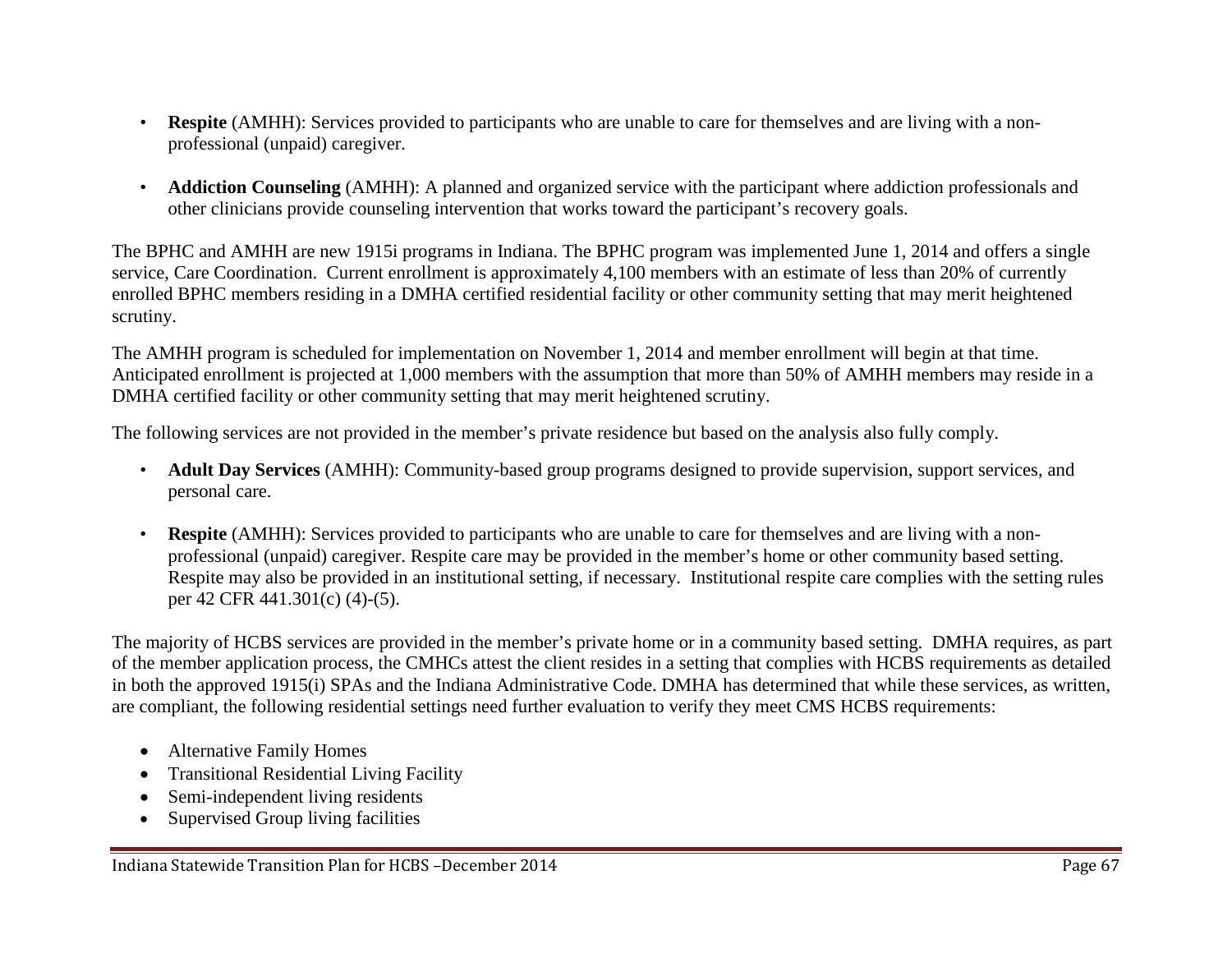- **Respite** (AMHH): Services provided to participants who are unable to care for themselves and are living with a nonprofessional (unpaid) caregiver.
- **Addiction Counseling** (AMHH): A planned and organized service with the participant where addiction professionals and other clinicians provide counseling intervention that works toward the participant's recovery goals.

The BPHC and AMHH are new 1915i programs in Indiana. The BPHC program was implemented June 1, 2014 and offers a single service, Care Coordination. Current enrollment is approximately 4,100 members with an estimate of less than 20% of currently enrolled BPHC members residing in a DMHA certified residential facility or other community setting that may merit heightened scrutiny.

The AMHH program is scheduled for implementation on November 1, 2014 and member enrollment will begin at that time. Anticipated enrollment is projected at 1,000 members with the assumption that more than 50% of AMHH members may reside in a DMHA certified facility or other community setting that may merit heightened scrutiny.

The following services are not provided in the member's private residence but based on the analysis also fully comply.

- **Adult Day Services** (AMHH): Community-based group programs designed to provide supervision, support services, and personal care.
- **Respite** (AMHH): Services provided to participants who are unable to care for themselves and are living with a nonprofessional (unpaid) caregiver. Respite care may be provided in the member's home or other community based setting. Respite may also be provided in an institutional setting, if necessary. Institutional respite care complies with the setting rules per 42 CFR 441.301(c) (4)-(5).

The majority of HCBS services are provided in the member's private home or in a community based setting. DMHA requires, as part of the member application process, the CMHCs attest the client resides in a setting that complies with HCBS requirements as detailed in both the approved 1915(i) SPAs and the Indiana Administrative Code. DMHA has determined that while these services, as written, are compliant, the following residential settings need further evaluation to verify they meet CMS HCBS requirements:

- Alternative Family Homes
- Transitional Residential Living Facility
- Semi-independent living residents
- Supervised Group living facilities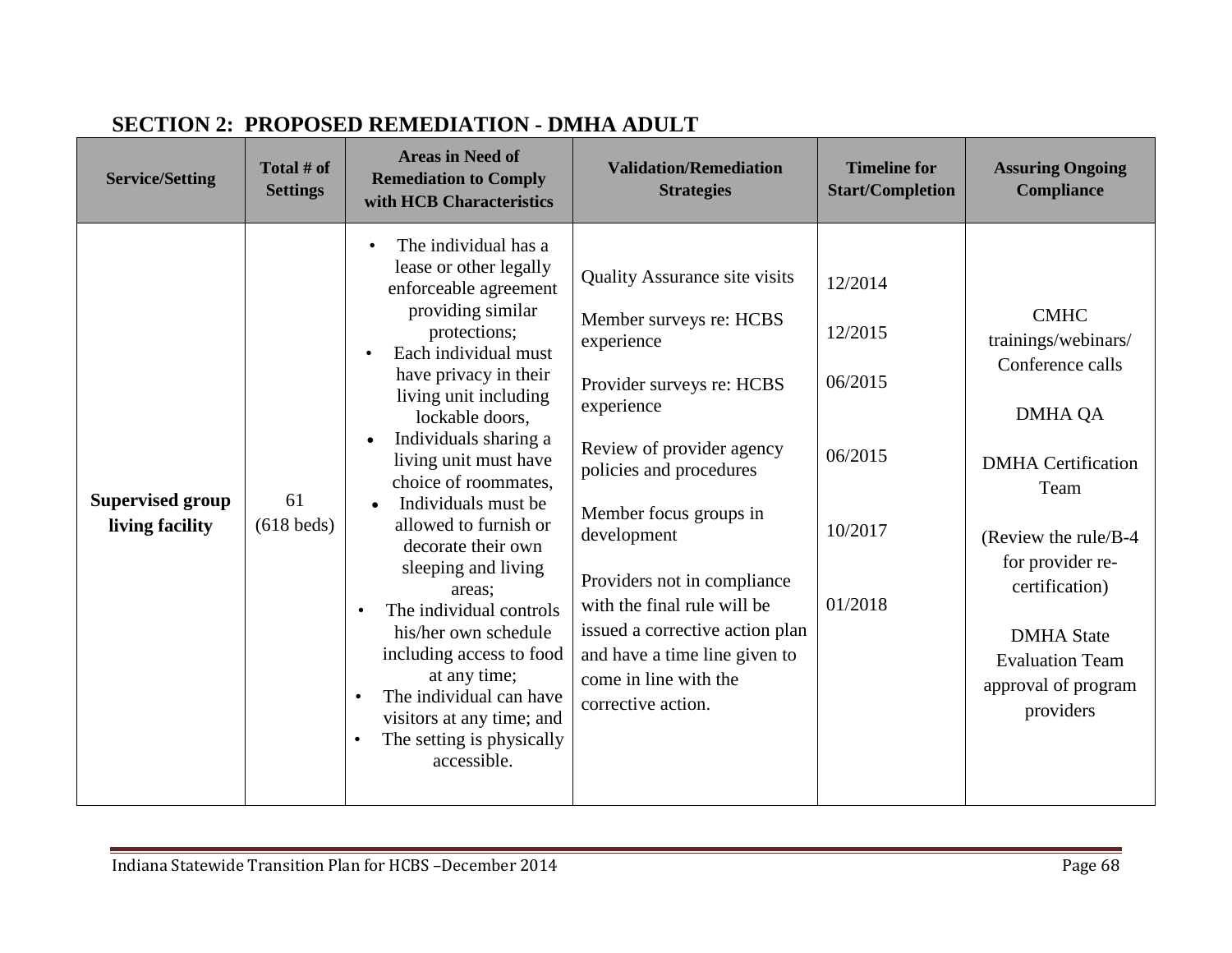| <b>Service/Setting</b>                     | Total # of<br><b>Settings</b> | <b>Areas in Need of</b><br><b>Remediation to Comply</b><br>with HCB Characteristics                                                                                                                                                                                                                                                                                                                                                                                                                                                                                                                                                                                         | <b>Validation/Remediation</b><br><b>Strategies</b>                                                                                                                                                                                                                                                                                                                                                         | <b>Timeline for</b><br><b>Start/Completion</b>                 | <b>Assuring Ongoing</b><br><b>Compliance</b>                                                                                                                                                                                                                    |
|--------------------------------------------|-------------------------------|-----------------------------------------------------------------------------------------------------------------------------------------------------------------------------------------------------------------------------------------------------------------------------------------------------------------------------------------------------------------------------------------------------------------------------------------------------------------------------------------------------------------------------------------------------------------------------------------------------------------------------------------------------------------------------|------------------------------------------------------------------------------------------------------------------------------------------------------------------------------------------------------------------------------------------------------------------------------------------------------------------------------------------------------------------------------------------------------------|----------------------------------------------------------------|-----------------------------------------------------------------------------------------------------------------------------------------------------------------------------------------------------------------------------------------------------------------|
| <b>Supervised group</b><br>living facility | 61<br>$(618$ beds)            | The individual has a<br>$\bullet$<br>lease or other legally<br>enforceable agreement<br>providing similar<br>protections;<br>Each individual must<br>have privacy in their<br>living unit including<br>lockable doors,<br>Individuals sharing a<br>$\bullet$<br>living unit must have<br>choice of roommates.<br>Individuals must be<br>$\bullet$<br>allowed to furnish or<br>decorate their own<br>sleeping and living<br>areas;<br>The individual controls<br>$\bullet$<br>his/her own schedule<br>including access to food<br>at any time;<br>The individual can have<br>$\bullet$<br>visitors at any time; and<br>The setting is physically<br>$\bullet$<br>accessible. | <b>Quality Assurance site visits</b><br>Member surveys re: HCBS<br>experience<br>Provider surveys re: HCBS<br>experience<br>Review of provider agency<br>policies and procedures<br>Member focus groups in<br>development<br>Providers not in compliance<br>with the final rule will be<br>issued a corrective action plan<br>and have a time line given to<br>come in line with the<br>corrective action. | 12/2014<br>12/2015<br>06/2015<br>06/2015<br>10/2017<br>01/2018 | <b>CMHC</b><br>trainings/webinars/<br>Conference calls<br><b>DMHA QA</b><br><b>DMHA</b> Certification<br>Team<br>(Review the rule/B-4)<br>for provider re-<br>certification)<br><b>DMHA</b> State<br><b>Evaluation Team</b><br>approval of program<br>providers |

# **SECTION 2: PROPOSED REMEDIATION - DMHA ADULT**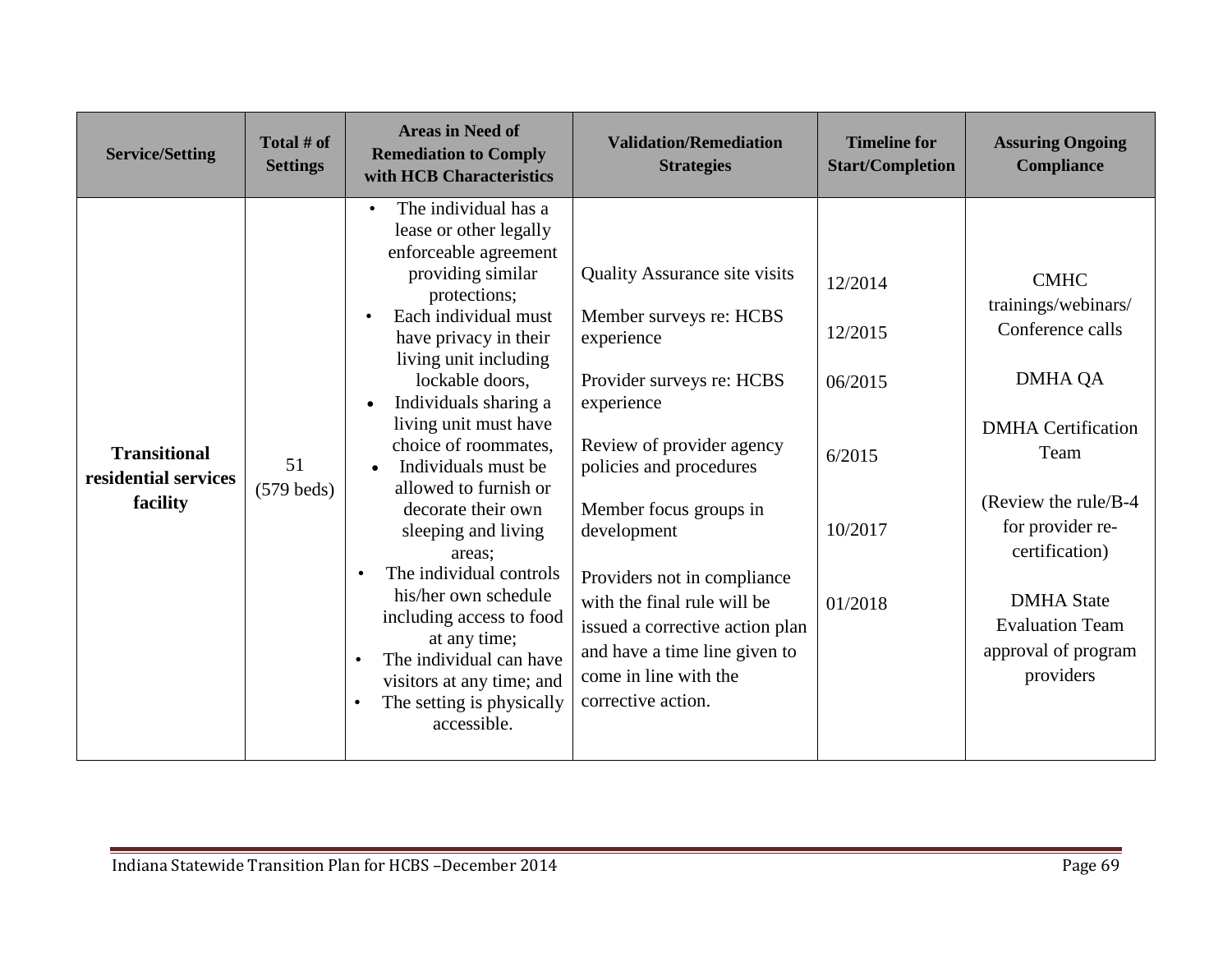| <b>Service/Setting</b>                                  | Total # of<br><b>Settings</b> | <b>Areas in Need of</b><br><b>Remediation to Comply</b><br>with HCB Characteristics                                                                                                                                                                                                                                                                                                                                                                                                                                                                                                                                                                                         | <b>Validation/Remediation</b><br><b>Strategies</b>                                                                                                                                                                                                                                                                                                                                                         | <b>Timeline for</b><br><b>Start/Completion</b>                | <b>Assuring Ongoing</b><br>Compliance                                                                                                                                                                                                                           |
|---------------------------------------------------------|-------------------------------|-----------------------------------------------------------------------------------------------------------------------------------------------------------------------------------------------------------------------------------------------------------------------------------------------------------------------------------------------------------------------------------------------------------------------------------------------------------------------------------------------------------------------------------------------------------------------------------------------------------------------------------------------------------------------------|------------------------------------------------------------------------------------------------------------------------------------------------------------------------------------------------------------------------------------------------------------------------------------------------------------------------------------------------------------------------------------------------------------|---------------------------------------------------------------|-----------------------------------------------------------------------------------------------------------------------------------------------------------------------------------------------------------------------------------------------------------------|
| <b>Transitional</b><br>residential services<br>facility | 51<br>$(579$ beds)            | The individual has a<br>$\bullet$<br>lease or other legally<br>enforceable agreement<br>providing similar<br>protections;<br>Each individual must<br>$\bullet$<br>have privacy in their<br>living unit including<br>lockable doors.<br>Individuals sharing a<br>$\bullet$<br>living unit must have<br>choice of roommates,<br>Individuals must be<br>allowed to furnish or<br>decorate their own<br>sleeping and living<br>areas:<br>The individual controls<br>$\bullet$<br>his/her own schedule<br>including access to food<br>at any time;<br>The individual can have<br>$\bullet$<br>visitors at any time; and<br>The setting is physically<br>$\bullet$<br>accessible. | <b>Quality Assurance site visits</b><br>Member surveys re: HCBS<br>experience<br>Provider surveys re: HCBS<br>experience<br>Review of provider agency<br>policies and procedures<br>Member focus groups in<br>development<br>Providers not in compliance<br>with the final rule will be<br>issued a corrective action plan<br>and have a time line given to<br>come in line with the<br>corrective action. | 12/2014<br>12/2015<br>06/2015<br>6/2015<br>10/2017<br>01/2018 | <b>CMHC</b><br>trainings/webinars/<br>Conference calls<br><b>DMHA QA</b><br><b>DMHA</b> Certification<br>Team<br>(Review the rule/B-4)<br>for provider re-<br>certification)<br><b>DMHA</b> State<br><b>Evaluation Team</b><br>approval of program<br>providers |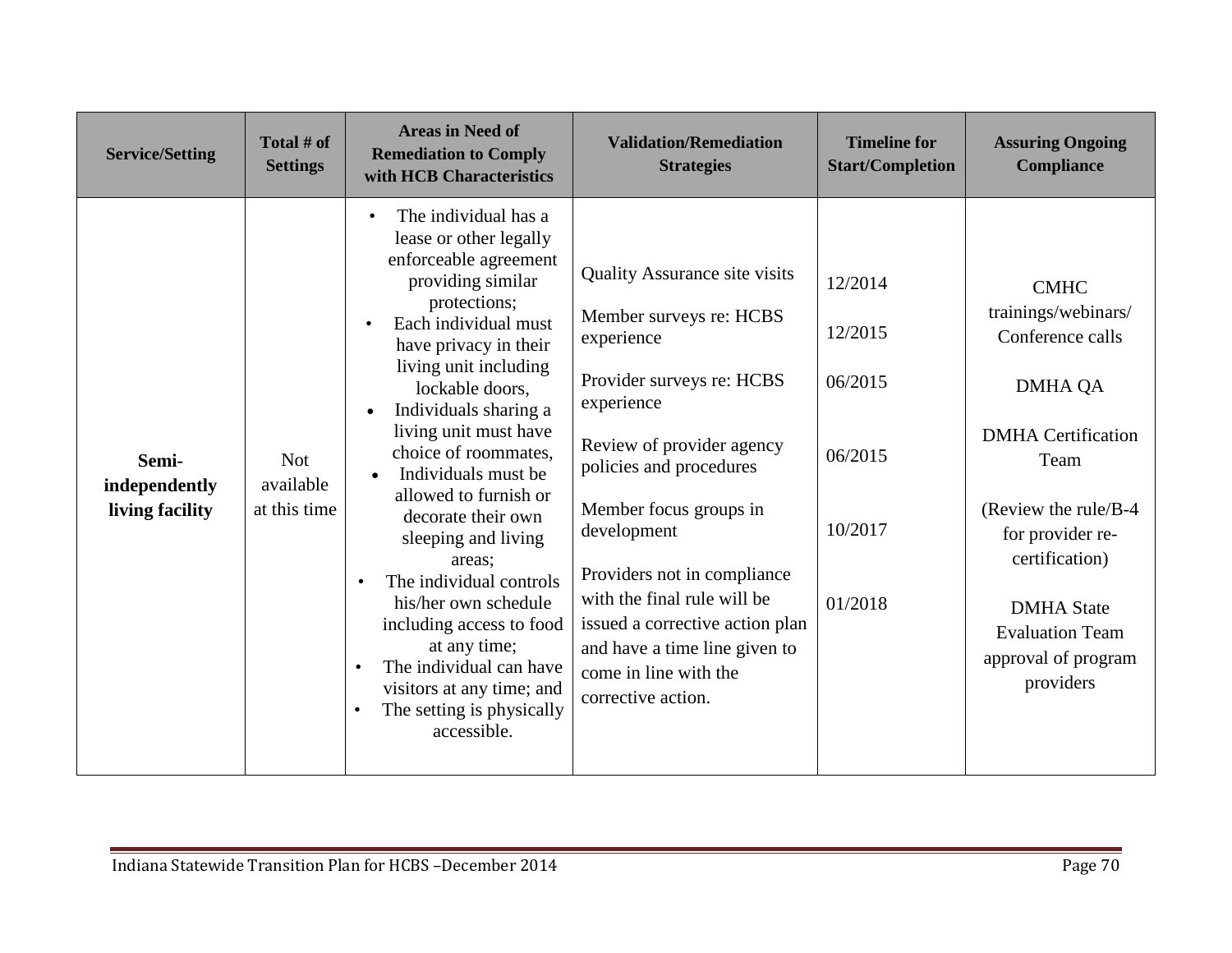| <b>Service/Setting</b>                    | Total # of<br><b>Settings</b>           | <b>Areas in Need of</b><br><b>Remediation to Comply</b><br>with HCB Characteristics                                                                                                                                                                                                                                                                                                                                                                                                                                                                                                                                                                            | <b>Validation/Remediation</b><br><b>Strategies</b>                                                                                                                                                                                                                                                                                                                                                         | <b>Timeline for</b><br><b>Start/Completion</b>                 | <b>Assuring Ongoing</b><br><b>Compliance</b>                                                                                                                                                                                                                    |
|-------------------------------------------|-----------------------------------------|----------------------------------------------------------------------------------------------------------------------------------------------------------------------------------------------------------------------------------------------------------------------------------------------------------------------------------------------------------------------------------------------------------------------------------------------------------------------------------------------------------------------------------------------------------------------------------------------------------------------------------------------------------------|------------------------------------------------------------------------------------------------------------------------------------------------------------------------------------------------------------------------------------------------------------------------------------------------------------------------------------------------------------------------------------------------------------|----------------------------------------------------------------|-----------------------------------------------------------------------------------------------------------------------------------------------------------------------------------------------------------------------------------------------------------------|
| Semi-<br>independently<br>living facility | <b>Not</b><br>available<br>at this time | The individual has a<br>$\bullet$<br>lease or other legally<br>enforceable agreement<br>providing similar<br>protections;<br>Each individual must<br>have privacy in their<br>living unit including<br>lockable doors.<br>Individuals sharing a<br>living unit must have<br>choice of roommates,<br>Individuals must be<br>$\bullet$<br>allowed to furnish or<br>decorate their own<br>sleeping and living<br>areas;<br>The individual controls<br>$\bullet$<br>his/her own schedule<br>including access to food<br>at any time;<br>The individual can have<br>$\bullet$<br>visitors at any time; and<br>The setting is physically<br>$\bullet$<br>accessible. | <b>Quality Assurance site visits</b><br>Member surveys re: HCBS<br>experience<br>Provider surveys re: HCBS<br>experience<br>Review of provider agency<br>policies and procedures<br>Member focus groups in<br>development<br>Providers not in compliance<br>with the final rule will be<br>issued a corrective action plan<br>and have a time line given to<br>come in line with the<br>corrective action. | 12/2014<br>12/2015<br>06/2015<br>06/2015<br>10/2017<br>01/2018 | <b>CMHC</b><br>trainings/webinars/<br>Conference calls<br><b>DMHA QA</b><br><b>DMHA</b> Certification<br>Team<br>(Review the rule/B-4)<br>for provider re-<br>certification)<br><b>DMHA</b> State<br><b>Evaluation Team</b><br>approval of program<br>providers |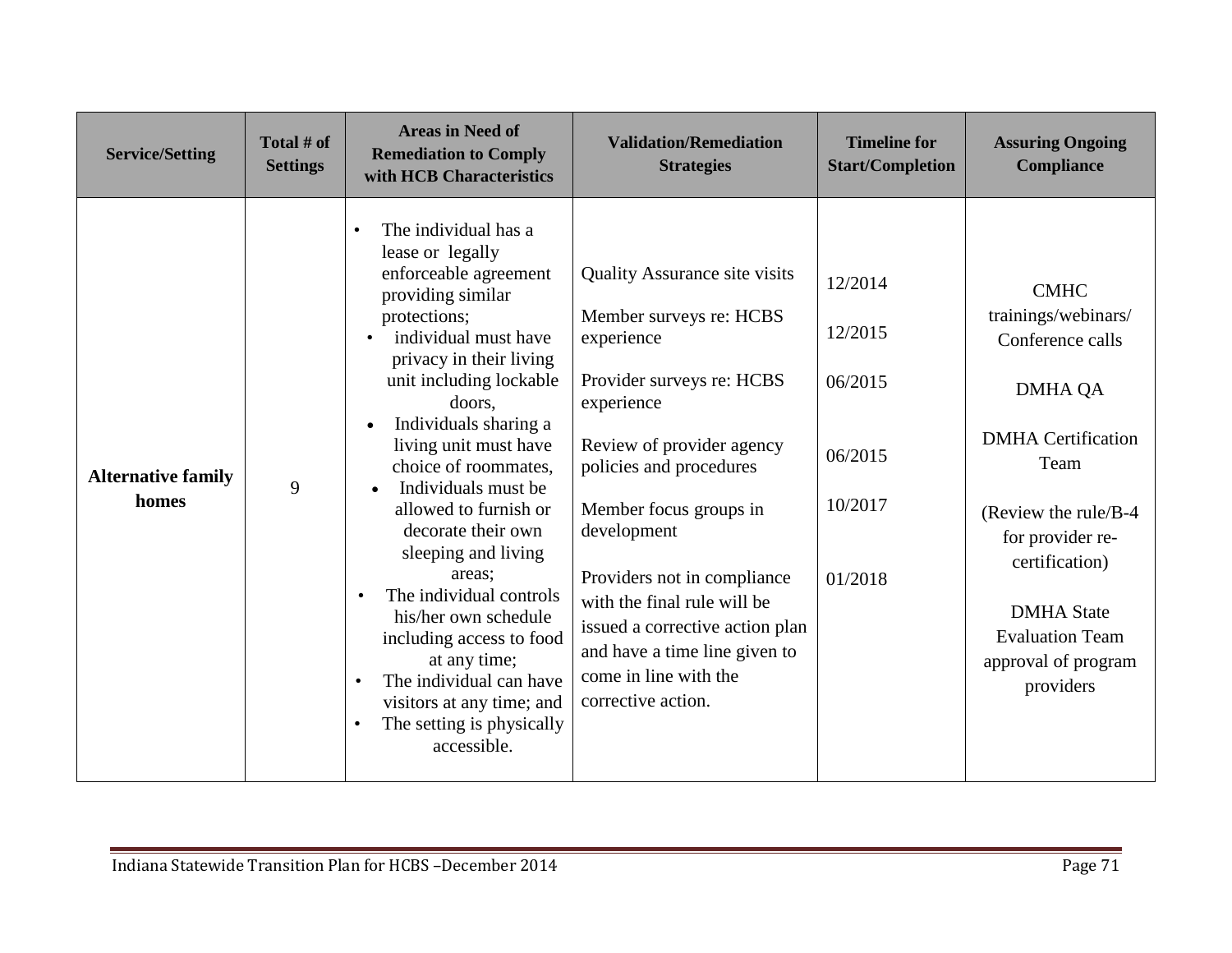| <b>Service/Setting</b>             | Total # of<br><b>Settings</b> | <b>Areas in Need of</b><br><b>Remediation to Comply</b><br>with HCB Characteristics                                                                                                                                                                                                                                                                                                                                                                                                                                                                                                                                                                              | <b>Validation/Remediation</b><br><b>Strategies</b>                                                                                                                                                                                                                                                                                                                                                         | <b>Timeline for</b><br><b>Start/Completion</b>                 | <b>Assuring Ongoing</b><br><b>Compliance</b>                                                                                                                                                                                                                    |
|------------------------------------|-------------------------------|------------------------------------------------------------------------------------------------------------------------------------------------------------------------------------------------------------------------------------------------------------------------------------------------------------------------------------------------------------------------------------------------------------------------------------------------------------------------------------------------------------------------------------------------------------------------------------------------------------------------------------------------------------------|------------------------------------------------------------------------------------------------------------------------------------------------------------------------------------------------------------------------------------------------------------------------------------------------------------------------------------------------------------------------------------------------------------|----------------------------------------------------------------|-----------------------------------------------------------------------------------------------------------------------------------------------------------------------------------------------------------------------------------------------------------------|
| <b>Alternative family</b><br>homes | 9                             | The individual has a<br>$\bullet$<br>lease or legally<br>enforceable agreement<br>providing similar<br>protections;<br>individual must have<br>$\bullet$<br>privacy in their living<br>unit including lockable<br>doors,<br>Individuals sharing a<br>$\bullet$<br>living unit must have<br>choice of roommates,<br>Individuals must be<br>$\bullet$<br>allowed to furnish or<br>decorate their own<br>sleeping and living<br>areas;<br>The individual controls<br>his/her own schedule<br>including access to food<br>at any time;<br>The individual can have<br>$\bullet$<br>visitors at any time; and<br>The setting is physically<br>$\bullet$<br>accessible. | <b>Quality Assurance site visits</b><br>Member surveys re: HCBS<br>experience<br>Provider surveys re: HCBS<br>experience<br>Review of provider agency<br>policies and procedures<br>Member focus groups in<br>development<br>Providers not in compliance<br>with the final rule will be<br>issued a corrective action plan<br>and have a time line given to<br>come in line with the<br>corrective action. | 12/2014<br>12/2015<br>06/2015<br>06/2015<br>10/2017<br>01/2018 | <b>CMHC</b><br>trainings/webinars/<br>Conference calls<br><b>DMHA QA</b><br><b>DMHA</b> Certification<br>Team<br>(Review the rule/B-4)<br>for provider re-<br>certification)<br><b>DMHA</b> State<br><b>Evaluation Team</b><br>approval of program<br>providers |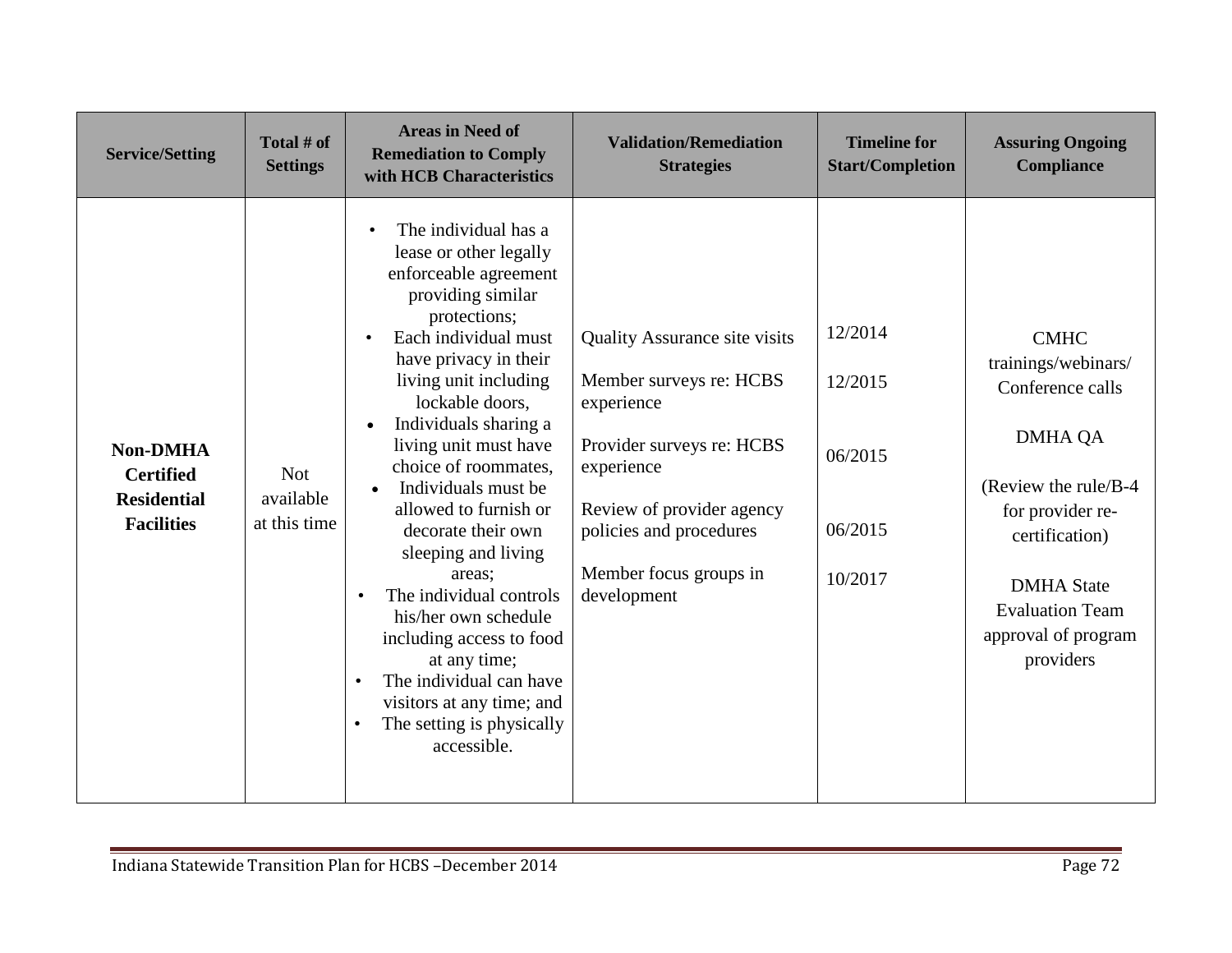| <b>Service/Setting</b>                                                         | Total # of<br><b>Settings</b>           | <b>Areas in Need of</b><br><b>Remediation to Comply</b><br>with HCB Characteristics                                                                                                                                                                                                                                                                                                                                                                                                                                                                                                                                                                                         | <b>Validation/Remediation</b><br><b>Strategies</b>                                                                                                                                                                        | <b>Timeline for</b><br><b>Start/Completion</b>      | <b>Assuring Ongoing</b><br><b>Compliance</b>                                                                                                                                                                               |
|--------------------------------------------------------------------------------|-----------------------------------------|-----------------------------------------------------------------------------------------------------------------------------------------------------------------------------------------------------------------------------------------------------------------------------------------------------------------------------------------------------------------------------------------------------------------------------------------------------------------------------------------------------------------------------------------------------------------------------------------------------------------------------------------------------------------------------|---------------------------------------------------------------------------------------------------------------------------------------------------------------------------------------------------------------------------|-----------------------------------------------------|----------------------------------------------------------------------------------------------------------------------------------------------------------------------------------------------------------------------------|
| <b>Non-DMHA</b><br><b>Certified</b><br><b>Residential</b><br><b>Facilities</b> | <b>Not</b><br>available<br>at this time | The individual has a<br>$\bullet$<br>lease or other legally<br>enforceable agreement<br>providing similar<br>protections;<br>Each individual must<br>have privacy in their<br>living unit including<br>lockable doors,<br>Individuals sharing a<br>$\bullet$<br>living unit must have<br>choice of roommates,<br>Individuals must be<br>$\bullet$<br>allowed to furnish or<br>decorate their own<br>sleeping and living<br>areas;<br>The individual controls<br>$\bullet$<br>his/her own schedule<br>including access to food<br>at any time;<br>The individual can have<br>$\bullet$<br>visitors at any time; and<br>The setting is physically<br>$\bullet$<br>accessible. | <b>Quality Assurance site visits</b><br>Member surveys re: HCBS<br>experience<br>Provider surveys re: HCBS<br>experience<br>Review of provider agency<br>policies and procedures<br>Member focus groups in<br>development | 12/2014<br>12/2015<br>06/2015<br>06/2015<br>10/2017 | <b>CMHC</b><br>trainings/webinars/<br>Conference calls<br><b>DMHA QA</b><br>(Review the rule/B-4)<br>for provider re-<br>certification)<br><b>DMHA</b> State<br><b>Evaluation Team</b><br>approval of program<br>providers |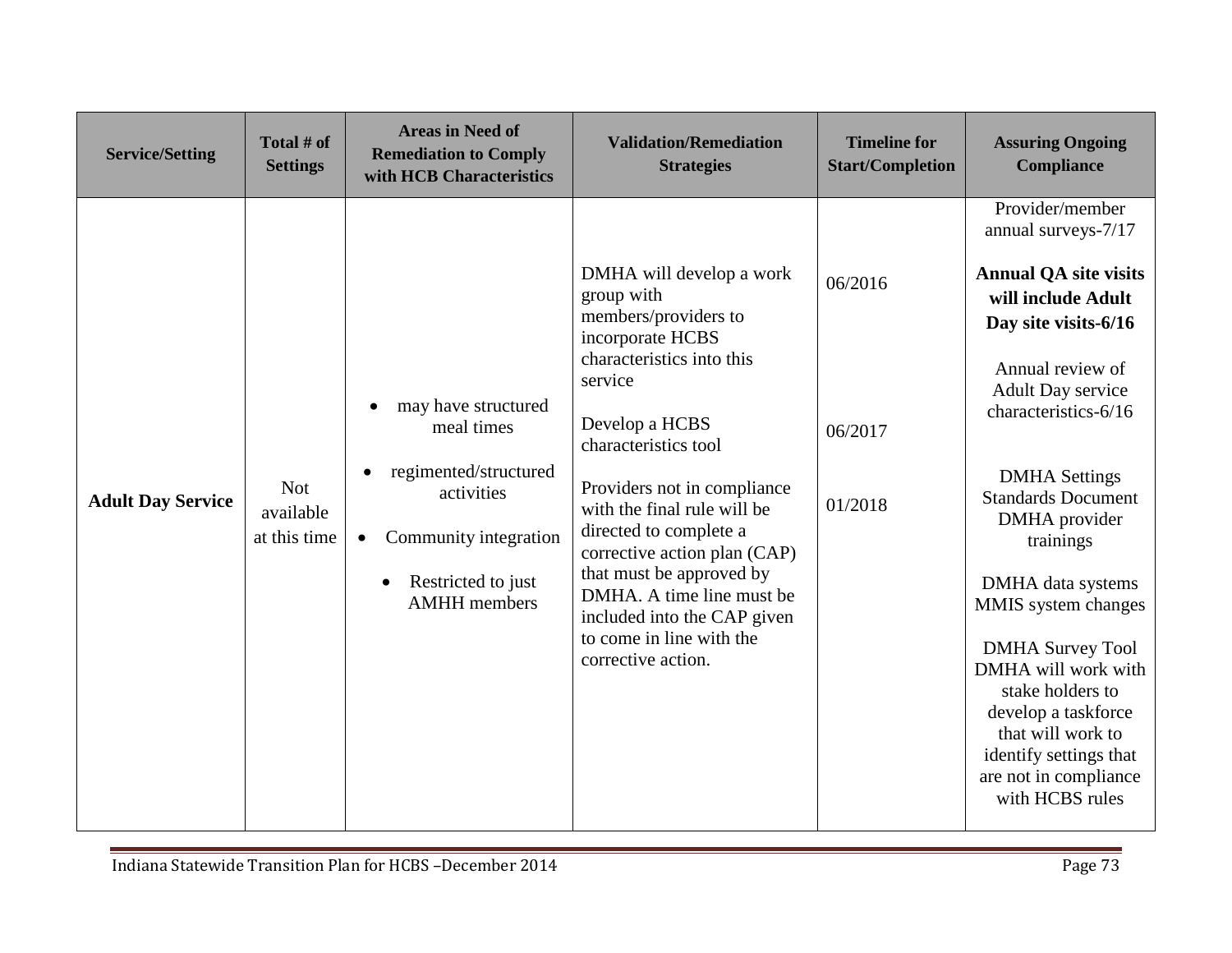| <b>Service/Setting</b>   | Total # of<br><b>Settings</b>           | <b>Areas in Need of</b><br><b>Remediation to Comply</b><br>with HCB Characteristics                                                                                      | <b>Validation/Remediation</b><br><b>Strategies</b>                                                                                                                                                                                                                                                                                                                                                                                     | <b>Timeline for</b><br><b>Start/Completion</b> | <b>Assuring Ongoing</b><br><b>Compliance</b>                                                                                                                                                                                                                                                                                                                                                                                                                                                                        |
|--------------------------|-----------------------------------------|--------------------------------------------------------------------------------------------------------------------------------------------------------------------------|----------------------------------------------------------------------------------------------------------------------------------------------------------------------------------------------------------------------------------------------------------------------------------------------------------------------------------------------------------------------------------------------------------------------------------------|------------------------------------------------|---------------------------------------------------------------------------------------------------------------------------------------------------------------------------------------------------------------------------------------------------------------------------------------------------------------------------------------------------------------------------------------------------------------------------------------------------------------------------------------------------------------------|
| <b>Adult Day Service</b> | <b>Not</b><br>available<br>at this time | may have structured<br>meal times<br>regimented/structured<br>activities<br>Community integration<br>$\bullet$<br>Restricted to just<br>$\bullet$<br><b>AMHH</b> members | DMHA will develop a work<br>group with<br>members/providers to<br>incorporate HCBS<br>characteristics into this<br>service<br>Develop a HCBS<br>characteristics tool<br>Providers not in compliance<br>with the final rule will be<br>directed to complete a<br>corrective action plan (CAP)<br>that must be approved by<br>DMHA. A time line must be<br>included into the CAP given<br>to come in line with the<br>corrective action. | 06/2016<br>06/2017<br>01/2018                  | Provider/member<br>annual surveys-7/17<br><b>Annual QA site visits</b><br>will include Adult<br>Day site visits-6/16<br>Annual review of<br><b>Adult Day service</b><br>characteristics-6/16<br><b>DMHA</b> Settings<br><b>Standards Document</b><br>DMHA provider<br>trainings<br>DMHA data systems<br>MMIS system changes<br><b>DMHA Survey Tool</b><br>DMHA will work with<br>stake holders to<br>develop a taskforce<br>that will work to<br>identify settings that<br>are not in compliance<br>with HCBS rules |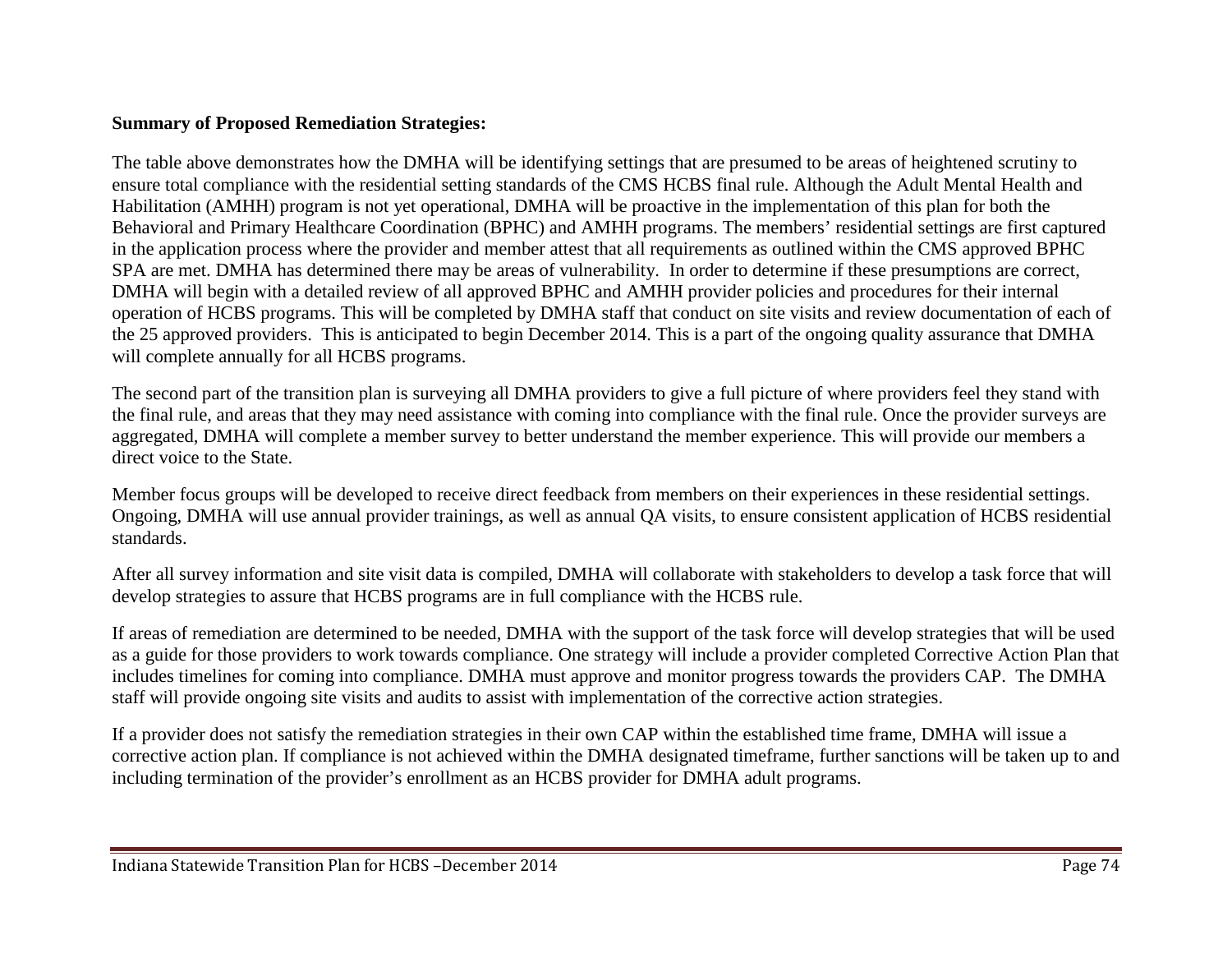#### **Summary of Proposed Remediation Strategies:**

The table above demonstrates how the DMHA will be identifying settings that are presumed to be areas of heightened scrutiny to ensure total compliance with the residential setting standards of the CMS HCBS final rule. Although the Adult Mental Health and Habilitation (AMHH) program is not yet operational, DMHA will be proactive in the implementation of this plan for both the Behavioral and Primary Healthcare Coordination (BPHC) and AMHH programs. The members' residential settings are first captured in the application process where the provider and member attest that all requirements as outlined within the CMS approved BPHC SPA are met. DMHA has determined there may be areas of vulnerability. In order to determine if these presumptions are correct, DMHA will begin with a detailed review of all approved BPHC and AMHH provider policies and procedures for their internal operation of HCBS programs. This will be completed by DMHA staff that conduct on site visits and review documentation of each of the 25 approved providers. This is anticipated to begin December 2014. This is a part of the ongoing quality assurance that DMHA will complete annually for all HCBS programs.

The second part of the transition plan is surveying all DMHA providers to give a full picture of where providers feel they stand with the final rule, and areas that they may need assistance with coming into compliance with the final rule. Once the provider surveys are aggregated, DMHA will complete a member survey to better understand the member experience. This will provide our members a direct voice to the State.

Member focus groups will be developed to receive direct feedback from members on their experiences in these residential settings. Ongoing, DMHA will use annual provider trainings, as well as annual QA visits, to ensure consistent application of HCBS residential standards.

After all survey information and site visit data is compiled, DMHA will collaborate with stakeholders to develop a task force that will develop strategies to assure that HCBS programs are in full compliance with the HCBS rule.

If areas of remediation are determined to be needed, DMHA with the support of the task force will develop strategies that will be used as a guide for those providers to work towards compliance. One strategy will include a provider completed Corrective Action Plan that includes timelines for coming into compliance. DMHA must approve and monitor progress towards the providers CAP. The DMHA staff will provide ongoing site visits and audits to assist with implementation of the corrective action strategies.

If a provider does not satisfy the remediation strategies in their own CAP within the established time frame, DMHA will issue a corrective action plan. If compliance is not achieved within the DMHA designated timeframe, further sanctions will be taken up to and including termination of the provider's enrollment as an HCBS provider for DMHA adult programs.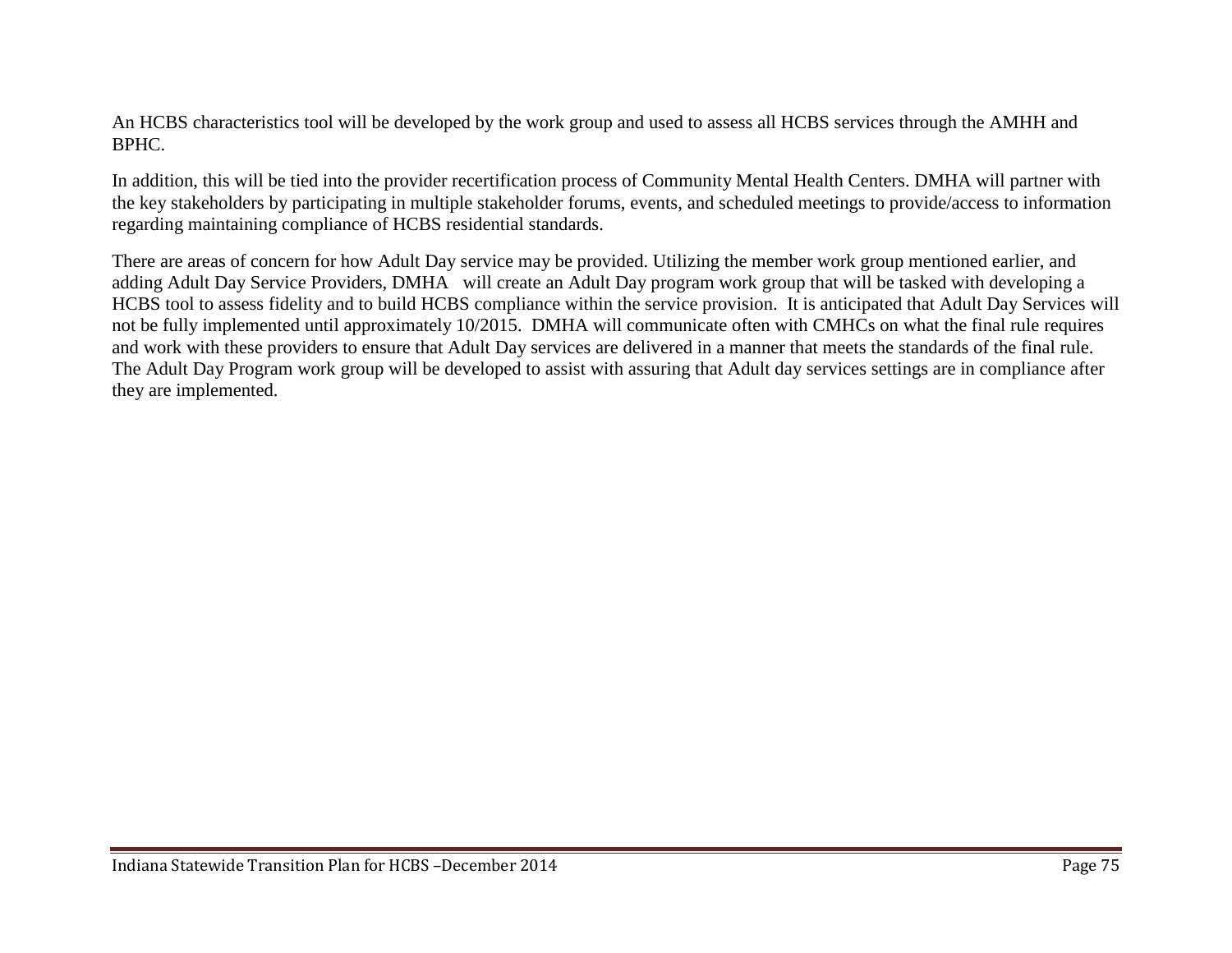An HCBS characteristics tool will be developed by the work group and used to assess all HCBS services through the AMHH and BPHC.

In addition, this will be tied into the provider recertification process of Community Mental Health Centers. DMHA will partner with the key stakeholders by participating in multiple stakeholder forums, events, and scheduled meetings to provide/access to information regarding maintaining compliance of HCBS residential standards.

There are areas of concern for how Adult Day service may be provided. Utilizing the member work group mentioned earlier, and adding Adult Day Service Providers, DMHA will create an Adult Day program work group that will be tasked with developing a HCBS tool to assess fidelity and to build HCBS compliance within the service provision. It is anticipated that Adult Day Services will not be fully implemented until approximately 10/2015. DMHA will communicate often with CMHCs on what the final rule requires and work with these providers to ensure that Adult Day services are delivered in a manner that meets the standards of the final rule. The Adult Day Program work group will be developed to assist with assuring that Adult day services settings are in compliance after they are implemented.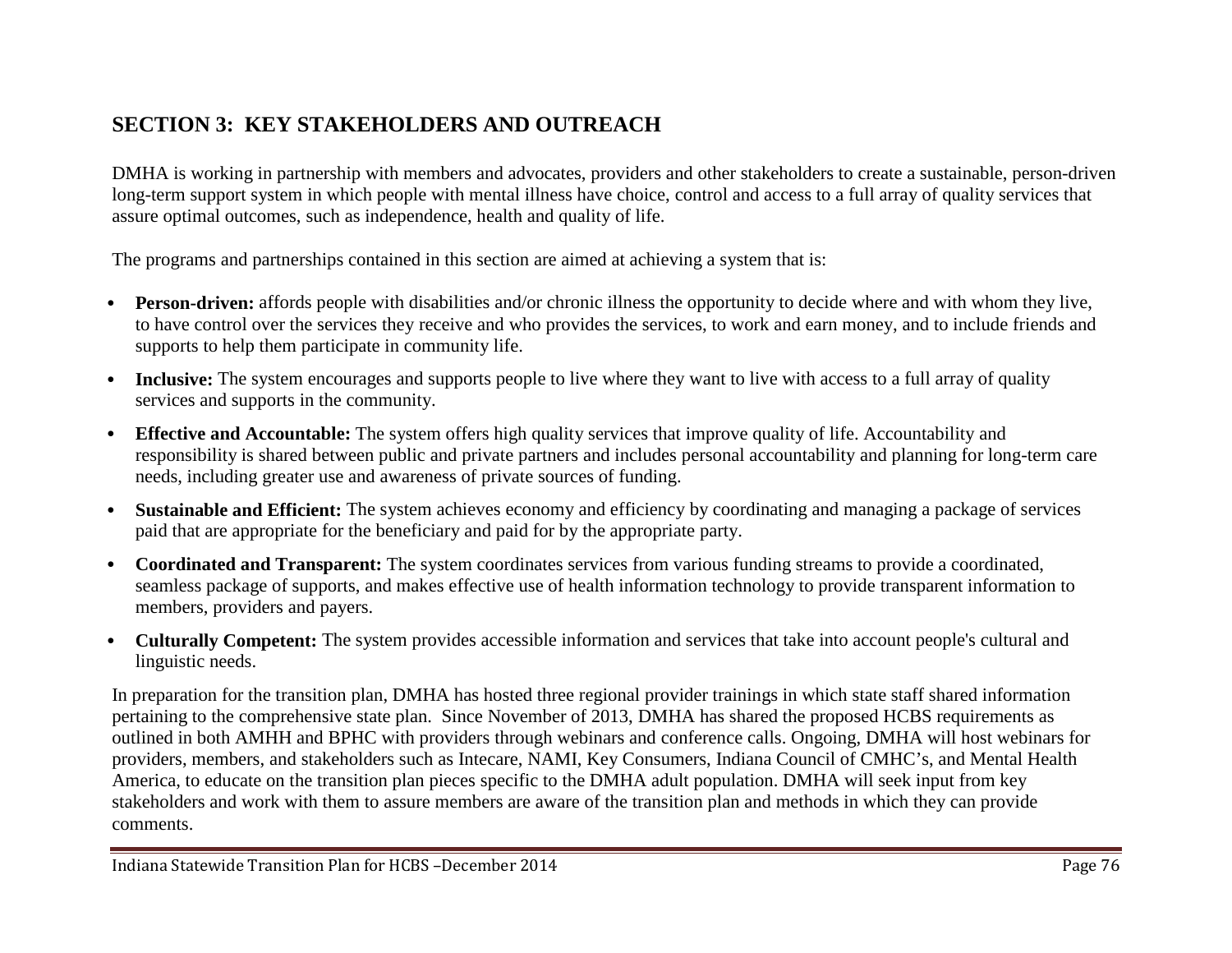# **SECTION 3: KEY STAKEHOLDERS AND OUTREACH**

DMHA is working in partnership with members and advocates, providers and other stakeholders to create a sustainable, person-driven long-term support system in which people with mental illness have choice, control and access to a full array of quality services that assure optimal outcomes, such as independence, health and quality of life.

The programs and partnerships contained in this section are aimed at achieving a system that is:

- **Person-driven:** affords people with disabilities and/or chronic illness the opportunity to decide where and with whom they live, to have control over the services they receive and who provides the services, to work and earn money, and to include friends and supports to help them participate in community life.
- **Inclusive:** The system encourages and supports people to live where they want to live with access to a full array of quality services and supports in the community.
- **Effective and Accountable:** The system offers high quality services that improve quality of life. Accountability and responsibility is shared between public and private partners and includes personal accountability and planning for long-term care needs, including greater use and awareness of private sources of funding.
- **Sustainable and Efficient:** The system achieves economy and efficiency by coordinating and managing a package of services paid that are appropriate for the beneficiary and paid for by the appropriate party.
- **Coordinated and Transparent:** The system coordinates services from various funding streams to provide a coordinated, seamless package of supports, and makes effective use of health information technology to provide transparent information to members, providers and payers.
- **Culturally Competent:** The system provides accessible information and services that take into account people's cultural and linguistic needs.

In preparation for the transition plan, DMHA has hosted three regional provider trainings in which state staff shared information pertaining to the comprehensive state plan. Since November of 2013, DMHA has shared the proposed HCBS requirements as outlined in both AMHH and BPHC with providers through webinars and conference calls. Ongoing, DMHA will host webinars for providers, members, and stakeholders such as Intecare, NAMI, Key Consumers, Indiana Council of CMHC's, and Mental Health America, to educate on the transition plan pieces specific to the DMHA adult population. DMHA will seek input from key stakeholders and work with them to assure members are aware of the transition plan and methods in which they can provide comments.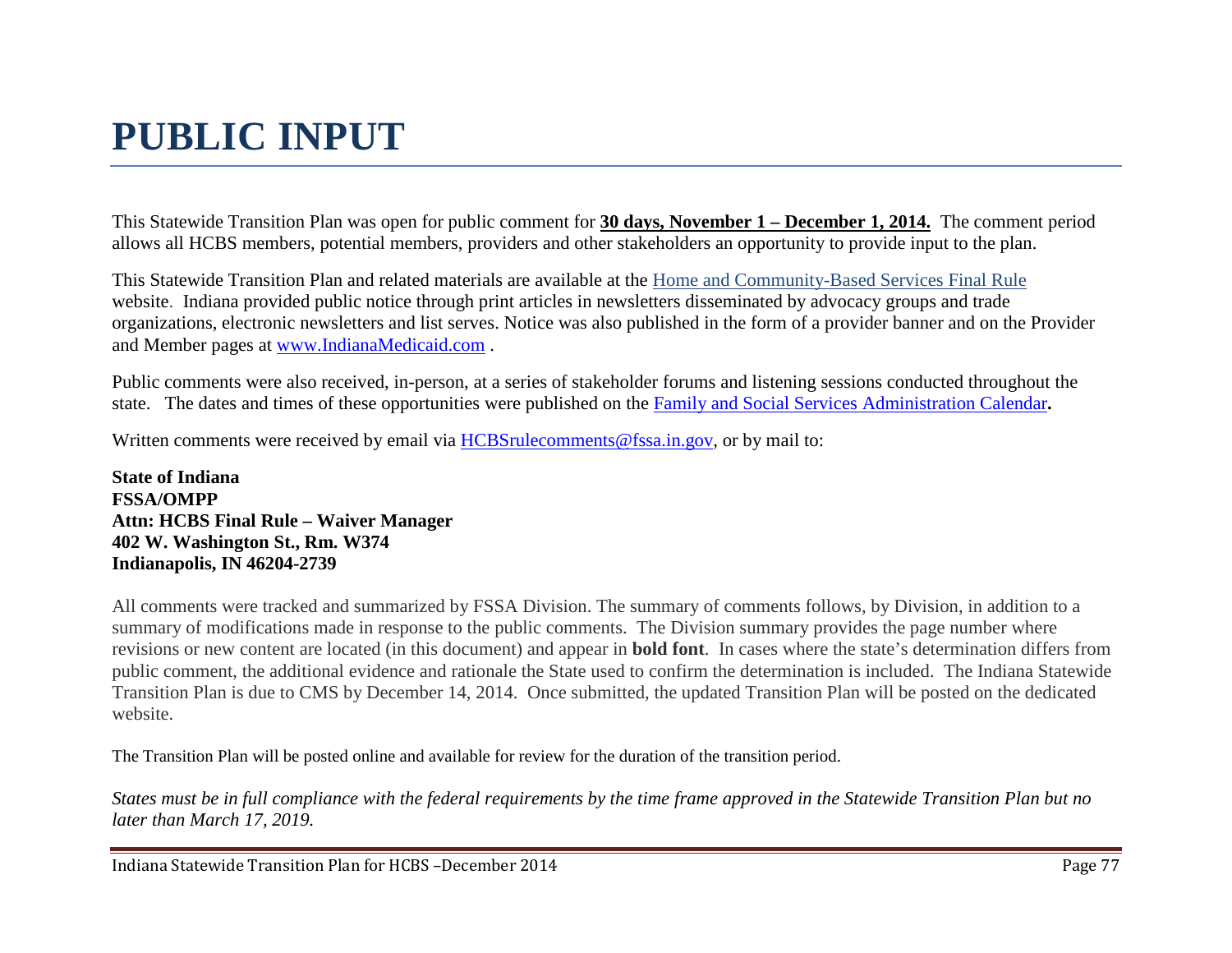# **PUBLIC INPUT**

This Statewide Transition Plan was open for public comment for **30 days, November 1 – December 1, 2014.** The comment period allows all HCBS members, potential members, providers and other stakeholders an opportunity to provide input to the plan.

This Statewide Transition Plan and related materials are available at the [Home and Community-Based Services Final Rule](http://www.in.gov/fssa/4917.htm) website. Indiana provided public notice through print articles in newsletters disseminated by advocacy groups and trade organizations, electronic newsletters and list serves. Notice was also published in the form of a provider banner and on the Provider and Member pages at [www.IndianaMedicaid.com](http://www.indianamedicaid.com/) .

Public comments were also received, in-person, at a series of stakeholder forums and listening sessions conducted throughout the state. The dates and times of these opportunities were published on the [Family and Social Services Administration Calendar](http://www.in.gov/activecalendar/CalendarNOW.aspx?fromdate=10/1/2014&todate=10/31/2014&display=Month&display=Month)**.**

Written comments were received by email via [HCBSrulecomments@fssa.in.gov,](mailto:HCBSrulecomments@fssa.in.gov) or by mail to:

**State of Indiana FSSA/OMPP Attn: HCBS Final Rule – Waiver Manager 402 W. Washington St., Rm. W374 Indianapolis, IN 46204-2739**

All comments were tracked and summarized by FSSA Division. The summary of comments follows, by Division, in addition to a summary of modifications made in response to the public comments. The Division summary provides the page number where revisions or new content are located (in this document) and appear in **bold font**. In cases where the state's determination differs from public comment, the additional evidence and rationale the State used to confirm the determination is included. The Indiana Statewide Transition Plan is due to CMS by December 14, 2014. Once submitted, the updated Transition Plan will be posted on the dedicated website.

The Transition Plan will be posted online and available for review for the duration of the transition period.

*States must be in full compliance with the federal requirements by the time frame approved in the Statewide Transition Plan but no later than March 17, 2019.*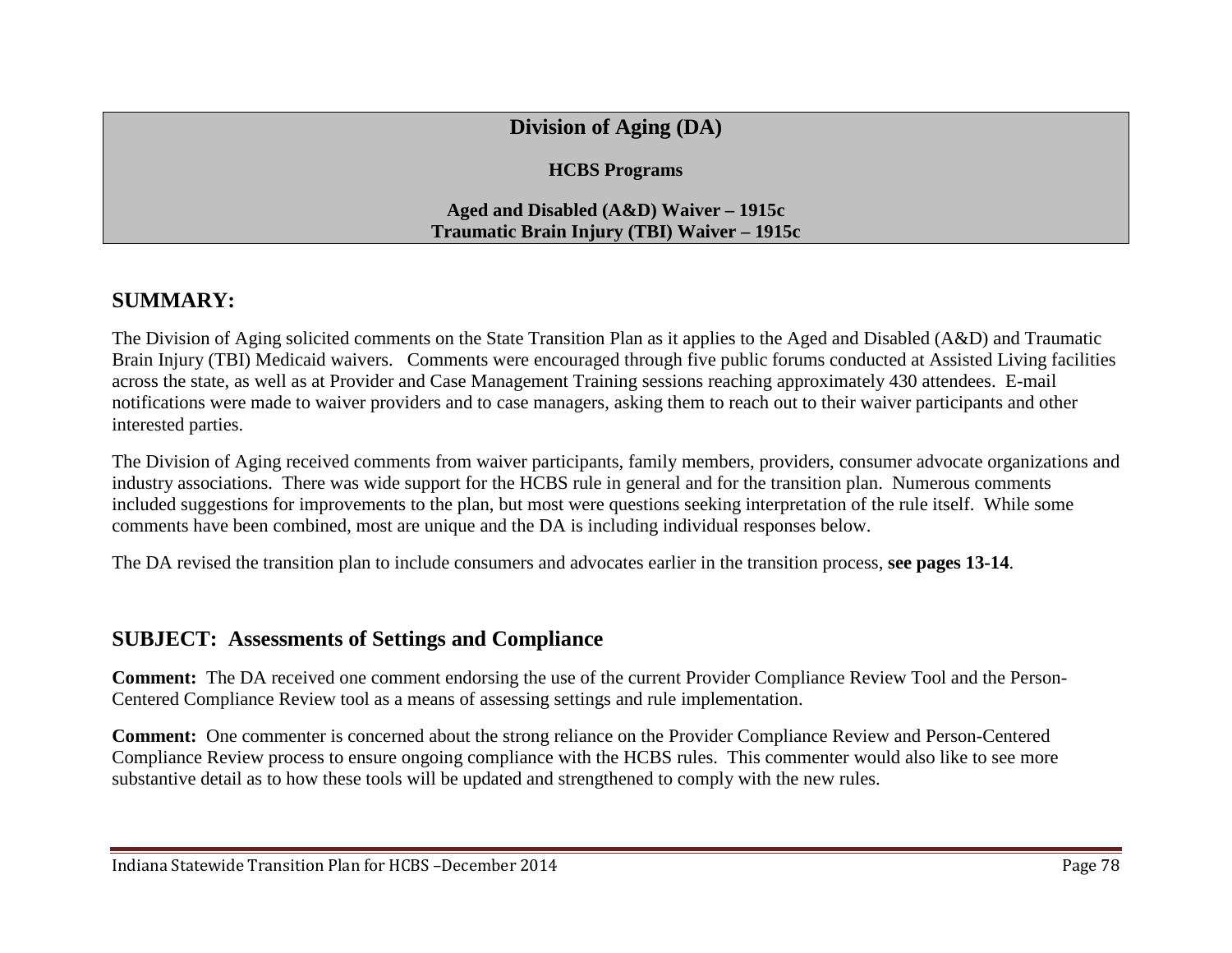## **Division of Aging (DA)**

#### **HCBS Programs**

#### **Aged and Disabled (A&D) Waiver – 1915c Traumatic Brain Injury (TBI) Waiver – 1915c**

## **SUMMARY:**

The Division of Aging solicited comments on the State Transition Plan as it applies to the Aged and Disabled (A&D) and Traumatic Brain Injury (TBI) Medicaid waivers. Comments were encouraged through five public forums conducted at Assisted Living facilities across the state, as well as at Provider and Case Management Training sessions reaching approximately 430 attendees. E-mail notifications were made to waiver providers and to case managers, asking them to reach out to their waiver participants and other interested parties.

The Division of Aging received comments from waiver participants, family members, providers, consumer advocate organizations and industry associations. There was wide support for the HCBS rule in general and for the transition plan. Numerous comments included suggestions for improvements to the plan, but most were questions seeking interpretation of the rule itself. While some comments have been combined, most are unique and the DA is including individual responses below.

The DA revised the transition plan to include consumers and advocates earlier in the transition process, **see pages 13-14**.

## **SUBJECT: Assessments of Settings and Compliance**

**Comment:** The DA received one comment endorsing the use of the current Provider Compliance Review Tool and the Person-Centered Compliance Review tool as a means of assessing settings and rule implementation.

**Comment:** One commenter is concerned about the strong reliance on the Provider Compliance Review and Person-Centered Compliance Review process to ensure ongoing compliance with the HCBS rules. This commenter would also like to see more substantive detail as to how these tools will be updated and strengthened to comply with the new rules.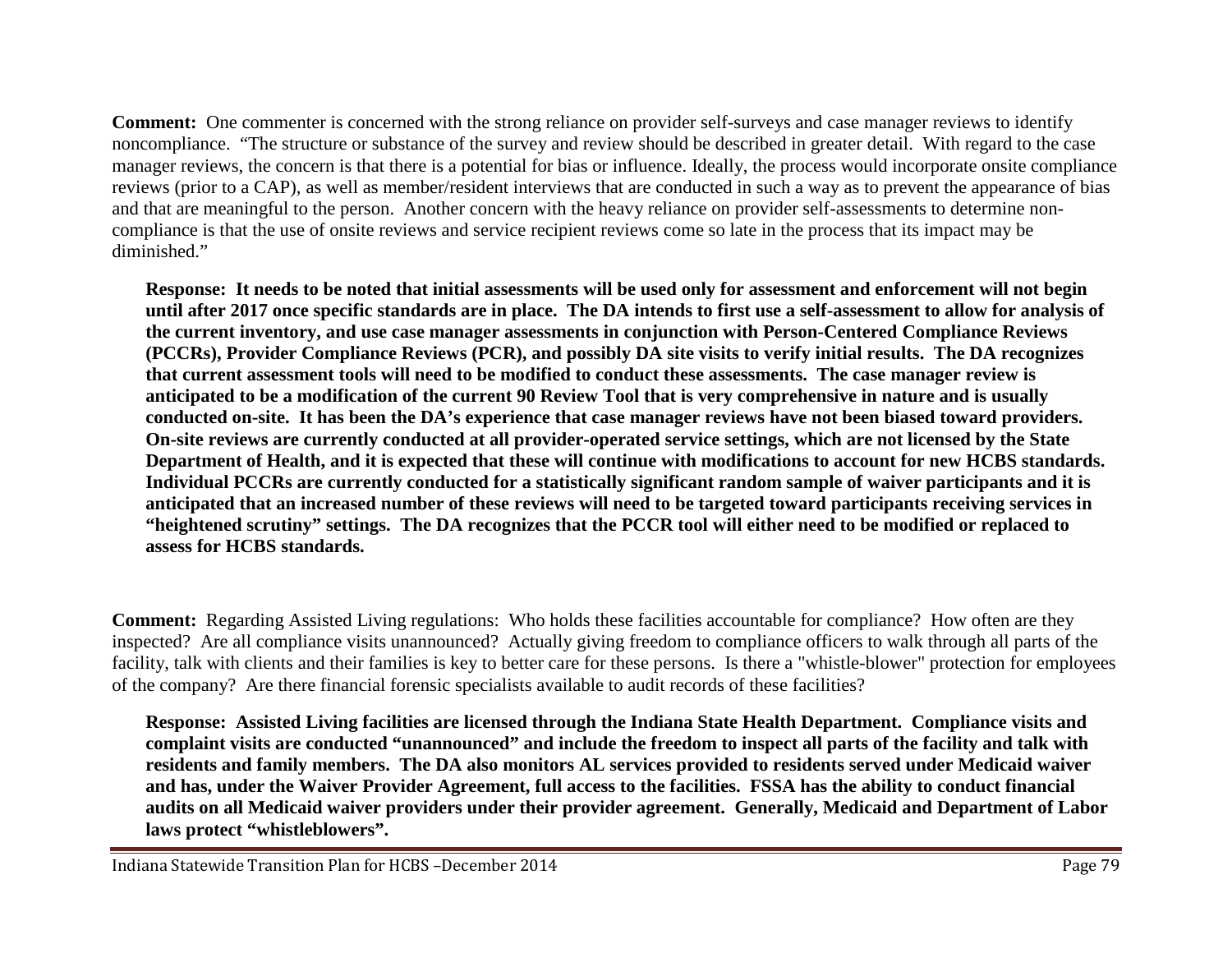**Comment:** One commenter is concerned with the strong reliance on provider self-surveys and case manager reviews to identify noncompliance. "The structure or substance of the survey and review should be described in greater detail. With regard to the case manager reviews, the concern is that there is a potential for bias or influence. Ideally, the process would incorporate onsite compliance reviews (prior to a CAP), as well as member/resident interviews that are conducted in such a way as to prevent the appearance of bias and that are meaningful to the person. Another concern with the heavy reliance on provider self-assessments to determine noncompliance is that the use of onsite reviews and service recipient reviews come so late in the process that its impact may be diminished."

**Response: It needs to be noted that initial assessments will be used only for assessment and enforcement will not begin until after 2017 once specific standards are in place. The DA intends to first use a self-assessment to allow for analysis of the current inventory, and use case manager assessments in conjunction with Person-Centered Compliance Reviews (PCCRs), Provider Compliance Reviews (PCR), and possibly DA site visits to verify initial results. The DA recognizes that current assessment tools will need to be modified to conduct these assessments. The case manager review is anticipated to be a modification of the current 90 Review Tool that is very comprehensive in nature and is usually conducted on-site. It has been the DA's experience that case manager reviews have not been biased toward providers. On-site reviews are currently conducted at all provider-operated service settings, which are not licensed by the State Department of Health, and it is expected that these will continue with modifications to account for new HCBS standards. Individual PCCRs are currently conducted for a statistically significant random sample of waiver participants and it is anticipated that an increased number of these reviews will need to be targeted toward participants receiving services in "heightened scrutiny" settings. The DA recognizes that the PCCR tool will either need to be modified or replaced to assess for HCBS standards.**

**Comment:** Regarding Assisted Living regulations: Who holds these facilities accountable for compliance? How often are they inspected? Are all compliance visits unannounced? Actually giving freedom to compliance officers to walk through all parts of the facility, talk with clients and their families is key to better care for these persons. Is there a "whistle-blower" protection for employees of the company? Are there financial forensic specialists available to audit records of these facilities?

**Response: Assisted Living facilities are licensed through the Indiana State Health Department. Compliance visits and complaint visits are conducted "unannounced" and include the freedom to inspect all parts of the facility and talk with residents and family members. The DA also monitors AL services provided to residents served under Medicaid waiver and has, under the Waiver Provider Agreement, full access to the facilities. FSSA has the ability to conduct financial audits on all Medicaid waiver providers under their provider agreement. Generally, Medicaid and Department of Labor laws protect "whistleblowers".**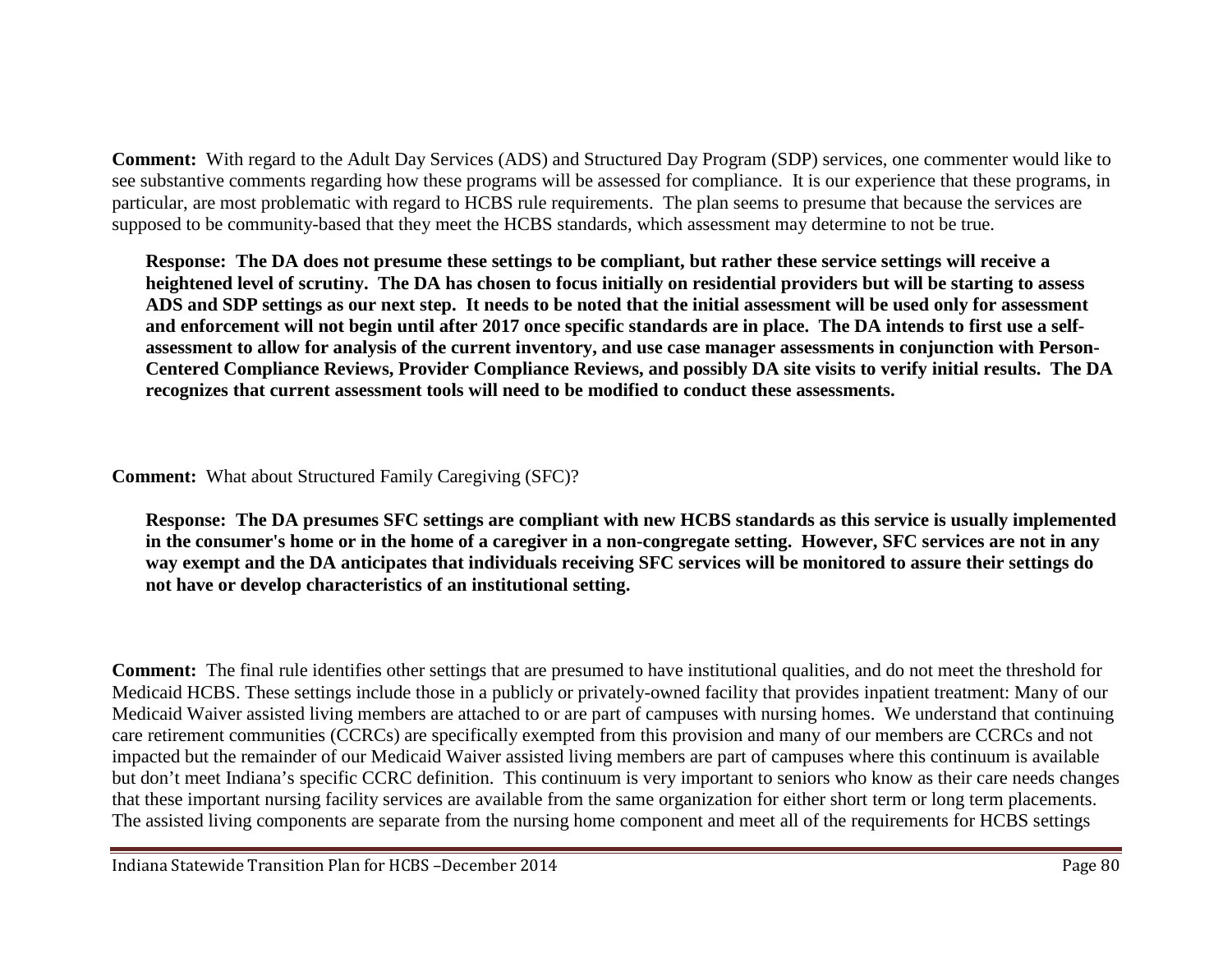**Comment:** With regard to the Adult Day Services (ADS) and Structured Day Program (SDP) services, one commenter would like to see substantive comments regarding how these programs will be assessed for compliance. It is our experience that these programs, in particular, are most problematic with regard to HCBS rule requirements. The plan seems to presume that because the services are supposed to be community-based that they meet the HCBS standards, which assessment may determine to not be true.

**Response: The DA does not presume these settings to be compliant, but rather these service settings will receive a heightened level of scrutiny. The DA has chosen to focus initially on residential providers but will be starting to assess ADS and SDP settings as our next step. It needs to be noted that the initial assessment will be used only for assessment and enforcement will not begin until after 2017 once specific standards are in place. The DA intends to first use a selfassessment to allow for analysis of the current inventory, and use case manager assessments in conjunction with Person-Centered Compliance Reviews, Provider Compliance Reviews, and possibly DA site visits to verify initial results. The DA recognizes that current assessment tools will need to be modified to conduct these assessments.** 

**Comment:** What about Structured Family Caregiving (SFC)?

**Response: The DA presumes SFC settings are compliant with new HCBS standards as this service is usually implemented in the consumer's home or in the home of a caregiver in a non-congregate setting. However, SFC services are not in any way exempt and the DA anticipates that individuals receiving SFC services will be monitored to assure their settings do not have or develop characteristics of an institutional setting.** 

**Comment:** The final rule identifies other settings that are presumed to have institutional qualities, and do not meet the threshold for Medicaid HCBS. These settings include those in a publicly or privately-owned facility that provides inpatient treatment: Many of our Medicaid Waiver assisted living members are attached to or are part of campuses with nursing homes. We understand that continuing care retirement communities (CCRCs) are specifically exempted from this provision and many of our members are CCRCs and not impacted but the remainder of our Medicaid Waiver assisted living members are part of campuses where this continuum is available but don't meet Indiana's specific CCRC definition. This continuum is very important to seniors who know as their care needs changes that these important nursing facility services are available from the same organization for either short term or long term placements. The assisted living components are separate from the nursing home component and meet all of the requirements for HCBS settings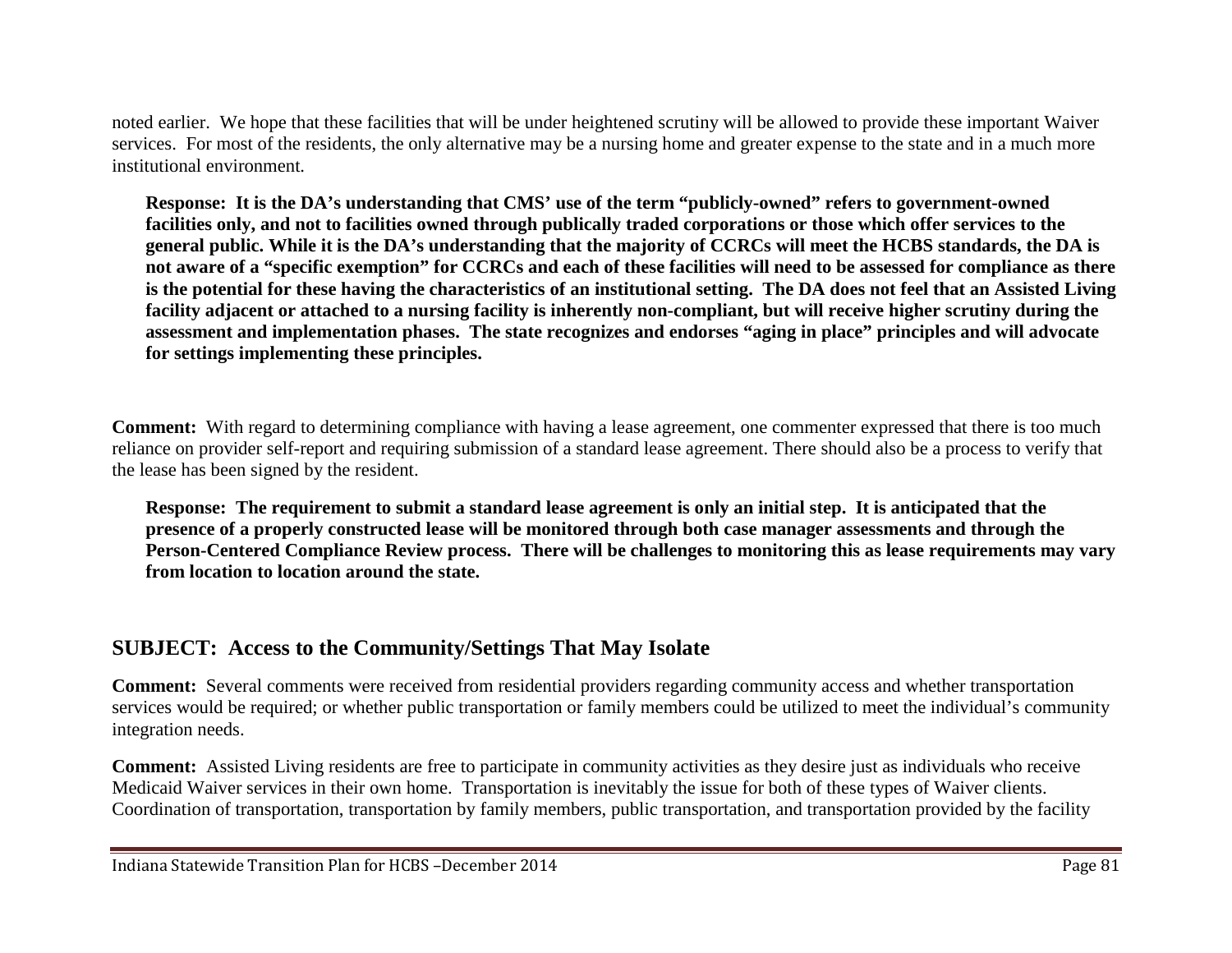noted earlier. We hope that these facilities that will be under heightened scrutiny will be allowed to provide these important Waiver services. For most of the residents, the only alternative may be a nursing home and greater expense to the state and in a much more institutional environment.

**Response: It is the DA's understanding that CMS' use of the term "publicly-owned" refers to government-owned facilities only, and not to facilities owned through publically traded corporations or those which offer services to the general public. While it is the DA's understanding that the majority of CCRCs will meet the HCBS standards, the DA is not aware of a "specific exemption" for CCRCs and each of these facilities will need to be assessed for compliance as there is the potential for these having the characteristics of an institutional setting. The DA does not feel that an Assisted Living facility adjacent or attached to a nursing facility is inherently non-compliant, but will receive higher scrutiny during the assessment and implementation phases. The state recognizes and endorses "aging in place" principles and will advocate for settings implementing these principles.** 

**Comment:** With regard to determining compliance with having a lease agreement, one commenter expressed that there is too much reliance on provider self-report and requiring submission of a standard lease agreement. There should also be a process to verify that the lease has been signed by the resident.

**Response: The requirement to submit a standard lease agreement is only an initial step. It is anticipated that the presence of a properly constructed lease will be monitored through both case manager assessments and through the Person-Centered Compliance Review process. There will be challenges to monitoring this as lease requirements may vary from location to location around the state.** 

## **SUBJECT: Access to the Community/Settings That May Isolate**

**Comment:** Several comments were received from residential providers regarding community access and whether transportation services would be required; or whether public transportation or family members could be utilized to meet the individual's community integration needs.

**Comment:** Assisted Living residents are free to participate in community activities as they desire just as individuals who receive Medicaid Waiver services in their own home. Transportation is inevitably the issue for both of these types of Waiver clients. Coordination of transportation, transportation by family members, public transportation, and transportation provided by the facility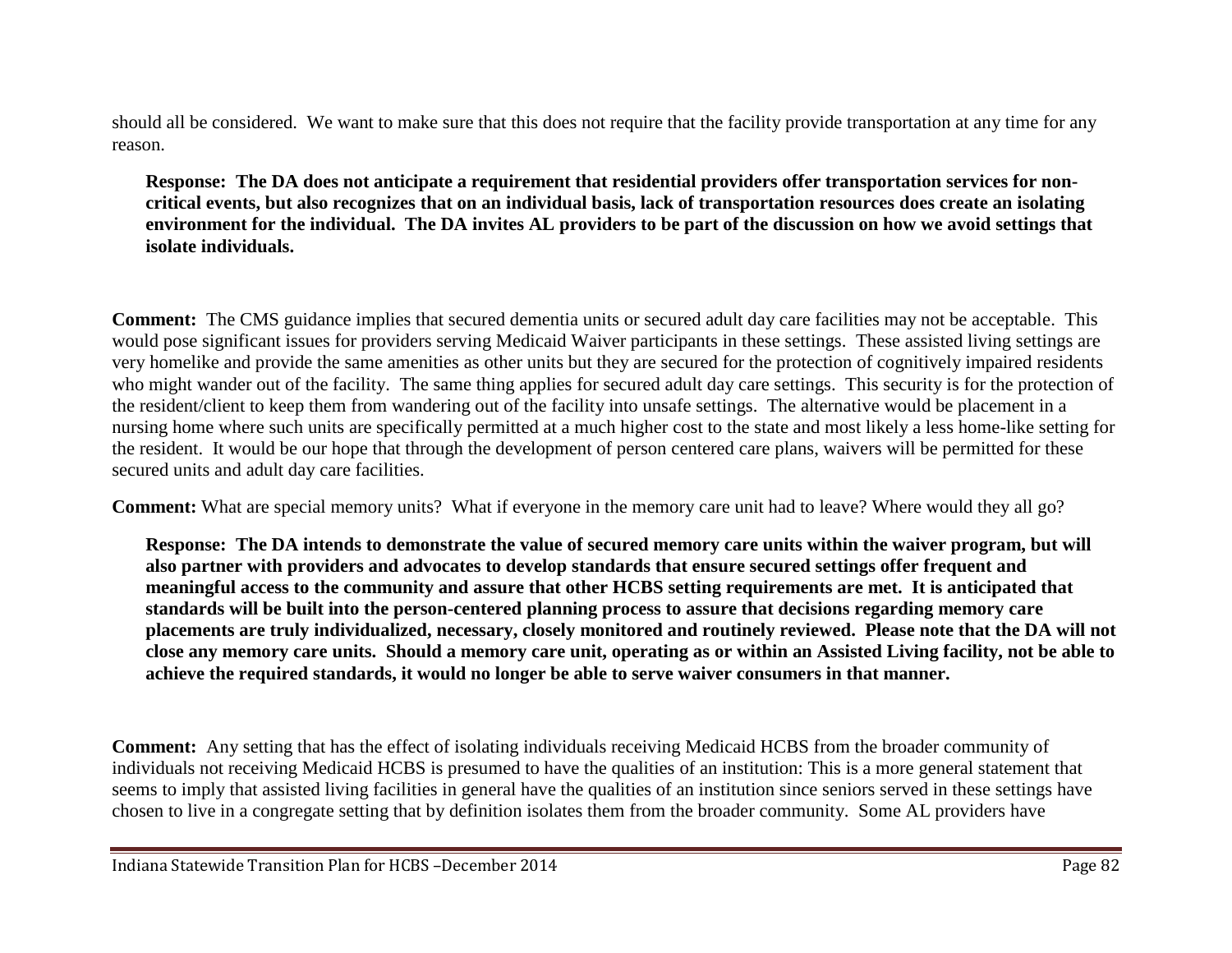should all be considered. We want to make sure that this does not require that the facility provide transportation at any time for any reason.

**Response: The DA does not anticipate a requirement that residential providers offer transportation services for noncritical events, but also recognizes that on an individual basis, lack of transportation resources does create an isolating environment for the individual. The DA invites AL providers to be part of the discussion on how we avoid settings that isolate individuals.** 

**Comment:** The CMS guidance implies that secured dementia units or secured adult day care facilities may not be acceptable. This would pose significant issues for providers serving Medicaid Waiver participants in these settings. These assisted living settings are very homelike and provide the same amenities as other units but they are secured for the protection of cognitively impaired residents who might wander out of the facility. The same thing applies for secured adult day care settings. This security is for the protection of the resident/client to keep them from wandering out of the facility into unsafe settings. The alternative would be placement in a nursing home where such units are specifically permitted at a much higher cost to the state and most likely a less home-like setting for the resident. It would be our hope that through the development of person centered care plans, waivers will be permitted for these secured units and adult day care facilities.

**Comment:** What are special memory units? What if everyone in the memory care unit had to leave? Where would they all go?

**Response: The DA intends to demonstrate the value of secured memory care units within the waiver program, but will also partner with providers and advocates to develop standards that ensure secured settings offer frequent and meaningful access to the community and assure that other HCBS setting requirements are met. It is anticipated that standards will be built into the person-centered planning process to assure that decisions regarding memory care placements are truly individualized, necessary, closely monitored and routinely reviewed. Please note that the DA will not close any memory care units. Should a memory care unit, operating as or within an Assisted Living facility, not be able to achieve the required standards, it would no longer be able to serve waiver consumers in that manner.**

**Comment:** Any setting that has the effect of isolating individuals receiving Medicaid HCBS from the broader community of individuals not receiving Medicaid HCBS is presumed to have the qualities of an institution: This is a more general statement that seems to imply that assisted living facilities in general have the qualities of an institution since seniors served in these settings have chosen to live in a congregate setting that by definition isolates them from the broader community. Some AL providers have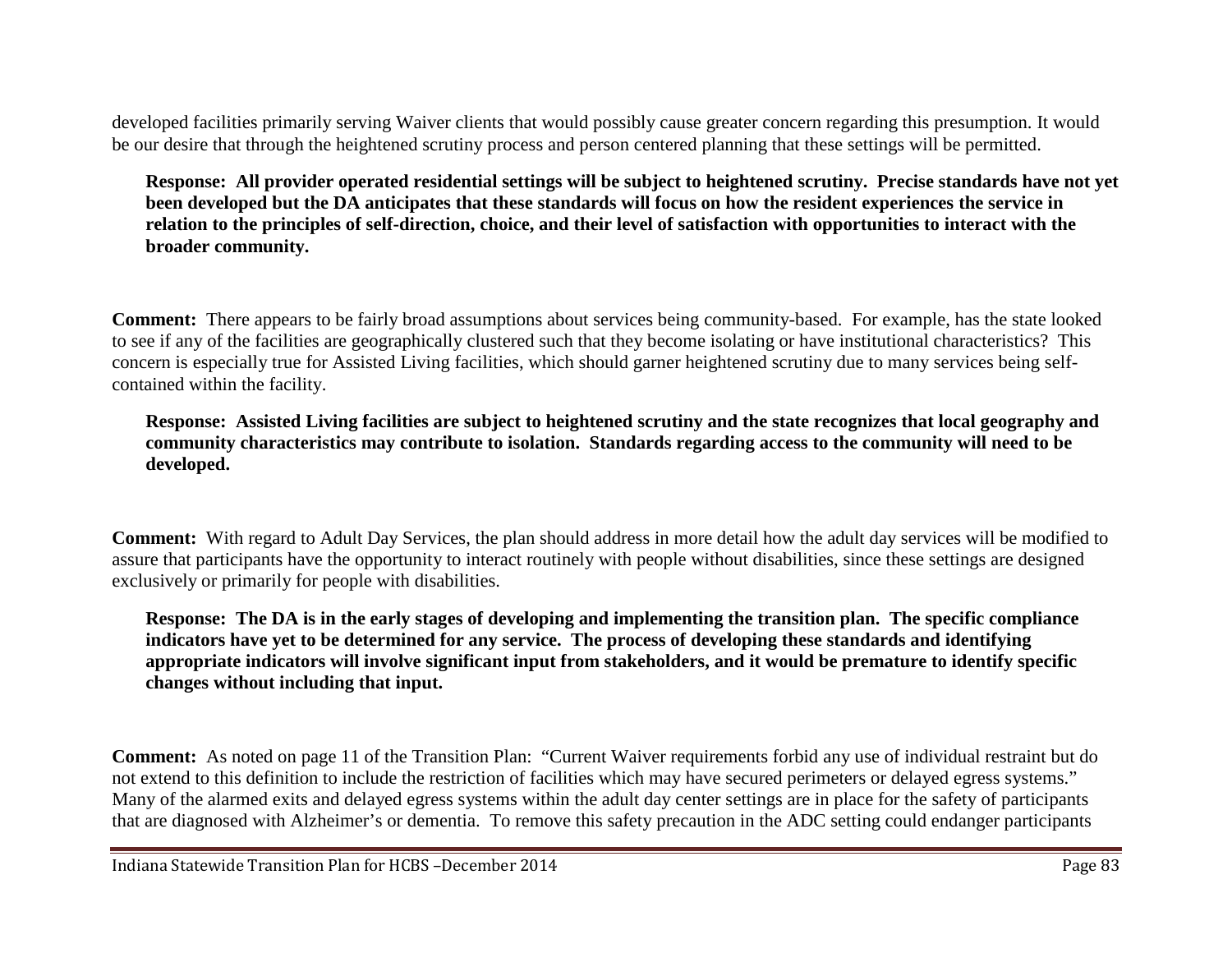developed facilities primarily serving Waiver clients that would possibly cause greater concern regarding this presumption. It would be our desire that through the heightened scrutiny process and person centered planning that these settings will be permitted.

**Response: All provider operated residential settings will be subject to heightened scrutiny. Precise standards have not yet been developed but the DA anticipates that these standards will focus on how the resident experiences the service in relation to the principles of self-direction, choice, and their level of satisfaction with opportunities to interact with the broader community.**

**Comment:** There appears to be fairly broad assumptions about services being community-based. For example, has the state looked to see if any of the facilities are geographically clustered such that they become isolating or have institutional characteristics? This concern is especially true for Assisted Living facilities, which should garner heightened scrutiny due to many services being selfcontained within the facility.

**Response: Assisted Living facilities are subject to heightened scrutiny and the state recognizes that local geography and community characteristics may contribute to isolation. Standards regarding access to the community will need to be developed.** 

**Comment:** With regard to Adult Day Services, the plan should address in more detail how the adult day services will be modified to assure that participants have the opportunity to interact routinely with people without disabilities, since these settings are designed exclusively or primarily for people with disabilities.

**Response: The DA is in the early stages of developing and implementing the transition plan. The specific compliance indicators have yet to be determined for any service. The process of developing these standards and identifying appropriate indicators will involve significant input from stakeholders, and it would be premature to identify specific changes without including that input.** 

**Comment:** As noted on page 11 of the Transition Plan: "Current Waiver requirements forbid any use of individual restraint but do not extend to this definition to include the restriction of facilities which may have secured perimeters or delayed egress systems." Many of the alarmed exits and delayed egress systems within the adult day center settings are in place for the safety of participants that are diagnosed with Alzheimer's or dementia. To remove this safety precaution in the ADC setting could endanger participants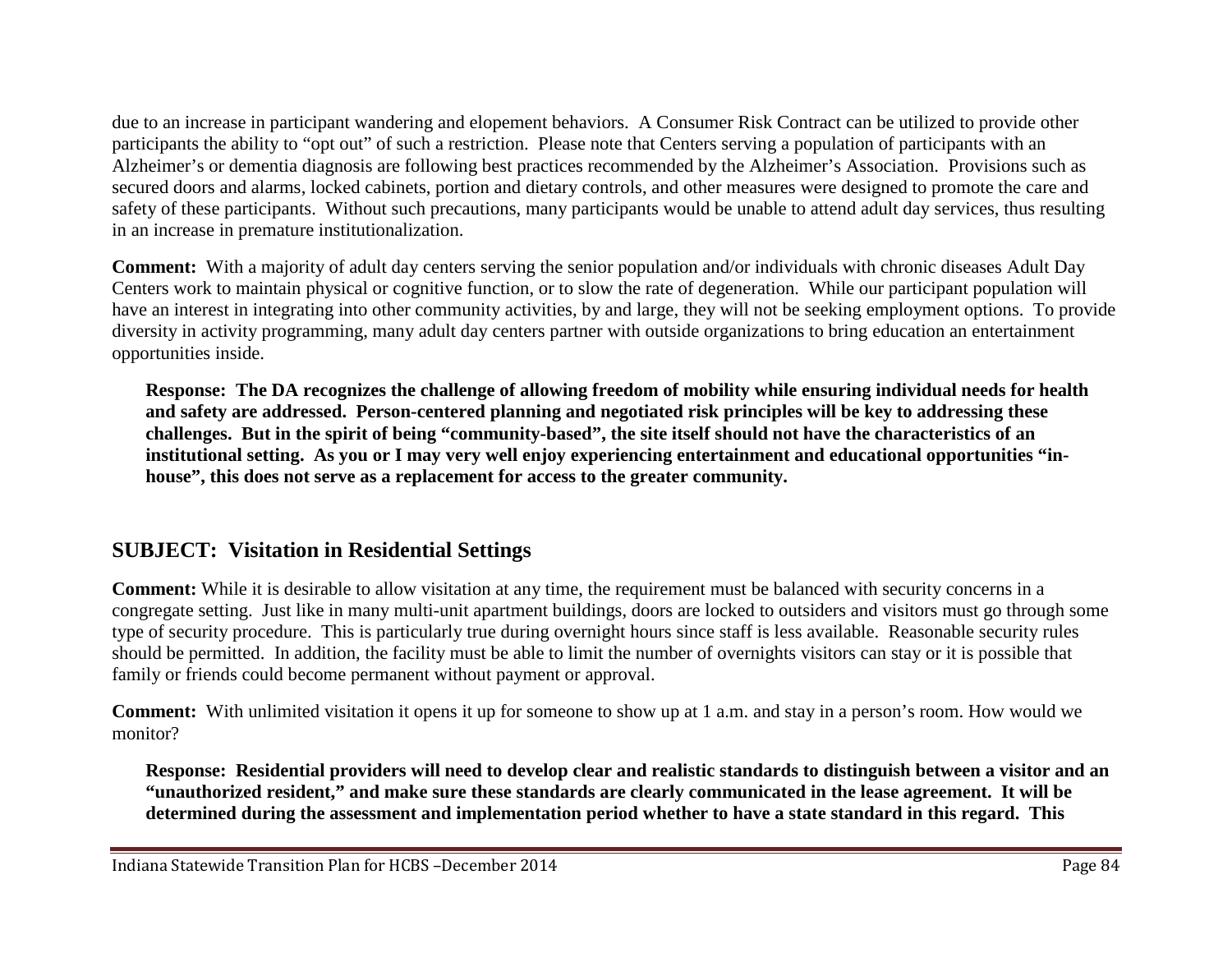due to an increase in participant wandering and elopement behaviors. A Consumer Risk Contract can be utilized to provide other participants the ability to "opt out" of such a restriction. Please note that Centers serving a population of participants with an Alzheimer's or dementia diagnosis are following best practices recommended by the Alzheimer's Association. Provisions such as secured doors and alarms, locked cabinets, portion and dietary controls, and other measures were designed to promote the care and safety of these participants. Without such precautions, many participants would be unable to attend adult day services, thus resulting in an increase in premature institutionalization.

**Comment:** With a majority of adult day centers serving the senior population and/or individuals with chronic diseases Adult Day Centers work to maintain physical or cognitive function, or to slow the rate of degeneration. While our participant population will have an interest in integrating into other community activities, by and large, they will not be seeking employment options. To provide diversity in activity programming, many adult day centers partner with outside organizations to bring education an entertainment opportunities inside.

**Response: The DA recognizes the challenge of allowing freedom of mobility while ensuring individual needs for health and safety are addressed. Person-centered planning and negotiated risk principles will be key to addressing these challenges. But in the spirit of being "community-based", the site itself should not have the characteristics of an institutional setting. As you or I may very well enjoy experiencing entertainment and educational opportunities "inhouse", this does not serve as a replacement for access to the greater community.**

## **SUBJECT: Visitation in Residential Settings**

**Comment:** While it is desirable to allow visitation at any time, the requirement must be balanced with security concerns in a congregate setting. Just like in many multi-unit apartment buildings, doors are locked to outsiders and visitors must go through some type of security procedure. This is particularly true during overnight hours since staff is less available. Reasonable security rules should be permitted. In addition, the facility must be able to limit the number of overnights visitors can stay or it is possible that family or friends could become permanent without payment or approval.

**Comment:** With unlimited visitation it opens it up for someone to show up at 1 a.m. and stay in a person's room. How would we monitor?

**Response: Residential providers will need to develop clear and realistic standards to distinguish between a visitor and an "unauthorized resident," and make sure these standards are clearly communicated in the lease agreement. It will be determined during the assessment and implementation period whether to have a state standard in this regard. This**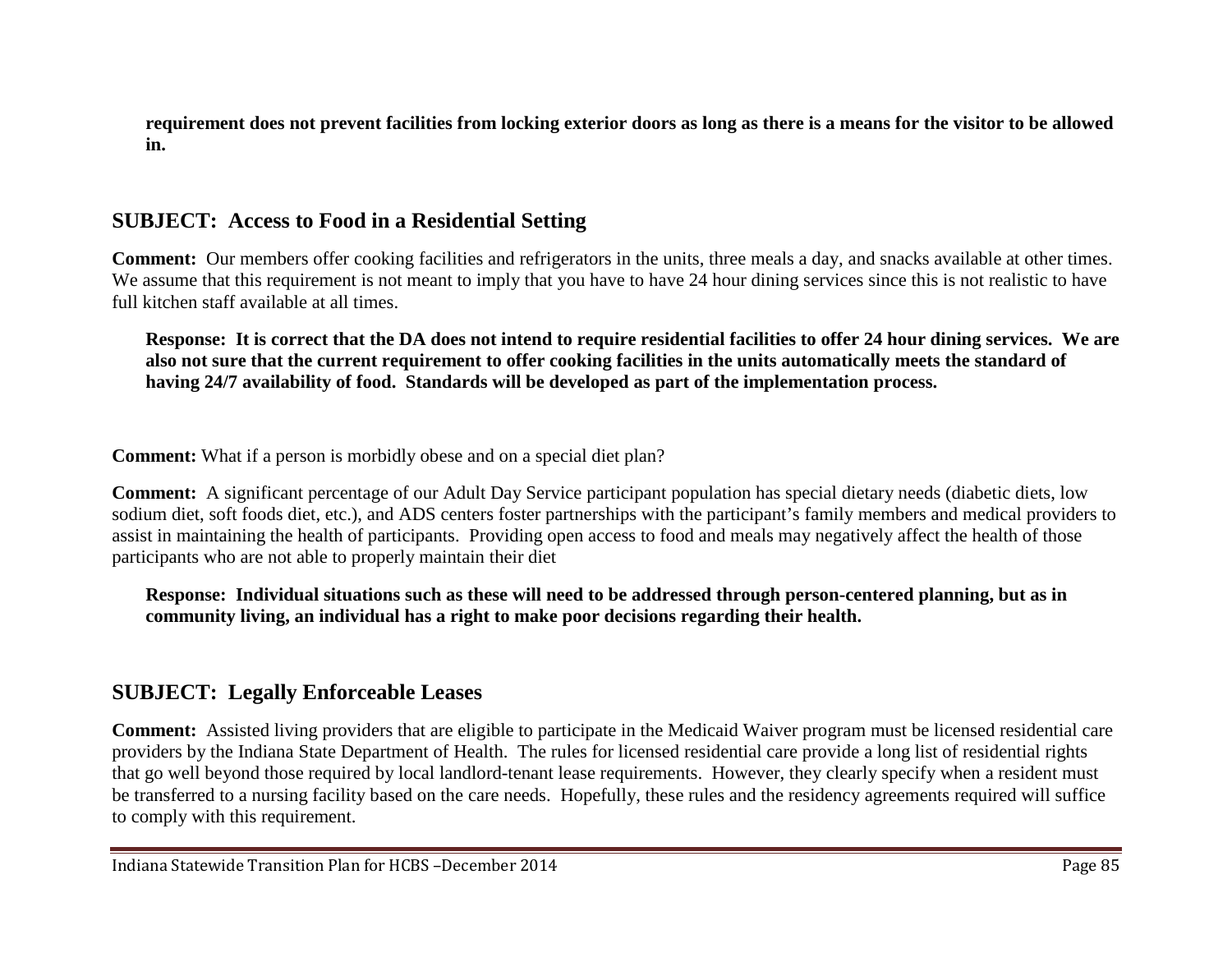**requirement does not prevent facilities from locking exterior doors as long as there is a means for the visitor to be allowed in.**

# **SUBJECT: Access to Food in a Residential Setting**

**Comment:** Our members offer cooking facilities and refrigerators in the units, three meals a day, and snacks available at other times. We assume that this requirement is not meant to imply that you have to have 24 hour dining services since this is not realistic to have full kitchen staff available at all times.

**Response: It is correct that the DA does not intend to require residential facilities to offer 24 hour dining services. We are also not sure that the current requirement to offer cooking facilities in the units automatically meets the standard of having 24/7 availability of food. Standards will be developed as part of the implementation process.** 

**Comment:** What if a person is morbidly obese and on a special diet plan?

**Comment:** A significant percentage of our Adult Day Service participant population has special dietary needs (diabetic diets, low sodium diet, soft foods diet, etc.), and ADS centers foster partnerships with the participant's family members and medical providers to assist in maintaining the health of participants. Providing open access to food and meals may negatively affect the health of those participants who are not able to properly maintain their diet

**Response: Individual situations such as these will need to be addressed through person-centered planning, but as in community living, an individual has a right to make poor decisions regarding their health.**

## **SUBJECT: Legally Enforceable Leases**

**Comment:** Assisted living providers that are eligible to participate in the Medicaid Waiver program must be licensed residential care providers by the Indiana State Department of Health. The rules for licensed residential care provide a long list of residential rights that go well beyond those required by local landlord-tenant lease requirements. However, they clearly specify when a resident must be transferred to a nursing facility based on the care needs. Hopefully, these rules and the residency agreements required will suffice to comply with this requirement.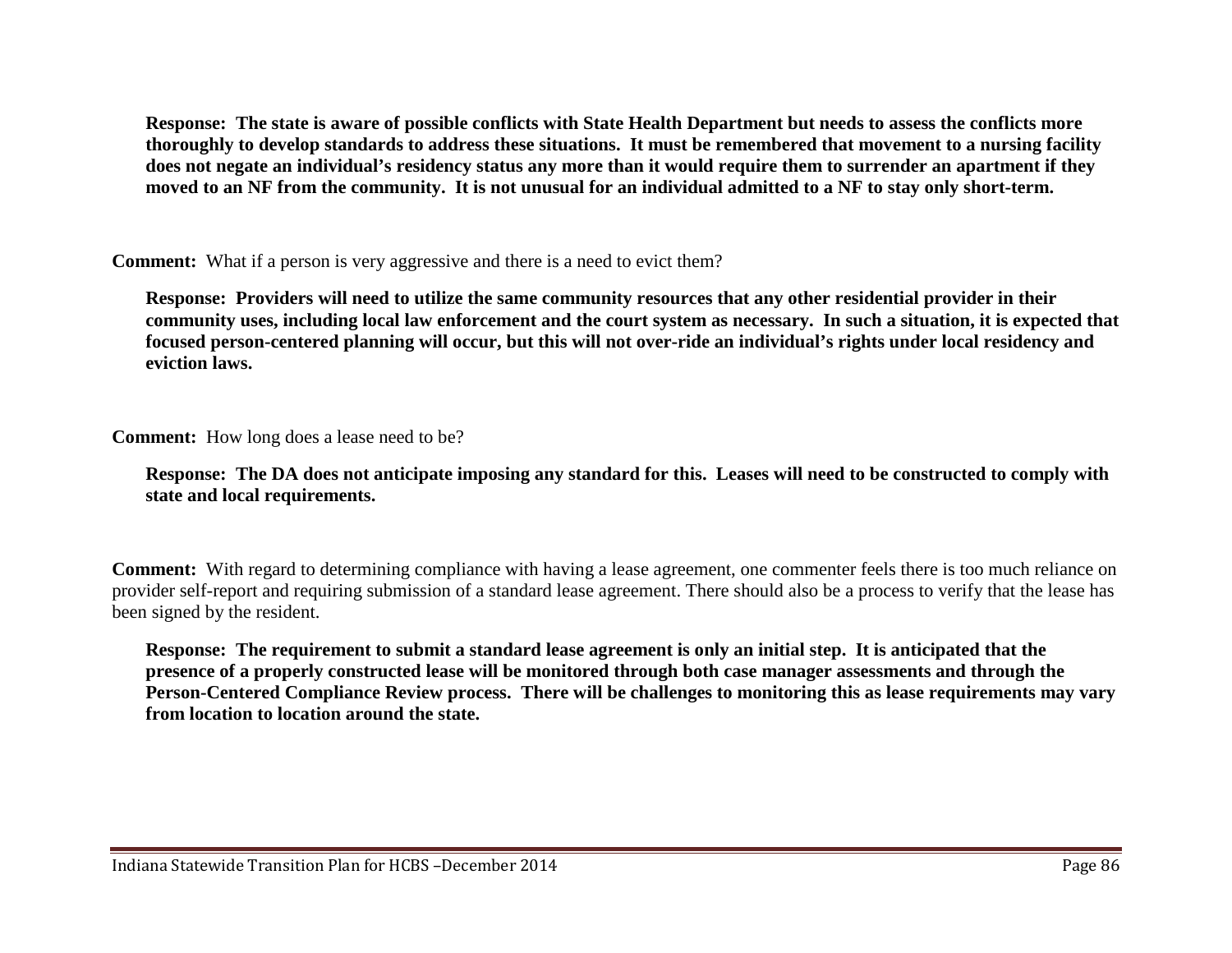**Response: The state is aware of possible conflicts with State Health Department but needs to assess the conflicts more thoroughly to develop standards to address these situations. It must be remembered that movement to a nursing facility does not negate an individual's residency status any more than it would require them to surrender an apartment if they moved to an NF from the community. It is not unusual for an individual admitted to a NF to stay only short-term.**

**Comment:** What if a person is very aggressive and there is a need to evict them?

**Response: Providers will need to utilize the same community resources that any other residential provider in their community uses, including local law enforcement and the court system as necessary. In such a situation, it is expected that focused person-centered planning will occur, but this will not over-ride an individual's rights under local residency and eviction laws.**

**Comment:** How long does a lease need to be?

**Response: The DA does not anticipate imposing any standard for this. Leases will need to be constructed to comply with state and local requirements.**

**Comment:** With regard to determining compliance with having a lease agreement, one commenter feels there is too much reliance on provider self-report and requiring submission of a standard lease agreement. There should also be a process to verify that the lease has been signed by the resident.

**Response: The requirement to submit a standard lease agreement is only an initial step. It is anticipated that the presence of a properly constructed lease will be monitored through both case manager assessments and through the Person-Centered Compliance Review process. There will be challenges to monitoring this as lease requirements may vary from location to location around the state.**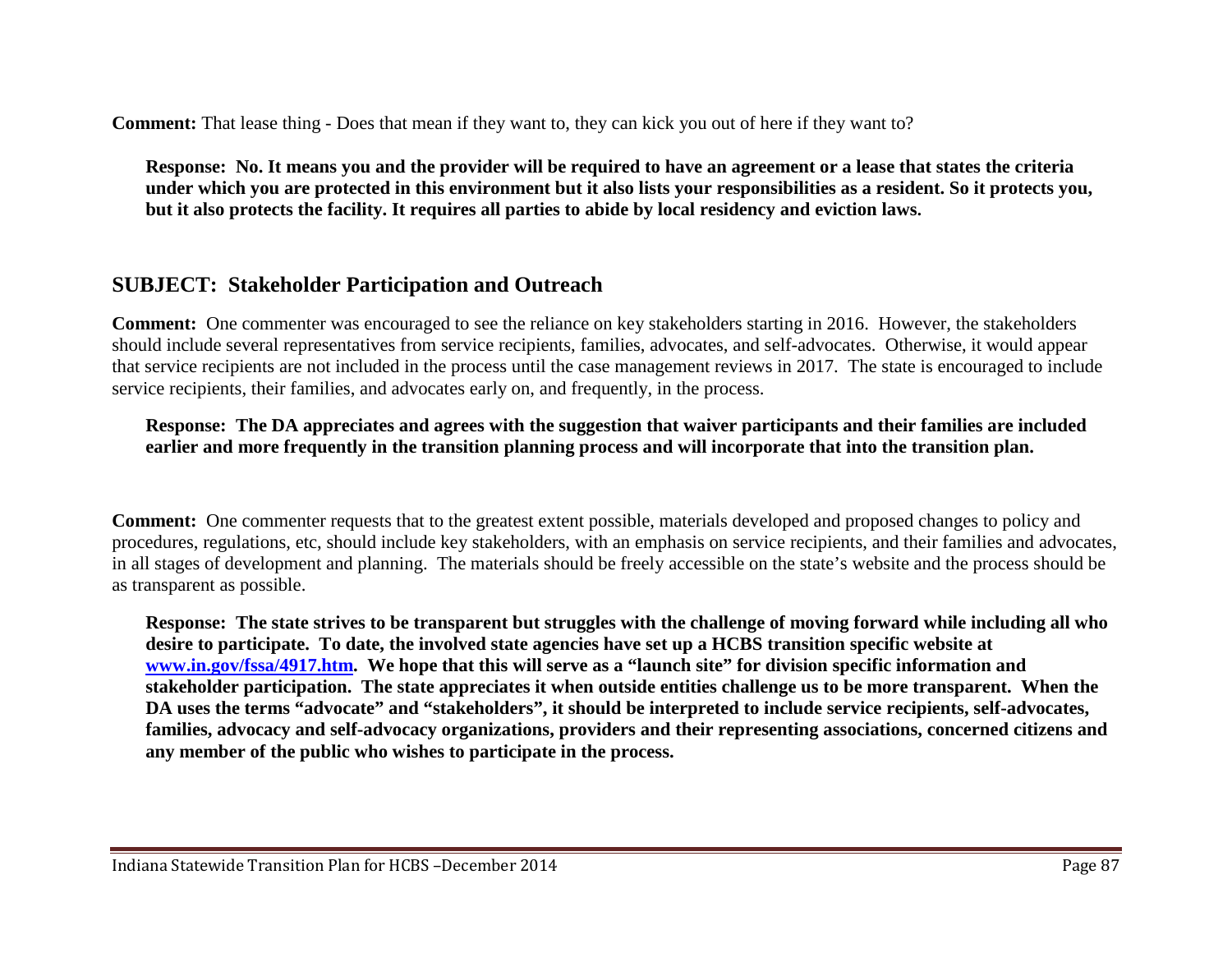**Comment:** That lease thing - Does that mean if they want to, they can kick you out of here if they want to?

**Response: No. It means you and the provider will be required to have an agreement or a lease that states the criteria under which you are protected in this environment but it also lists your responsibilities as a resident. So it protects you, but it also protects the facility. It requires all parties to abide by local residency and eviction laws.**

## **SUBJECT: Stakeholder Participation and Outreach**

**Comment:** One commenter was encouraged to see the reliance on key stakeholders starting in 2016. However, the stakeholders should include several representatives from service recipients, families, advocates, and self-advocates. Otherwise, it would appear that service recipients are not included in the process until the case management reviews in 2017. The state is encouraged to include service recipients, their families, and advocates early on, and frequently, in the process.

**Response: The DA appreciates and agrees with the suggestion that waiver participants and their families are included earlier and more frequently in the transition planning process and will incorporate that into the transition plan.** 

**Comment:** One commenter requests that to the greatest extent possible, materials developed and proposed changes to policy and procedures, regulations, etc, should include key stakeholders, with an emphasis on service recipients, and their families and advocates, in all stages of development and planning. The materials should be freely accessible on the state's website and the process should be as transparent as possible.

**Response: The state strives to be transparent but struggles with the challenge of moving forward while including all who desire to participate. To date, the involved state agencies have set up a HCBS transition specific website at [www.in.gov/fssa/4917.htm.](http://www.in.gov/fssa/4917.htm) We hope that this will serve as a "launch site" for division specific information and stakeholder participation. The state appreciates it when outside entities challenge us to be more transparent. When the DA uses the terms "advocate" and "stakeholders", it should be interpreted to include service recipients, self-advocates, families, advocacy and self-advocacy organizations, providers and their representing associations, concerned citizens and any member of the public who wishes to participate in the process.**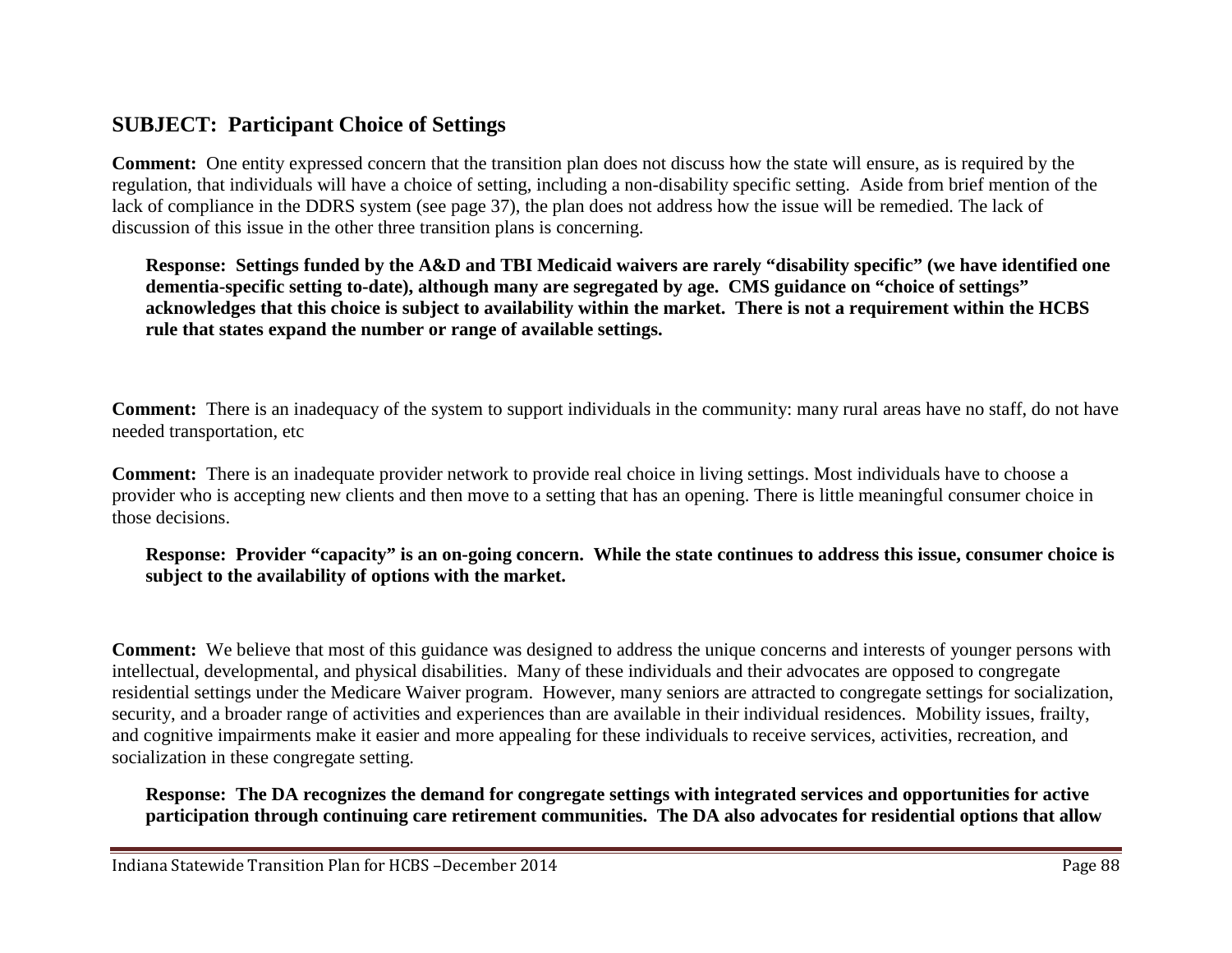## **SUBJECT: Participant Choice of Settings**

**Comment:** One entity expressed concern that the transition plan does not discuss how the state will ensure, as is required by the regulation, that individuals will have a choice of setting, including a non-disability specific setting. Aside from brief mention of the lack of compliance in the DDRS system (see page 37), the plan does not address how the issue will be remedied. The lack of discussion of this issue in the other three transition plans is concerning.

**Response: Settings funded by the A&D and TBI Medicaid waivers are rarely "disability specific" (we have identified one dementia-specific setting to-date), although many are segregated by age. CMS guidance on "choice of settings" acknowledges that this choice is subject to availability within the market. There is not a requirement within the HCBS rule that states expand the number or range of available settings.** 

**Comment:** There is an inadequacy of the system to support individuals in the community: many rural areas have no staff, do not have needed transportation, etc

**Comment:** There is an inadequate provider network to provide real choice in living settings. Most individuals have to choose a provider who is accepting new clients and then move to a setting that has an opening. There is little meaningful consumer choice in those decisions.

**Response: Provider "capacity" is an on-going concern. While the state continues to address this issue, consumer choice is subject to the availability of options with the market.**

**Comment:** We believe that most of this guidance was designed to address the unique concerns and interests of younger persons with intellectual, developmental, and physical disabilities. Many of these individuals and their advocates are opposed to congregate residential settings under the Medicare Waiver program. However, many seniors are attracted to congregate settings for socialization, security, and a broader range of activities and experiences than are available in their individual residences. Mobility issues, frailty, and cognitive impairments make it easier and more appealing for these individuals to receive services, activities, recreation, and socialization in these congregate setting.

**Response: The DA recognizes the demand for congregate settings with integrated services and opportunities for active participation through continuing care retirement communities. The DA also advocates for residential options that allow**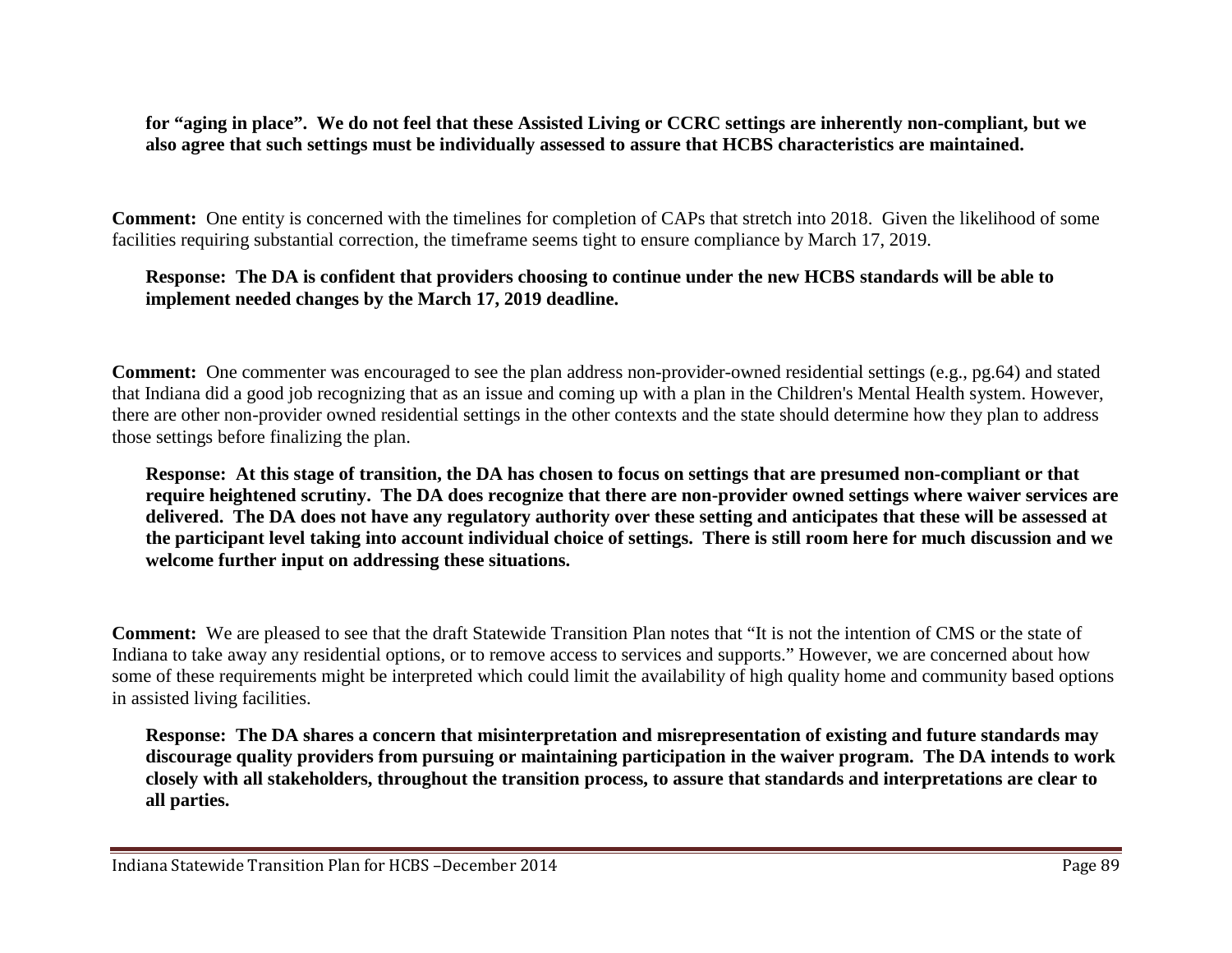**for "aging in place". We do not feel that these Assisted Living or CCRC settings are inherently non-compliant, but we also agree that such settings must be individually assessed to assure that HCBS characteristics are maintained.**

**Comment:** One entity is concerned with the timelines for completion of CAPs that stretch into 2018. Given the likelihood of some facilities requiring substantial correction, the timeframe seems tight to ensure compliance by March 17, 2019.

#### **Response: The DA is confident that providers choosing to continue under the new HCBS standards will be able to implement needed changes by the March 17, 2019 deadline.**

**Comment:** One commenter was encouraged to see the plan address non-provider-owned residential settings (e.g., pg.64) and stated that Indiana did a good job recognizing that as an issue and coming up with a plan in the Children's Mental Health system. However, there are other non-provider owned residential settings in the other contexts and the state should determine how they plan to address those settings before finalizing the plan.

**Response: At this stage of transition, the DA has chosen to focus on settings that are presumed non-compliant or that require heightened scrutiny. The DA does recognize that there are non-provider owned settings where waiver services are delivered. The DA does not have any regulatory authority over these setting and anticipates that these will be assessed at the participant level taking into account individual choice of settings. There is still room here for much discussion and we welcome further input on addressing these situations.**

**Comment:** We are pleased to see that the draft Statewide Transition Plan notes that "It is not the intention of CMS or the state of Indiana to take away any residential options, or to remove access to services and supports." However, we are concerned about how some of these requirements might be interpreted which could limit the availability of high quality home and community based options in assisted living facilities.

**Response: The DA shares a concern that misinterpretation and misrepresentation of existing and future standards may discourage quality providers from pursuing or maintaining participation in the waiver program. The DA intends to work closely with all stakeholders, throughout the transition process, to assure that standards and interpretations are clear to all parties.**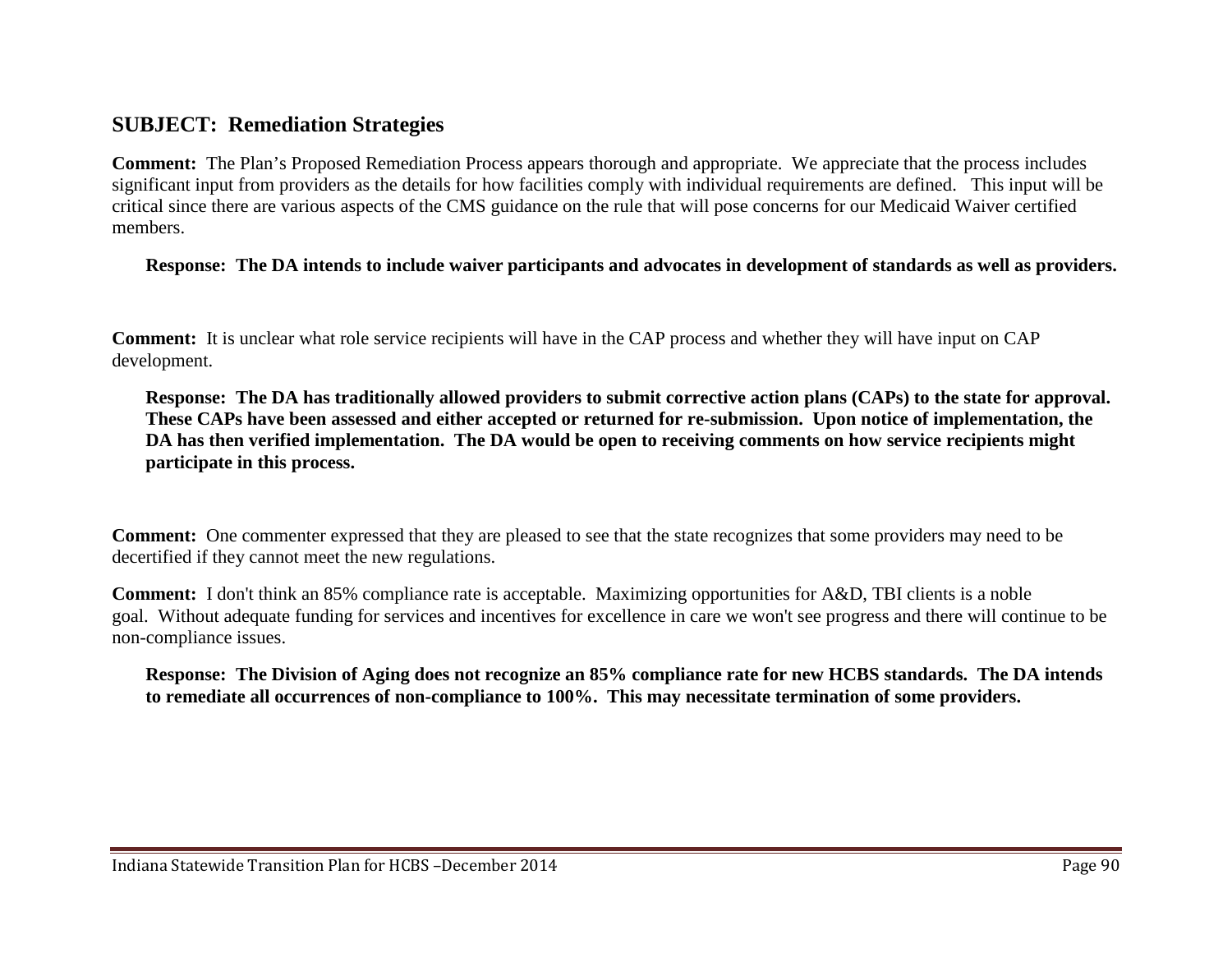## **SUBJECT: Remediation Strategies**

**Comment:** The Plan's Proposed Remediation Process appears thorough and appropriate. We appreciate that the process includes significant input from providers as the details for how facilities comply with individual requirements are defined. This input will be critical since there are various aspects of the CMS guidance on the rule that will pose concerns for our Medicaid Waiver certified members.

#### **Response: The DA intends to include waiver participants and advocates in development of standards as well as providers.**

**Comment:** It is unclear what role service recipients will have in the CAP process and whether they will have input on CAP development.

**Response: The DA has traditionally allowed providers to submit corrective action plans (CAPs) to the state for approval. These CAPs have been assessed and either accepted or returned for re-submission. Upon notice of implementation, the DA has then verified implementation. The DA would be open to receiving comments on how service recipients might participate in this process.**

**Comment:** One commenter expressed that they are pleased to see that the state recognizes that some providers may need to be decertified if they cannot meet the new regulations.

**Comment:** I don't think an 85% compliance rate is acceptable. Maximizing opportunities for A&D, TBI clients is a noble goal. Without adequate funding for services and incentives for excellence in care we won't see progress and there will continue to be non-compliance issues.

**Response: The Division of Aging does not recognize an 85% compliance rate for new HCBS standards. The DA intends to remediate all occurrences of non-compliance to 100%. This may necessitate termination of some providers.**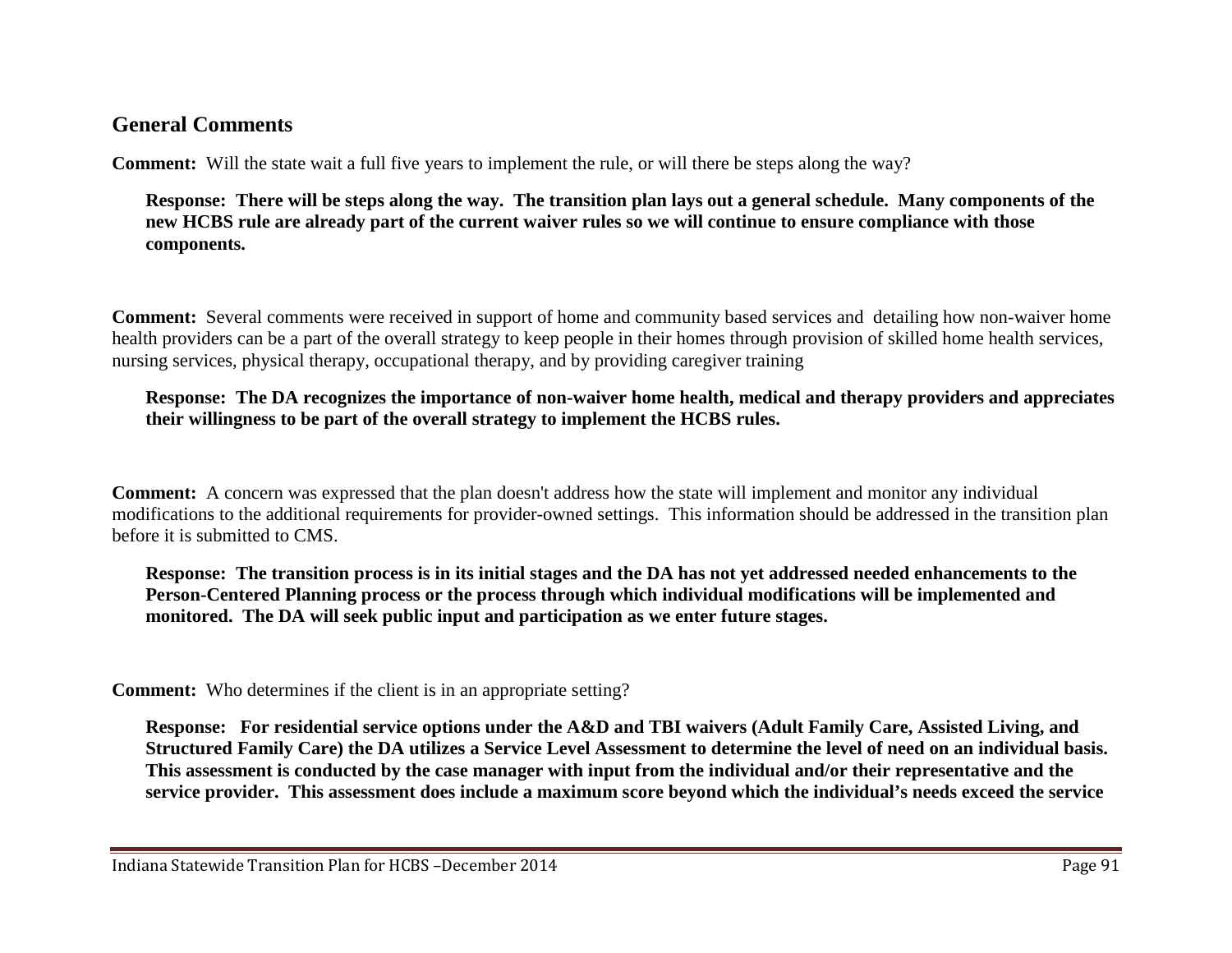## **General Comments**

**Comment:** Will the state wait a full five years to implement the rule, or will there be steps along the way?

#### **Response: There will be steps along the way. The transition plan lays out a general schedule. Many components of the new HCBS rule are already part of the current waiver rules so we will continue to ensure compliance with those components.**

**Comment:** Several comments were received in support of home and community based services and detailing how non-waiver home health providers can be a part of the overall strategy to keep people in their homes through provision of skilled home health services, nursing services, physical therapy, occupational therapy, and by providing caregiver training

#### **Response: The DA recognizes the importance of non-waiver home health, medical and therapy providers and appreciates their willingness to be part of the overall strategy to implement the HCBS rules.**

**Comment:** A concern was expressed that the plan doesn't address how the state will implement and monitor any individual modifications to the additional requirements for provider-owned settings. This information should be addressed in the transition plan before it is submitted to CMS.

**Response: The transition process is in its initial stages and the DA has not yet addressed needed enhancements to the Person-Centered Planning process or the process through which individual modifications will be implemented and monitored. The DA will seek public input and participation as we enter future stages.** 

**Comment:** Who determines if the client is in an appropriate setting?

**Response: For residential service options under the A&D and TBI waivers (Adult Family Care, Assisted Living, and Structured Family Care) the DA utilizes a Service Level Assessment to determine the level of need on an individual basis. This assessment is conducted by the case manager with input from the individual and/or their representative and the service provider. This assessment does include a maximum score beyond which the individual's needs exceed the service**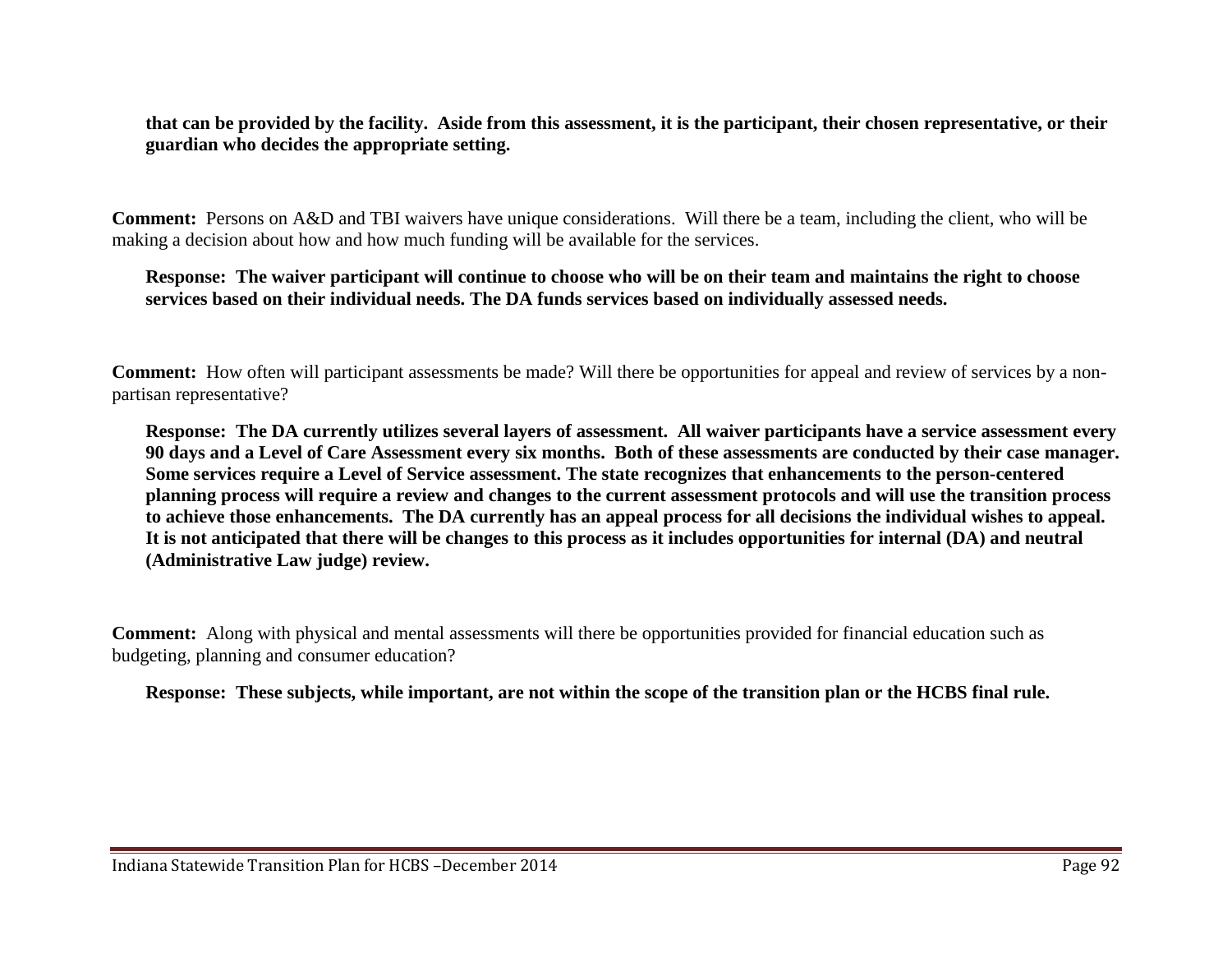**that can be provided by the facility. Aside from this assessment, it is the participant, their chosen representative, or their guardian who decides the appropriate setting.**

**Comment:** Persons on A&D and TBI waivers have unique considerations. Will there be a team, including the client, who will be making a decision about how and how much funding will be available for the services.

#### **Response: The waiver participant will continue to choose who will be on their team and maintains the right to choose services based on their individual needs. The DA funds services based on individually assessed needs.**

**Comment:** How often will participant assessments be made? Will there be opportunities for appeal and review of services by a nonpartisan representative?

**Response: The DA currently utilizes several layers of assessment. All waiver participants have a service assessment every 90 days and a Level of Care Assessment every six months. Both of these assessments are conducted by their case manager. Some services require a Level of Service assessment. The state recognizes that enhancements to the person-centered planning process will require a review and changes to the current assessment protocols and will use the transition process to achieve those enhancements. The DA currently has an appeal process for all decisions the individual wishes to appeal. It is not anticipated that there will be changes to this process as it includes opportunities for internal (DA) and neutral (Administrative Law judge) review.**

**Comment:** Along with physical and mental assessments will there be opportunities provided for financial education such as budgeting, planning and consumer education?

**Response: These subjects, while important, are not within the scope of the transition plan or the HCBS final rule.**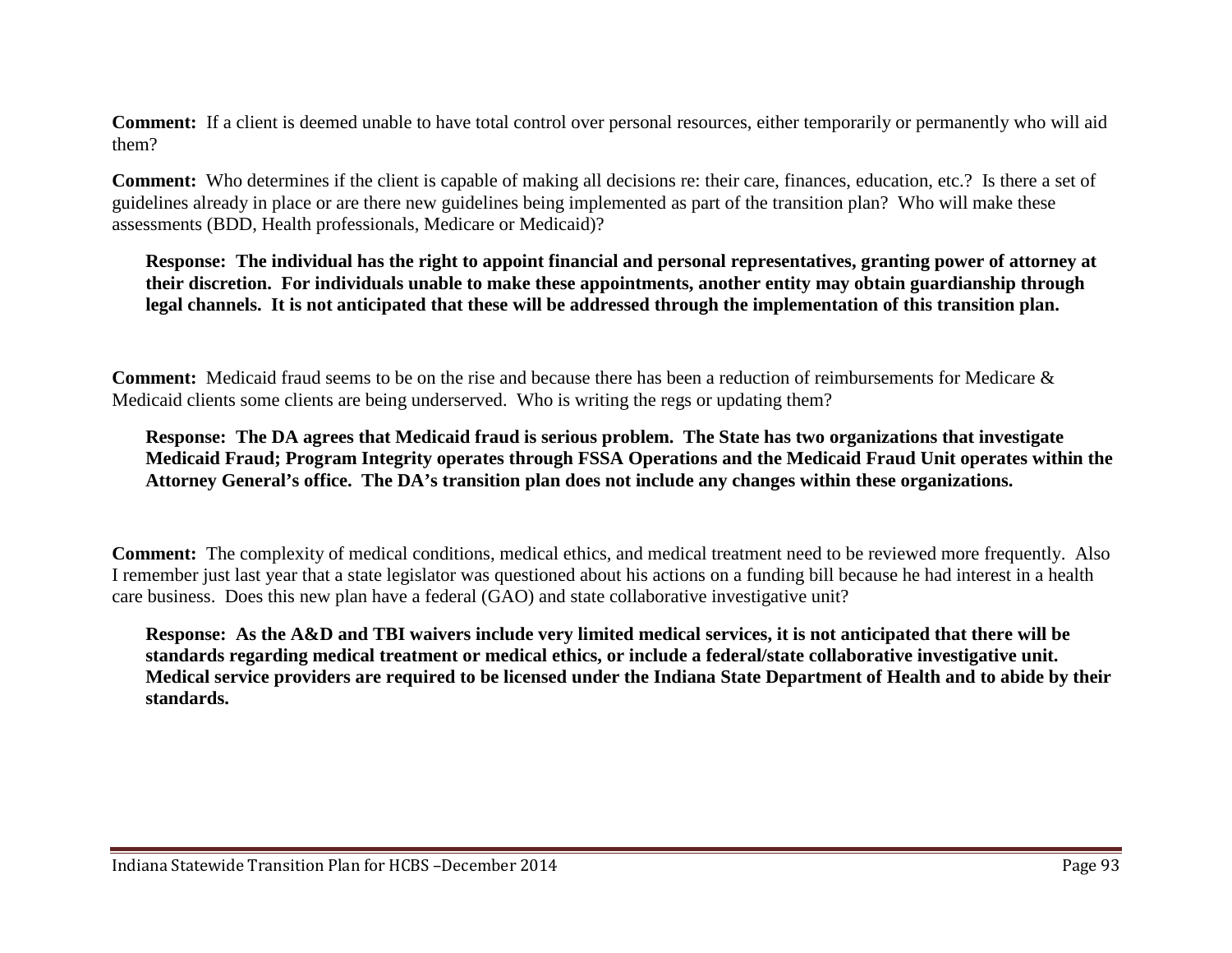**Comment:** If a client is deemed unable to have total control over personal resources, either temporarily or permanently who will aid them?

**Comment:** Who determines if the client is capable of making all decisions re: their care, finances, education, etc.? Is there a set of guidelines already in place or are there new guidelines being implemented as part of the transition plan? Who will make these assessments (BDD, Health professionals, Medicare or Medicaid)?

**Response: The individual has the right to appoint financial and personal representatives, granting power of attorney at their discretion. For individuals unable to make these appointments, another entity may obtain guardianship through legal channels. It is not anticipated that these will be addressed through the implementation of this transition plan.**

**Comment:** Medicaid fraud seems to be on the rise and because there has been a reduction of reimbursements for Medicare & Medicaid clients some clients are being underserved. Who is writing the regs or updating them?

#### **Response: The DA agrees that Medicaid fraud is serious problem. The State has two organizations that investigate Medicaid Fraud; Program Integrity operates through FSSA Operations and the Medicaid Fraud Unit operates within the Attorney General's office. The DA's transition plan does not include any changes within these organizations.**

**Comment:** The complexity of medical conditions, medical ethics, and medical treatment need to be reviewed more frequently. Also I remember just last year that a state legislator was questioned about his actions on a funding bill because he had interest in a health care business. Does this new plan have a federal (GAO) and state collaborative investigative unit?

**Response: As the A&D and TBI waivers include very limited medical services, it is not anticipated that there will be standards regarding medical treatment or medical ethics, or include a federal/state collaborative investigative unit. Medical service providers are required to be licensed under the Indiana State Department of Health and to abide by their standards.**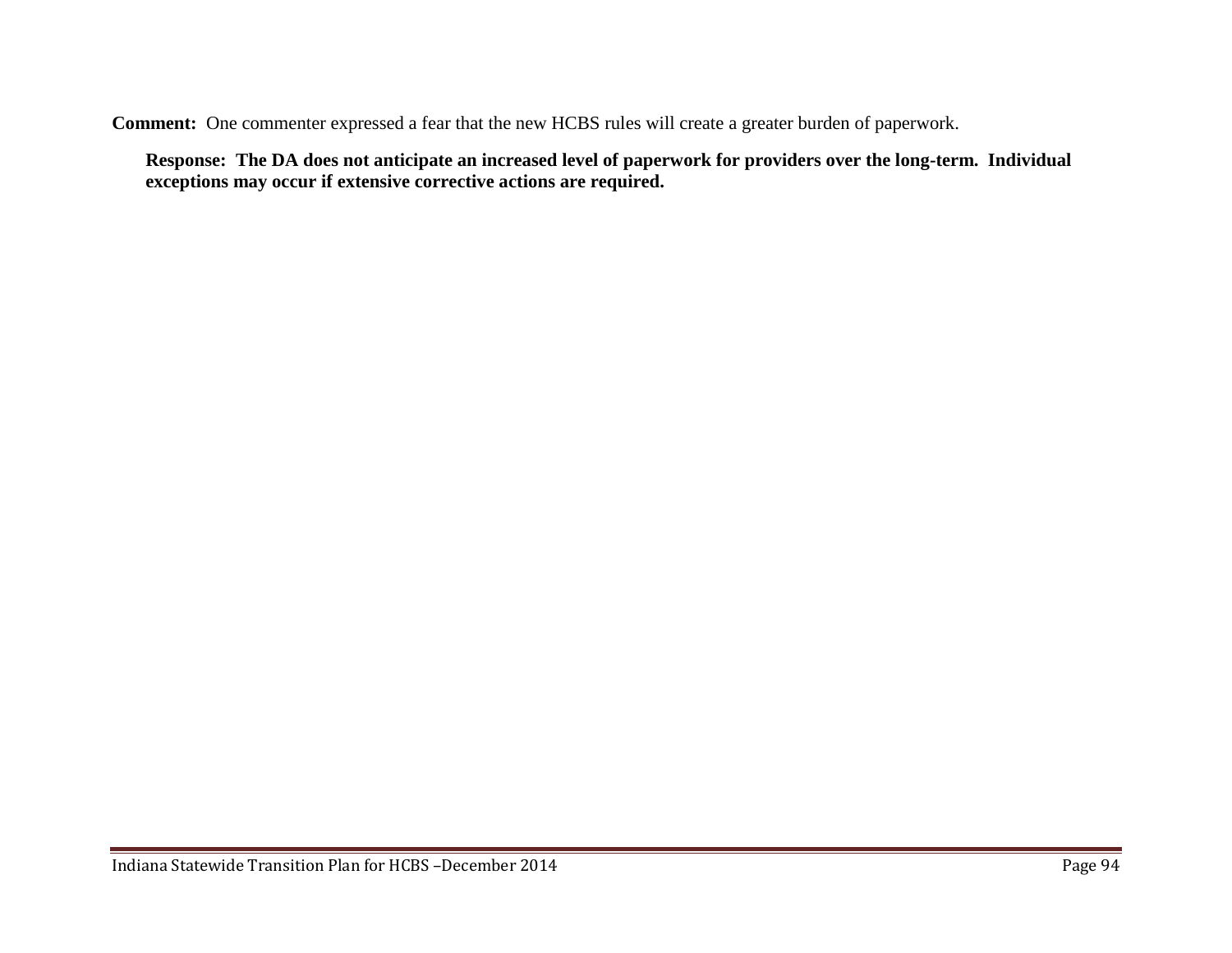**Comment:** One commenter expressed a fear that the new HCBS rules will create a greater burden of paperwork.

**Response: The DA does not anticipate an increased level of paperwork for providers over the long-term. Individual exceptions may occur if extensive corrective actions are required.**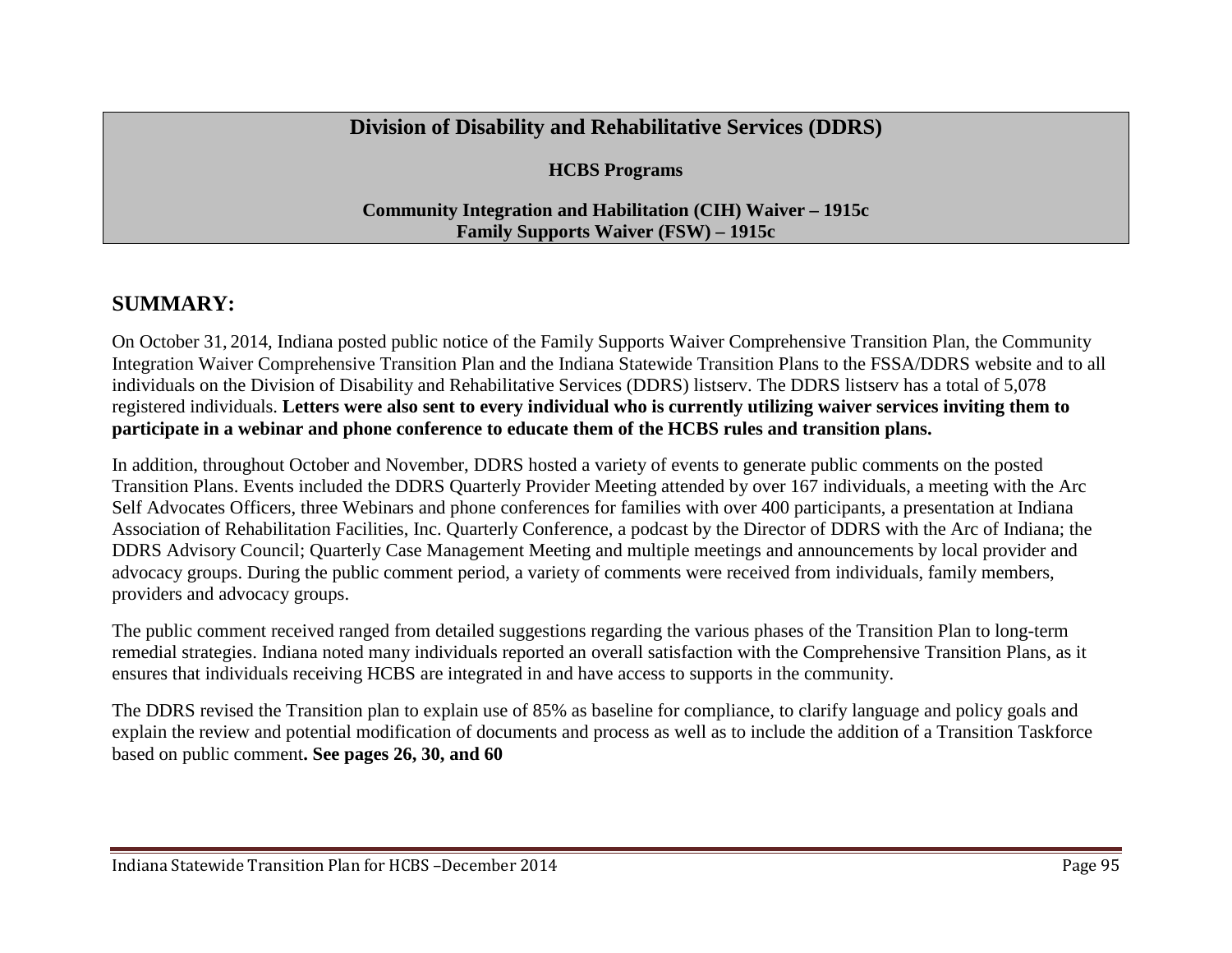## **Division of Disability and Rehabilitative Services (DDRS)**

**HCBS Programs**

**Community Integration and Habilitation (CIH) Waiver – 1915c Family Supports Waiver (FSW) – 1915c**

## **SUMMARY:**

On October 31, 2014, Indiana posted public notice of the Family Supports Waiver Comprehensive Transition Plan, the Community Integration Waiver Comprehensive Transition Plan and the Indiana Statewide Transition Plans to the FSSA/DDRS website and to all individuals on the Division of Disability and Rehabilitative Services (DDRS) listserv. The DDRS listserv has a total of 5,078 registered individuals. **Letters were also sent to every individual who is currently utilizing waiver services inviting them to participate in a webinar and phone conference to educate them of the HCBS rules and transition plans.**

In addition, throughout October and November, DDRS hosted a variety of events to generate public comments on the posted Transition Plans. Events included the DDRS Quarterly Provider Meeting attended by over 167 individuals, a meeting with the Arc Self Advocates Officers, three Webinars and phone conferences for families with over 400 participants, a presentation at Indiana Association of Rehabilitation Facilities, Inc. Quarterly Conference, a podcast by the Director of DDRS with the Arc of Indiana; the DDRS Advisory Council; Quarterly Case Management Meeting and multiple meetings and announcements by local provider and advocacy groups. During the public comment period, a variety of comments were received from individuals, family members, providers and advocacy groups.

The public comment received ranged from detailed suggestions regarding the various phases of the Transition Plan to long-term remedial strategies. Indiana noted many individuals reported an overall satisfaction with the Comprehensive Transition Plans, as it ensures that individuals receiving HCBS are integrated in and have access to supports in the community.

The DDRS revised the Transition plan to explain use of 85% as baseline for compliance, to clarify language and policy goals and explain the review and potential modification of documents and process as well as to include the addition of a Transition Taskforce based on public comment**. See pages 26, 30, and 60**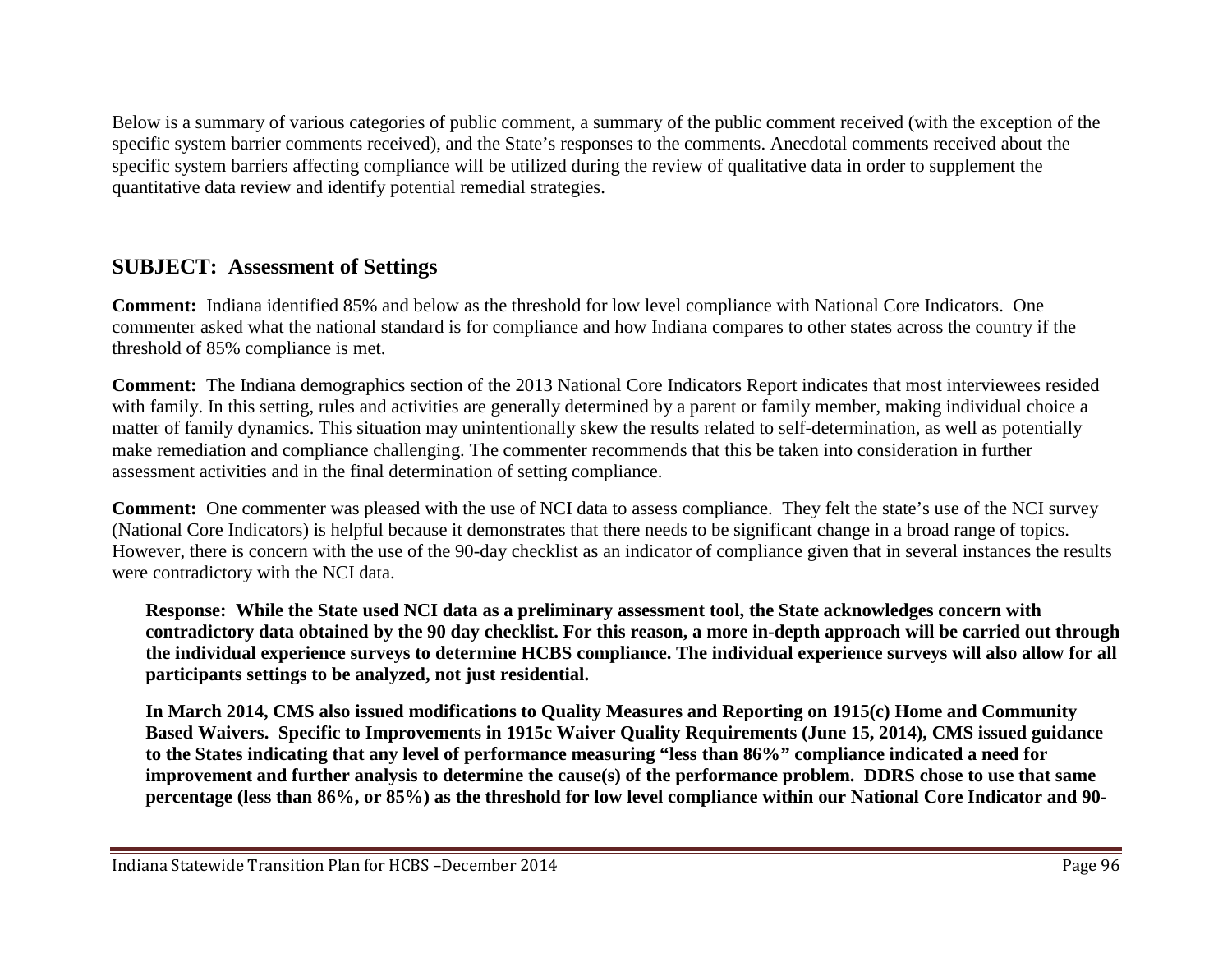Below is a summary of various categories of public comment, a summary of the public comment received (with the exception of the specific system barrier comments received), and the State's responses to the comments. Anecdotal comments received about the specific system barriers affecting compliance will be utilized during the review of qualitative data in order to supplement the quantitative data review and identify potential remedial strategies.

# **SUBJECT: Assessment of Settings**

**Comment:** Indiana identified 85% and below as the threshold for low level compliance with National Core Indicators. One commenter asked what the national standard is for compliance and how Indiana compares to other states across the country if the threshold of 85% compliance is met.

**Comment:** The Indiana demographics section of the 2013 National Core Indicators Report indicates that most interviewees resided with family. In this setting, rules and activities are generally determined by a parent or family member, making individual choice a matter of family dynamics. This situation may unintentionally skew the results related to self-determination, as well as potentially make remediation and compliance challenging. The commenter recommends that this be taken into consideration in further assessment activities and in the final determination of setting compliance.

**Comment:** One commenter was pleased with the use of NCI data to assess compliance. They felt the state's use of the NCI survey (National Core Indicators) is helpful because it demonstrates that there needs to be significant change in a broad range of topics. However, there is concern with the use of the 90-day checklist as an indicator of compliance given that in several instances the results were contradictory with the NCI data.

**Response: While the State used NCI data as a preliminary assessment tool, the State acknowledges concern with contradictory data obtained by the 90 day checklist. For this reason, a more in-depth approach will be carried out through the individual experience surveys to determine HCBS compliance. The individual experience surveys will also allow for all participants settings to be analyzed, not just residential.** 

**In March 2014, CMS also issued modifications to Quality Measures and Reporting on 1915(c) Home and Community Based Waivers. Specific to Improvements in 1915c Waiver Quality Requirements (June 15, 2014), CMS issued guidance to the States indicating that any level of performance measuring "less than 86%" compliance indicated a need for improvement and further analysis to determine the cause(s) of the performance problem. DDRS chose to use that same percentage (less than 86%, or 85%) as the threshold for low level compliance within our National Core Indicator and 90-**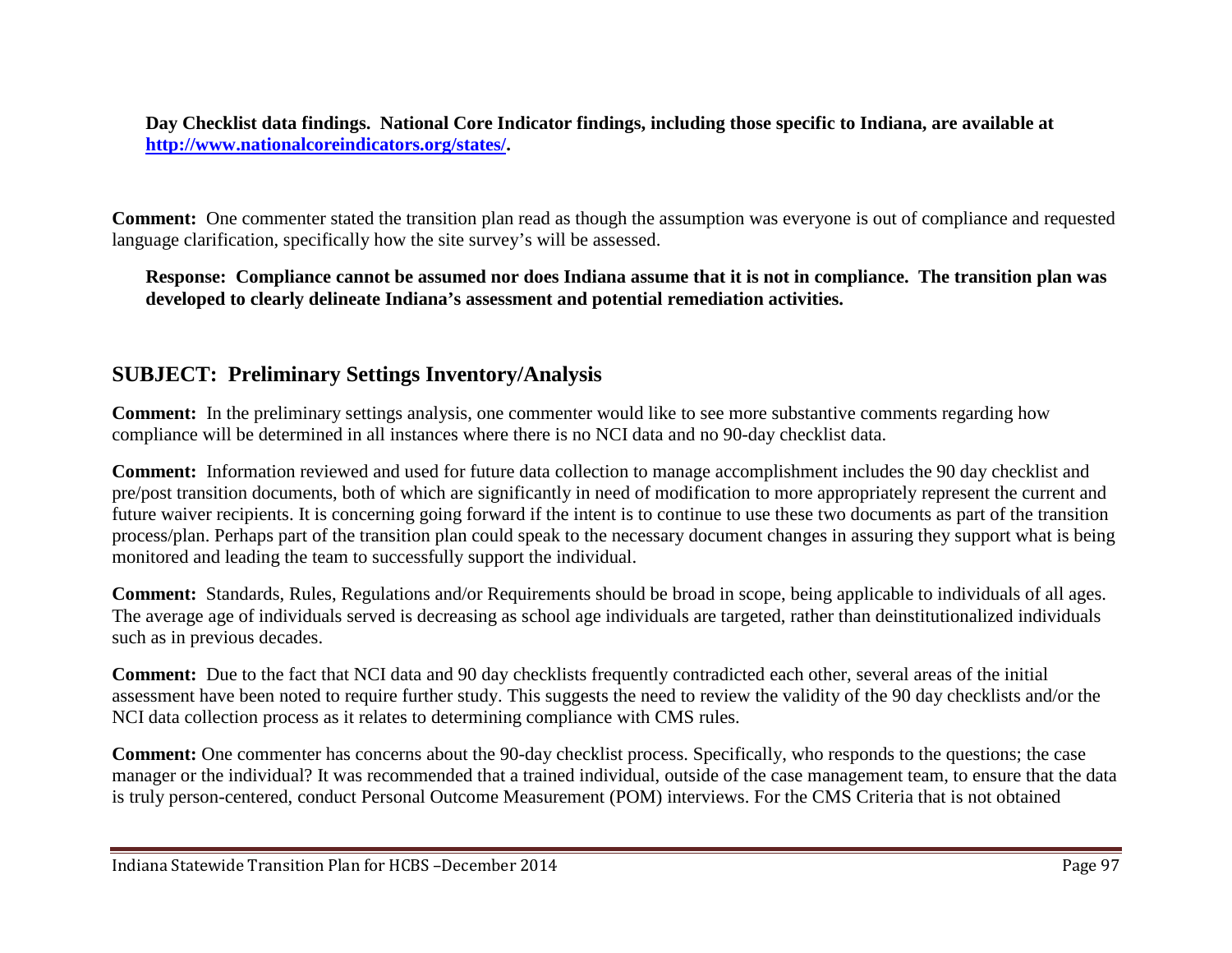**Day Checklist data findings. National Core Indicator findings, including those specific to Indiana, are available at [http://www.nationalcoreindicators.org/states/.](http://www.nationalcoreindicators.org/states/)** 

**Comment:** One commenter stated the transition plan read as though the assumption was everyone is out of compliance and requested language clarification, specifically how the site survey's will be assessed.

**Response: Compliance cannot be assumed nor does Indiana assume that it is not in compliance. The transition plan was developed to clearly delineate Indiana's assessment and potential remediation activities.** 

## **SUBJECT: Preliminary Settings Inventory/Analysis**

**Comment:** In the preliminary settings analysis, one commenter would like to see more substantive comments regarding how compliance will be determined in all instances where there is no NCI data and no 90-day checklist data.

**Comment:** Information reviewed and used for future data collection to manage accomplishment includes the 90 day checklist and pre/post transition documents, both of which are significantly in need of modification to more appropriately represent the current and future waiver recipients. It is concerning going forward if the intent is to continue to use these two documents as part of the transition process/plan. Perhaps part of the transition plan could speak to the necessary document changes in assuring they support what is being monitored and leading the team to successfully support the individual.

**Comment:** Standards, Rules, Regulations and/or Requirements should be broad in scope, being applicable to individuals of all ages. The average age of individuals served is decreasing as school age individuals are targeted, rather than deinstitutionalized individuals such as in previous decades.

**Comment:** Due to the fact that NCI data and 90 day checklists frequently contradicted each other, several areas of the initial assessment have been noted to require further study. This suggests the need to review the validity of the 90 day checklists and/or the NCI data collection process as it relates to determining compliance with CMS rules.

**Comment:** One commenter has concerns about the 90-day checklist process. Specifically, who responds to the questions; the case manager or the individual? It was recommended that a trained individual, outside of the case management team, to ensure that the data is truly person-centered, conduct Personal Outcome Measurement (POM) interviews. For the CMS Criteria that is not obtained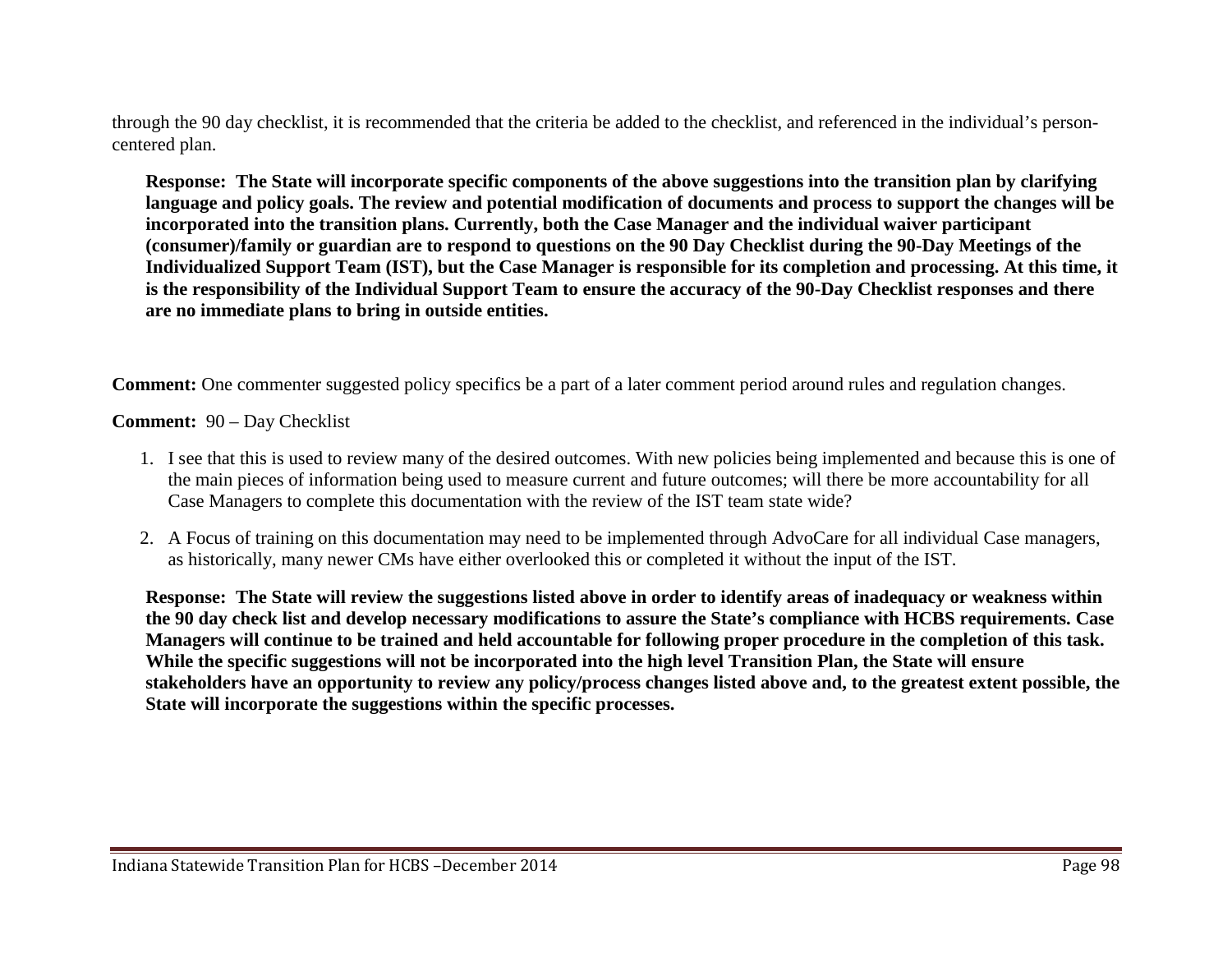through the 90 day checklist, it is recommended that the criteria be added to the checklist, and referenced in the individual's personcentered plan.

**Response: The State will incorporate specific components of the above suggestions into the transition plan by clarifying language and policy goals. The review and potential modification of documents and process to support the changes will be incorporated into the transition plans. Currently, both the Case Manager and the individual waiver participant (consumer)/family or guardian are to respond to questions on the 90 Day Checklist during the 90-Day Meetings of the Individualized Support Team (IST), but the Case Manager is responsible for its completion and processing. At this time, it is the responsibility of the Individual Support Team to ensure the accuracy of the 90-Day Checklist responses and there are no immediate plans to bring in outside entities.**

**Comment:** One commenter suggested policy specifics be a part of a later comment period around rules and regulation changes.

**Comment:** 90 – Day Checklist

- 1. I see that this is used to review many of the desired outcomes. With new policies being implemented and because this is one of the main pieces of information being used to measure current and future outcomes; will there be more accountability for all Case Managers to complete this documentation with the review of the IST team state wide?
- 2. A Focus of training on this documentation may need to be implemented through AdvoCare for all individual Case managers, as historically, many newer CMs have either overlooked this or completed it without the input of the IST.

**Response: The State will review the suggestions listed above in order to identify areas of inadequacy or weakness within the 90 day check list and develop necessary modifications to assure the State's compliance with HCBS requirements. Case Managers will continue to be trained and held accountable for following proper procedure in the completion of this task. While the specific suggestions will not be incorporated into the high level Transition Plan, the State will ensure stakeholders have an opportunity to review any policy/process changes listed above and, to the greatest extent possible, the State will incorporate the suggestions within the specific processes.**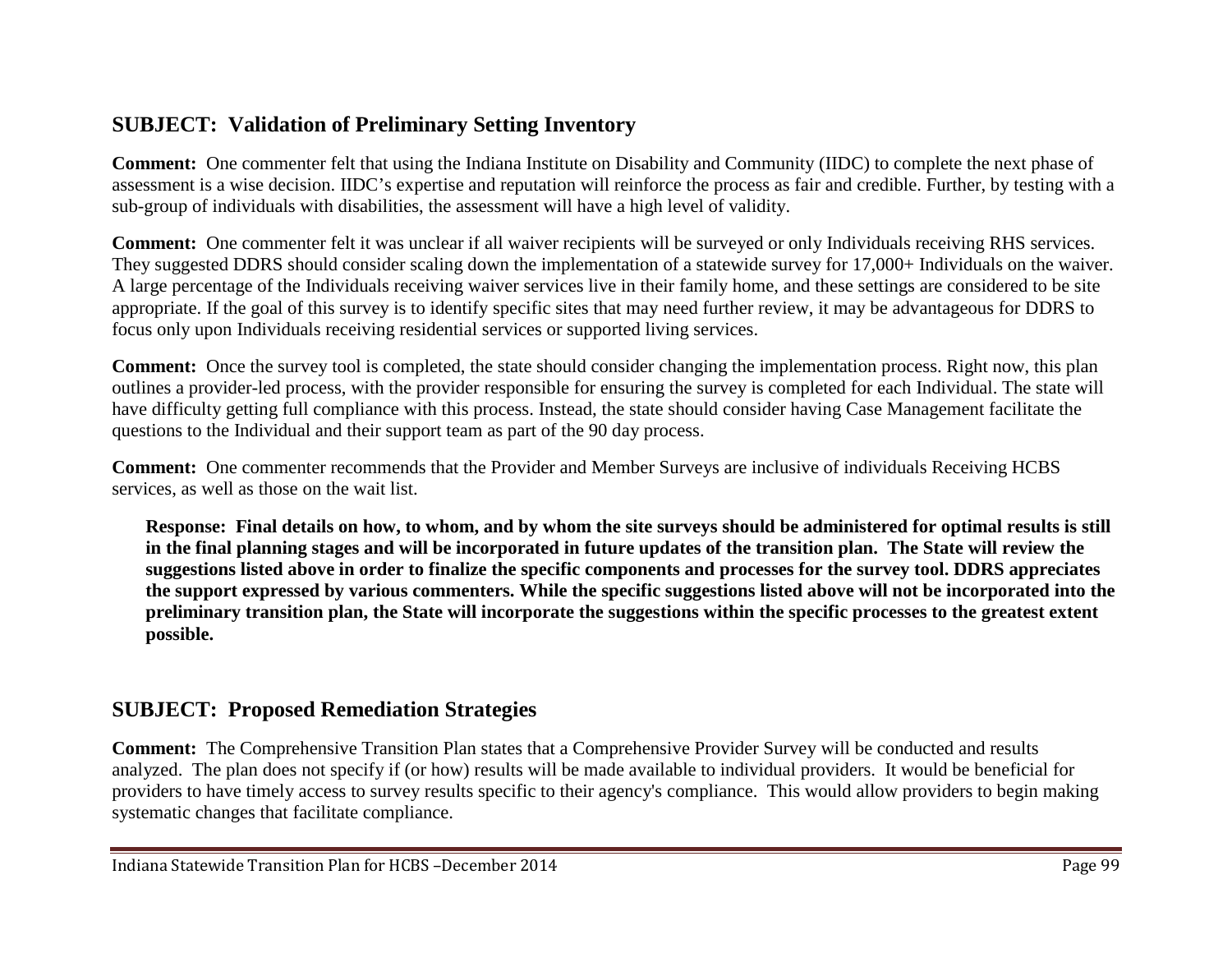# **SUBJECT: Validation of Preliminary Setting Inventory**

**Comment:** One commenter felt that using the Indiana Institute on Disability and Community (IIDC) to complete the next phase of assessment is a wise decision. IIDC's expertise and reputation will reinforce the process as fair and credible. Further, by testing with a sub-group of individuals with disabilities, the assessment will have a high level of validity.

**Comment:** One commenter felt it was unclear if all waiver recipients will be surveyed or only Individuals receiving RHS services. They suggested DDRS should consider scaling down the implementation of a statewide survey for 17,000+ Individuals on the waiver. A large percentage of the Individuals receiving waiver services live in their family home, and these settings are considered to be site appropriate. If the goal of this survey is to identify specific sites that may need further review, it may be advantageous for DDRS to focus only upon Individuals receiving residential services or supported living services.

**Comment:** Once the survey tool is completed, the state should consider changing the implementation process. Right now, this plan outlines a provider-led process, with the provider responsible for ensuring the survey is completed for each Individual. The state will have difficulty getting full compliance with this process. Instead, the state should consider having Case Management facilitate the questions to the Individual and their support team as part of the 90 day process.

**Comment:** One commenter recommends that the Provider and Member Surveys are inclusive of individuals Receiving HCBS services, as well as those on the wait list.

**Response: Final details on how, to whom, and by whom the site surveys should be administered for optimal results is still in the final planning stages and will be incorporated in future updates of the transition plan. The State will review the suggestions listed above in order to finalize the specific components and processes for the survey tool. DDRS appreciates the support expressed by various commenters. While the specific suggestions listed above will not be incorporated into the preliminary transition plan, the State will incorporate the suggestions within the specific processes to the greatest extent possible.** 

# **SUBJECT: Proposed Remediation Strategies**

**Comment:** The Comprehensive Transition Plan states that a Comprehensive Provider Survey will be conducted and results analyzed. The plan does not specify if (or how) results will be made available to individual providers. It would be beneficial for providers to have timely access to survey results specific to their agency's compliance. This would allow providers to begin making systematic changes that facilitate compliance.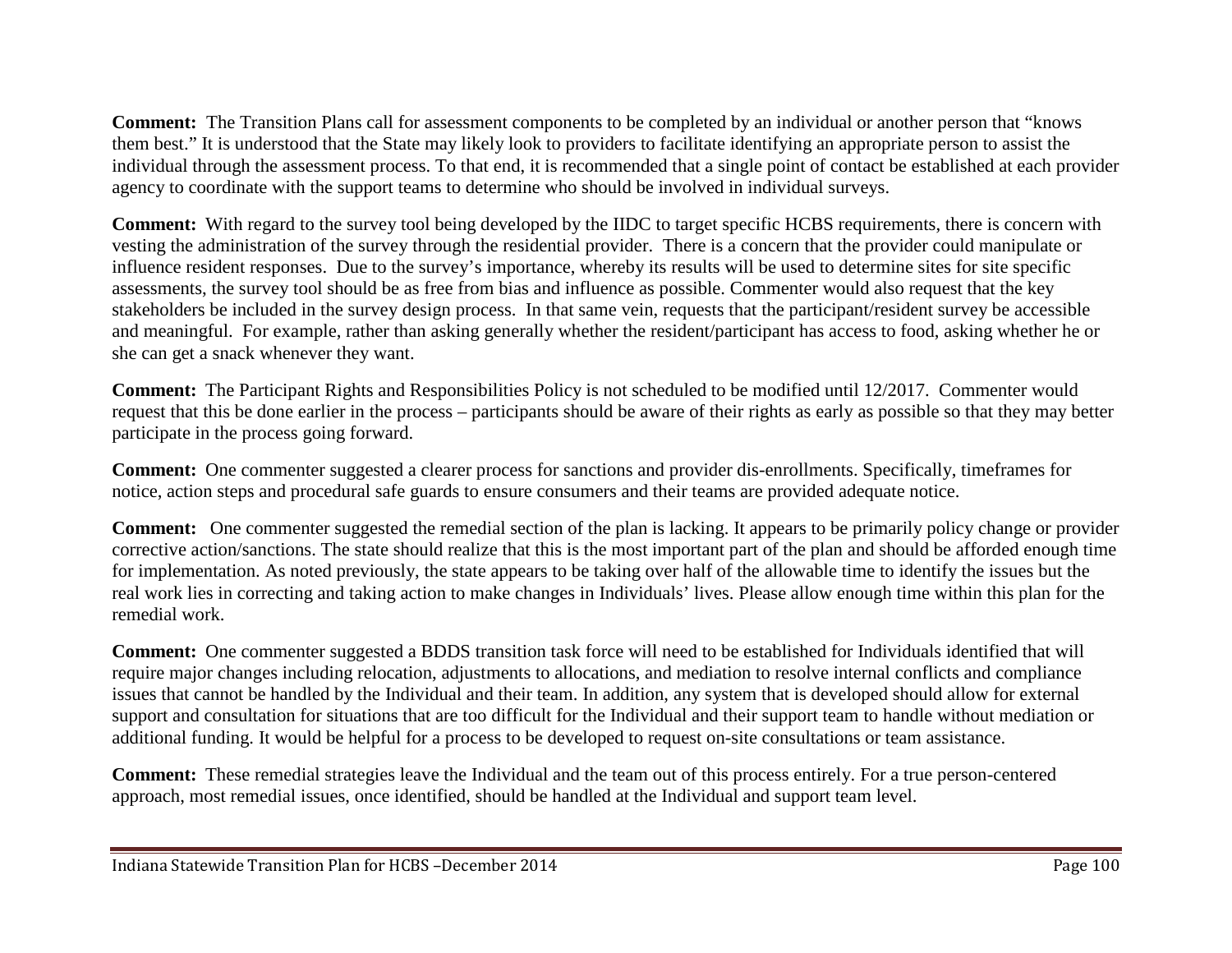**Comment:** The Transition Plans call for assessment components to be completed by an individual or another person that "knows them best." It is understood that the State may likely look to providers to facilitate identifying an appropriate person to assist the individual through the assessment process. To that end, it is recommended that a single point of contact be established at each provider agency to coordinate with the support teams to determine who should be involved in individual surveys.

**Comment:** With regard to the survey tool being developed by the IIDC to target specific HCBS requirements, there is concern with vesting the administration of the survey through the residential provider. There is a concern that the provider could manipulate or influence resident responses. Due to the survey's importance, whereby its results will be used to determine sites for site specific assessments, the survey tool should be as free from bias and influence as possible. Commenter would also request that the key stakeholders be included in the survey design process. In that same vein, requests that the participant/resident survey be accessible and meaningful. For example, rather than asking generally whether the resident/participant has access to food, asking whether he or she can get a snack whenever they want.

**Comment:** The Participant Rights and Responsibilities Policy is not scheduled to be modified until 12/2017. Commenter would request that this be done earlier in the process – participants should be aware of their rights as early as possible so that they may better participate in the process going forward.

**Comment:** One commenter suggested a clearer process for sanctions and provider dis-enrollments. Specifically, timeframes for notice, action steps and procedural safe guards to ensure consumers and their teams are provided adequate notice.

**Comment:** One commenter suggested the remedial section of the plan is lacking. It appears to be primarily policy change or provider corrective action/sanctions. The state should realize that this is the most important part of the plan and should be afforded enough time for implementation. As noted previously, the state appears to be taking over half of the allowable time to identify the issues but the real work lies in correcting and taking action to make changes in Individuals' lives. Please allow enough time within this plan for the remedial work.

**Comment:** One commenter suggested a BDDS transition task force will need to be established for Individuals identified that will require major changes including relocation, adjustments to allocations, and mediation to resolve internal conflicts and compliance issues that cannot be handled by the Individual and their team. In addition, any system that is developed should allow for external support and consultation for situations that are too difficult for the Individual and their support team to handle without mediation or additional funding. It would be helpful for a process to be developed to request on-site consultations or team assistance.

**Comment:** These remedial strategies leave the Individual and the team out of this process entirely. For a true person-centered approach, most remedial issues, once identified, should be handled at the Individual and support team level.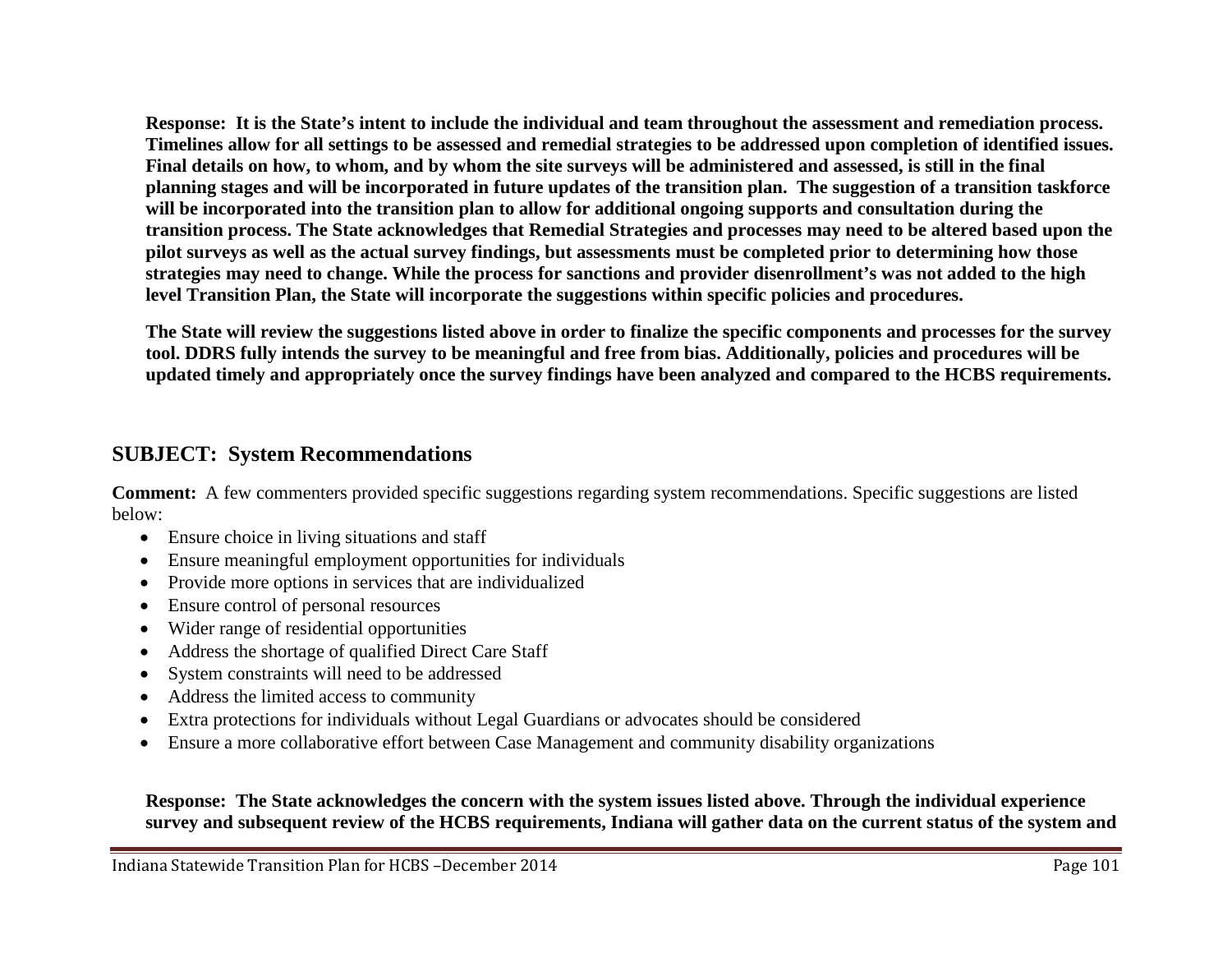**Response: It is the State's intent to include the individual and team throughout the assessment and remediation process. Timelines allow for all settings to be assessed and remedial strategies to be addressed upon completion of identified issues. Final details on how, to whom, and by whom the site surveys will be administered and assessed, is still in the final planning stages and will be incorporated in future updates of the transition plan. The suggestion of a transition taskforce will be incorporated into the transition plan to allow for additional ongoing supports and consultation during the transition process. The State acknowledges that Remedial Strategies and processes may need to be altered based upon the pilot surveys as well as the actual survey findings, but assessments must be completed prior to determining how those strategies may need to change. While the process for sanctions and provider disenrollment's was not added to the high level Transition Plan, the State will incorporate the suggestions within specific policies and procedures.**

**The State will review the suggestions listed above in order to finalize the specific components and processes for the survey tool. DDRS fully intends the survey to be meaningful and free from bias. Additionally, policies and procedures will be updated timely and appropriately once the survey findings have been analyzed and compared to the HCBS requirements.** 

## **SUBJECT: System Recommendations**

**Comment:** A few commenters provided specific suggestions regarding system recommendations. Specific suggestions are listed below:

- Ensure choice in living situations and staff
- Ensure meaningful employment opportunities for individuals
- Provide more options in services that are individualized
- Ensure control of personal resources
- Wider range of residential opportunities
- Address the shortage of qualified Direct Care Staff
- System constraints will need to be addressed
- Address the limited access to community
- Extra protections for individuals without Legal Guardians or advocates should be considered
- Ensure a more collaborative effort between Case Management and community disability organizations

**Response: The State acknowledges the concern with the system issues listed above. Through the individual experience survey and subsequent review of the HCBS requirements, Indiana will gather data on the current status of the system and**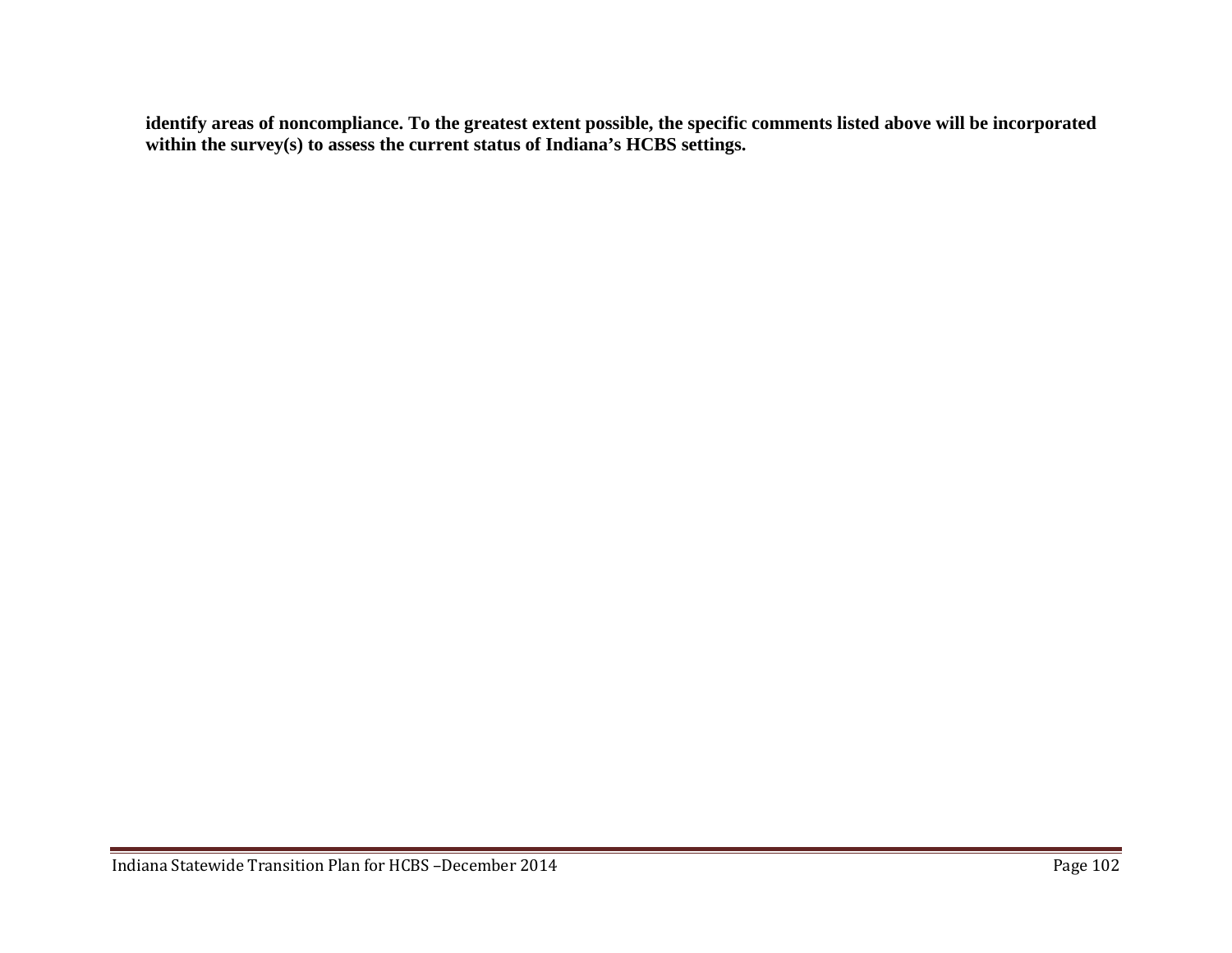**identify areas of noncompliance. To the greatest extent possible, the specific comments listed above will be incorporated within the survey(s) to assess the current status of Indiana's HCBS settings.**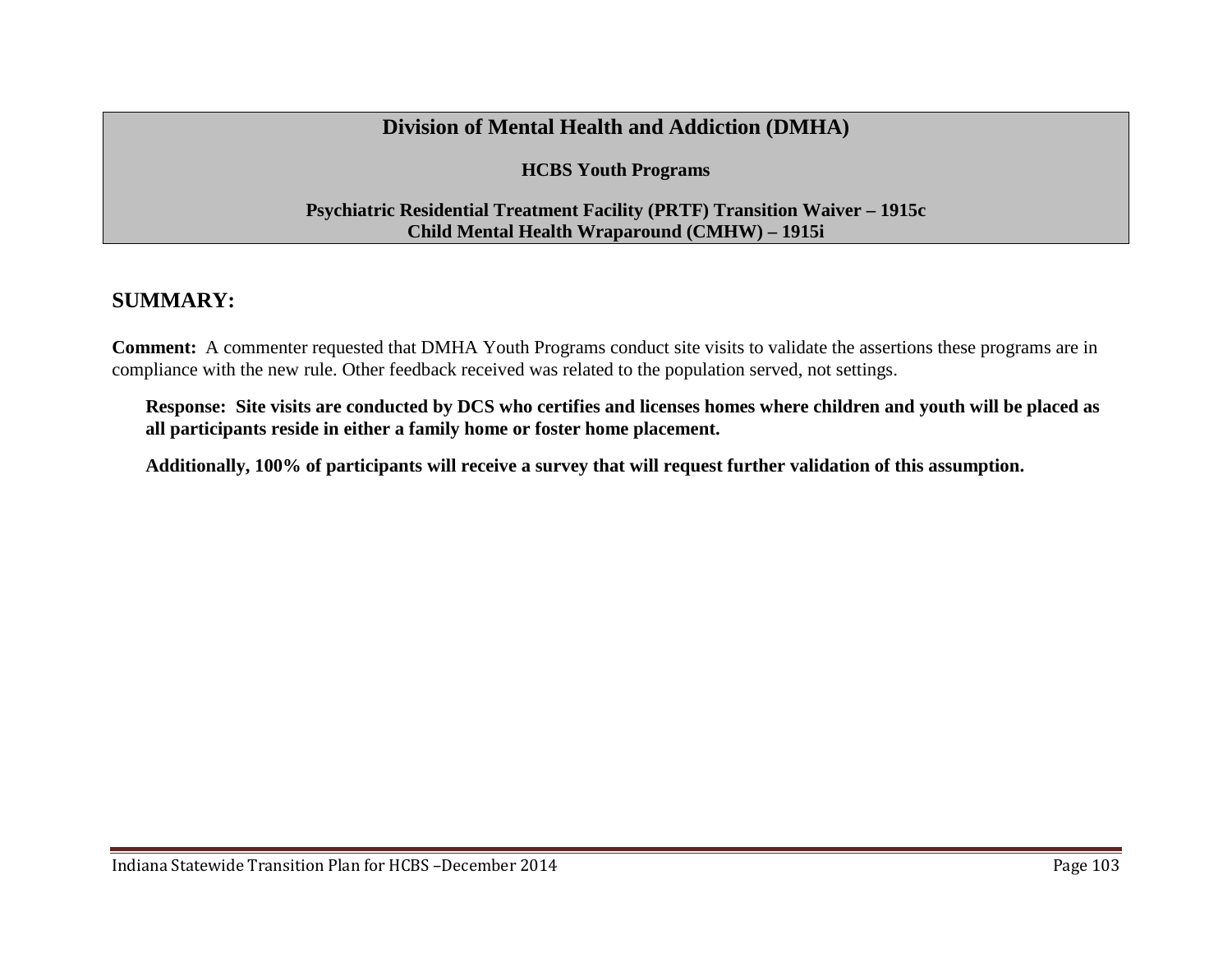## **Division of Mental Health and Addiction (DMHA)**

**HCBS Youth Programs**

#### **Psychiatric Residential Treatment Facility (PRTF) Transition Waiver – 1915c Child Mental Health Wraparound (CMHW) – 1915i**

## **SUMMARY:**

**Comment:** A commenter requested that DMHA Youth Programs conduct site visits to validate the assertions these programs are in compliance with the new rule. Other feedback received was related to the population served, not settings.

**Response: Site visits are conducted by DCS who certifies and licenses homes where children and youth will be placed as all participants reside in either a family home or foster home placement.**

**Additionally, 100% of participants will receive a survey that will request further validation of this assumption.**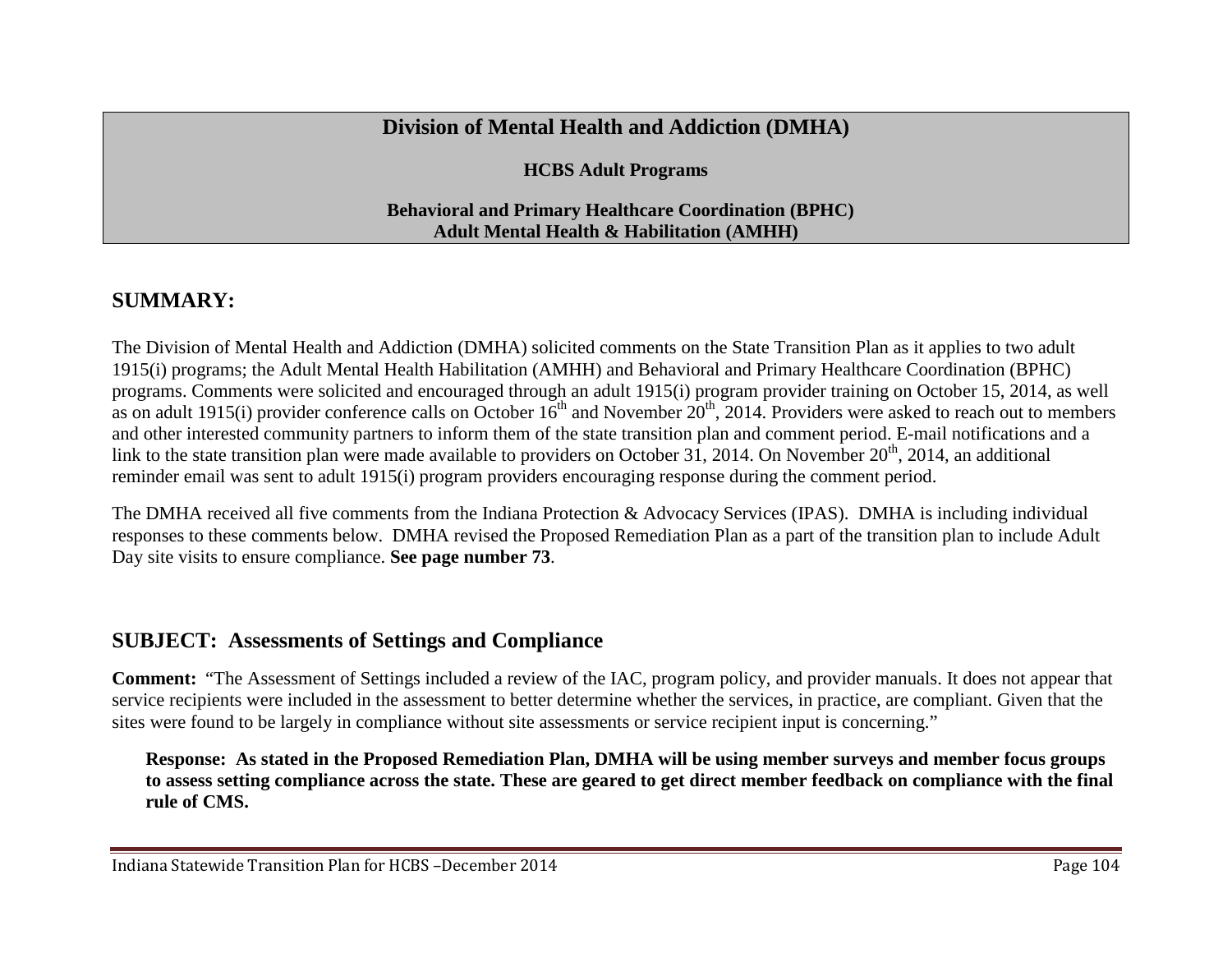## **Division of Mental Health and Addiction (DMHA)**

**HCBS Adult Programs**

#### **Behavioral and Primary Healthcare Coordination (BPHC) Adult Mental Health & Habilitation (AMHH)**

# **SUMMARY:**

The Division of Mental Health and Addiction (DMHA) solicited comments on the State Transition Plan as it applies to two adult 1915(i) programs; the Adult Mental Health Habilitation (AMHH) and Behavioral and Primary Healthcare Coordination (BPHC) programs. Comments were solicited and encouraged through an adult 1915(i) program provider training on October 15, 2014, as well as on adult 1915(i) provider conference calls on October  $16^{th}$  and November  $20^{th}$ , 2014. Providers were asked to reach out to members and other interested community partners to inform them of the state transition plan and comment period. E-mail notifications and a link to the state transition plan were made available to providers on October 31, 2014. On November  $20<sup>th</sup>$ , 2014, an additional reminder email was sent to adult 1915(i) program providers encouraging response during the comment period.

The DMHA received all five comments from the Indiana Protection & Advocacy Services (IPAS). DMHA is including individual responses to these comments below. DMHA revised the Proposed Remediation Plan as a part of the transition plan to include Adult Day site visits to ensure compliance. **See page number 73**.

## **SUBJECT: Assessments of Settings and Compliance**

**Comment:** "The Assessment of Settings included a review of the IAC, program policy, and provider manuals. It does not appear that service recipients were included in the assessment to better determine whether the services, in practice, are compliant. Given that the sites were found to be largely in compliance without site assessments or service recipient input is concerning."

**Response: As stated in the Proposed Remediation Plan, DMHA will be using member surveys and member focus groups to assess setting compliance across the state. These are geared to get direct member feedback on compliance with the final rule of CMS.**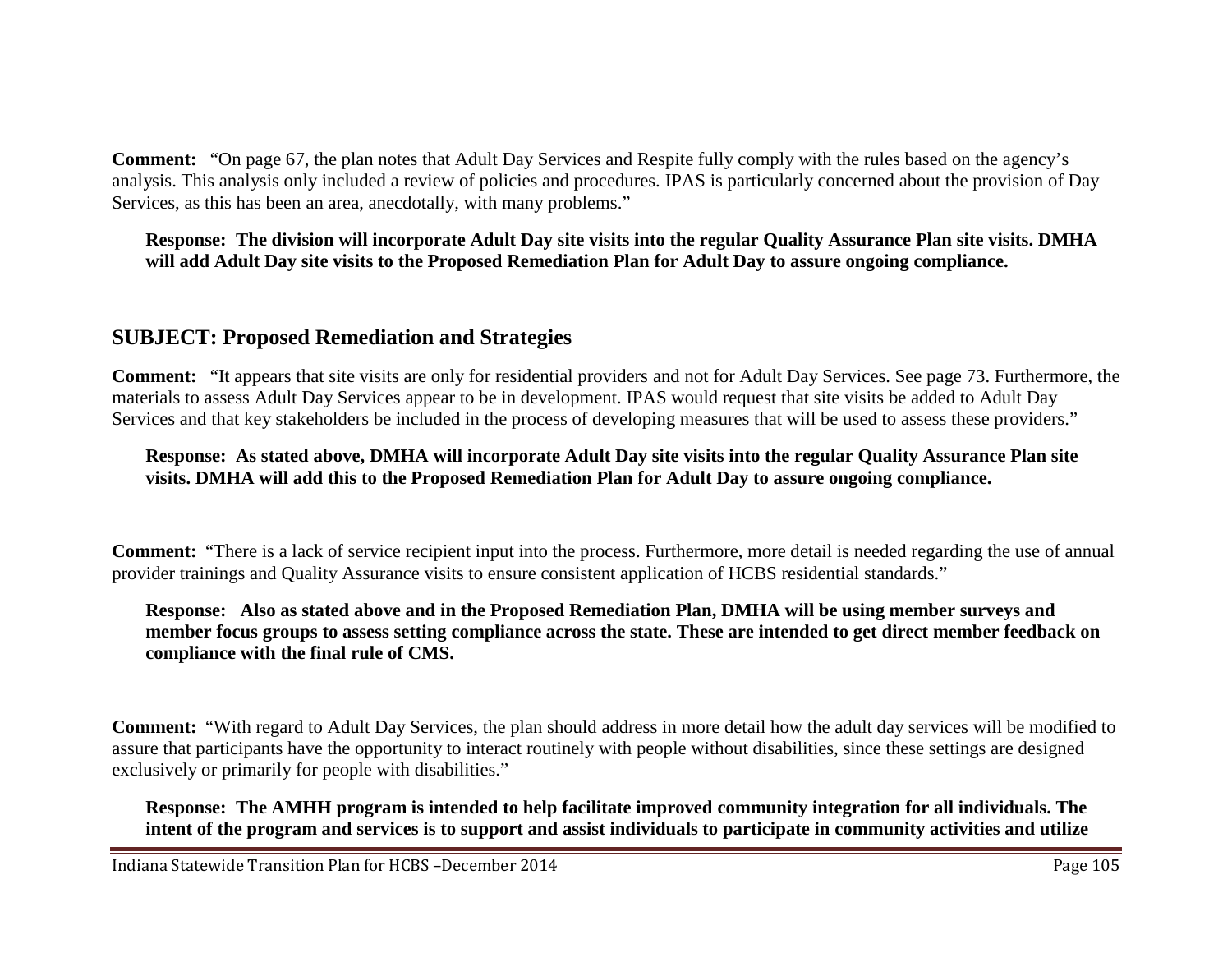**Comment:** "On page 67, the plan notes that Adult Day Services and Respite fully comply with the rules based on the agency's analysis. This analysis only included a review of policies and procedures. IPAS is particularly concerned about the provision of Day Services, as this has been an area, anecdotally, with many problems."

#### **Response: The division will incorporate Adult Day site visits into the regular Quality Assurance Plan site visits. DMHA will add Adult Day site visits to the Proposed Remediation Plan for Adult Day to assure ongoing compliance.**

## **SUBJECT: Proposed Remediation and Strategies**

**Comment:** "It appears that site visits are only for residential providers and not for Adult Day Services. See page 73. Furthermore, the materials to assess Adult Day Services appear to be in development. IPAS would request that site visits be added to Adult Day Services and that key stakeholders be included in the process of developing measures that will be used to assess these providers."

#### **Response: As stated above, DMHA will incorporate Adult Day site visits into the regular Quality Assurance Plan site visits. DMHA will add this to the Proposed Remediation Plan for Adult Day to assure ongoing compliance.**

**Comment:** "There is a lack of service recipient input into the process. Furthermore, more detail is needed regarding the use of annual provider trainings and Quality Assurance visits to ensure consistent application of HCBS residential standards."

#### **Response: Also as stated above and in the Proposed Remediation Plan, DMHA will be using member surveys and member focus groups to assess setting compliance across the state. These are intended to get direct member feedback on compliance with the final rule of CMS.**

**Comment:** "With regard to Adult Day Services, the plan should address in more detail how the adult day services will be modified to assure that participants have the opportunity to interact routinely with people without disabilities, since these settings are designed exclusively or primarily for people with disabilities."

**Response: The AMHH program is intended to help facilitate improved community integration for all individuals. The intent of the program and services is to support and assist individuals to participate in community activities and utilize**